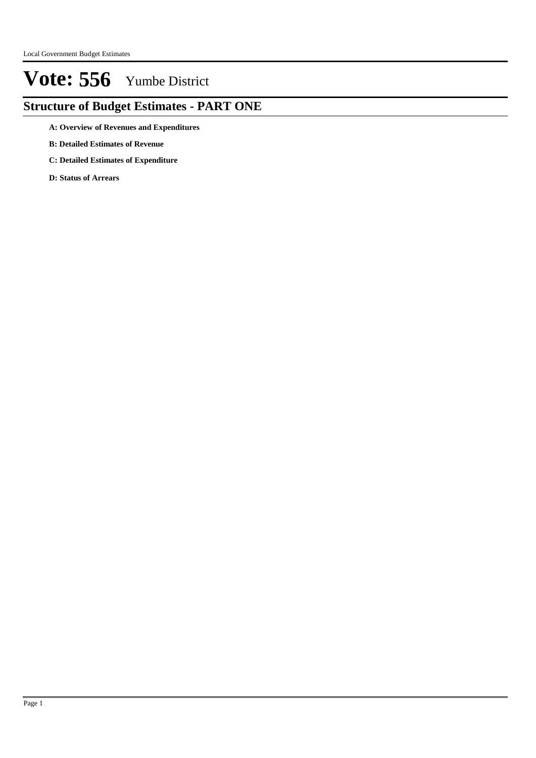## **Structure of Budget Estimates - PART ONE**

- **A: Overview of Revenues and Expenditures**
- **B: Detailed Estimates of Revenue**
- **C: Detailed Estimates of Expenditure**
- **D: Status of Arrears**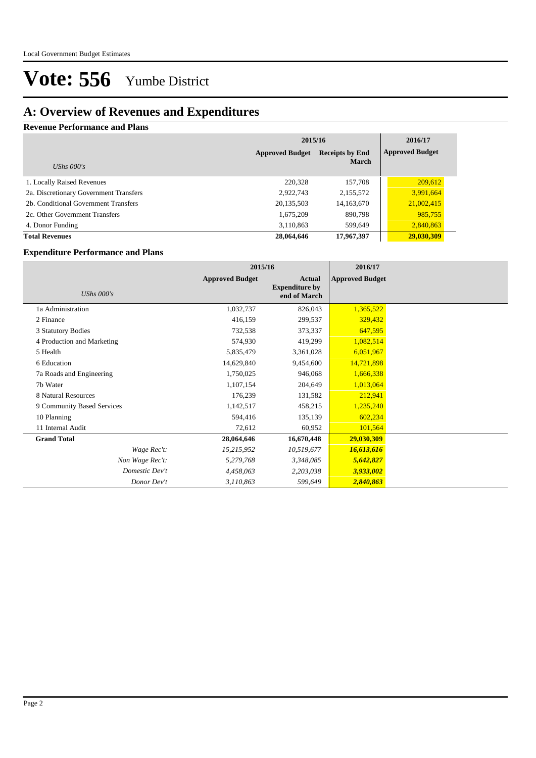### **A: Overview of Revenues and Expenditures**

#### **Revenue Performance and Plans**

|                                        | 2015/16                                          | 2016/17      |                        |
|----------------------------------------|--------------------------------------------------|--------------|------------------------|
|                                        | <b>Approved Budget</b><br><b>Receipts by End</b> |              | <b>Approved Budget</b> |
| UShs $000's$                           |                                                  | <b>March</b> |                        |
| 1. Locally Raised Revenues             | 220,328                                          | 157,708      | 209,612                |
| 2a. Discretionary Government Transfers | 2,922,743                                        | 2,155,572    | 3,991,664              |
| 2b. Conditional Government Transfers   | 20,135,503                                       | 14, 163, 670 | 21,002,415             |
| 2c. Other Government Transfers         | 1,675,209                                        | 890,798      | 985,755                |
| 4. Donor Funding                       | 3,110,863                                        | 599,649      | 2,840,863              |
| <b>Total Revenues</b>                  | 28,064,646                                       | 17,967,397   | 29,030,309             |

#### **Expenditure Performance and Plans**

|                            | 2015/16                |                                                 | 2016/17                |  |
|----------------------------|------------------------|-------------------------------------------------|------------------------|--|
| UShs $000's$               | <b>Approved Budget</b> | Actual<br><b>Expenditure by</b><br>end of March | <b>Approved Budget</b> |  |
| 1a Administration          | 1,032,737              | 826,043                                         | 1,365,522              |  |
| 2 Finance                  | 416,159                | 299,537                                         | 329,432                |  |
| 3 Statutory Bodies         | 732,538                | 373,337                                         | 647,595                |  |
| 4 Production and Marketing | 574,930                | 419,299                                         | 1,082,514              |  |
| 5 Health                   | 5,835,479              | 3,361,028                                       | 6,051,967              |  |
| 6 Education                | 14,629,840             | 9,454,600                                       | 14,721,898             |  |
| 7a Roads and Engineering   | 1,750,025              | 946,068                                         | 1,666,338              |  |
| 7b Water                   | 1,107,154              | 204,649                                         | 1,013,064              |  |
| 8 Natural Resources        | 176,239                | 131,582                                         | 212,941                |  |
| 9 Community Based Services | 1,142,517              | 458,215                                         | 1,235,240              |  |
| 10 Planning                | 594,416                | 135,139                                         | 602,234                |  |
| 11 Internal Audit          | 72,612                 | 60,952                                          | 101,564                |  |
| <b>Grand Total</b>         | 28,064,646             | 16,670,448                                      | 29,030,309             |  |
| Wage Rec't:                | 15,215,952             | 10,519,677                                      | 16,613,616             |  |
| Non Wage Rec't:            | 5,279,768              | 3,348,085                                       | 5,642,827              |  |
| Domestic Dev't             | 4,458,063              | 2,203,038                                       | 3,933,002              |  |
| Donor Dev't                | 3,110,863              | 599,649                                         | 2,840,863              |  |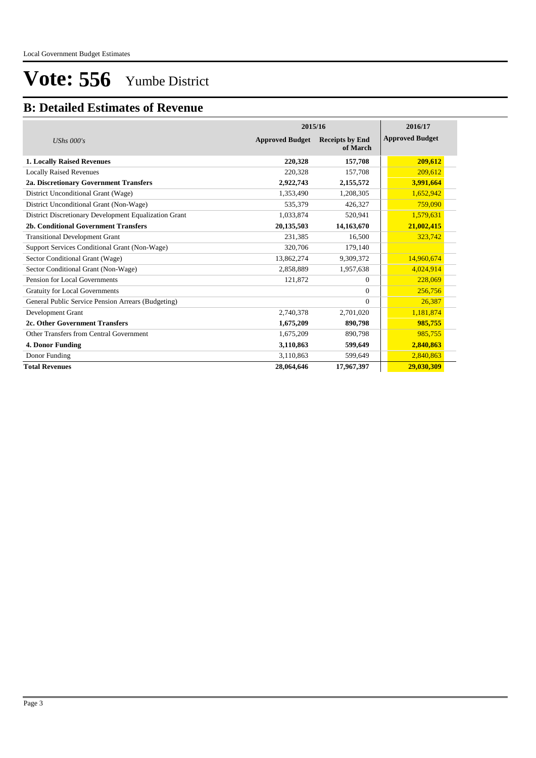### **B: Detailed Estimates of Revenue**

|                                                       |                        | 2015/16                            |                        |  |  |  |
|-------------------------------------------------------|------------------------|------------------------------------|------------------------|--|--|--|
| UShs $000's$                                          | <b>Approved Budget</b> | <b>Receipts by End</b><br>of March | <b>Approved Budget</b> |  |  |  |
| <b>1. Locally Raised Revenues</b>                     | 220,328                | 157,708                            | 209,612                |  |  |  |
| <b>Locally Raised Revenues</b>                        | 220.328                | 157,708                            | 209,612                |  |  |  |
| 2a. Discretionary Government Transfers                | 2,922,743              | 2,155,572                          | 3,991,664              |  |  |  |
| District Unconditional Grant (Wage)                   | 1,353,490              | 1,208,305                          | 1,652,942              |  |  |  |
| District Unconditional Grant (Non-Wage)               | 535,379                | 426,327                            | 759,090                |  |  |  |
| District Discretionary Development Equalization Grant | 1,033,874              | 520,941                            | 1,579,631              |  |  |  |
| 2b. Conditional Government Transfers                  | 20,135,503             | 14,163,670                         | 21,002,415             |  |  |  |
| <b>Transitional Development Grant</b>                 | 231,385                | 16,500                             | 323,742                |  |  |  |
| Support Services Conditional Grant (Non-Wage)         | 320,706                | 179,140                            |                        |  |  |  |
| Sector Conditional Grant (Wage)                       | 13,862,274             | 9,309,372                          | 14,960,674             |  |  |  |
| Sector Conditional Grant (Non-Wage)                   | 2,858,889              | 1,957,638                          | 4,024,914              |  |  |  |
| Pension for Local Governments                         | 121,872                | $\Omega$                           | 228,069                |  |  |  |
| <b>Gratuity for Local Governments</b>                 |                        | $\Omega$                           | 256,756                |  |  |  |
| General Public Service Pension Arrears (Budgeting)    |                        | $\Omega$                           | 26,387                 |  |  |  |
| Development Grant                                     | 2,740,378              | 2,701,020                          | 1,181,874              |  |  |  |
| 2c. Other Government Transfers                        | 1,675,209              | 890,798                            | 985,755                |  |  |  |
| Other Transfers from Central Government               | 1,675,209              | 890,798                            | 985,755                |  |  |  |
| 4. Donor Funding                                      | 3,110,863              | 599,649                            | 2,840,863              |  |  |  |
| Donor Funding                                         | 3,110,863              | 599,649                            | 2,840,863              |  |  |  |
| <b>Total Revenues</b>                                 | 28,064,646             | 17,967,397                         | 29,030,309             |  |  |  |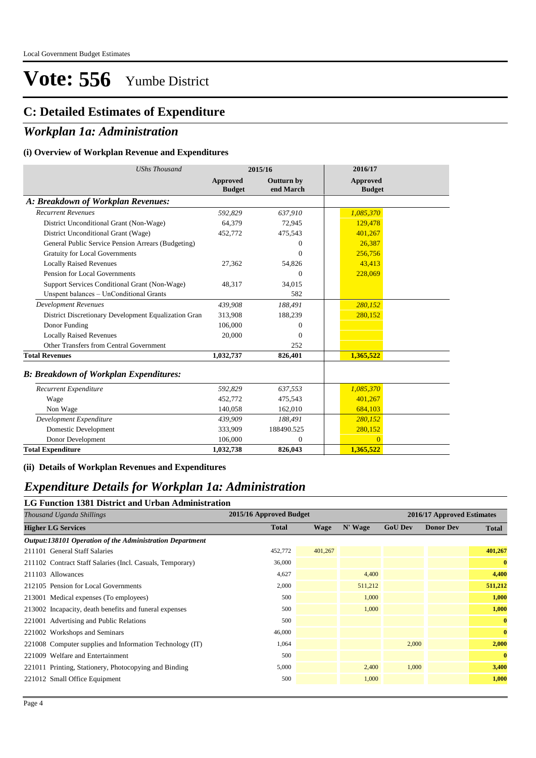### **C: Detailed Estimates of Expenditure**

### *Workplan 1a: Administration*

#### **(i) Overview of Workplan Revenue and Expenditures**

| <b>UShs Thousand</b>                                 | 2015/16                   |                                |                           |  | 2016/17 |  |
|------------------------------------------------------|---------------------------|--------------------------------|---------------------------|--|---------|--|
|                                                      | Approved<br><b>Budget</b> | <b>Outturn by</b><br>end March | Approved<br><b>Budget</b> |  |         |  |
| A: Breakdown of Workplan Revenues:                   |                           |                                |                           |  |         |  |
| <b>Recurrent Revenues</b>                            | 592.829                   | 637,910                        | 1,085,370                 |  |         |  |
| District Unconditional Grant (Non-Wage)              | 64.379                    | 72,945                         | 129,478                   |  |         |  |
| District Unconditional Grant (Wage)                  | 452,772                   | 475,543                        | 401,267                   |  |         |  |
| General Public Service Pension Arrears (Budgeting)   |                           | $\Omega$                       | 26,387                    |  |         |  |
| <b>Gratuity for Local Governments</b>                |                           | $\Omega$                       | 256,756                   |  |         |  |
| <b>Locally Raised Revenues</b>                       | 27,362                    | 54,826                         | 43,413                    |  |         |  |
| Pension for Local Governments                        |                           | $\Omega$                       | 228,069                   |  |         |  |
| Support Services Conditional Grant (Non-Wage)        | 48,317                    | 34,015                         |                           |  |         |  |
| Unspent balances - UnConditional Grants              |                           | 582                            |                           |  |         |  |
| <b>Development Revenues</b>                          | 439,908                   | 188,491                        | 280,152                   |  |         |  |
| District Discretionary Development Equalization Gran | 313.908                   | 188,239                        | 280,152                   |  |         |  |
| Donor Funding                                        | 106,000                   | $\Omega$                       |                           |  |         |  |
| <b>Locally Raised Revenues</b>                       | 20,000                    | $\Omega$                       |                           |  |         |  |
| Other Transfers from Central Government              |                           | 252                            |                           |  |         |  |
| <b>Total Revenues</b>                                | 1,032,737                 | 826,401                        | 1,365,522                 |  |         |  |
| <b>B: Breakdown of Workplan Expenditures:</b>        |                           |                                |                           |  |         |  |
| Recurrent Expenditure                                | 592,829                   | 637,553                        | 1,085,370                 |  |         |  |
| Wage                                                 | 452,772                   | 475,543                        | 401,267                   |  |         |  |
| Non Wage                                             | 140,058                   | 162,010                        | 684.103                   |  |         |  |
| Development Expenditure                              | 439,909                   | 188,491                        | 280,152                   |  |         |  |
| Domestic Development                                 | 333.909                   | 188490.525                     | 280.152                   |  |         |  |

**(ii) Details of Workplan Revenues and Expenditures**

Donor Development 106,000 **Total Expenditure 1,032,738**

#### *Expenditure Details for Workplan 1a: Administration*

#### **LG Function 1381 District and Urban Administration**

| Thousand Uganda Shillings                                 | 2015/16 Approved Budget |             |         |                | 2016/17 Approved Estimates |              |
|-----------------------------------------------------------|-------------------------|-------------|---------|----------------|----------------------------|--------------|
| <b>Higher LG Services</b>                                 | <b>Total</b>            | <b>Wage</b> | N' Wage | <b>GoU Dev</b> | <b>Donor Dev</b>           | <b>Total</b> |
| Output:138101 Operation of the Administration Department  |                         |             |         |                |                            |              |
| 211101 General Staff Salaries                             | 452,772                 | 401,267     |         |                |                            | 401,267      |
| 211102 Contract Staff Salaries (Incl. Casuals, Temporary) | 36,000                  |             |         |                |                            | $\bf{0}$     |
| 211103 Allowances                                         | 4,627                   |             | 4,400   |                |                            | 4,400        |
| 212105 Pension for Local Governments                      | 2,000                   |             | 511,212 |                |                            | 511,212      |
| 213001 Medical expenses (To employees)                    | 500                     |             | 1,000   |                |                            | 1,000        |
| 213002 Incapacity, death benefits and funeral expenses    | 500                     |             | 1,000   |                |                            | 1,000        |
| 221001 Advertising and Public Relations                   | 500                     |             |         |                |                            | $\bf{0}$     |
| 221002 Workshops and Seminars                             | 46,000                  |             |         |                |                            | $\bf{0}$     |
| 221008 Computer supplies and Information Technology (IT)  | 1,064                   |             |         | 2,000          |                            | 2,000        |
| 221009 Welfare and Entertainment                          | 500                     |             |         |                |                            | $\bf{0}$     |
| 221011 Printing, Stationery, Photocopying and Binding     | 5,000                   |             | 2,400   | 1,000          |                            | 3,400        |
| 221012 Small Office Equipment                             | 500                     |             | 1,000   |                |                            | 1,000        |
|                                                           |                         |             |         |                |                            |              |

 $\boldsymbol{0}$ **826,043**

0 **1,365,522**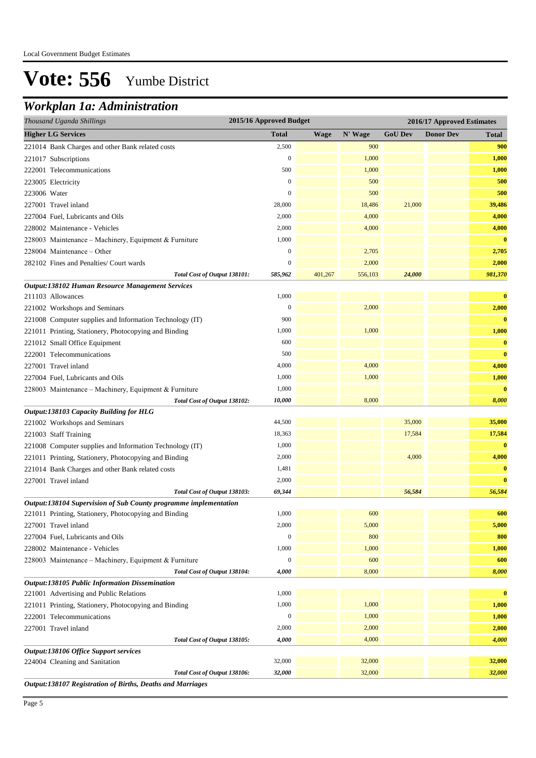## *Workplan 1a: Administration*

| Thousand Uganda Shillings                                        | 2015/16 Approved Budget |             |         |                | 2016/17 Approved Estimates |              |
|------------------------------------------------------------------|-------------------------|-------------|---------|----------------|----------------------------|--------------|
| <b>Higher LG Services</b>                                        | <b>Total</b>            | <b>Wage</b> | N' Wage | <b>GoU Dev</b> | <b>Donor Dev</b>           | <b>Total</b> |
| 221014 Bank Charges and other Bank related costs                 | 2,500                   |             | 900     |                |                            | 900          |
| 221017 Subscriptions                                             | $\mathbf{0}$            |             | 1,000   |                |                            | 1,000        |
| 222001 Telecommunications                                        | 500                     |             | 1,000   |                |                            | 1,000        |
| 223005 Electricity                                               | $\mathbf{0}$            |             | 500     |                |                            | 500          |
| 223006 Water                                                     | $\mathbf{0}$            |             | 500     |                |                            | 500          |
| 227001 Travel inland                                             | 28,000                  |             | 18,486  | 21,000         |                            | 39,486       |
| 227004 Fuel, Lubricants and Oils                                 | 2,000                   |             | 4,000   |                |                            | 4,000        |
| 228002 Maintenance - Vehicles                                    | 2,000                   |             | 4,000   |                |                            | 4,000        |
| 228003 Maintenance - Machinery, Equipment & Furniture            | 1,000                   |             |         |                |                            | $\bf{0}$     |
| 228004 Maintenance - Other                                       | $\boldsymbol{0}$        |             | 2,705   |                |                            | 2,705        |
| 282102 Fines and Penalties/ Court wards                          | $\mathbf{0}$            |             | 2,000   |                |                            | 2,000        |
| Total Cost of Output 138101:                                     | 585,962                 | 401,267     | 556,103 | 24,000         |                            | 981,370      |
| Output:138102 Human Resource Management Services                 |                         |             |         |                |                            |              |
| 211103 Allowances                                                | 1,000                   |             |         |                |                            | $\bf{0}$     |
| 221002 Workshops and Seminars                                    | $\boldsymbol{0}$        |             | 2,000   |                |                            | 2,000        |
| 221008 Computer supplies and Information Technology (IT)         | 900                     |             |         |                |                            | $\bf{0}$     |
| 221011 Printing, Stationery, Photocopying and Binding            | 1,000                   |             | 1,000   |                |                            | 1,000        |
| 221012 Small Office Equipment                                    | 600                     |             |         |                |                            | $\bf{0}$     |
| 222001 Telecommunications                                        | 500                     |             |         |                |                            | $\bf{0}$     |
| 227001 Travel inland                                             | 4,000                   |             | 4,000   |                |                            | 4,000        |
| 227004 Fuel, Lubricants and Oils                                 | 1,000                   |             | 1,000   |                |                            | 1,000        |
| 228003 Maintenance - Machinery, Equipment & Furniture            | 1,000                   |             |         |                |                            | $\bf{0}$     |
| Total Cost of Output 138102:                                     | 10,000                  |             | 8,000   |                |                            | 8,000        |
| Output:138103 Capacity Building for HLG                          |                         |             |         |                |                            |              |
| 221002 Workshops and Seminars                                    | 44,500                  |             |         | 35,000         |                            | 35,000       |
| 221003 Staff Training                                            | 18,363                  |             |         | 17,584         |                            | 17,584       |
| 221008 Computer supplies and Information Technology (IT)         | 1,000                   |             |         |                |                            | $\bf{0}$     |
| 221011 Printing, Stationery, Photocopying and Binding            | 2,000                   |             |         | 4,000          |                            | 4,000        |
| 221014 Bank Charges and other Bank related costs                 | 1,481                   |             |         |                |                            | $\bf{0}$     |
| 227001 Travel inland                                             | 2,000                   |             |         |                |                            | $\bf{0}$     |
| Total Cost of Output 138103:                                     | 69,344                  |             |         | 56,584         |                            | 56,584       |
| Output:138104 Supervision of Sub County programme implementation |                         |             |         |                |                            |              |
| 221011 Printing, Stationery, Photocopying and Binding            | 1,000                   |             | 600     |                |                            | 600          |
| 227001 Travel inland                                             | 2,000                   |             | 5,000   |                |                            | 5,000        |
| 227004 Fuel, Lubricants and Oils                                 | $\mathbf{0}$            |             | 800     |                |                            | 800          |
| 228002 Maintenance - Vehicles                                    | 1,000                   |             | 1,000   |                |                            | 1,000        |
| 228003 Maintenance - Machinery, Equipment & Furniture            | $\mathbf{0}$            |             | 600     |                |                            | 600          |
| Total Cost of Output 138104:                                     | 4,000                   |             | 8,000   |                |                            | 8,000        |
| Output:138105 Public Information Dissemination                   |                         |             |         |                |                            |              |
| 221001 Advertising and Public Relations                          | 1,000                   |             |         |                |                            | $\bf{0}$     |
| 221011 Printing, Stationery, Photocopying and Binding            | 1,000                   |             | 1,000   |                |                            | 1,000        |
| 222001 Telecommunications                                        | $\boldsymbol{0}$        |             | 1,000   |                |                            | 1,000        |
| 227001 Travel inland                                             | 2,000                   |             | 2,000   |                |                            | 2,000        |
| Total Cost of Output 138105:                                     | 4,000                   |             | 4,000   |                |                            | 4,000        |
| Output:138106 Office Support services                            |                         |             |         |                |                            |              |
| 224004 Cleaning and Sanitation                                   | 32,000                  |             | 32,000  |                |                            | 32,000       |
| Total Cost of Output 138106:                                     | 32,000                  |             | 32,000  |                |                            | 32,000       |
| Output:138107 Registration of Births, Deaths and Marriages       |                         |             |         |                |                            |              |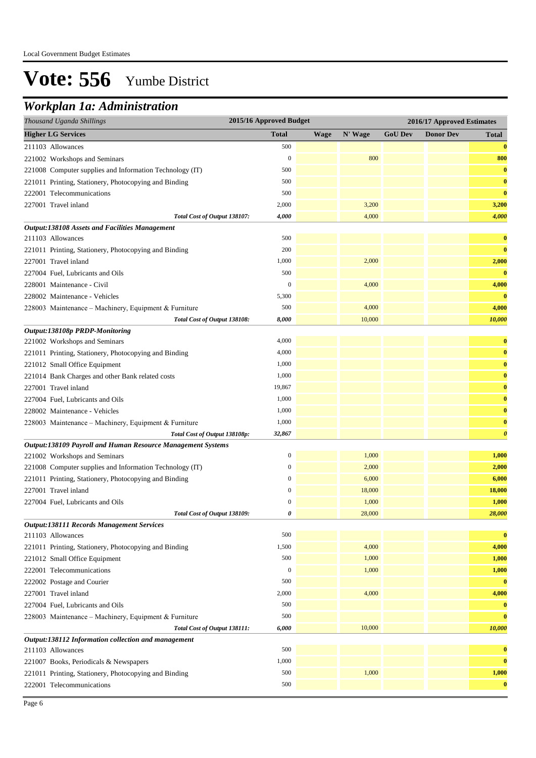## *Workplan 1a: Administration*

| Thousand Uganda Shillings                                                                    | 2015/16 Approved Budget |             |         |                | 2016/17 Approved Estimates |                       |
|----------------------------------------------------------------------------------------------|-------------------------|-------------|---------|----------------|----------------------------|-----------------------|
| <b>Higher LG Services</b>                                                                    | <b>Total</b>            | <b>Wage</b> | N' Wage | <b>GoU Dev</b> | <b>Donor Dev</b>           | <b>Total</b>          |
| 211103 Allowances                                                                            | 500                     |             |         |                |                            | $\bf{0}$              |
| 221002 Workshops and Seminars                                                                | $\boldsymbol{0}$        |             | 800     |                |                            | 800                   |
| 221008 Computer supplies and Information Technology (IT)                                     | 500                     |             |         |                |                            | $\bf{0}$              |
| 221011 Printing, Stationery, Photocopying and Binding                                        | 500                     |             |         |                |                            | $\bf{0}$              |
| 222001 Telecommunications                                                                    | 500                     |             |         |                |                            | $\bf{0}$              |
| 227001 Travel inland                                                                         | 2,000                   |             | 3,200   |                |                            | 3,200                 |
| Total Cost of Output 138107:                                                                 | 4,000                   |             | 4,000   |                |                            | 4,000                 |
| <b>Output:138108 Assets and Facilities Management</b>                                        |                         |             |         |                |                            |                       |
| 211103 Allowances                                                                            | 500                     |             |         |                |                            | $\bf{0}$              |
| 221011 Printing, Stationery, Photocopying and Binding                                        | 200                     |             |         |                |                            | $\bf{0}$              |
| 227001 Travel inland                                                                         | 1,000                   |             | 2,000   |                |                            | 2,000                 |
| 227004 Fuel, Lubricants and Oils                                                             | 500                     |             |         |                |                            | $\bf{0}$              |
| 228001 Maintenance - Civil                                                                   | $\boldsymbol{0}$        |             | 4,000   |                |                            | 4,000                 |
| 228002 Maintenance - Vehicles                                                                | 5,300                   |             |         |                |                            | $\bf{0}$              |
| 228003 Maintenance - Machinery, Equipment & Furniture                                        | 500                     |             | 4,000   |                |                            | 4,000                 |
| Total Cost of Output 138108:                                                                 | 8,000                   |             | 10,000  |                |                            | 10,000                |
| Output:138108p PRDP-Monitoring                                                               |                         |             |         |                |                            |                       |
| 221002 Workshops and Seminars                                                                | 4,000                   |             |         |                |                            | $\bf{0}$              |
| 221011 Printing, Stationery, Photocopying and Binding                                        | 4,000                   |             |         |                |                            | $\bf{0}$              |
| 221012 Small Office Equipment                                                                | 1,000                   |             |         |                |                            | $\bf{0}$              |
| 221014 Bank Charges and other Bank related costs                                             | 1,000                   |             |         |                |                            | $\bf{0}$              |
| 227001 Travel inland                                                                         | 19,867                  |             |         |                |                            | $\bf{0}$              |
| 227004 Fuel, Lubricants and Oils                                                             | 1,000                   |             |         |                |                            | $\bf{0}$              |
| 228002 Maintenance - Vehicles                                                                | 1,000                   |             |         |                |                            | $\bf{0}$              |
| 228003 Maintenance - Machinery, Equipment & Furniture                                        | 1,000                   |             |         |                |                            | $\bf{0}$              |
| Total Cost of Output 138108p:                                                                | 32,867                  |             |         |                |                            | $\boldsymbol{\theta}$ |
| Output:138109 Payroll and Human Resource Management Systems<br>221002 Workshops and Seminars | $\mathbf{0}$            |             | 1,000   |                |                            | 1,000                 |
| 221008 Computer supplies and Information Technology (IT)                                     | $\boldsymbol{0}$        |             | 2,000   |                |                            | 2,000                 |
| 221011 Printing, Stationery, Photocopying and Binding                                        | $\boldsymbol{0}$        |             | 6,000   |                |                            | 6,000                 |
| 227001 Travel inland                                                                         | $\mathbf{0}$            |             | 18,000  |                |                            | 18,000                |
| 227004 Fuel, Lubricants and Oils                                                             | $\mathbf{0}$            |             | 1,000   |                |                            | 1,000                 |
| Total Cost of Output 138109:                                                                 | 0                       |             | 28,000  |                |                            | 28,000                |
| <b>Output:138111 Records Management Services</b>                                             |                         |             |         |                |                            |                       |
| 211103 Allowances                                                                            | 500                     |             |         |                |                            | $\bf{0}$              |
| 221011 Printing, Stationery, Photocopying and Binding                                        | 1,500                   |             | 4,000   |                |                            | 4,000                 |
| 221012 Small Office Equipment                                                                | 500                     |             | 1,000   |                |                            | 1,000                 |
| 222001 Telecommunications                                                                    | $\boldsymbol{0}$        |             | 1,000   |                |                            | 1,000                 |
| 222002 Postage and Courier                                                                   | 500                     |             |         |                |                            | $\bf{0}$              |
| 227001 Travel inland                                                                         | 2,000                   |             | 4,000   |                |                            | 4,000                 |
| 227004 Fuel, Lubricants and Oils                                                             | 500                     |             |         |                |                            | $\bf{0}$              |
| 228003 Maintenance - Machinery, Equipment & Furniture                                        | 500                     |             |         |                |                            | $\bf{0}$              |
| Total Cost of Output 138111:                                                                 | 6,000                   |             | 10,000  |                |                            | 10,000                |
| Output:138112 Information collection and management                                          |                         |             |         |                |                            |                       |
| 211103 Allowances                                                                            | 500                     |             |         |                |                            | $\bf{0}$              |
| 221007 Books, Periodicals & Newspapers                                                       | 1,000                   |             |         |                |                            | $\bf{0}$              |
| 221011 Printing, Stationery, Photocopying and Binding                                        | 500                     |             | 1,000   |                |                            | 1,000                 |
| 222001 Telecommunications                                                                    | 500                     |             |         |                |                            | $\bf{0}$              |
|                                                                                              |                         |             |         |                |                            |                       |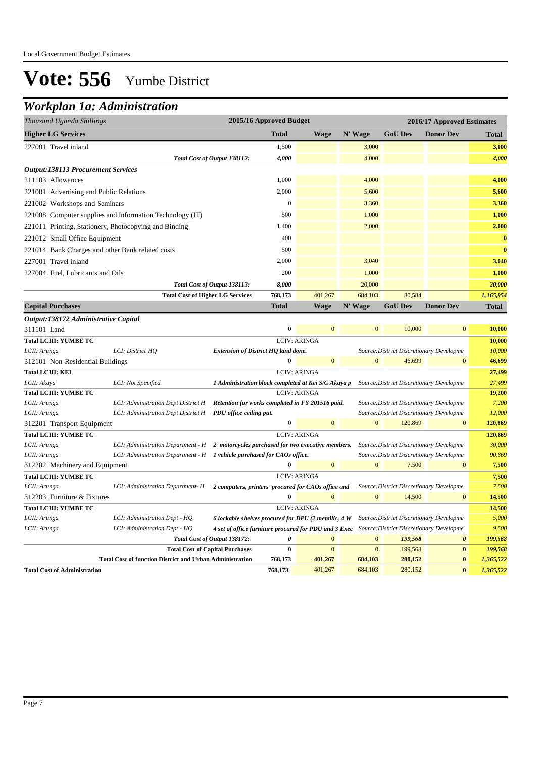## *Workplan 1a: Administration*

| 2015/16 Approved Budget<br>Thousand Uganda Shillings     |              |             | 2016/17 Approved Estimates |                |                  |              |
|----------------------------------------------------------|--------------|-------------|----------------------------|----------------|------------------|--------------|
| <b>Higher LG Services</b>                                | <b>Total</b> | <b>Wage</b> | N' Wage                    | <b>GoU</b> Dev | <b>Donor Dev</b> | <b>Total</b> |
| 227001 Travel inland                                     | 1,500        |             | 3,000                      |                |                  | 3,000        |
| Total Cost of Output 138112:                             | 4,000        |             | 4,000                      |                |                  | 4,000        |
| <b>Output:138113 Procurement Services</b>                |              |             |                            |                |                  |              |
| 211103 Allowances                                        | 1,000        |             | 4,000                      |                |                  | 4,000        |
| 221001 Advertising and Public Relations                  | 2,000        |             | 5,600                      |                |                  | 5,600        |
| 221002 Workshops and Seminars                            | $\theta$     |             | 3,360                      |                |                  | 3,360        |
| 221008 Computer supplies and Information Technology (IT) | 500          |             | 1,000                      |                |                  | 1,000        |
| 221011 Printing, Stationery, Photocopying and Binding    | 1,400        |             | 2,000                      |                |                  | 2,000        |
| 221012 Small Office Equipment                            | 400          |             |                            |                |                  | $\bf{0}$     |
| 221014 Bank Charges and other Bank related costs         | 500          |             |                            |                |                  | $\bf{0}$     |
| 227001 Travel inland                                     | 2,000        |             | 3,040                      |                |                  | 3,040        |
| 227004 Fuel, Lubricants and Oils                         | 200          |             | 1,000                      |                |                  | 1,000        |
| Total Cost of Output 138113:                             | 8,000        |             | 20,000                     |                |                  | 20,000       |
| <b>Total Cost of Higher LG Services</b>                  | 768,173      | 401,267     | 684,103                    | 80,584         |                  | 1,165,954    |
| <b>Capital Purchases</b>                                 | <b>Total</b> | Wage        | N' Wage                    | <b>GoU Dev</b> | <b>Donor Dev</b> | <b>Total</b> |

| Output:138172 Administrative Capital |                                                                                          |                                                                                                |              |                     |                |                                          |                       |           |
|--------------------------------------|------------------------------------------------------------------------------------------|------------------------------------------------------------------------------------------------|--------------|---------------------|----------------|------------------------------------------|-----------------------|-----------|
| 311101 Land                          |                                                                                          |                                                                                                | $\mathbf{0}$ | $\overline{0}$      | $\Omega$       | 10,000                                   | $\overline{0}$        | 10,000    |
| <b>Total LCIII: YUMBE TC</b>         |                                                                                          |                                                                                                |              | <b>LCIV: ARINGA</b> |                |                                          |                       | 10,000    |
| LCII: Arunga                         | LCI: District HO                                                                         | Extension of District HQ land done.                                                            |              |                     |                | Source: District Discretionary Developme |                       | 10,000    |
| 312101 Non-Residential Buildings     |                                                                                          |                                                                                                | 0            | $\overline{0}$      | $\overline{0}$ | 46,699                                   | $\mathbf{0}$          | 46,699    |
| <b>Total LCIII: KEI</b>              |                                                                                          |                                                                                                |              | <b>LCIV: ARINGA</b> |                |                                          |                       | 27,499    |
| LCII: Akaya                          | LCI: Not Specified                                                                       | 1 Administration block completed at Kei S/C Akaya p                                            |              |                     |                | Source: District Discretionary Developme |                       | 27,499    |
| <b>Total LCIII: YUMBE TC</b>         |                                                                                          |                                                                                                |              | <b>LCIV: ARINGA</b> |                |                                          |                       | 19,200    |
| LCII: Arunga                         | LCI: Administration Dept District H                                                      | Retention for works completed in FY 201516 paid.                                               |              |                     |                | Source: District Discretionary Developme |                       | 7,200     |
| LCII: Arunga                         | LCI: Administration Dept District H                                                      | PDU office ceiling put.                                                                        |              |                     |                | Source: District Discretionary Developme |                       | 12,000    |
| 312201 Transport Equipment           |                                                                                          |                                                                                                | $\mathbf{0}$ | $\overline{0}$      | $\mathbf{0}$   | 120,869                                  | $\overline{0}$        | 120,869   |
| <b>Total LCIII: YUMBE TC</b>         |                                                                                          |                                                                                                |              | <b>LCIV: ARINGA</b> |                |                                          |                       | 120,869   |
| LCII: Arunga                         | LCI: Administration Department - $H$ 2 motorcycles purchased for two executive members.  |                                                                                                |              |                     |                | Source: District Discretionary Developme |                       | 30,000    |
| LCII: Arunga                         | LCI: Administration Department - $H$ $\blacksquare$ 1 vehicle purchased for CAOs office. |                                                                                                |              |                     |                | Source: District Discretionary Developme |                       | 90,869    |
| 312202 Machinery and Equipment       |                                                                                          |                                                                                                | 0            | $\mathbf{0}$        | $\overline{0}$ | 7,500                                    | $\mathbf{0}$          | 7,500     |
| <b>Total LCIII: YUMBE TC</b>         |                                                                                          |                                                                                                |              | <b>LCIV: ARINGA</b> |                |                                          |                       | 7,500     |
| LCII: Arunga                         | LCI: Administration Department- H                                                        | 2 computers, printers procured for CAOs office and                                             |              |                     |                | Source: District Discretionary Developme |                       | 7,500     |
| 312203 Furniture & Fixtures          |                                                                                          |                                                                                                | $\Omega$     | $\overline{0}$      | $\Omega$       | 14,500                                   | $\mathbf{0}$          | 14,500    |
| <b>Total LCIII: YUMBE TC</b>         |                                                                                          |                                                                                                |              | <b>LCIV: ARINGA</b> |                |                                          |                       | 14,500    |
| LCII: Arunga                         | LCI: Administration Dept - HQ                                                            | 6 lockable shelves procured for DPU (2 metallic, 4 W                                           |              |                     |                | Source: District Discretionary Developme |                       | 5,000     |
| LCII: Arunga                         | LCI: Administration Dept - HO                                                            | 4 set of office furniture procured for PDU and 3 Exec Source: District Discretionary Developme |              |                     |                |                                          |                       | 9,500     |
|                                      |                                                                                          | Total Cost of Output 138172:                                                                   | 0            | $\Omega$            | $\Omega$       | 199,568                                  | $\boldsymbol{\theta}$ | 199,568   |
|                                      |                                                                                          | <b>Total Cost of Capital Purchases</b>                                                         | $\bf{0}$     | $\mathbf{0}$        | $\mathbf{0}$   | 199,568                                  | $\bf{0}$              | 199,568   |
|                                      | <b>Total Cost of function District and Urban Administration</b>                          |                                                                                                | 768,173      | 401,267             | 684,103        | 280,152                                  | $\bf{0}$              | 1,365,522 |
| <b>Total Cost of Administration</b>  |                                                                                          |                                                                                                | 768,173      | 401.267             | 684,103        | 280.152                                  | $\bf{0}$              | 1,365,522 |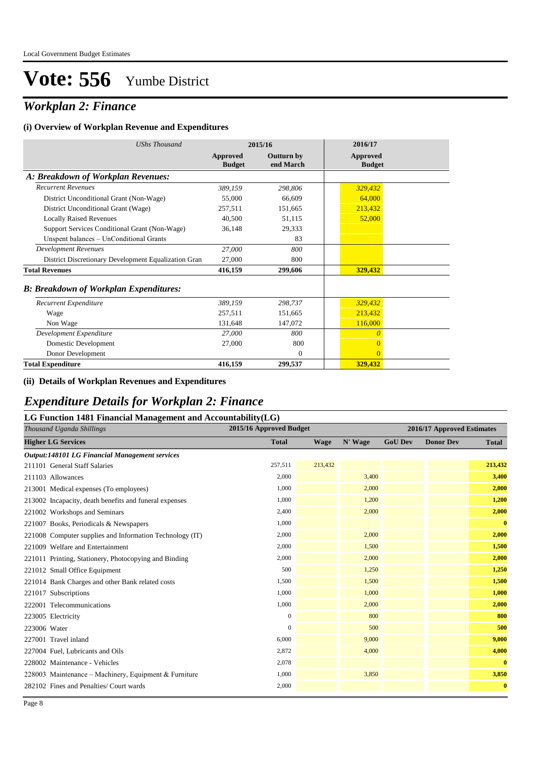## *Workplan 2: Finance*

#### **(i) Overview of Workplan Revenue and Expenditures**

| <b>UShs Thousand</b>                                 |                           | 2015/16                        | 2016/17                   |
|------------------------------------------------------|---------------------------|--------------------------------|---------------------------|
|                                                      | Approved<br><b>Budget</b> | <b>Outturn by</b><br>end March | Approved<br><b>Budget</b> |
| A: Breakdown of Workplan Revenues:                   |                           |                                |                           |
| <b>Recurrent Revenues</b>                            | 389,159                   | 298,806                        | 329,432                   |
| District Unconditional Grant (Non-Wage)              | 55,000                    | 66,609                         | 64,000                    |
| District Unconditional Grant (Wage)                  | 257,511                   | 151,665                        | 213,432                   |
| <b>Locally Raised Revenues</b>                       | 40,500                    | 51,115                         | 52,000                    |
| Support Services Conditional Grant (Non-Wage)        | 36,148                    | 29,333                         |                           |
| Unspent balances - UnConditional Grants              |                           | 83                             |                           |
| Development Revenues                                 | 27,000                    | 800                            |                           |
| District Discretionary Development Equalization Gran | 27,000                    | 800                            |                           |
| <b>Total Revenues</b>                                | 416,159                   | 299,606                        | 329,432                   |
| <b>B: Breakdown of Workplan Expenditures:</b>        |                           |                                |                           |
| Recurrent Expenditure                                | 389,159                   | 298.737                        | 329,432                   |
| Wage                                                 | 257.511                   | 151,665                        | 213,432                   |
| Non Wage                                             | 131,648                   | 147,072                        | 116,000                   |
| Development Expenditure                              | 27,000                    | 800                            | $\overline{0}$            |
| Domestic Development                                 | 27,000                    | 800                            | $\overline{0}$            |
| Donor Development                                    |                           | $\theta$                       | $\overline{0}$            |
| <b>Total Expenditure</b>                             | 416,159                   | 299,537                        | 329,432                   |

#### **(ii) Details of Workplan Revenues and Expenditures**

#### *Expenditure Details for Workplan 2: Finance*

#### **LG Function 1481 Financial Management and Accountability(LG)**

| Thousand Uganda Shillings                                | 2015/16 Approved Budget |         | 2016/17 Approved Estimates |                |                  |              |
|----------------------------------------------------------|-------------------------|---------|----------------------------|----------------|------------------|--------------|
| <b>Higher LG Services</b>                                | <b>Total</b>            | Wage    | N' Wage                    | <b>GoU Dev</b> | <b>Donor Dev</b> | <b>Total</b> |
| Output:148101 LG Financial Management services           |                         |         |                            |                |                  |              |
| 211101 General Staff Salaries                            | 257,511                 | 213,432 |                            |                |                  | 213,432      |
| 211103 Allowances                                        | 2,000                   |         | 3,400                      |                |                  | 3,400        |
| 213001 Medical expenses (To employees)                   | 1,000                   |         | 2,000                      |                |                  | 2,000        |
| 213002 Incapacity, death benefits and funeral expenses   | 1,000                   |         | 1,200                      |                |                  | 1,200        |
| 221002 Workshops and Seminars                            | 2,400                   |         | 2,000                      |                |                  | 2,000        |
| 221007 Books, Periodicals & Newspapers                   | 1,000                   |         |                            |                |                  | $\bf{0}$     |
| 221008 Computer supplies and Information Technology (IT) | 2,000                   |         | 2,000                      |                |                  | 2,000        |
| 221009 Welfare and Entertainment                         | 2,000                   |         | 1,500                      |                |                  | 1,500        |
| 221011 Printing, Stationery, Photocopying and Binding    | 2,000                   |         | 2,000                      |                |                  | 2,000        |
| 221012 Small Office Equipment                            | 500                     |         | 1,250                      |                |                  | 1,250        |
| 221014 Bank Charges and other Bank related costs         | 1,500                   |         | 1,500                      |                |                  | 1,500        |
| 221017 Subscriptions                                     | 1,000                   |         | 1,000                      |                |                  | 1,000        |
| 222001 Telecommunications                                | 1,000                   |         | 2,000                      |                |                  | 2,000        |
| 223005 Electricity                                       | $\mathbf{0}$            |         | 800                        |                |                  | 800          |
| 223006 Water                                             | $\mathbf{0}$            |         | 500                        |                |                  | 500          |
| 227001 Travel inland                                     | 6,000                   |         | 9,000                      |                |                  | 9,000        |
| 227004 Fuel, Lubricants and Oils                         | 2,872                   |         | 4,000                      |                |                  | 4,000        |
| 228002 Maintenance - Vehicles                            | 2,078                   |         |                            |                |                  | $\mathbf{0}$ |
| 228003 Maintenance – Machinery, Equipment & Furniture    | 1,000                   |         | 3,850                      |                |                  | 3,850        |
| 282102 Fines and Penalties/ Court wards                  | 2,000                   |         |                            |                |                  | $\bf{0}$     |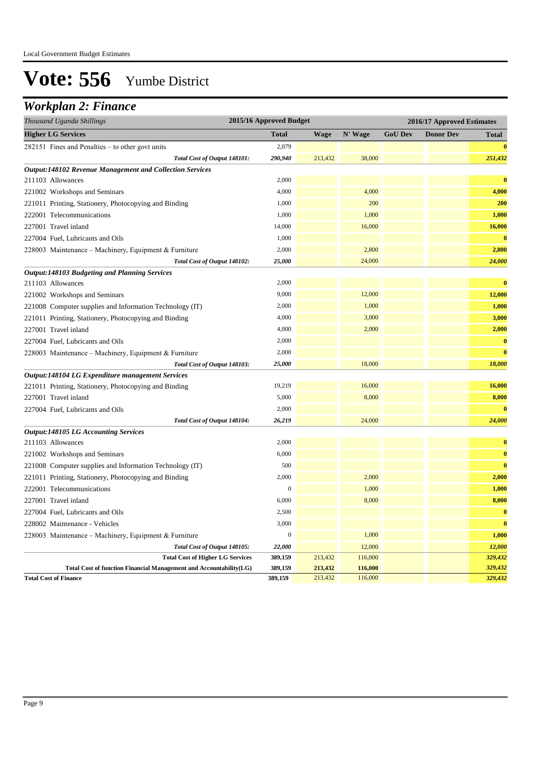### *Workplan 2: Finance*

| Thousand Uganda Shillings                                          | 2015/16 Approved Budget |             |         | 2016/17 Approved Estimates |                  |              |  |
|--------------------------------------------------------------------|-------------------------|-------------|---------|----------------------------|------------------|--------------|--|
| <b>Higher LG Services</b>                                          | <b>Total</b>            | <b>Wage</b> | N' Wage | <b>GoU Dev</b>             | <b>Donor Dev</b> | <b>Total</b> |  |
| 282151 Fines and Penalties - to other govt units                   | 2,079                   |             |         |                            |                  | $\bf{0}$     |  |
| Total Cost of Output 148101:                                       | 290,940                 | 213,432     | 38,000  |                            |                  | 251,432      |  |
| Output:148102 Revenue Management and Collection Services           |                         |             |         |                            |                  |              |  |
| 211103 Allowances                                                  | 2,000                   |             |         |                            |                  | $\bf{0}$     |  |
| 221002 Workshops and Seminars                                      | 4,000                   |             | 4,000   |                            |                  | 4,000        |  |
| 221011 Printing, Stationery, Photocopying and Binding              | 1,000                   |             | 200     |                            |                  | 200          |  |
| 222001 Telecommunications                                          | 1,000                   |             | 1,000   |                            |                  | 1,000        |  |
| 227001 Travel inland                                               | 14,000                  |             | 16,000  |                            |                  | 16,000       |  |
| 227004 Fuel, Lubricants and Oils                                   | 1,000                   |             |         |                            |                  | $\bf{0}$     |  |
| 228003 Maintenance – Machinery, Equipment & Furniture              | 2,000                   |             | 2,800   |                            |                  | 2,800        |  |
| Total Cost of Output 148102:                                       | 25,000                  |             | 24,000  |                            |                  | 24,000       |  |
| <b>Output:148103 Budgeting and Planning Services</b>               |                         |             |         |                            |                  |              |  |
| 211103 Allowances                                                  | 2,000                   |             |         |                            |                  | $\bf{0}$     |  |
| 221002 Workshops and Seminars                                      | 9,000                   |             | 12,000  |                            |                  | 12,000       |  |
| 221008 Computer supplies and Information Technology (IT)           | 2,000                   |             | 1,000   |                            |                  | 1,000        |  |
| 221011 Printing, Stationery, Photocopying and Binding              | 4,000                   |             | 3,000   |                            |                  | 3,000        |  |
| 227001 Travel inland                                               | 4,000                   |             | 2,000   |                            |                  | 2,000        |  |
| 227004 Fuel, Lubricants and Oils                                   | 2,000                   |             |         |                            |                  | $\bf{0}$     |  |
| 228003 Maintenance – Machinery, Equipment & Furniture              | 2,000                   |             |         |                            |                  | $\bf{0}$     |  |
| Total Cost of Output 148103:                                       | 25,000                  |             | 18,000  |                            |                  | 18,000       |  |
| Output:148104 LG Expenditure management Services                   |                         |             |         |                            |                  |              |  |
| 221011 Printing, Stationery, Photocopying and Binding              | 19,219                  |             | 16,000  |                            |                  | 16,000       |  |
| 227001 Travel inland                                               | 5,000                   |             | 8,000   |                            |                  | 8,000        |  |
| 227004 Fuel, Lubricants and Oils                                   | 2,000                   |             |         |                            |                  | $\bf{0}$     |  |
| Total Cost of Output 148104:                                       | 26,219                  |             | 24,000  |                            |                  | 24,000       |  |
| <b>Output:148105 LG Accounting Services</b>                        |                         |             |         |                            |                  |              |  |
| 211103 Allowances                                                  | 2,000                   |             |         |                            |                  | $\bf{0}$     |  |
| 221002 Workshops and Seminars                                      | 6,000                   |             |         |                            |                  | $\bf{0}$     |  |
| 221008 Computer supplies and Information Technology (IT)           | 500                     |             |         |                            |                  | $\bf{0}$     |  |
| 221011 Printing, Stationery, Photocopying and Binding              | 2,000                   |             | 2,000   |                            |                  | 2,000        |  |
| 222001 Telecommunications                                          | $\boldsymbol{0}$        |             | 1,000   |                            |                  | 1,000        |  |
| 227001 Travel inland                                               | 6,000                   |             | 8,000   |                            |                  | 8,000        |  |
| 227004 Fuel, Lubricants and Oils                                   | 2,500                   |             |         |                            |                  | $\bf{0}$     |  |
| 228002 Maintenance - Vehicles                                      | 3,000                   |             |         |                            |                  | $\bf{0}$     |  |
| 228003 Maintenance – Machinery, Equipment & Furniture              | $\boldsymbol{0}$        |             | 1,000   |                            |                  | 1,000        |  |
| Total Cost of Output 148105:                                       | 22,000                  |             | 12,000  |                            |                  | 12,000       |  |
| <b>Total Cost of Higher LG Services</b>                            | 389,159                 | 213,432     | 116,000 |                            |                  | 329,432      |  |
| Total Cost of function Financial Management and Accountability(LG) | 389,159                 | 213,432     | 116,000 |                            |                  | 329,432      |  |
| <b>Total Cost of Finance</b>                                       | 389,159                 | 213,432     | 116,000 |                            |                  | 329,432      |  |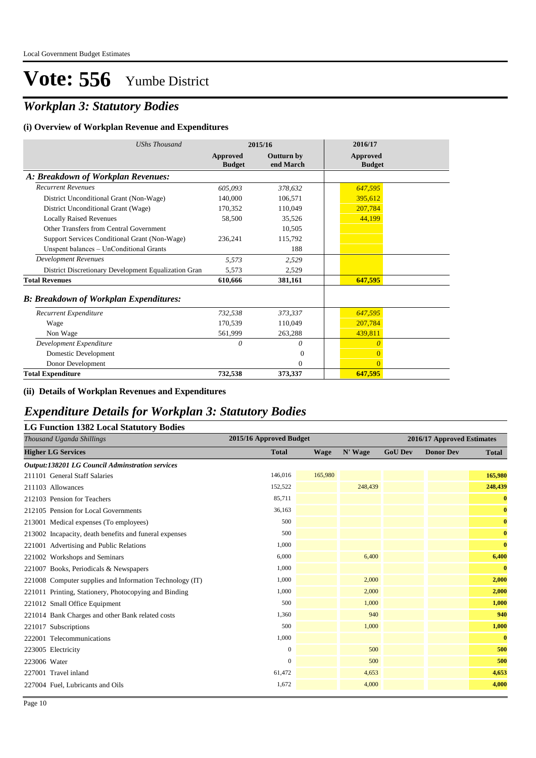## *Workplan 3: Statutory Bodies*

#### **(i) Overview of Workplan Revenue and Expenditures**

| <b>UShs Thousand</b>                                 |                           | 2015/16                        | 2016/17                          |  |
|------------------------------------------------------|---------------------------|--------------------------------|----------------------------------|--|
|                                                      | Approved<br><b>Budget</b> | <b>Outturn by</b><br>end March | <b>Approved</b><br><b>Budget</b> |  |
| A: Breakdown of Workplan Revenues:                   |                           |                                |                                  |  |
| <b>Recurrent Revenues</b>                            | 605,093                   | 378,632                        | 647,595                          |  |
| District Unconditional Grant (Non-Wage)              | 140,000                   | 106,571                        | 395,612                          |  |
| District Unconditional Grant (Wage)                  | 170,352                   | 110,049                        | 207,784                          |  |
| <b>Locally Raised Revenues</b>                       | 58,500                    | 35,526                         | 44,199                           |  |
| Other Transfers from Central Government              |                           | 10.505                         |                                  |  |
| Support Services Conditional Grant (Non-Wage)        | 236,241                   | 115,792                        |                                  |  |
| Unspent balances - UnConditional Grants              |                           | 188                            |                                  |  |
| <b>Development Revenues</b>                          | 5,573                     | 2,529                          |                                  |  |
| District Discretionary Development Equalization Gran | 5,573                     | 2,529                          |                                  |  |
| <b>Total Revenues</b>                                | 610,666                   | 381,161                        | 647,595                          |  |
| <b>B: Breakdown of Workplan Expenditures:</b>        |                           |                                |                                  |  |
| Recurrent Expenditure                                | 732,538                   | 373,337                        | 647,595                          |  |
| Wage                                                 | 170,539                   | 110,049                        | 207,784                          |  |
| Non Wage                                             | 561,999                   | 263,288                        | 439,811                          |  |
| Development Expenditure                              | 0                         | $\theta$                       | $\theta$                         |  |
| Domestic Development                                 |                           | $\Omega$                       | $\overline{0}$                   |  |
| Donor Development                                    |                           | $\mathbf{0}$                   | $\Omega$                         |  |
| <b>Total Expenditure</b>                             | 732,538                   | 373,337                        | 647,595                          |  |

#### **(ii) Details of Workplan Revenues and Expenditures**

### *Expenditure Details for Workplan 3: Statutory Bodies*

|  |  |  |  | <b>LG Function 1382 Local Statutory Bodies</b> |  |
|--|--|--|--|------------------------------------------------|--|
|--|--|--|--|------------------------------------------------|--|

| Thousand Uganda Shillings                                | 2015/16 Approved Budget |             |         | 2016/17 Approved Estimates |                  |              |
|----------------------------------------------------------|-------------------------|-------------|---------|----------------------------|------------------|--------------|
| <b>Higher LG Services</b>                                | <b>Total</b>            | <b>Wage</b> | N' Wage | <b>GoU Dev</b>             | <b>Donor Dev</b> | <b>Total</b> |
| <b>Output:138201 LG Council Adminstration services</b>   |                         |             |         |                            |                  |              |
| 211101 General Staff Salaries                            | 146,016                 | 165,980     |         |                            |                  | 165,980      |
| 211103 Allowances                                        | 152,522                 |             | 248,439 |                            |                  | 248,439      |
| 212103 Pension for Teachers                              | 85,711                  |             |         |                            |                  | $\bf{0}$     |
| 212105 Pension for Local Governments                     | 36,163                  |             |         |                            |                  | $\bf{0}$     |
| 213001 Medical expenses (To employees)                   | 500                     |             |         |                            |                  | $\bf{0}$     |
| 213002 Incapacity, death benefits and funeral expenses   | 500                     |             |         |                            |                  | $\bf{0}$     |
| 221001 Advertising and Public Relations                  | 1,000                   |             |         |                            |                  | $\bf{0}$     |
| 221002 Workshops and Seminars                            | 6,000                   |             | 6,400   |                            |                  | 6,400        |
| 221007 Books, Periodicals & Newspapers                   | 1,000                   |             |         |                            |                  | $\bf{0}$     |
| 221008 Computer supplies and Information Technology (IT) | 1,000                   |             | 2,000   |                            |                  | 2,000        |
| 221011 Printing, Stationery, Photocopying and Binding    | 1,000                   |             | 2,000   |                            |                  | 2,000        |
| 221012 Small Office Equipment                            | 500                     |             | 1,000   |                            |                  | 1,000        |
| 221014 Bank Charges and other Bank related costs         | 1,360                   |             | 940     |                            |                  | 940          |
| 221017 Subscriptions                                     | 500                     |             | 1,000   |                            |                  | 1,000        |
| 222001 Telecommunications                                | 1,000                   |             |         |                            |                  | $\bf{0}$     |
| 223005 Electricity                                       | $\mathbf{0}$            |             | 500     |                            |                  | 500          |
| 223006 Water                                             | $\mathbf{0}$            |             | 500     |                            |                  | 500          |
| 227001 Travel inland                                     | 61,472                  |             | 4,653   |                            |                  | 4,653        |
| 227004 Fuel, Lubricants and Oils                         | 1,672                   |             | 4,000   |                            |                  | 4,000        |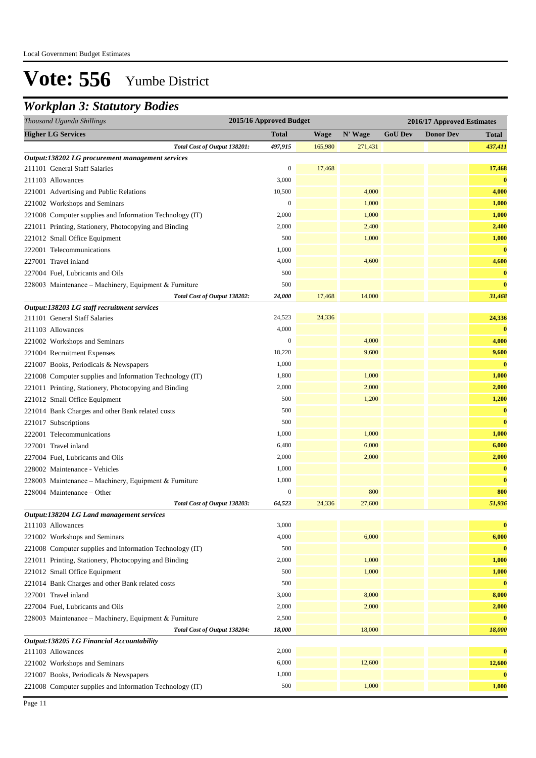### *Workplan 3: Statutory Bodies*

| Thousand Uganda Shillings                                | 2015/16 Approved Budget |         |         |                | 2016/17 Approved Estimates |              |
|----------------------------------------------------------|-------------------------|---------|---------|----------------|----------------------------|--------------|
| <b>Higher LG Services</b>                                | <b>Total</b>            | Wage    | N' Wage | <b>GoU Dev</b> | <b>Donor Dev</b>           | <b>Total</b> |
| Total Cost of Output 138201:                             | 497,915                 | 165,980 | 271,431 |                |                            | 437,411      |
| Output:138202 LG procurement management services         |                         |         |         |                |                            |              |
| 211101 General Staff Salaries                            | $\boldsymbol{0}$        | 17,468  |         |                |                            | 17,468       |
| 211103 Allowances                                        | 3,000                   |         |         |                |                            | $\bf{0}$     |
| 221001 Advertising and Public Relations                  | 10,500                  |         | 4,000   |                |                            | 4,000        |
| 221002 Workshops and Seminars                            | $\mathbf{0}$            |         | 1,000   |                |                            | 1,000        |
| 221008 Computer supplies and Information Technology (IT) | 2,000                   |         | 1,000   |                |                            | 1,000        |
| 221011 Printing, Stationery, Photocopying and Binding    | 2,000                   |         | 2,400   |                |                            | 2,400        |
| 221012 Small Office Equipment                            | 500                     |         | 1,000   |                |                            | 1,000        |
| 222001 Telecommunications                                | 1,000                   |         |         |                |                            | $\bf{0}$     |
| 227001 Travel inland                                     | 4,000                   |         | 4,600   |                |                            | 4,600        |
| 227004 Fuel, Lubricants and Oils                         | 500                     |         |         |                |                            | $\bf{0}$     |
| 228003 Maintenance – Machinery, Equipment & Furniture    | 500                     |         |         |                |                            | $\bf{0}$     |
| Total Cost of Output 138202:                             | 24,000                  | 17,468  | 14,000  |                |                            | 31,468       |
| Output:138203 LG staff recruitment services              |                         |         |         |                |                            |              |
| 211101 General Staff Salaries                            | 24,523                  | 24,336  |         |                |                            | 24,336       |
| 211103 Allowances                                        | 4,000                   |         |         |                |                            | $\bf{0}$     |
| 221002 Workshops and Seminars                            | $\mathbf{0}$            |         | 4,000   |                |                            | 4,000        |
| 221004 Recruitment Expenses                              | 18,220                  |         | 9,600   |                |                            | 9,600        |
| 221007 Books, Periodicals & Newspapers                   | 1,000                   |         |         |                |                            | $\bf{0}$     |
| 221008 Computer supplies and Information Technology (IT) | 1,800                   |         | 1,000   |                |                            | 1,000        |
| 221011 Printing, Stationery, Photocopying and Binding    | 2,000                   |         | 2,000   |                |                            | 2,000        |
| 221012 Small Office Equipment                            | 500                     |         | 1,200   |                |                            | 1,200        |
| 221014 Bank Charges and other Bank related costs         | 500                     |         |         |                |                            | $\bf{0}$     |
| 221017 Subscriptions                                     | 500                     |         |         |                |                            | $\bf{0}$     |
| 222001 Telecommunications                                | 1,000                   |         | 1,000   |                |                            | 1,000        |
| 227001 Travel inland                                     | 6,480                   |         | 6,000   |                |                            | 6,000        |
| 227004 Fuel, Lubricants and Oils                         | 2,000                   |         | 2,000   |                |                            | 2,000        |
| 228002 Maintenance - Vehicles                            | 1,000                   |         |         |                |                            | $\bf{0}$     |
| 228003 Maintenance - Machinery, Equipment & Furniture    | 1,000                   |         |         |                |                            | $\bf{0}$     |
| 228004 Maintenance - Other                               | $\mathbf{0}$            |         | 800     |                |                            | 800          |
| Total Cost of Output 138203:                             | 64,523                  | 24,336  | 27,600  |                |                            | 51,936       |
| Output:138204 LG Land management services                |                         |         |         |                |                            |              |
| 211103 Allowances                                        | 3,000                   |         |         |                |                            | $\bf{0}$     |
| 221002 Workshops and Seminars                            | 4,000                   |         | 6,000   |                |                            | 6,000        |
| 221008 Computer supplies and Information Technology (IT) | 500                     |         |         |                |                            | $\bf{0}$     |
| 221011 Printing, Stationery, Photocopying and Binding    | 2,000                   |         | 1,000   |                |                            | 1,000        |
| 221012 Small Office Equipment                            | 500                     |         | 1,000   |                |                            | 1,000        |
| 221014 Bank Charges and other Bank related costs         | 500                     |         |         |                |                            | $\bf{0}$     |
| 227001 Travel inland                                     | 3,000                   |         | 8,000   |                |                            | 8,000        |
| 227004 Fuel, Lubricants and Oils                         | 2,000                   |         | 2,000   |                |                            | 2,000        |
| 228003 Maintenance - Machinery, Equipment & Furniture    | 2,500                   |         |         |                |                            | $\bf{0}$     |
| Total Cost of Output 138204:                             | 18,000                  |         | 18,000  |                |                            | 18,000       |
| Output:138205 LG Financial Accountability                |                         |         |         |                |                            |              |
| 211103 Allowances                                        | 2,000                   |         |         |                |                            | $\bf{0}$     |
| 221002 Workshops and Seminars                            | 6,000                   |         | 12,600  |                |                            | 12,600       |
| 221007 Books, Periodicals & Newspapers                   | 1,000                   |         |         |                |                            | $\bf{0}$     |
| 221008 Computer supplies and Information Technology (IT) | 500                     |         | 1,000   |                |                            | 1,000        |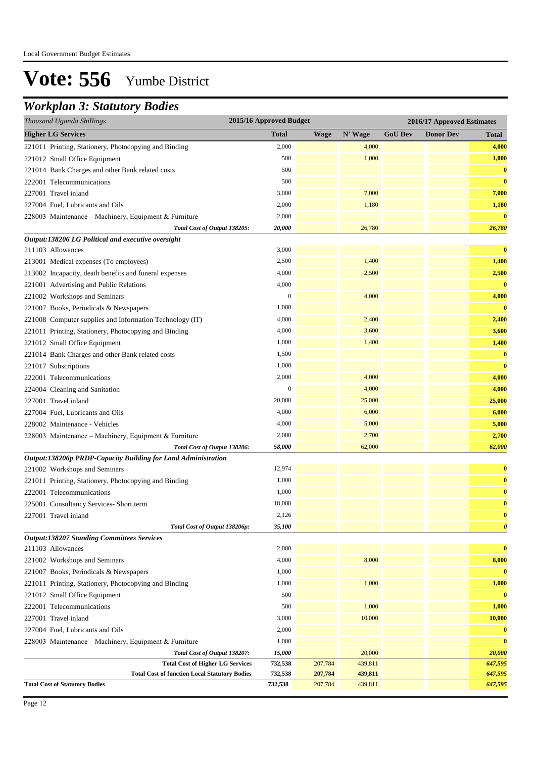## *Workplan 3: Statutory Bodies*

| Thousand Uganda Shillings                                     | 2015/16 Approved Budget |             |         | 2016/17 Approved Estimates |                  |                       |
|---------------------------------------------------------------|-------------------------|-------------|---------|----------------------------|------------------|-----------------------|
| <b>Higher LG Services</b>                                     | <b>Total</b>            | <b>Wage</b> | N' Wage | <b>GoU Dev</b>             | <b>Donor Dev</b> | <b>Total</b>          |
| 221011 Printing, Stationery, Photocopying and Binding         | 2,000                   |             | 4,000   |                            |                  | 4,000                 |
| 221012 Small Office Equipment                                 | 500                     |             | 1,000   |                            |                  | 1,000                 |
| 221014 Bank Charges and other Bank related costs              | 500                     |             |         |                            |                  | $\bf{0}$              |
| 222001 Telecommunications                                     | 500                     |             |         |                            |                  | $\bf{0}$              |
| 227001 Travel inland                                          | 3,000                   |             | 7,000   |                            |                  | 7,000                 |
| 227004 Fuel, Lubricants and Oils                              | 2,000                   |             | 1,180   |                            |                  | 1,180                 |
| 228003 Maintenance - Machinery, Equipment & Furniture         | 2,000                   |             |         |                            |                  | $\bf{0}$              |
| Total Cost of Output 138205:                                  | 20,000                  |             | 26,780  |                            |                  | 26,780                |
| Output:138206 LG Political and executive oversight            |                         |             |         |                            |                  |                       |
| 211103 Allowances                                             | 3,000                   |             |         |                            |                  | $\bf{0}$              |
| 213001 Medical expenses (To employees)                        | 2,500                   |             | 1,400   |                            |                  | 1,400                 |
| 213002 Incapacity, death benefits and funeral expenses        | 4,000                   |             | 2,500   |                            |                  | 2,500                 |
| 221001 Advertising and Public Relations                       | 4,000                   |             |         |                            |                  | $\bf{0}$              |
| 221002 Workshops and Seminars                                 | $\boldsymbol{0}$        |             | 4,000   |                            |                  | 4,000                 |
| 221007 Books, Periodicals & Newspapers                        | 1,000                   |             |         |                            |                  | $\bf{0}$              |
| 221008 Computer supplies and Information Technology (IT)      | 4,000                   |             | 2,400   |                            |                  | 2,400                 |
| 221011 Printing, Stationery, Photocopying and Binding         | 4,000                   |             | 3,600   |                            |                  | 3,600                 |
| 221012 Small Office Equipment                                 | 1,000                   |             | 1,400   |                            |                  | 1,400                 |
| 221014 Bank Charges and other Bank related costs              | 1,500                   |             |         |                            |                  | $\bf{0}$              |
| 221017 Subscriptions                                          | 1,000                   |             |         |                            |                  | $\bf{0}$              |
| 222001 Telecommunications                                     | 2,000                   |             | 4,000   |                            |                  | 4,000                 |
| 224004 Cleaning and Sanitation                                | $\boldsymbol{0}$        |             | 4,000   |                            |                  | 4,000                 |
| 227001 Travel inland                                          | 20,000                  |             | 25,000  |                            |                  | 25,000                |
| 227004 Fuel, Lubricants and Oils                              | 4,000                   |             | 6,000   |                            |                  | 6,000                 |
| 228002 Maintenance - Vehicles                                 | 4,000                   |             | 5,000   |                            |                  | 5,000                 |
| 228003 Maintenance - Machinery, Equipment & Furniture         | 2,000                   |             | 2,700   |                            |                  | 2,700                 |
| Total Cost of Output 138206:                                  | 58,000                  |             | 62,000  |                            |                  | 62,000                |
| Output:138206p PRDP-Capacity Building for Land Administration |                         |             |         |                            |                  |                       |
| 221002 Workshops and Seminars                                 | 12,974                  |             |         |                            |                  | $\bf{0}$              |
| 221011 Printing, Stationery, Photocopying and Binding         | 1,000                   |             |         |                            |                  | $\bf{0}$              |
| 222001 Telecommunications                                     | 1,000                   |             |         |                            |                  | $\bf{0}$              |
| 225001 Consultancy Services- Short term                       | 18,000                  |             |         |                            |                  | $\bf{0}$              |
| 227001 Travel inland                                          | 2,126                   |             |         |                            |                  | $\bf{0}$              |
| Total Cost of Output 138206p:                                 | 35,100                  |             |         |                            |                  | $\boldsymbol{\theta}$ |
| <b>Output:138207 Standing Committees Services</b>             |                         |             |         |                            |                  |                       |
| 211103 Allowances                                             | 2,000                   |             |         |                            |                  | $\bf{0}$              |
| 221002 Workshops and Seminars                                 | 4,000                   |             | 8,000   |                            |                  | 8,000                 |
| 221007 Books, Periodicals & Newspapers                        | 1,000                   |             |         |                            |                  |                       |
| 221011 Printing, Stationery, Photocopying and Binding         | 1,000                   |             | 1,000   |                            |                  | 1,000                 |
| 221012 Small Office Equipment                                 | 500                     |             |         |                            |                  | $\bf{0}$              |
| 222001 Telecommunications                                     | 500                     |             | 1,000   |                            |                  | 1,000                 |
| 227001 Travel inland                                          | 3,000                   |             | 10,000  |                            |                  | 10,000                |
| 227004 Fuel, Lubricants and Oils                              | 2,000                   |             |         |                            |                  | $\bf{0}$              |
| 228003 Maintenance - Machinery, Equipment & Furniture         | 1,000                   |             |         |                            |                  | $\bf{0}$              |
| Total Cost of Output 138207:                                  | 15,000                  |             | 20,000  |                            |                  | 20,000                |
| <b>Total Cost of Higher LG Services</b>                       | 732,538                 | 207,784     | 439,811 |                            |                  | 647,595               |
| <b>Total Cost of function Local Statutory Bodies</b>          | 732,538                 | 207,784     | 439,811 |                            |                  | 647,595               |
| <b>Total Cost of Statutory Bodies</b>                         | 732,538                 | 207,784     | 439,811 |                            |                  | 647,595               |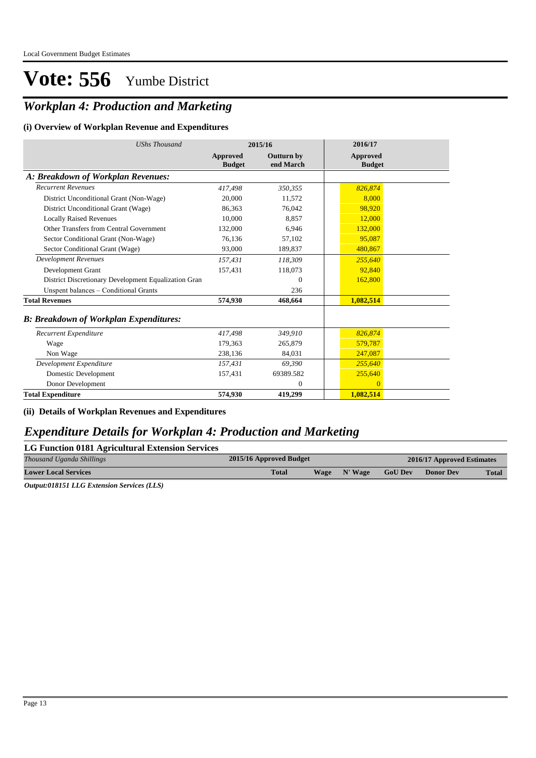## *Workplan 4: Production and Marketing*

#### **(i) Overview of Workplan Revenue and Expenditures**

| <b>UShs Thousand</b>                                 | 2015/16                          |                                | 2016/17                          |
|------------------------------------------------------|----------------------------------|--------------------------------|----------------------------------|
|                                                      | <b>Approved</b><br><b>Budget</b> | <b>Outturn by</b><br>end March | <b>Approved</b><br><b>Budget</b> |
| A: Breakdown of Workplan Revenues:                   |                                  |                                |                                  |
| <b>Recurrent Revenues</b>                            | 417,498                          | 350,355                        | 826,874                          |
| District Unconditional Grant (Non-Wage)              | 20,000                           | 11,572                         | 8,000                            |
| District Unconditional Grant (Wage)                  | 86,363                           | 76,042                         | 98,920                           |
| <b>Locally Raised Revenues</b>                       | 10.000                           | 8,857                          | 12,000                           |
| Other Transfers from Central Government              | 132,000                          | 6,946                          | 132,000                          |
| Sector Conditional Grant (Non-Wage)                  | 76,136                           | 57,102                         | 95,087                           |
| Sector Conditional Grant (Wage)                      | 93,000                           | 189,837                        | 480,867                          |
| <b>Development Revenues</b>                          | 157,431                          | 118,309                        | 255,640                          |
| Development Grant                                    | 157,431                          | 118,073                        | 92,840                           |
| District Discretionary Development Equalization Gran |                                  | $\Omega$                       | 162,800                          |
| Unspent balances - Conditional Grants                |                                  | 236                            |                                  |
| <b>Total Revenues</b>                                | 574,930                          | 468.664                        | 1,082,514                        |
| <b>B: Breakdown of Workplan Expenditures:</b>        |                                  |                                |                                  |
| Recurrent Expenditure                                | 417,498                          | 349,910                        | 826,874                          |
| Wage                                                 | 179,363                          | 265,879                        | 579,787                          |
| Non Wage                                             | 238,136                          | 84,031                         | 247,087                          |
| Development Expenditure                              | 157,431                          | 69,390                         | 255,640                          |
| Domestic Development                                 | 157,431                          | 69389.582                      | 255,640                          |
| Donor Development                                    |                                  | $\mathbf{0}$                   | $\Omega$                         |
| <b>Total Expenditure</b>                             | 574,930                          | 419,299                        | 1,082,514                        |

#### **(ii) Details of Workplan Revenues and Expenditures**

### *Expenditure Details for Workplan 4: Production and Marketing*

| LG Function 0181 Agricultural Extension Services |                         |      |         |                |                            |              |
|--------------------------------------------------|-------------------------|------|---------|----------------|----------------------------|--------------|
| Thousand Uganda Shillings                        | 2015/16 Approved Budget |      |         |                | 2016/17 Approved Estimates |              |
| <b>Lower Local Services</b>                      | <b>Total</b>            | Wage | N' Wage | <b>GoU Dev</b> | <b>Donor Dev</b>           | <b>Total</b> |

*Output:018151 LLG Extension Services (LLS)*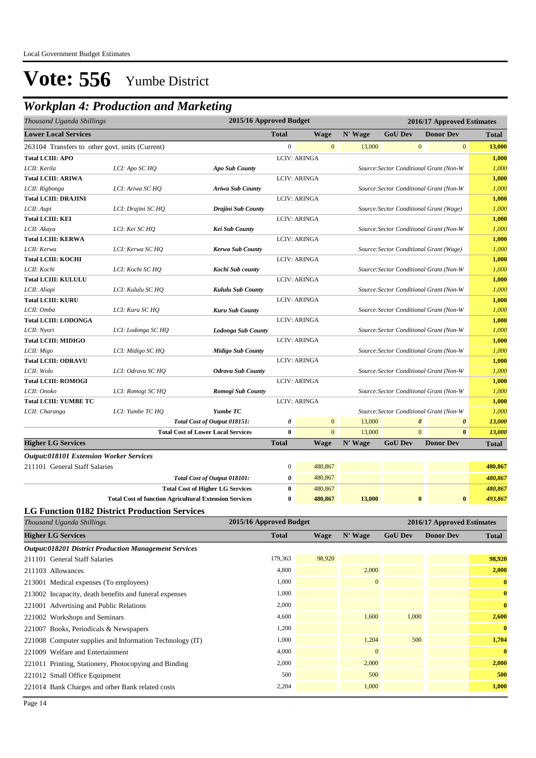## *Workplan 4: Production and Marketing*

| Thousand Uganda Shillings                                    |                                                               | 2015/16 Approved Budget                   |                          |                        |                   |                | 2016/17 Approved Estimates                     |              |
|--------------------------------------------------------------|---------------------------------------------------------------|-------------------------------------------|--------------------------|------------------------|-------------------|----------------|------------------------------------------------|--------------|
| <b>Lower Local Services</b>                                  |                                                               |                                           | <b>Total</b>             | <b>Wage</b>            | N' Wage           | <b>GoU Dev</b> | <b>Donor Dev</b>                               | <b>Total</b> |
| 263104 Transfers to other govt. units (Current)              |                                                               |                                           | $\boldsymbol{0}$         | $\mathbf{0}$           | 13,000            |                | $\mathbf{0}$<br>$\mathbf{0}$                   | 13,000       |
| <b>Total LCIII: APO</b>                                      |                                                               |                                           |                          | <b>LCIV: ARINGA</b>    |                   |                |                                                | 1,000        |
| LCII: Kerila                                                 | LCI: Apo SC HQ                                                | Apo Sub County                            |                          |                        |                   |                | Source: Sector Conditional Grant (Non-W        | 1,000        |
| <b>Total LCIII: ARIWA</b>                                    |                                                               |                                           |                          | <b>LCIV: ARINGA</b>    |                   |                |                                                | 1,000        |
| LCII: Rigbonga                                               | LCI: Ariwa SC HQ                                              | Ariwa Sub County                          |                          |                        |                   |                | Source: Sector Conditional Grant (Non-W        | 1,000        |
| <b>Total LCIII: DRAJINI</b>                                  |                                                               |                                           |                          | <b>LCIV: ARINGA</b>    |                   |                |                                                | 1,000        |
| LCII: Aupi                                                   | LCI: Drajini SC HQ                                            | Drajini Sub County                        |                          |                        |                   |                | Source: Sector Conditional Grant (Wage)        | 1,000        |
| <b>Total LCIII: KEI</b>                                      |                                                               |                                           |                          | <b>LCIV: ARINGA</b>    |                   |                |                                                | 1,000        |
| LCII: Akaya                                                  | LCI: Kei SC HQ                                                | Kei Sub County                            |                          |                        |                   |                | Source: Sector Conditional Grant (Non-W        | 1,000        |
| <b>Total LCIII: KERWA</b>                                    |                                                               |                                           |                          | <b>LCIV: ARINGA</b>    |                   |                |                                                | 1,000        |
| LCII: Kerwa                                                  | LCI: Kerwa SC HQ                                              | Kerwa Sub County                          |                          |                        |                   |                | Source: Sector Conditional Grant (Wage)        | 1,000        |
| <b>Total LCIII: KOCHI</b>                                    |                                                               |                                           |                          | <b>LCIV: ARINGA</b>    |                   |                |                                                | 1,000        |
| LCII: Kochi                                                  | LCI: Kochi SC HQ                                              | Kochi Sub county                          |                          |                        |                   |                | Source: Sector Conditional Grant (Non-W        | 1,000        |
| <b>Total LCIII: KULULU</b>                                   |                                                               |                                           |                          | <b>LCIV: ARINGA</b>    |                   |                |                                                | 1,000        |
| LCII: Aliapi                                                 | LCI: Kululu SC HQ                                             | Kululu Sub County                         |                          |                        |                   |                | Source: Sector Conditional Grant (Non-W        | 1,000        |
| <b>Total LCIII: KURU</b>                                     |                                                               |                                           |                          | <b>LCIV: ARINGA</b>    |                   |                |                                                | 1,000        |
| LCII: Omba                                                   | LCI: Kuru SC HQ                                               | Kuru Sub County                           |                          |                        |                   |                | Source: Sector Conditional Grant (Non-W        | 1,000        |
| <b>Total LCIII: LODONGA</b>                                  |                                                               |                                           |                          | <b>LCIV: ARINGA</b>    |                   |                |                                                | 1,000        |
| LCII: Nyori                                                  | LCI: Lodonga SC HQ                                            | <b>Lodonga Sub County</b>                 |                          |                        |                   |                | Source: Sector Conditional Grant (Non-W        | 1,000        |
| <b>Total LCIII: MIDIGO</b>                                   |                                                               |                                           |                          | <b>LCIV: ARINGA</b>    |                   |                |                                                | 1,000        |
| LCII: Migo                                                   | LCI: Midigo SC HQ                                             | <b>Midigo Sub County</b>                  |                          |                        |                   |                | Source: Sector Conditional Grant (Non-W        | 1,000        |
| <b>Total LCIII: ODRAVU</b>                                   |                                                               |                                           |                          | <b>LCIV: ARINGA</b>    |                   |                |                                                | 1,000        |
| LCII: Wolo                                                   | LCI: Odravu SC HQ                                             | <b>Odravu Sub County</b>                  |                          |                        |                   |                | Source: Sector Conditional Grant (Non-W        | 1,000        |
| <b>Total LCIII: ROMOGI</b>                                   |                                                               |                                           |                          | <b>LCIV: ARINGA</b>    |                   |                |                                                | 1,000        |
| LCII: Onoko                                                  | LCI: Romogi SC HQ                                             | Romogi Sub County                         |                          |                        |                   |                | Source: Sector Conditional Grant (Non-W        | 1,000        |
| <b>Total LCIII: YUMBE TC</b>                                 |                                                               |                                           |                          | <b>LCIV: ARINGA</b>    |                   |                |                                                | 1,000        |
| LCII: Charanga                                               | LCI: Yumbe TC HQ                                              | Yumbe TC                                  |                          |                        |                   |                | Source: Sector Conditional Grant (Non-W        | 1,000        |
|                                                              |                                                               | Total Cost of Output 018151:              | 0                        | $\mathbf{0}$           | 13,000            |                | $\boldsymbol{\theta}$<br>$\boldsymbol{\theta}$ | 13,000       |
|                                                              |                                                               | <b>Total Cost of Lower Local Services</b> | $\bf{0}$<br><b>Total</b> | $\overline{0}$<br>Wage | 13,000<br>N' Wage | <b>GoU Dev</b> | $\mathbf{0}$<br>$\bf{0}$<br><b>Donor Dev</b>   | 13,000       |
| <b>Higher LG Services</b>                                    |                                                               |                                           |                          |                        |                   |                |                                                | <b>Total</b> |
| <b>Output:018101 Extension Worker Services</b>               |                                                               |                                           |                          |                        |                   |                |                                                |              |
| 211101 General Staff Salaries                                |                                                               |                                           | $\boldsymbol{0}$         | 480,867                |                   |                |                                                | 480,867      |
|                                                              |                                                               | Total Cost of Output 018101:              | 0                        | 480,867                |                   |                |                                                | 480,867      |
|                                                              |                                                               | <b>Total Cost of Higher LG Services</b>   | $\bf{0}$                 | 480,867                |                   |                |                                                | 480,867      |
|                                                              | <b>Total Cost of function Agricultural Extension Services</b> |                                           | $\bf{0}$                 | 480,867                | 13,000            |                | $\bf{0}$<br>$\bf{0}$                           | 493,867      |
| <b>LG Function 0182 District Production Services</b>         |                                                               |                                           |                          |                        |                   |                |                                                |              |
| Thousand Uganda Shillings                                    |                                                               | 2015/16 Approved Budget                   |                          |                        |                   |                | 2016/17 Approved Estimates                     |              |
| <b>Higher LG Services</b>                                    |                                                               |                                           | <b>Total</b>             | <b>Wage</b>            | N' Wage           | <b>GoU Dev</b> | <b>Donor Dev</b>                               | <b>Total</b> |
| <b>Output:018201 District Production Management Services</b> |                                                               |                                           |                          |                        |                   |                |                                                |              |
| 211101 General Staff Salaries                                |                                                               |                                           | 179,363                  | 98,920                 |                   |                |                                                | 98,920       |
| 211103 Allowances                                            |                                                               |                                           | 4,800                    |                        | 2,000             |                |                                                | 2,000        |
| 213001 Medical expenses (To employees)                       |                                                               |                                           | 1,000                    |                        | $\boldsymbol{0}$  |                |                                                | $\bf{0}$     |
| 213002 Incapacity, death benefits and funeral expenses       |                                                               |                                           | 1,000                    |                        |                   |                |                                                | $\bf{0}$     |
| 221001 Advertising and Public Relations                      |                                                               |                                           | 2,000                    |                        |                   |                |                                                | $\bf{0}$     |
| 221002 Workshops and Seminars                                |                                                               |                                           | 4,600                    |                        | 1,600             | 1,000          |                                                | 2,600        |
|                                                              |                                                               |                                           | 1,200                    |                        |                   |                |                                                | $\bf{0}$     |
| 221007 Books, Periodicals & Newspapers                       |                                                               |                                           |                          |                        |                   |                |                                                |              |
| 221008 Computer supplies and Information Technology (IT)     |                                                               |                                           | 1,000                    |                        | 1,204             | 500            |                                                | 1,704        |
| 221009 Welfare and Entertainment                             |                                                               |                                           | 4,000                    |                        | $\boldsymbol{0}$  |                |                                                | $\bf{0}$     |

221011 Printing, Stationery, Photocopying and Binding 2,000 2,000 2,000 2,000 2,000 2,000 2,000 2,000 221012 Small Office Equipment 500 500 **500** 221014 Bank Charges and other Bank related costs 2,204 2,204 1,000 1,000 1,000 1,000 1,000 1,000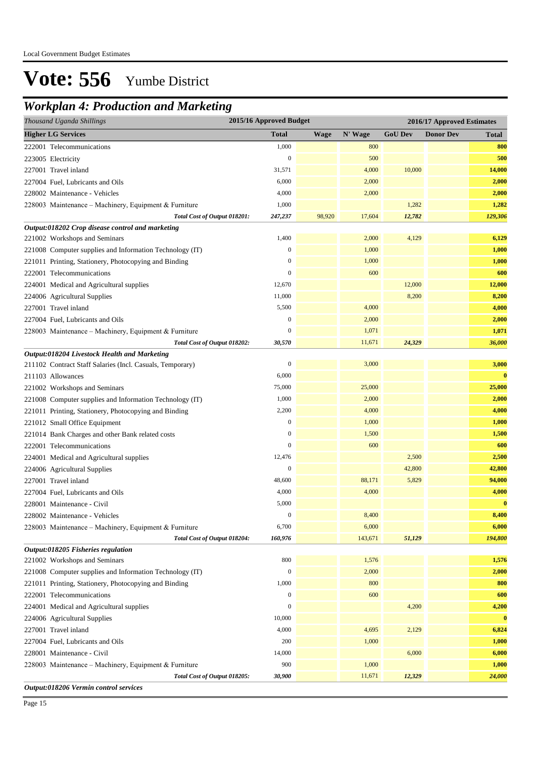## *Workplan 4: Production and Marketing*

| Thousand Uganda Shillings                             |                                                           | 2015/16 Approved Budget |             |         |                | 2016/17 Approved Estimates |              |
|-------------------------------------------------------|-----------------------------------------------------------|-------------------------|-------------|---------|----------------|----------------------------|--------------|
| <b>Higher LG Services</b>                             |                                                           | <b>Total</b>            | <b>Wage</b> | N' Wage | <b>GoU Dev</b> | <b>Donor Dev</b>           | <b>Total</b> |
| 222001 Telecommunications                             |                                                           | 1,000                   |             | 800     |                |                            | 800          |
| 223005 Electricity                                    |                                                           | $\boldsymbol{0}$        |             | 500     |                |                            | 500          |
| 227001 Travel inland                                  |                                                           | 31,571                  |             | 4,000   | 10,000         |                            | 14,000       |
| 227004 Fuel, Lubricants and Oils                      |                                                           | 6,000                   |             | 2,000   |                |                            | 2,000        |
| 228002 Maintenance - Vehicles                         |                                                           | 4,000                   |             | 2,000   |                |                            | 2,000        |
|                                                       | 228003 Maintenance - Machinery, Equipment & Furniture     | 1,000                   |             |         | 1,282          |                            | 1,282        |
|                                                       | Total Cost of Output 018201:                              | 247,237                 | 98,920      | 17,604  | 12,782         |                            | 129,306      |
| Output:018202 Crop disease control and marketing      |                                                           |                         |             |         |                |                            |              |
| 221002 Workshops and Seminars                         |                                                           | 1,400                   |             | 2,000   | 4,129          |                            | 6,129        |
|                                                       | 221008 Computer supplies and Information Technology (IT)  | $\mathbf{0}$            |             | 1,000   |                |                            | 1,000        |
| 221011 Printing, Stationery, Photocopying and Binding |                                                           | $\mathbf{0}$            |             | 1,000   |                |                            | 1,000        |
| 222001 Telecommunications                             |                                                           | $\mathbf{0}$            |             | 600     |                |                            | 600          |
| 224001 Medical and Agricultural supplies              |                                                           | 12,670                  |             |         | 12,000         |                            | 12,000       |
| 224006 Agricultural Supplies                          |                                                           | 11,000                  |             |         | 8,200          |                            | 8,200        |
| 227001 Travel inland                                  |                                                           | 5,500                   |             | 4,000   |                |                            | 4,000        |
| 227004 Fuel, Lubricants and Oils                      |                                                           | $\boldsymbol{0}$        |             | 2,000   |                |                            | 2,000        |
|                                                       | 228003 Maintenance – Machinery, Equipment & Furniture     | $\boldsymbol{0}$        |             | 1,071   |                |                            | 1,071        |
|                                                       | Total Cost of Output 018202:                              | 30,570                  |             | 11,671  | 24,329         |                            | 36,000       |
| Output:018204 Livestock Health and Marketing          |                                                           |                         |             |         |                |                            |              |
|                                                       | 211102 Contract Staff Salaries (Incl. Casuals, Temporary) | $\boldsymbol{0}$        |             | 3,000   |                |                            | 3,000        |
| 211103 Allowances                                     |                                                           | 6,000                   |             |         |                |                            | $\bf{0}$     |
| 221002 Workshops and Seminars                         |                                                           | 75,000                  |             | 25,000  |                |                            | 25,000       |
|                                                       | 221008 Computer supplies and Information Technology (IT)  | 1,000                   |             | 2,000   |                |                            | 2,000        |
| 221011 Printing, Stationery, Photocopying and Binding |                                                           | 2,200                   |             | 4,000   |                |                            | 4,000        |
| 221012 Small Office Equipment                         |                                                           | $\boldsymbol{0}$        |             | 1,000   |                |                            | 1,000        |
| 221014 Bank Charges and other Bank related costs      |                                                           | $\boldsymbol{0}$        |             | 1,500   |                |                            | 1,500        |
| 222001 Telecommunications                             |                                                           | $\mathbf{0}$            |             | 600     |                |                            | 600          |
| 224001 Medical and Agricultural supplies              |                                                           | 12,476                  |             |         | 2,500          |                            | 2,500        |
| 224006 Agricultural Supplies                          |                                                           | $\boldsymbol{0}$        |             |         | 42,800         |                            | 42,800       |
| 227001 Travel inland                                  |                                                           | 48,600                  |             | 88,171  | 5,829          |                            | 94,000       |
| 227004 Fuel, Lubricants and Oils                      |                                                           | 4,000                   |             | 4,000   |                |                            | 4,000        |
| 228001 Maintenance - Civil                            |                                                           | 5,000                   |             |         |                |                            | $\bf{0}$     |
| 228002 Maintenance - Vehicles                         |                                                           | $\Omega$                |             | 8,400   |                |                            | 8,400        |
|                                                       | 228003 Maintenance - Machinery, Equipment & Furniture     | 6,700                   |             | 6,000   |                |                            | 6,000        |
|                                                       | Total Cost of Output 018204:                              | 160,976                 |             | 143,671 | 51,129         |                            | 194,800      |
| Output:018205 Fisheries regulation                    |                                                           |                         |             |         |                |                            |              |
| 221002 Workshops and Seminars                         |                                                           | 800                     |             | 1,576   |                |                            | 1,576        |
|                                                       | 221008 Computer supplies and Information Technology (IT)  | $\boldsymbol{0}$        |             | 2,000   |                |                            | 2,000        |
| 221011 Printing, Stationery, Photocopying and Binding |                                                           | 1,000                   |             | 800     |                |                            | 800          |
| 222001 Telecommunications                             |                                                           | $\boldsymbol{0}$        |             | 600     |                |                            | 600          |
| 224001 Medical and Agricultural supplies              |                                                           | $\boldsymbol{0}$        |             |         | 4,200          |                            | 4,200        |
| 224006 Agricultural Supplies                          |                                                           | 10,000                  |             |         |                |                            | $\bf{0}$     |
| 227001 Travel inland                                  |                                                           | 4,000                   |             | 4,695   | 2,129          |                            | 6,824        |
| 227004 Fuel, Lubricants and Oils                      |                                                           | 200                     |             | 1,000   |                |                            | 1,000        |
| 228001 Maintenance - Civil                            |                                                           | 14,000                  |             |         | 6,000          |                            | 6,000        |
|                                                       | 228003 Maintenance - Machinery, Equipment & Furniture     | 900                     |             | 1,000   |                |                            | 1,000        |
|                                                       | Total Cost of Output 018205:                              | 30,900                  |             | 11,671  | 12,329         |                            | 24,000       |

*Output:018206 Vermin control services*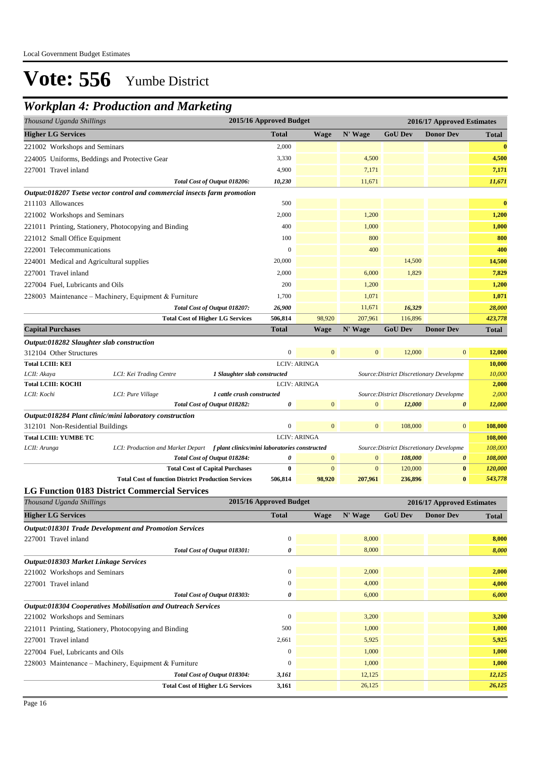## *Workplan 4: Production and Marketing*

| Thousand Uganda Shillings                     | 2015/16 Approved Budget                                                         |                         |                     | 2016/17 Approved Estimates |                                          |                            |                 |
|-----------------------------------------------|---------------------------------------------------------------------------------|-------------------------|---------------------|----------------------------|------------------------------------------|----------------------------|-----------------|
| <b>Higher LG Services</b>                     |                                                                                 | <b>Total</b>            | <b>Wage</b>         | N' Wage                    | <b>GoU Dev</b>                           | <b>Donor Dev</b>           | <b>Total</b>    |
| 221002 Workshops and Seminars                 |                                                                                 | 2,000                   |                     |                            |                                          |                            | $\bf{0}$        |
| 224005 Uniforms, Beddings and Protective Gear |                                                                                 | 3,330                   |                     | 4,500                      |                                          |                            | 4,500           |
| 227001 Travel inland                          |                                                                                 | 4,900                   |                     | 7,171                      |                                          |                            | 7,171           |
|                                               | Total Cost of Output 018206:                                                    | 10,230                  |                     | 11,671                     |                                          |                            | 11,671          |
|                                               | Output:018207 Tsetse vector control and commercial insects farm promotion       |                         |                     |                            |                                          |                            |                 |
| 211103 Allowances                             |                                                                                 | 500                     |                     |                            |                                          |                            | $\bf{0}$        |
| 221002 Workshops and Seminars                 |                                                                                 | 2,000                   |                     | 1,200                      |                                          |                            | 1,200           |
|                                               | 221011 Printing, Stationery, Photocopying and Binding                           | 400                     |                     | 1,000                      |                                          |                            | 1,000           |
| 221012 Small Office Equipment                 |                                                                                 | 100                     |                     | 800                        |                                          |                            | 800             |
| 222001 Telecommunications                     |                                                                                 | $\boldsymbol{0}$        |                     | 400                        |                                          |                            | 400             |
| 224001 Medical and Agricultural supplies      |                                                                                 | 20,000                  |                     |                            | 14,500                                   |                            | 14,500          |
| 227001 Travel inland                          |                                                                                 | 2,000                   |                     | 6,000                      | 1,829                                    |                            | 7,829           |
| 227004 Fuel, Lubricants and Oils              |                                                                                 | 200                     |                     | 1,200                      |                                          |                            | 1,200           |
|                                               |                                                                                 |                         |                     |                            |                                          |                            |                 |
|                                               | 228003 Maintenance - Machinery, Equipment & Furniture                           | 1,700                   |                     | 1,071                      |                                          |                            | 1,071           |
|                                               | Total Cost of Output 018207:                                                    | 26,900                  |                     | 11,671                     | 16,329                                   |                            | 28,000          |
|                                               | <b>Total Cost of Higher LG Services</b>                                         | 506,814                 | 98,920              | 207,961                    | 116,896                                  | <b>Donor Dev</b>           | 423,778         |
| <b>Capital Purchases</b>                      |                                                                                 | <b>Total</b>            | <b>Wage</b>         | N' Wage                    | <b>GoU Dev</b>                           |                            | Total           |
| Output:018282 Slaughter slab construction     |                                                                                 |                         |                     |                            |                                          |                            |                 |
| 312104 Other Structures                       |                                                                                 | $\boldsymbol{0}$        | $\mathbf{0}$        | $\mathbf{0}$               | 12,000                                   | $\mathbf{0}$               | 12,000          |
| <b>Total LCIII: KEI</b>                       |                                                                                 |                         | <b>LCIV: ARINGA</b> |                            |                                          |                            | 10,000          |
| LCII: Akaya<br><b>Total LCIII: KOCHI</b>      | LCI: Kei Trading Centre<br>1 Slaughter slab constructed                         |                         | <b>LCIV: ARINGA</b> |                            | Source: District Discretionary Developme |                            | 10,000<br>2,000 |
| LCII: Kochi                                   | LCI: Pure Village<br>1 cattle crush constructed                                 |                         |                     |                            | Source: District Discretionary Developme |                            | 2,000           |
|                                               | Total Cost of Output 018282:                                                    | 0                       | $\mathbf{0}$        | $\mathbf{0}$               | 12,000                                   | $\pmb{\theta}$             | 12,000          |
|                                               | Output:018284 Plant clinic/mini laboratory construction                         |                         |                     |                            |                                          |                            |                 |
| 312101 Non-Residential Buildings              |                                                                                 | $\boldsymbol{0}$        | $\mathbf{0}$        | $\mathbf{0}$               | 108,000                                  | $\mathbf{0}$               | 108,000         |
| <b>Total LCIII: YUMBE TC</b>                  |                                                                                 |                         | <b>LCIV: ARINGA</b> |                            |                                          |                            | 108,000         |
| LCII: Arunga                                  | LCI: Production and Market Depart f plant clinics/mini laboratories constructed |                         |                     |                            | Source: District Discretionary Developme |                            | 108,000         |
|                                               | Total Cost of Output 018284:                                                    | 0                       | $\mathbf{0}$        | $\mathbf{0}$               | 108,000                                  | 0                          | 108,000         |
|                                               | <b>Total Cost of Capital Purchases</b>                                          | 0                       | $\mathbf{0}$        | $\mathbf{0}$               | 120,000                                  | $\bf{0}$                   | 120,000         |
|                                               | <b>Total Cost of function District Production Services</b>                      | 506,814                 | 98,920              | 207,961                    | 236,896                                  | $\bf{0}$                   | 543,778         |
|                                               | <b>LG Function 0183 District Commercial Services</b>                            |                         |                     |                            |                                          |                            |                 |
| Thousand Uganda Shillings                     |                                                                                 | 2015/16 Approved Budget |                     |                            |                                          | 2016/17 Approved Estimates |                 |
| <b>Higher LG Services</b>                     |                                                                                 | <b>Total</b>            | <b>Wage</b>         | N' Wage                    | <b>GoU Dev</b>                           | <b>Donor Dev</b>           | <b>Total</b>    |
|                                               | Output:018301 Trade Development and Promotion Services                          |                         |                     |                            |                                          |                            |                 |
| 227001 Travel inland                          |                                                                                 | $\boldsymbol{0}$        |                     | 8,000                      |                                          |                            | 8,000           |
|                                               | Total Cost of Output 018301:                                                    | 0                       |                     | 8,000                      |                                          |                            | 8,000           |
| Output:018303 Market Linkage Services         |                                                                                 |                         |                     |                            |                                          |                            |                 |
| 221002 Workshops and Seminars                 |                                                                                 | $\boldsymbol{0}$        |                     | 2,000                      |                                          |                            | 2,000           |
| 227001 Travel inland                          |                                                                                 | $\boldsymbol{0}$        |                     | 4,000                      |                                          |                            | 4,000           |
|                                               | Total Cost of Output 018303:                                                    | 0                       |                     | 6,000                      |                                          |                            | 6,000           |
|                                               | Output:018304 Cooperatives Mobilisation and Outreach Services                   |                         |                     |                            |                                          |                            |                 |
| 221002 Workshops and Seminars                 |                                                                                 | $\boldsymbol{0}$        |                     | 3,200                      |                                          |                            | 3,200           |
|                                               | 221011 Printing, Stationery, Photocopying and Binding                           | 500                     |                     | 1,000                      |                                          |                            | 1,000           |
| 227001 Travel inland                          |                                                                                 | 2,661                   |                     | 5,925                      |                                          |                            | 5,925           |
| 227004 Fuel, Lubricants and Oils              |                                                                                 | $\boldsymbol{0}$        |                     | 1,000                      |                                          |                            | 1,000           |
|                                               | 228003 Maintenance - Machinery, Equipment & Furniture                           | $\boldsymbol{0}$        |                     | 1,000                      |                                          |                            | 1,000           |
|                                               | Total Cost of Output 018304:                                                    | 3,161                   |                     | 12,125                     |                                          |                            | 12,125          |
|                                               |                                                                                 |                         |                     |                            |                                          |                            |                 |

**Total Cost of Higher LG Services 3,161** 26,125 *26,125*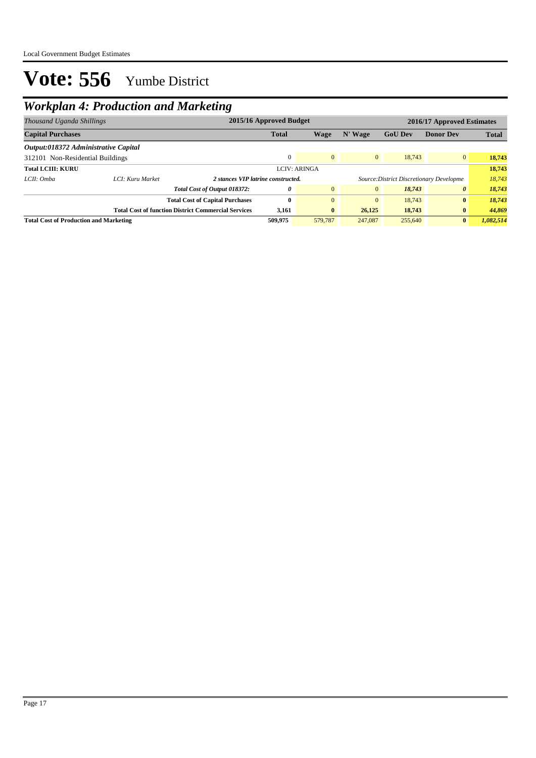## *Workplan 4: Production and Marketing*

| Thousand Uganda Shillings                     |                  | 2015/16 Approved Budget                                    |              |                     |                | 2016/17 Approved Estimates               |                  |              |
|-----------------------------------------------|------------------|------------------------------------------------------------|--------------|---------------------|----------------|------------------------------------------|------------------|--------------|
| <b>Capital Purchases</b>                      |                  |                                                            | <b>Total</b> | Wage                | N' Wage        | <b>GoU</b> Dev                           | <b>Donor Dev</b> | <b>Total</b> |
| Output:018372 Administrative Capital          |                  |                                                            |              |                     |                |                                          |                  |              |
| 312101 Non-Residential Buildings              |                  |                                                            | $\Omega$     | $\overline{0}$      | $\mathbf{0}$   | 18,743                                   | $\overline{0}$   | 18,743       |
| <b>Total LCIII: KURU</b>                      |                  |                                                            |              | <b>LCIV: ARINGA</b> |                |                                          |                  | 18,743       |
| LCII: Omba                                    | LCI: Kuru Market | 2 stances VIP latrine constructed.                         |              |                     |                | Source: District Discretionary Developme |                  | 18,743       |
|                                               |                  | Total Cost of Output 018372:                               | 0            | $\overline{0}$      | $\overline{0}$ | 18,743                                   | 0                | 18,743       |
|                                               |                  | <b>Total Cost of Capital Purchases</b>                     | 0            | $\Omega$            | $\mathbf{0}$   | 18,743                                   | $\mathbf{0}$     | 18,743       |
|                                               |                  | <b>Total Cost of function District Commercial Services</b> | 3,161        | $\bf{0}$            | 26,125         | 18,743                                   | $\bf{0}$         | 44,869       |
| <b>Total Cost of Production and Marketing</b> |                  |                                                            | 509,975      | 579,787             | 247,087        | 255,640                                  | $\mathbf{0}$     | 1.082.514    |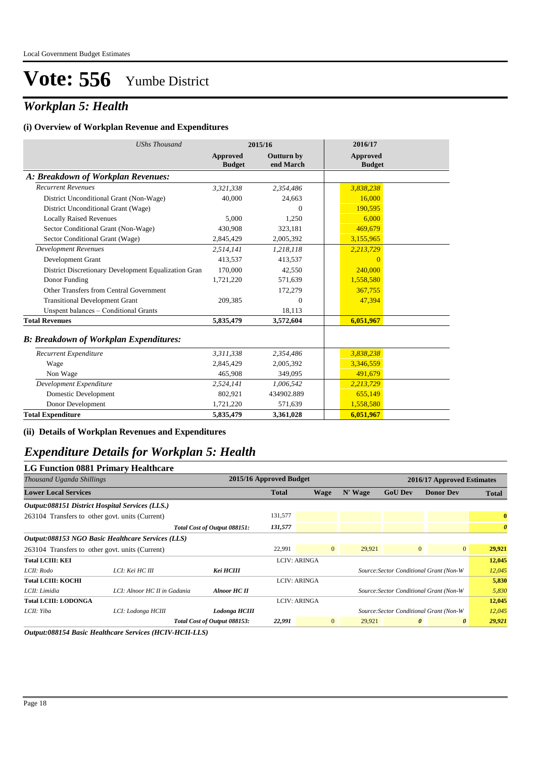## *Workplan 5: Health*

#### **(i) Overview of Workplan Revenue and Expenditures**

| <b>UShs Thousand</b>                                 | 2015/16                   |                                | 2016/17                   |  |
|------------------------------------------------------|---------------------------|--------------------------------|---------------------------|--|
|                                                      | Approved<br><b>Budget</b> | <b>Outturn by</b><br>end March | Approved<br><b>Budget</b> |  |
| A: Breakdown of Workplan Revenues:                   |                           |                                |                           |  |
| <b>Recurrent Revenues</b>                            | 3,321,338                 | 2,354,486                      | 3,838,238                 |  |
| District Unconditional Grant (Non-Wage)              | 40,000                    | 24,663                         | 16,000                    |  |
| District Unconditional Grant (Wage)                  |                           | $\Omega$                       | 190,595                   |  |
| <b>Locally Raised Revenues</b>                       | 5,000                     | 1,250                          | 6,000                     |  |
| Sector Conditional Grant (Non-Wage)                  | 430,908                   | 323,181                        | 469,679                   |  |
| Sector Conditional Grant (Wage)                      | 2,845,429                 | 2,005,392                      | 3,155,965                 |  |
| <b>Development Revenues</b>                          | 2,514,141                 | 1,218,118                      | 2,213,729                 |  |
| Development Grant                                    | 413,537                   | 413,537                        | $\Omega$                  |  |
| District Discretionary Development Equalization Gran | 170,000                   | 42,550                         | 240,000                   |  |
| Donor Funding                                        | 1,721,220                 | 571,639                        | 1,558,580                 |  |
| Other Transfers from Central Government              |                           | 172,279                        | 367,755                   |  |
| <b>Transitional Development Grant</b>                | 209,385                   | $\Omega$                       | 47,394                    |  |
| Unspent balances - Conditional Grants                |                           | 18,113                         |                           |  |
| <b>Total Revenues</b>                                | 5,835,479                 | 3,572,604                      | 6,051,967                 |  |
| <b>B: Breakdown of Workplan Expenditures:</b>        |                           |                                |                           |  |
| Recurrent Expenditure                                | 3,311,338                 | 2,354,486                      | 3,838,238                 |  |
| Wage                                                 | 2,845,429                 | 2,005,392                      | 3,346,559                 |  |
| Non Wage                                             | 465,908                   | 349,095                        | 491,679                   |  |
| Development Expenditure                              | 2,524,141                 | 1,006,542                      | 2,213,729                 |  |
| Domestic Development                                 | 802,921                   | 434902.889                     | 655,149                   |  |
| Donor Development                                    | 1,721,220                 | 571,639                        | 1,558,580                 |  |
| <b>Total Expenditure</b>                             | 5,835,479                 | 3,361,028                      | 6,051,967                 |  |

**(ii) Details of Workplan Revenues and Expenditures**

### *Expenditure Details for Workplan 5: Health*

| <b>LG Function 0881 Primary Healthcare</b>      |                                                                                                         |                              |                         |                     |         |                                         |                  |                       |  |
|-------------------------------------------------|---------------------------------------------------------------------------------------------------------|------------------------------|-------------------------|---------------------|---------|-----------------------------------------|------------------|-----------------------|--|
| Thousand Uganda Shillings                       |                                                                                                         |                              | 2015/16 Approved Budget |                     |         | 2016/17 Approved Estimates              |                  |                       |  |
| <b>Lower Local Services</b>                     |                                                                                                         |                              | <b>Total</b>            | <b>Wage</b>         | N' Wage | <b>GoU Dev</b>                          | <b>Donor Dev</b> | <b>Total</b>          |  |
| Output:088151 District Hospital Services (LLS.) |                                                                                                         |                              |                         |                     |         |                                         |                  |                       |  |
| 263104 Transfers to other govt. units (Current) |                                                                                                         |                              | 131,577                 |                     |         |                                         |                  | $\bf{0}$              |  |
|                                                 |                                                                                                         | Total Cost of Output 088151: | 131,577                 |                     |         |                                         |                  | $\boldsymbol{\theta}$ |  |
|                                                 | Output:088153 NGO Basic Healthcare Services (LLS)                                                       |                              |                         |                     |         |                                         |                  |                       |  |
|                                                 | $\overline{0}$<br>$\overline{0}$<br>22,991<br>29,921<br>263104 Transfers to other govt. units (Current) |                              | $\overline{0}$          | 29,921              |         |                                         |                  |                       |  |
| <b>Total LCIII: KEI</b>                         |                                                                                                         |                              |                         | <b>LCIV: ARINGA</b> |         |                                         |                  | 12,045                |  |
| LCII: Rodo                                      | LCI: Kei HC III                                                                                         | Kei HCIII                    |                         |                     |         | Source: Sector Conditional Grant (Non-W |                  | 12,045                |  |
| <b>Total LCIII: KOCHI</b>                       |                                                                                                         |                              |                         | <b>LCIV: ARINGA</b> |         |                                         |                  | 5,830                 |  |
| LCII: Limidia                                   | LCI: Alnoor HC II in Gadania                                                                            | Alnoor HC II                 |                         |                     |         | Source: Sector Conditional Grant (Non-W |                  | 5,830                 |  |
| <b>Total LCIII: LODONGA</b>                     |                                                                                                         |                              |                         | <b>LCIV: ARINGA</b> |         |                                         |                  | 12,045                |  |
| LCII: Yiba                                      | LCI: Lodonga HCIII                                                                                      | Lodonga HCIII                |                         |                     |         | Source: Sector Conditional Grant (Non-W |                  | 12,045                |  |
|                                                 |                                                                                                         | Total Cost of Output 088153: | 22,991                  | $\overline{0}$      | 29,921  | $\boldsymbol{\theta}$                   | $\theta$         | 29,921                |  |

*Output:088154 Basic Healthcare Services (HCIV-HCII-LLS)*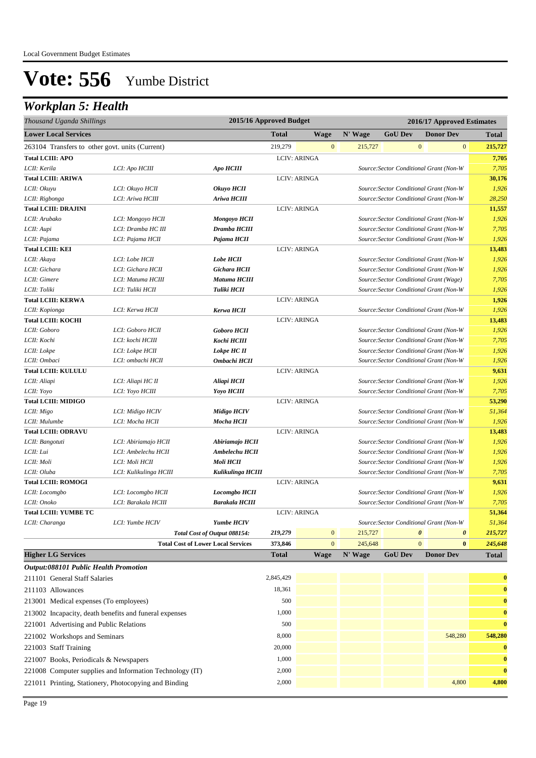| Thousand Uganda Shillings                       | 2015/16 Approved Budget |                                           | 2016/17 Approved Estimates |                |         |                |                                         |              |
|-------------------------------------------------|-------------------------|-------------------------------------------|----------------------------|----------------|---------|----------------|-----------------------------------------|--------------|
| <b>Lower Local Services</b>                     |                         |                                           | <b>Total</b>               | <b>Wage</b>    | N' Wage | <b>GoU Dev</b> | <b>Donor Dev</b>                        | <b>Total</b> |
| 263104 Transfers to other govt. units (Current) |                         |                                           | 219,279                    | $\mathbf{0}$   | 215,727 |                | $\mathbf{0}$<br>$\mathbf{0}$            | 215,727      |
| <b>Total LCIII: APO</b>                         |                         |                                           | <b>LCIV: ARINGA</b>        |                |         |                |                                         | 7,705        |
| LCII: Kerila                                    | LCI: Apo HCIII          | <b>Apo HCIII</b>                          |                            |                |         |                | Source: Sector Conditional Grant (Non-W | 7,705        |
| <b>Total LCIII: ARIWA</b>                       |                         |                                           | <b>LCIV: ARINGA</b>        |                |         |                |                                         | 30,176       |
| LCII: Okuyu                                     | LCI: Okuyo HCII         | Okuyo HCII                                |                            |                |         |                | Source: Sector Conditional Grant (Non-W | 1,926        |
| LCII: Rigbonga                                  | LCI: Ariwa HCIII        | Ariwa HCIII                               |                            |                |         |                | Source: Sector Conditional Grant (Non-W | 28,250       |
| <b>Total LCIII: DRAJINI</b>                     |                         |                                           | <b>LCIV: ARINGA</b>        |                |         |                |                                         | 11,557       |
| LCII: Arubako                                   | LCI: Mongoyo HCII       | <b>Mongoyo HCII</b>                       |                            |                |         |                | Source: Sector Conditional Grant (Non-W | 1,926        |
| LCII: Aupi                                      | LCI: Dramba HC III      | Dramba HCIII                              |                            |                |         |                | Source: Sector Conditional Grant (Non-W | 7,705        |
| LCII: Pajama                                    | LCI: Pajama HCII        | Pajama HCII                               |                            |                |         |                | Source: Sector Conditional Grant (Non-W | 1,926        |
| <b>Total LCIII: KEI</b>                         |                         |                                           | LCIV: ARINGA               |                |         |                |                                         | 13,483       |
| LCII: Akaya                                     | LCI: Lobe HCII          | <b>Lobe HCII</b>                          |                            |                |         |                | Source: Sector Conditional Grant (Non-W | 1,926        |
| LCII: Gichara                                   | LCI: Gichara HCII       | Gichara HCII                              |                            |                |         |                | Source: Sector Conditional Grant (Non-W | 1,926        |
| LCII: Gimere                                    | LCI: Matuma HCIII       | Matuma HCIII                              |                            |                |         |                | Source: Sector Conditional Grant (Wage) | 7,705        |
| LCII: Toliki                                    | LCI: Tuliki HCII        | Tuliki HCII                               |                            |                |         |                | Source: Sector Conditional Grant (Non-W | 1,926        |
| <b>Total LCIII: KERWA</b>                       |                         |                                           | <b>LCIV: ARINGA</b>        |                |         |                |                                         | 1,926        |
| LCII: Kopionga                                  | LCI: Kerwa HCII         | Kerwa HCII                                |                            |                |         |                | Source: Sector Conditional Grant (Non-W | 1,926        |
| <b>Total LCIII: KOCHI</b>                       |                         |                                           | <b>LCIV: ARINGA</b>        |                |         |                |                                         | 13,483       |
| LCII: Goboro                                    | LCI: Goboro HCII        | <b>Goboro HCII</b>                        |                            |                |         |                | Source: Sector Conditional Grant (Non-W | 1,926        |
| LCII: Kochi                                     | LCI: kochi HCIII        | Kochi HCIII                               |                            |                |         |                | Source: Sector Conditional Grant (Non-W | 7,705        |
| LCII: Lokpe                                     | LCI: Lokpe HCII         | Lokpe HC II                               |                            |                |         |                | Source: Sector Conditional Grant (Non-W | 1,926        |
| LCII: Ombaci                                    | LCI: ombachi HCII       | Ombachi HCII                              |                            |                |         |                | Source: Sector Conditional Grant (Non-W | 1,926        |
| <b>Total LCIII: KULULU</b>                      |                         |                                           | <b>LCIV: ARINGA</b>        |                |         |                |                                         | 9,631        |
| LCII: Aliapi                                    | LCI: Aliapi HC II       | Aliapi HCII                               |                            |                |         |                | Source: Sector Conditional Grant (Non-W | 1,926        |
| LCII: Yoyo                                      | LCI: Yoyo HCIII         | Yoyo HCIII                                |                            |                |         |                | Source: Sector Conditional Grant (Non-W | 7,705        |
| <b>Total LCIII: MIDIGO</b>                      |                         |                                           | <b>LCIV: ARINGA</b>        |                |         |                |                                         | 53,290       |
| LCII: Migo                                      | LCI: Midigo HCIV        | <b>Midigo HCIV</b>                        |                            |                |         |                | Source: Sector Conditional Grant (Non-W | 51,364       |
| LCII: Mulumbe                                   | LCI: Mocha HCII         | Mocha HCII                                |                            |                |         |                | Source: Sector Conditional Grant (Non-W | 1,926        |
| <b>Total LCIII: ODRAVU</b>                      |                         |                                           | <b>LCIV: ARINGA</b>        |                |         |                |                                         | 13,483       |
| LCII: Bangotuti                                 | LCI: Abiriamajo HCII    | Abiriamajo HCII                           |                            |                |         |                | Source: Sector Conditional Grant (Non-W | 1,926        |
| LCII: Lui                                       | LCI: Ambelechu HCII     | Ambelechu HCII                            |                            |                |         |                | Source: Sector Conditional Grant (Non-W | 1,926        |
| LCII: Moli                                      | LCI: Moli HCII          | Moli HCII                                 |                            |                |         |                | Source: Sector Conditional Grant (Non-W | 1,926        |
| LCII: Oluba                                     | LCI: Kulikulinga HCIII  | Kulikulinga HCIII                         |                            |                |         |                | Source: Sector Conditional Grant (Non-W | 7,705        |
| <b>Total LCIII: ROMOGI</b>                      |                         |                                           | <b>LCIV: ARINGA</b>        |                |         |                |                                         | 9,631        |
| LCII: Locomgbo                                  | LCI: Locomgbo HCII      | Locomgbo HCII                             |                            |                |         |                | Source: Sector Conditional Grant (Non-W | 1,926        |
| LCII: Onoko                                     | LCI: Barakala HCIII     | <b>Barakala HCIII</b>                     |                            |                |         |                | Source: Sector Conditional Grant (Non-W | 7,705        |
| <b>Total LCIII: YUMBE TC</b>                    |                         |                                           | <b>LCIV: ARINGA</b>        |                |         |                |                                         | 51,364       |
| LCII: Charanga                                  | LCI: Yumbe HCIV         | <b>Yumbe HCIV</b>                         |                            |                |         |                | Source: Sector Conditional Grant (Non-W | 51,364       |
|                                                 |                         | Total Cost of Output 088154:              | 219,279                    | $\mathbf{0}$   | 215,727 |                | $\pmb{\theta}$<br>$\boldsymbol{\theta}$ | 215,727      |
|                                                 |                         | <b>Total Cost of Lower Local Services</b> | 373,846                    | $\overline{0}$ | 245,648 |                | $\overline{0}$<br>$\bf{0}$              | 245,648      |
| <b>Higher LG Services</b>                       |                         |                                           | <b>Total</b>               | <b>Wage</b>    | N' Wage | <b>GoU Dev</b> | <b>Donor Dev</b>                        | <b>Total</b> |
| <b>Output:088101 Public Health Promotion</b>    |                         |                                           |                            |                |         |                |                                         |              |

| 211101 General Staff Salaries                            | 2,845,429 |  |         | $\bf{0}$     |
|----------------------------------------------------------|-----------|--|---------|--------------|
| 211103 Allowances                                        | 18,361    |  |         | $\bf{0}$     |
| 213001 Medical expenses (To employees)                   | 500       |  |         | $\bf{0}$     |
| 213002 Incapacity, death benefits and funeral expenses   | 1,000     |  |         | $\bf{0}$     |
| 221001 Advertising and Public Relations                  | 500       |  |         | $\mathbf{0}$ |
| 221002 Workshops and Seminars                            | 8,000     |  | 548,280 | 548,280      |
| 221003 Staff Training                                    | 20,000    |  |         | $\bf{0}$     |
| 221007 Books, Periodicals & Newspapers                   | 1,000     |  |         | $\bf{0}$     |
| 221008 Computer supplies and Information Technology (IT) | 2,000     |  |         | $\bf{0}$     |
| 221011 Printing, Stationery, Photocopying and Binding    | 2,000     |  | 4,800   | 4,800        |
|                                                          |           |  |         |              |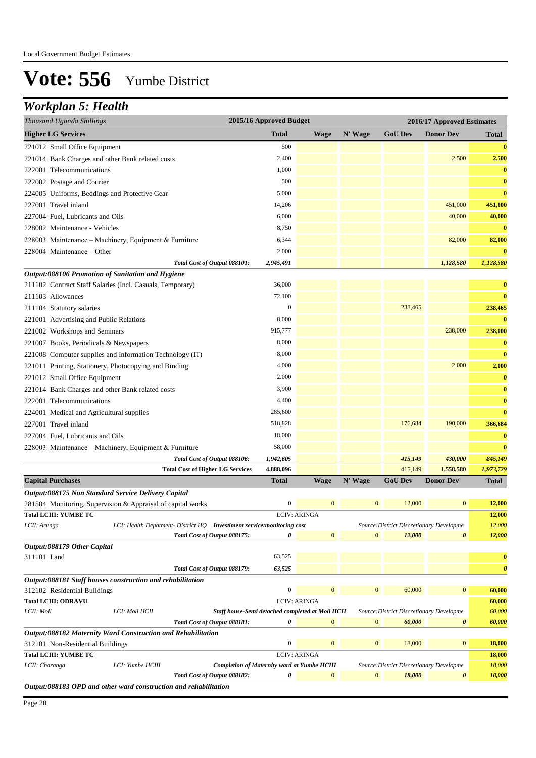| Thousand Uganda Shillings                                                                                                                                   | 2015/16 Approved Budget<br>2016/17 Approved Estimates |                  |                     |                  |                                          |                       |                       |
|-------------------------------------------------------------------------------------------------------------------------------------------------------------|-------------------------------------------------------|------------------|---------------------|------------------|------------------------------------------|-----------------------|-----------------------|
| <b>Higher LG Services</b>                                                                                                                                   |                                                       | <b>Total</b>     | <b>Wage</b>         | N' Wage          | <b>GoU Dev</b>                           | <b>Donor Dev</b>      | Total                 |
| 221012 Small Office Equipment                                                                                                                               |                                                       | 500              |                     |                  |                                          |                       | $\bf{0}$              |
| 221014 Bank Charges and other Bank related costs                                                                                                            |                                                       | 2,400            |                     |                  |                                          | 2,500                 | 2,500                 |
| 222001 Telecommunications                                                                                                                                   |                                                       | 1,000            |                     |                  |                                          |                       | $\bf{0}$              |
| 222002 Postage and Courier                                                                                                                                  |                                                       | 500              |                     |                  |                                          |                       | $\bf{0}$              |
| 224005 Uniforms, Beddings and Protective Gear                                                                                                               |                                                       | 5,000            |                     |                  |                                          |                       | $\bf{0}$              |
| 227001 Travel inland                                                                                                                                        |                                                       | 14,206           |                     |                  |                                          | 451,000               | 451,000               |
| 227004 Fuel. Lubricants and Oils                                                                                                                            |                                                       | 6,000            |                     |                  |                                          | 40,000                | 40,000                |
| 228002 Maintenance - Vehicles                                                                                                                               |                                                       | 8,750            |                     |                  |                                          |                       | $\bf{0}$              |
| 228003 Maintenance - Machinery, Equipment & Furniture                                                                                                       |                                                       | 6,344            |                     |                  |                                          | 82,000                | 82,000                |
| 228004 Maintenance – Other                                                                                                                                  |                                                       | 2,000            |                     |                  |                                          |                       | $\bf{0}$              |
| Total Cost of Output 088101:                                                                                                                                |                                                       | 2,945,491        |                     |                  |                                          | 1,128,580             | 1,128,580             |
| Output:088106 Promotion of Sanitation and Hygiene                                                                                                           |                                                       |                  |                     |                  |                                          |                       |                       |
| 211102 Contract Staff Salaries (Incl. Casuals, Temporary)                                                                                                   |                                                       | 36,000           |                     |                  |                                          |                       | $\bf{0}$              |
| 211103 Allowances                                                                                                                                           |                                                       | 72,100           |                     |                  |                                          |                       | $\bf{0}$              |
| 211104 Statutory salaries                                                                                                                                   |                                                       | $\boldsymbol{0}$ |                     |                  | 238,465                                  |                       | 238,465               |
| 221001 Advertising and Public Relations                                                                                                                     |                                                       | 8,000            |                     |                  |                                          |                       | $\bf{0}$              |
| 221002 Workshops and Seminars                                                                                                                               |                                                       | 915,777          |                     |                  |                                          | 238,000               | 238,000               |
| 221007 Books, Periodicals & Newspapers                                                                                                                      |                                                       | 8,000            |                     |                  |                                          |                       | $\bf{0}$              |
| 221008 Computer supplies and Information Technology (IT)                                                                                                    |                                                       | 8,000            |                     |                  |                                          |                       | $\bf{0}$              |
| 221011 Printing, Stationery, Photocopying and Binding                                                                                                       |                                                       | 4,000            |                     |                  |                                          | 2,000                 | 2,000                 |
| 221012 Small Office Equipment                                                                                                                               |                                                       | 2,000            |                     |                  |                                          |                       | $\bf{0}$              |
| 221014 Bank Charges and other Bank related costs                                                                                                            |                                                       | 3,900            |                     |                  |                                          |                       | $\bf{0}$              |
| 222001 Telecommunications                                                                                                                                   |                                                       | 4,400            |                     |                  |                                          |                       | $\bf{0}$              |
| 224001 Medical and Agricultural supplies                                                                                                                    |                                                       | 285,600          |                     |                  |                                          |                       | $\bf{0}$              |
| 227001 Travel inland                                                                                                                                        |                                                       | 518,828          |                     |                  | 176,684                                  | 190,000               | 366,684               |
| 227004 Fuel, Lubricants and Oils                                                                                                                            |                                                       | 18,000           |                     |                  |                                          |                       | $\bf{0}$              |
| 228003 Maintenance - Machinery, Equipment & Furniture                                                                                                       |                                                       | 58,000           |                     |                  |                                          |                       | $\bf{0}$              |
| Total Cost of Output 088106:                                                                                                                                |                                                       | 1,942,605        |                     |                  | 415,149                                  | 430,000               | 845,149               |
| <b>Total Cost of Higher LG Services</b>                                                                                                                     |                                                       | 4,888,096        |                     |                  | 415,149                                  | 1,558,580             | 1,973,729             |
| <b>Capital Purchases</b>                                                                                                                                    |                                                       | Total            | <b>Wage</b>         | N' Wage          | <b>GoU Dev</b>                           | <b>Donor Dev</b>      | Total                 |
| Output:088175 Non Standard Service Delivery Capital                                                                                                         |                                                       |                  |                     |                  |                                          |                       |                       |
| 281504 Monitoring, Supervision & Appraisal of capital works                                                                                                 |                                                       | $\boldsymbol{0}$ | $\bf{0}$            | $\boldsymbol{0}$ | 12,000                                   | $\bf{0}$              | 12,000                |
| <b>Total LCIII: YUMBE TC</b>                                                                                                                                |                                                       |                  | <b>LCIV: ARINGA</b> |                  |                                          |                       | 12,000                |
| LCII: Arunga<br>LCI: Health Depatment- District HQ Investiment service/monitoring cost                                                                      |                                                       |                  |                     |                  | Source: District Discretionary Developme |                       | 12,000                |
| Total Cost of Output 088175:                                                                                                                                |                                                       | 0                | $\mathbf{0}$        | $\mathbf{0}$     | 12,000                                   | $\boldsymbol{\theta}$ | 12,000                |
| Output:088179 Other Capital                                                                                                                                 |                                                       |                  |                     |                  |                                          |                       |                       |
| 311101 Land                                                                                                                                                 |                                                       | 63,525           |                     |                  |                                          |                       | $\bf{0}$              |
| Total Cost of Output 088179:                                                                                                                                |                                                       | 63,525           |                     |                  |                                          |                       | $\boldsymbol{\theta}$ |
| Output:088181 Staff houses construction and rehabilitation                                                                                                  |                                                       |                  |                     |                  |                                          |                       |                       |
| 312102 Residential Buildings                                                                                                                                |                                                       | $\boldsymbol{0}$ | $\mathbf{0}$        | $\mathbf{0}$     | 60,000                                   | $\mathbf{0}$          | 60,000                |
| <b>Total LCIII: ODRAVU</b>                                                                                                                                  |                                                       |                  | <b>LCIV: ARINGA</b> |                  |                                          |                       | 60,000                |
| LCII: Moli<br>LCI: Moli HCII                                                                                                                                | Staff house-Semi detached completed at Moli HCII      |                  |                     |                  | Source: District Discretionary Developme |                       | 60,000                |
| Total Cost of Output 088181:<br>Output:088182 Maternity Ward Construction and Rehabilitation                                                                |                                                       | 0                | $\mathbf{0}$        | $\mathbf{0}$     | 60,000                                   | $\boldsymbol{\theta}$ | 60,000                |
| 312101 Non-Residential Buildings                                                                                                                            |                                                       | $\boldsymbol{0}$ | $\mathbf{0}$        | $\boldsymbol{0}$ | 18,000                                   | $\mathbf{0}$          | 18,000                |
| <b>Total LCIII: YUMBE TC</b>                                                                                                                                |                                                       |                  |                     |                  |                                          |                       | 18,000                |
| <b>LCIV: ARINGA</b><br><b>Completion of Maternity ward at Yumbe HCIII</b><br>LCII: Charanga<br>LCI: Yumbe HCIII<br>Source: District Discretionary Developme |                                                       |                  |                     |                  | 18,000                                   |                       |                       |
| Total Cost of Output 088182:                                                                                                                                |                                                       | 0                | $\mathbf{0}$        | $\mathbf{0}$     | 18,000                                   | $\boldsymbol{\theta}$ | 18,000                |
| Output:088183 OPD and other ward construction and rehabilitation                                                                                            |                                                       |                  |                     |                  |                                          |                       |                       |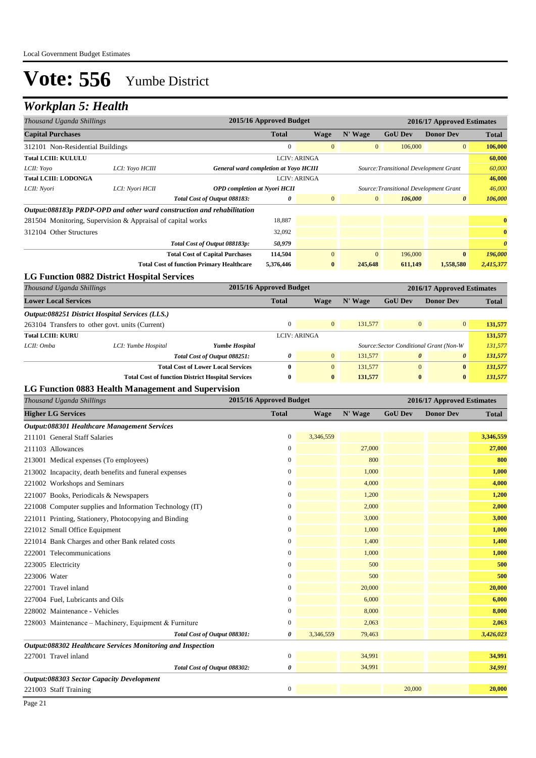| Thousand Uganda Shillings                                                                        | 2015/16 Approved Budget<br>2016/17 Approved Estimates |                                                                                            |                         |                          |                         |                                         |                            |                         |
|--------------------------------------------------------------------------------------------------|-------------------------------------------------------|--------------------------------------------------------------------------------------------|-------------------------|--------------------------|-------------------------|-----------------------------------------|----------------------------|-------------------------|
| <b>Capital Purchases</b>                                                                         |                                                       |                                                                                            | <b>Total</b>            | <b>Wage</b>              | N' Wage                 | <b>GoU Dev</b>                          | <b>Donor Dev</b>           | Total                   |
| 312101 Non-Residential Buildings                                                                 |                                                       |                                                                                            | $\mathbf{0}$            | $\mathbf{0}$             | $\mathbf{0}$            | 106,000                                 | $\mathbf{0}$               | 106,000                 |
| <b>Total LCIII: KULULU</b>                                                                       |                                                       |                                                                                            |                         | <b>LCIV: ARINGA</b>      |                         |                                         |                            | 60,000                  |
| LCII: Yoyo                                                                                       | LCI: Yoyo HCIII                                       | General ward completion at Yoyo HCIII                                                      |                         |                          |                         | Source: Transitional Development Grant  |                            | 60,000                  |
| <b>Total LCIII: LODONGA</b>                                                                      |                                                       |                                                                                            |                         | <b>LCIV: ARINGA</b>      |                         |                                         |                            | 46,000                  |
| LCII: Nyori                                                                                      | LCI: Nyori HCII                                       | <b>OPD</b> completion at Nyori HCII                                                        |                         |                          |                         | Source: Transitional Development Grant  |                            | 46,000                  |
|                                                                                                  |                                                       | Total Cost of Output 088183:                                                               | 0                       | $\mathbf{0}$             | $\mathbf{0}$            | 106,000                                 | 0                          | 106,000                 |
| Output:088183p PRDP-OPD and other ward construction and rehabilitation                           |                                                       |                                                                                            |                         |                          |                         |                                         |                            |                         |
| 281504 Monitoring, Supervision & Appraisal of capital works                                      |                                                       |                                                                                            | 18,887                  |                          |                         |                                         |                            | $\bf{0}$                |
| 312104 Other Structures                                                                          |                                                       |                                                                                            | 32,092                  |                          |                         |                                         |                            | $\bf{0}$                |
|                                                                                                  |                                                       | Total Cost of Output 088183p:                                                              | 50,979                  |                          |                         |                                         |                            | $\boldsymbol{\theta}$   |
|                                                                                                  |                                                       | <b>Total Cost of Capital Purchases</b><br><b>Total Cost of function Primary Healthcare</b> | 114,504<br>5,376,446    | $\mathbf{0}$<br>$\bf{0}$ | $\mathbf{0}$<br>245,648 | 196,000<br>611,149                      | $\bf{0}$<br>1,558,580      | 196,000<br>2,415,377    |
| <b>LG Function 0882 District Hospital Services</b>                                               |                                                       |                                                                                            |                         |                          |                         |                                         |                            |                         |
| Thousand Uganda Shillings                                                                        |                                                       |                                                                                            | 2015/16 Approved Budget |                          |                         |                                         | 2016/17 Approved Estimates |                         |
| <b>Lower Local Services</b>                                                                      |                                                       |                                                                                            | <b>Total</b>            | <b>Wage</b>              | N' Wage                 | <b>GoU Dev</b>                          | <b>Donor Dev</b>           | <b>Total</b>            |
|                                                                                                  |                                                       |                                                                                            |                         |                          |                         |                                         |                            |                         |
| Output:088251 District Hospital Services (LLS.)                                                  |                                                       |                                                                                            | $\boldsymbol{0}$        | $\mathbf{0}$             | 131,577                 | $\mathbf{0}$                            | $\boldsymbol{0}$           | 131,577                 |
| 263104 Transfers to other govt. units (Current)<br><b>Total LCIII: KURU</b>                      |                                                       |                                                                                            |                         | <b>LCIV: ARINGA</b>      |                         |                                         |                            | 131,577                 |
| LCII: Omba                                                                                       | LCI: Yumbe Hospital                                   | <b>Yumbe Hospital</b>                                                                      |                         |                          |                         | Source: Sector Conditional Grant (Non-W |                            | 131,577                 |
|                                                                                                  |                                                       | Total Cost of Output 088251:                                                               | 0                       | $\mathbf{0}$             | 131,577                 | $\boldsymbol{\theta}$                   | 0                          | 131,577                 |
|                                                                                                  |                                                       | <b>Total Cost of Lower Local Services</b>                                                  | $\bf{0}$                | $\mathbf{0}$             | 131,577                 | $\mathbf{0}$                            | $\bf{0}$                   | 131,577                 |
|                                                                                                  |                                                       | <b>Total Cost of function District Hospital Services</b>                                   | 0                       | $\bf{0}$                 | 131,577                 | $\bf{0}$                                | $\bf{0}$                   | 131,577                 |
| LG Function 0883 Health Management and Supervision                                               |                                                       |                                                                                            |                         |                          |                         |                                         |                            |                         |
| Thousand Uganda Shillings<br>2015/16 Approved Budget<br>2016/17 Approved Estimates               |                                                       |                                                                                            |                         |                          |                         |                                         |                            |                         |
| <b>Higher LG Services</b>                                                                        |                                                       |                                                                                            |                         |                          |                         |                                         |                            |                         |
|                                                                                                  |                                                       |                                                                                            | <b>Total</b>            | <b>Wage</b>              | N' Wage                 | <b>GoU Dev</b>                          | <b>Donor Dev</b>           | <b>Total</b>            |
|                                                                                                  |                                                       |                                                                                            |                         |                          |                         |                                         |                            |                         |
| Output:088301 Healthcare Management Services<br>211101 General Staff Salaries                    |                                                       |                                                                                            | 0                       | 3,346,559                |                         |                                         |                            | 3,346,559               |
| 211103 Allowances                                                                                |                                                       |                                                                                            | 0                       |                          | 27,000                  |                                         |                            | 27,000                  |
|                                                                                                  |                                                       |                                                                                            | $\overline{0}$          |                          | 800                     |                                         |                            | 800                     |
| 213001 Medical expenses (To employees)<br>213002 Incapacity, death benefits and funeral expenses |                                                       |                                                                                            | 0                       |                          | 1,000                   |                                         |                            | 1,000                   |
| 221002 Workshops and Seminars                                                                    |                                                       |                                                                                            | 0                       |                          | 4,000                   |                                         |                            | 4,000                   |
|                                                                                                  |                                                       |                                                                                            | $\boldsymbol{0}$        |                          | 1,200                   |                                         |                            | 1,200                   |
| 221007 Books, Periodicals & Newspapers                                                           |                                                       |                                                                                            | 0                       |                          | 2,000                   |                                         |                            | 2,000                   |
| 221008 Computer supplies and Information Technology (IT)                                         |                                                       |                                                                                            | $\Omega$                |                          | 3,000                   |                                         |                            |                         |
| 221011 Printing, Stationery, Photocopying and Binding                                            |                                                       |                                                                                            | $\boldsymbol{0}$        |                          |                         |                                         |                            |                         |
| 221012 Small Office Equipment                                                                    |                                                       |                                                                                            | $\boldsymbol{0}$        |                          | 1,000<br>1,400          |                                         |                            | 3,000<br>1,000<br>1,400 |
| 221014 Bank Charges and other Bank related costs<br>222001 Telecommunications                    |                                                       |                                                                                            | $\boldsymbol{0}$        |                          | 1,000                   |                                         |                            |                         |
|                                                                                                  |                                                       |                                                                                            | $\boldsymbol{0}$        |                          | 500                     |                                         |                            | 1,000<br>500            |
| 223005 Electricity                                                                               |                                                       |                                                                                            | $\boldsymbol{0}$        |                          | 500                     |                                         |                            | 500                     |
| 223006 Water                                                                                     |                                                       |                                                                                            |                         |                          |                         |                                         |                            |                         |
| 227001 Travel inland                                                                             |                                                       |                                                                                            | 0<br>$\boldsymbol{0}$   |                          | 20,000                  |                                         |                            | 20,000                  |
| 227004 Fuel, Lubricants and Oils                                                                 |                                                       |                                                                                            |                         |                          | 6,000                   |                                         |                            |                         |
| 228002 Maintenance - Vehicles                                                                    |                                                       |                                                                                            | $\boldsymbol{0}$        |                          | 8,000                   |                                         |                            | 8,000                   |
| 228003 Maintenance - Machinery, Equipment & Furniture                                            |                                                       |                                                                                            | 0<br>0                  |                          | 2,063                   |                                         |                            | 2,063                   |
|                                                                                                  |                                                       | Total Cost of Output 088301:                                                               |                         | 3,346,559                | 79,463                  |                                         |                            | 3,426,023               |
| Output:088302 Healthcare Services Monitoring and Inspection<br>227001 Travel inland              |                                                       |                                                                                            | $\boldsymbol{0}$        |                          | 34,991                  |                                         |                            | 34,991                  |
|                                                                                                  |                                                       | Total Cost of Output 088302:                                                               | 0                       |                          | 34,991                  |                                         |                            | 6,000<br>34,991         |
| Output:088303 Sector Capacity Development                                                        |                                                       |                                                                                            |                         |                          |                         |                                         |                            |                         |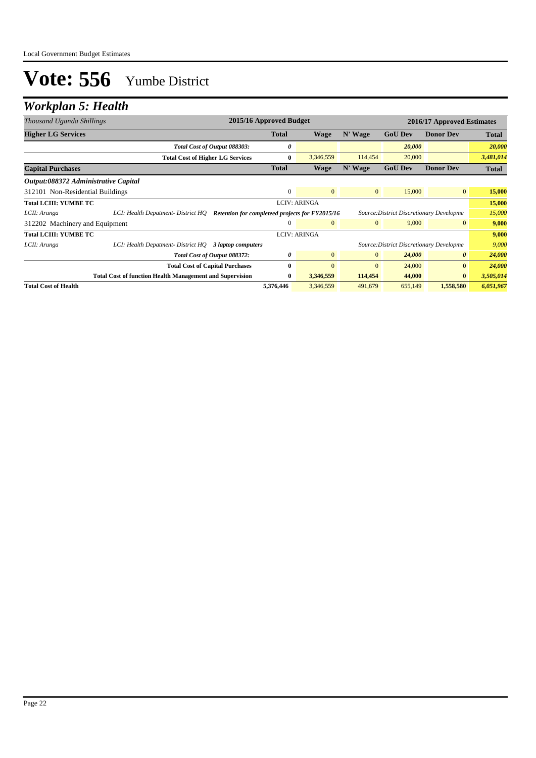| Thousand Uganda Shillings                    |                                                                                       | 2015/16 Approved Budget<br>2016/17 Approved Estimates |                     |                |                                          |                       |              |
|----------------------------------------------|---------------------------------------------------------------------------------------|-------------------------------------------------------|---------------------|----------------|------------------------------------------|-----------------------|--------------|
| <b>Higher LG Services</b>                    |                                                                                       | <b>Total</b>                                          | <b>Wage</b>         | N' Wage        | <b>GoU Dev</b>                           | <b>Donor Dev</b>      | <b>Total</b> |
|                                              | Total Cost of Output 088303:                                                          | 0                                                     |                     |                | 20,000                                   |                       | 20,000       |
|                                              | <b>Total Cost of Higher LG Services</b>                                               | $\bf{0}$                                              | 3,346,559           | 114,454        | 20,000                                   |                       | 3,481,014    |
| <b>Capital Purchases</b>                     |                                                                                       | <b>Total</b>                                          | <b>Wage</b>         | N' Wage        | <b>GoU Dev</b>                           | <b>Donor Dev</b>      | <b>Total</b> |
| Output:088372 Administrative Capital         |                                                                                       |                                                       |                     |                |                                          |                       |              |
| 312101 Non-Residential Buildings             |                                                                                       | $\Omega$                                              | $\Omega$            | $\overline{0}$ | 15,000                                   | $\overline{0}$        | 15,000       |
| Total LCIII: YUMBE TC<br><b>LCIV: ARINGA</b> |                                                                                       |                                                       |                     |                | 15,000                                   |                       |              |
| LCII: Arunga                                 | LCI: Health Depatment- District HO<br>Retention for completeed projects for FY2015/16 |                                                       |                     |                | Source: District Discretionary Developme |                       | 15,000       |
| 312202 Machinery and Equipment               |                                                                                       | 0                                                     | $\mathbf{0}$        | $\mathbf{0}$   | 9,000                                    | $\mathbf{0}$          | 9,000        |
| <b>Total LCIII: YUMBE TC</b>                 |                                                                                       |                                                       | <b>LCIV: ARINGA</b> |                |                                          |                       | 9,000        |
| LCII: Arunga                                 | LCI: Health Depatment- District HQ 3 laptop computers                                 |                                                       |                     |                | Source: District Discretionary Developme |                       | 9,000        |
|                                              | Total Cost of Output 088372:                                                          | 0                                                     | $\overline{0}$      | $\overline{0}$ | 24,000                                   | $\boldsymbol{\theta}$ | 24,000       |
|                                              | <b>Total Cost of Capital Purchases</b>                                                | 0                                                     | $\Omega$            | $\mathbf{0}$   | 24,000                                   | $\bf{0}$              | 24,000       |
|                                              | <b>Total Cost of function Health Management and Supervision</b>                       | $\bf{0}$                                              | 3,346,559           | 114,454        | 44,000                                   | $\bf{0}$              | 3,505,014    |
| <b>Total Cost of Health</b>                  |                                                                                       | 5,376,446                                             | 3,346,559           | 491,679        | 655,149                                  | 1,558,580             | 6,051,967    |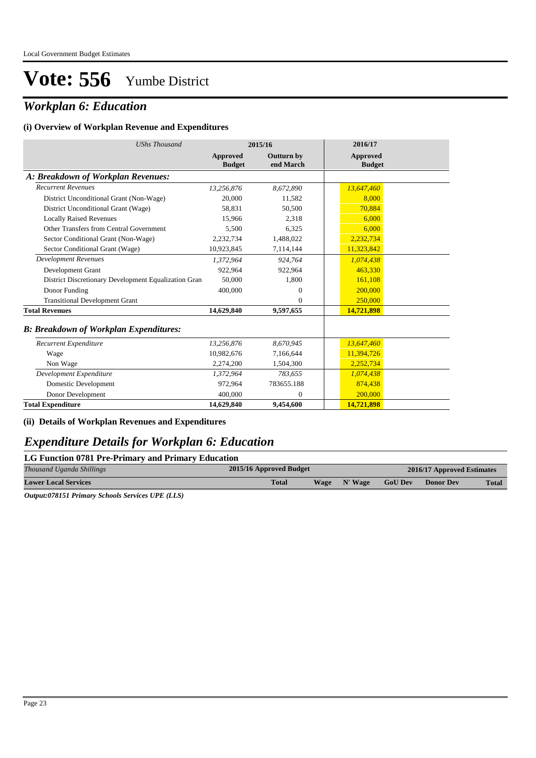## *Workplan 6: Education*

#### **(i) Overview of Workplan Revenue and Expenditures**

| <b>UShs Thousand</b>                                 |                           | 2015/16                        | 2016/17                          |
|------------------------------------------------------|---------------------------|--------------------------------|----------------------------------|
|                                                      | Approved<br><b>Budget</b> | <b>Outturn by</b><br>end March | <b>Approved</b><br><b>Budget</b> |
| A: Breakdown of Workplan Revenues:                   |                           |                                |                                  |
| <b>Recurrent Revenues</b>                            | 13,256,876                | 8,672,890                      | 13,647,460                       |
| District Unconditional Grant (Non-Wage)              | 20,000                    | 11,582                         | 8,000                            |
| District Unconditional Grant (Wage)                  | 58,831                    | 50,500                         | 70,884                           |
| <b>Locally Raised Revenues</b>                       | 15,966                    | 2,318                          | 6,000                            |
| Other Transfers from Central Government              | 5,500                     | 6,325                          | 6,000                            |
| Sector Conditional Grant (Non-Wage)                  | 2,232,734                 | 1,488,022                      | 2,232,734                        |
| Sector Conditional Grant (Wage)                      | 10,923,845                | 7,114,144                      | 11,323,842                       |
| <b>Development Revenues</b>                          | 1,372,964                 | 924,764                        | 1,074,438                        |
| Development Grant                                    | 922,964                   | 922,964                        | 463,330                          |
| District Discretionary Development Equalization Gran | 50,000                    | 1,800                          | 161,108                          |
| Donor Funding                                        | 400,000                   | $\mathbf{0}$                   | 200,000                          |
| <b>Transitional Development Grant</b>                |                           | $\Omega$                       | 250,000                          |
| <b>Total Revenues</b>                                | 14,629,840                | 9,597,655                      | 14,721,898                       |
| <b>B: Breakdown of Workplan Expenditures:</b>        |                           |                                |                                  |
| Recurrent Expenditure                                | 13,256,876                | 8,670,945                      | 13,647,460                       |
| Wage                                                 | 10,982,676                | 7,166,644                      | 11,394,726                       |
| Non Wage                                             | 2,274,200                 | 1,504,300                      | 2,252,734                        |
| Development Expenditure                              | 1,372,964                 | 783,655                        | 1,074,438                        |
| Domestic Development                                 | 972,964                   | 783655.188                     | 874,438                          |
| Donor Development                                    | 400,000                   | $\Omega$                       | 200,000                          |
| <b>Total Expenditure</b>                             | 14,629,840                | 9,454,600                      | 14,721,898                       |

**(ii) Details of Workplan Revenues and Expenditures**

### *Expenditure Details for Workplan 6: Education*

| Thousand Uganda Shillings<br>2015/16 Approved Budget |              |              | 2016/17 Approved Estimates |           |              |
|------------------------------------------------------|--------------|--------------|----------------------------|-----------|--------------|
| <b>Lower Local Services</b>                          | <b>Total</b> | Wage N' Wage | <b>GoU Dev</b>             | Donor Dev | <b>Total</b> |
| - - -------<br>.<br>___________                      |              |              |                            |           |              |

*Output:078151 Primary Schools Services UPE (LLS)*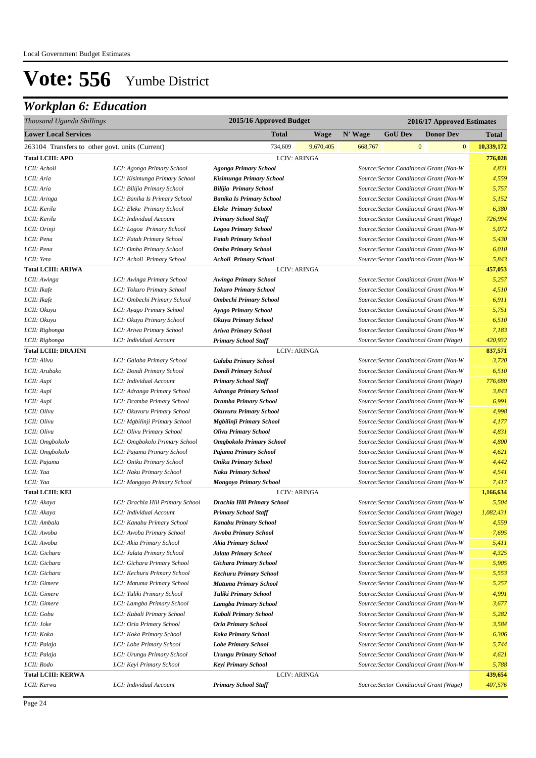## *Workplan 6: Education*

| Thousand Uganda Shillings                       |                                  |                                 | 2015/16 Approved Budget |         |                | 2016/17 Approved Estimates |                                         |                            |  |  |
|-------------------------------------------------|----------------------------------|---------------------------------|-------------------------|---------|----------------|----------------------------|-----------------------------------------|----------------------------|--|--|
| <b>Lower Local Services</b>                     |                                  | <b>Total</b>                    | Wage                    | N' Wage | <b>GoU Dev</b> |                            | <b>Donor Dev</b>                        | Total                      |  |  |
| 263104 Transfers to other govt. units (Current) |                                  | 734,609                         | 9,670,405               | 668,767 |                | $\bf{0}$                   |                                         | $\mathbf{0}$<br>10,339,172 |  |  |
| <b>Total LCIII: APO</b>                         |                                  | <b>LCIV: ARINGA</b>             |                         |         |                |                            |                                         | 776,028                    |  |  |
| LCII: Acholi                                    | LCI: Agonga Primary School       | <b>Agonga Primary School</b>    |                         |         |                |                            | Source: Sector Conditional Grant (Non-W | 4,831                      |  |  |
| LCII: Aria                                      | LCI: Kisimunga Primary School    | Kisimunga Primary School        |                         |         |                |                            | Source: Sector Conditional Grant (Non-W | 4,559                      |  |  |
| LCII: Aria                                      | LCI: Bilijia Primary School      | <b>Bilijia Primary School</b>   |                         |         |                |                            | Source: Sector Conditional Grant (Non-W | 5,757                      |  |  |
| LCII: Aringa                                    | LCI: Banika Is Primary School    | <b>Banika Is Primary School</b> |                         |         |                |                            | Source: Sector Conditional Grant (Non-W | 5,152                      |  |  |
| LCII: Kerila                                    | LCI: Eleke Primary School        | <b>Eleke Primary School</b>     |                         |         |                |                            | Source: Sector Conditional Grant (Non-W | 6,380                      |  |  |
| LCII: Kerila                                    | LCI: Individual Account          | <b>Primary School Staff</b>     |                         |         |                |                            | Source: Sector Conditional Grant (Wage) | 726,994                    |  |  |
| LCII: Orinji                                    | LCI: Logoa Primary School        | <b>Logoa Primary School</b>     |                         |         |                |                            | Source: Sector Conditional Grant (Non-W | 5,072                      |  |  |
| LCII: Pena                                      | LCI: Fatah Primary School        | <b>Fatah Primary School</b>     |                         |         |                |                            | Source: Sector Conditional Grant (Non-W | 5,430                      |  |  |
| LCII: Pena                                      | LCI: Omba Primary School         | <b>Omba Primary School</b>      |                         |         |                |                            | Source: Sector Conditional Grant (Non-W | 6,010                      |  |  |
| LCII: Yeta                                      | LCI: Acholi Primary School       | <b>Acholi Primary School</b>    |                         |         |                |                            | Source: Sector Conditional Grant (Non-W | 5,843                      |  |  |
| <b>Total LCIII: ARIWA</b>                       |                                  | <b>LCIV: ARINGA</b>             |                         |         |                |                            |                                         | 457,053                    |  |  |
| LCII: Awinga                                    | LCI: Awinga Primary School       | <b>Awinga Primary School</b>    |                         |         |                |                            | Source: Sector Conditional Grant (Non-W | 5,257                      |  |  |
| LCII: Ikafe                                     | LCI: Tokuro Primary School       | <b>Tokuro Primary School</b>    |                         |         |                |                            | Source: Sector Conditional Grant (Non-W | 4,510                      |  |  |
| LCII: Ikafe                                     | LCI: Ombechi Primary School      | <b>Ombechi Primary School</b>   |                         |         |                |                            | Source: Sector Conditional Grant (Non-W | 6,911                      |  |  |
| LCII: Okuyu                                     | LCI: Ayago Primary School        | <b>Ayago Primary School</b>     |                         |         |                |                            | Source: Sector Conditional Grant (Non-W | 5,751                      |  |  |
| LCII: Okuyu                                     | LCI: Okuyu Primary School        | <b>Okuyu Primary School</b>     |                         |         |                |                            | Source: Sector Conditional Grant (Non-W | 6,510                      |  |  |
| LCII: Rigbonga                                  | LCI: Ariwa Primary School        | <b>Ariwa Primary School</b>     |                         |         |                |                            | Source: Sector Conditional Grant (Non-W | 7,183                      |  |  |
| LCII: Rigbonga                                  | LCI: Individual Account          | <b>Primary School Staff</b>     |                         |         |                |                            | Source: Sector Conditional Grant (Wage) | 420,932                    |  |  |
| <b>Total LCIII: DRAJINI</b>                     |                                  | <b>LCIV: ARINGA</b>             |                         |         |                |                            |                                         | 837,571                    |  |  |
| LCII: Alivu                                     | LCI: Galaba Primary School       | <b>Galaba Primary School</b>    |                         |         |                |                            | Source: Sector Conditional Grant (Non-W | 3,720                      |  |  |
| LCII: Arubako                                   | LCI: Dondi Primary School        | <b>Dondi Primary School</b>     |                         |         |                |                            | Source: Sector Conditional Grant (Non-W | 6,510                      |  |  |
| LCII: Aupi                                      | LCI: Individual Account          | <b>Primary School Staff</b>     |                         |         |                |                            | Source: Sector Conditional Grant (Wage) | 776,680                    |  |  |
| LCII: Aupi                                      | LCI: Adranga Primary School      | <b>Adranga Primary School</b>   |                         |         |                |                            | Source: Sector Conditional Grant (Non-W | 3,843                      |  |  |
| LCII: Aupi                                      | LCI: Dramba Primary School       | <b>Dramba Primary School</b>    |                         |         |                |                            | Source: Sector Conditional Grant (Non-W | 6,991                      |  |  |
| LCII: Olivu                                     | LCI: Okuvuru Primary School      | <b>Okuvuru Primary School</b>   |                         |         |                |                            | Source: Sector Conditional Grant (Non-W | 4,998                      |  |  |
| LCII: Olivu                                     | LCI: Mgbilinji Primary School    | Mgbilinji Primary School        |                         |         |                |                            | Source: Sector Conditional Grant (Non-W | 4,177                      |  |  |
| LCII: Olivu                                     | LCI: Olivu Primary School        | <b>Olivu Primary School</b>     |                         |         |                |                            | Source: Sector Conditional Grant (Non-W | 4,831                      |  |  |
| LCII: Omgbokolo                                 | LCI: Omgbokolo Primary School    | <b>Omgbokolo Primary School</b> |                         |         |                |                            | Source: Sector Conditional Grant (Non-W | 4,800                      |  |  |
| LCII: Omgbokolo                                 | LCI: Pajama Primary School       | Pajama Primary School           |                         |         |                |                            | Source: Sector Conditional Grant (Non-W | 4,621                      |  |  |
| LCII: Pajama                                    | LCI: Oniku Primary School        | <b>Oniku Primary School</b>     |                         |         |                |                            | Source: Sector Conditional Grant (Non-W | 4,442                      |  |  |
| LCII: Yaa                                       | LCI: Naku Primary School         | <b>Naku Primary School</b>      |                         |         |                |                            | Source: Sector Conditional Grant (Non-W | 4,541                      |  |  |
| LCII: Yaa                                       | LCI: Mongoyo Primary School      | <b>Mongoyo Primary School</b>   |                         |         |                |                            | Source: Sector Conditional Grant (Non-W | 7,417                      |  |  |
| <b>Total LCIII: KEI</b>                         |                                  | <b>LCIV: ARINGA</b>             |                         |         |                |                            |                                         | 1,166,634                  |  |  |
| LCII: Akaya                                     | LCI: Drachia Hill Primary School | Drachia Hill Primary School     |                         |         |                |                            | Source: Sector Conditional Grant (Non-W | 5,504                      |  |  |
| LCII: Akaya                                     | LCI: Individual Account          | <b>Primary School Staff</b>     |                         |         |                |                            | Source: Sector Conditional Grant (Wage) | 1,082,431                  |  |  |
| LCII: Ambala                                    | LCI: Kanabu Primary School       | Kanabu Primary School           |                         |         |                |                            | Source: Sector Conditional Grant (Non-W | 4,559                      |  |  |
| LCII: Awoba                                     | LCI: Awoba Primary School        | Awoba Primary School            |                         |         |                |                            | Source: Sector Conditional Grant (Non-W | 7,695                      |  |  |
| LCII: Awoba                                     | LCI: Akia Primary School         | Akia Primary School             |                         |         |                |                            | Source: Sector Conditional Grant (Non-W | 5,411                      |  |  |
| LCII: Gichara                                   | LCI: Jalata Primary School       | <b>Jalata Primary School</b>    |                         |         |                |                            | Source: Sector Conditional Grant (Non-W | 4,325                      |  |  |
| LCII: Gichara                                   | LCI: Gichara Primary School      | <b>Gichara Primary School</b>   |                         |         |                |                            | Source: Sector Conditional Grant (Non-W | 5,905                      |  |  |
| LCII: Gichara                                   | LCI: Kechuru Primary School      | <b>Kechuru Primary School</b>   |                         |         |                |                            | Source: Sector Conditional Grant (Non-W | 5,553                      |  |  |
| LCII: Gimere                                    | LCI: Matuma Primary School       | <b>Matuma Primary School</b>    |                         |         |                |                            | Source: Sector Conditional Grant (Non-W | 5,257                      |  |  |
| LCII: Gimere                                    | LCI: Tuliki Primary School       | Tuliki Primary School           |                         |         |                |                            | Source: Sector Conditional Grant (Non-W | 4,991                      |  |  |
| LCII: Gimere                                    | LCI: Lamgba Primary School       | Lamgba Primary School           |                         |         |                |                            | Source: Sector Conditional Grant (Non-W | 3,677                      |  |  |
| LCII: Gobu                                      | LCI: Kubali Primary School       | Kubali Primary School           |                         |         |                |                            | Source: Sector Conditional Grant (Non-W | 5,282                      |  |  |
| LCII: Joke                                      | LCI: Oria Primary School         | <b>Oria Primary School</b>      |                         |         |                |                            | Source: Sector Conditional Grant (Non-W | 3,584                      |  |  |
| LCII: Koka                                      | LCI: Koka Primary School         | <b>Koka Primary School</b>      |                         |         |                |                            | Source: Sector Conditional Grant (Non-W | 6,306                      |  |  |
| LCII: Palaja                                    | LCI: Lobe Primary School         | <b>Lobe Primary School</b>      |                         |         |                |                            | Source: Sector Conditional Grant (Non-W | 5,744                      |  |  |
| LCII: Palaja                                    | LCI: Urungu Primary School       | <b>Urungu Primary School</b>    |                         |         |                |                            | Source: Sector Conditional Grant (Non-W | 4,621                      |  |  |
| LCII: Rodo                                      | LCI: Keyi Primary School         | <b>Keyi Primary School</b>      |                         |         |                |                            | Source: Sector Conditional Grant (Non-W | 5,788                      |  |  |
| <b>Total LCIII: KERWA</b>                       |                                  | <b>LCIV: ARINGA</b>             |                         |         |                |                            |                                         | 439,654                    |  |  |
| LCII: Kerwa                                     | LCI: Individual Account          | <b>Primary School Staff</b>     |                         |         |                |                            | Source: Sector Conditional Grant (Wage) | 407,576                    |  |  |
|                                                 |                                  |                                 |                         |         |                |                            |                                         |                            |  |  |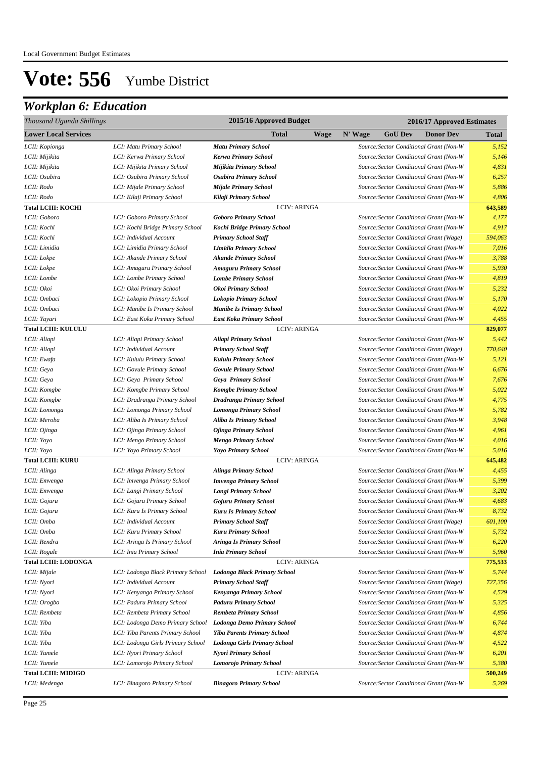## *Workplan 6: Education*

| Thousand Uganda Shillings   |                                   | 2015/16 Approved Budget             | 2016/17 Approved Estimates |         |                |                                         |         |
|-----------------------------|-----------------------------------|-------------------------------------|----------------------------|---------|----------------|-----------------------------------------|---------|
| <b>Lower Local Services</b> |                                   | <b>Total</b>                        | Wage                       | N' Wage | <b>GoU Dev</b> | <b>Donor Dev</b>                        | Total   |
| LCII: Kopionga              | LCI: Matu Primary School          | <b>Matu Primary School</b>          |                            |         |                | Source: Sector Conditional Grant (Non-W | 5,152   |
| LCII: Mijikita              | LCI: Kerwa Primary School         | Kerwa Primary School                |                            |         |                | Source: Sector Conditional Grant (Non-W | 5,146   |
| LCII: Mijikita              | LCI: Mijikita Primary School      | Mijikita Primary School             |                            |         |                | Source: Sector Conditional Grant (Non-W | 4,831   |
| LCII: Osubira               | LCI: Osubira Primary School       | <b>Osubira Primary School</b>       |                            |         |                | Source: Sector Conditional Grant (Non-W | 6,257   |
| LCII: Rodo                  | LCI: Mijale Primary School        | <b>Mijale Primary School</b>        |                            |         |                | Source: Sector Conditional Grant (Non-W | 5,886   |
| LCII: Rodo                  | LCI: Kilaji Primary School        | Kilaji Primary School               |                            |         |                | Source: Sector Conditional Grant (Non-W | 4,806   |
| <b>Total LCIII: KOCHI</b>   |                                   | <b>LCIV: ARINGA</b>                 |                            |         |                |                                         | 643,589 |
| LCII: Goboro                | LCI: Goboro Primary School        | <b>Goboro Primary School</b>        |                            |         |                | Source: Sector Conditional Grant (Non-W | 4,177   |
| LCII: Kochi                 | LCI: Kochi Bridge Primary School  | Kochi Bridge Primary School         |                            |         |                | Source: Sector Conditional Grant (Non-W | 4,917   |
| LCII: Kochi                 | LCI: Individual Account           | <b>Primary School Staff</b>         |                            |         |                | Source: Sector Conditional Grant (Wage) | 594,063 |
| LCII: Limidia               | LCI: Limidia Primary School       | <b>Limidia Primary School</b>       |                            |         |                | Source: Sector Conditional Grant (Non-W | 7,016   |
| LCII: Lokpe                 | LCI: Akande Primary School        | <b>Akande Primary School</b>        |                            |         |                | Source: Sector Conditional Grant (Non-W | 3,788   |
| LCII: Lokpe                 | LCI: Amaguru Primary School       | <b>Amaguru Primary School</b>       |                            |         |                | Source: Sector Conditional Grant (Non-W | 5,930   |
| LCII: Lombe                 | LCI: Lombe Primary School         | <b>Lombe Primary School</b>         |                            |         |                | Source: Sector Conditional Grant (Non-W | 4,819   |
| LCII: Okoi                  | LCI: Okoi Primary School          | Okoi Primary School                 |                            |         |                | Source: Sector Conditional Grant (Non-W | 5,232   |
| LCII: Ombaci                | LCI: Lokopio Primary School       | Lokopio Primary School              |                            |         |                | Source: Sector Conditional Grant (Non-W | 5,170   |
| LCII: Ombaci                | LCI: Manibe Is Primary School     | <b>Manibe Is Primary School</b>     |                            |         |                | Source: Sector Conditional Grant (Non-W | 4,022   |
| LCII: Yayari                | LCI: East Koka Primary School     | <b>East Koka Primary School</b>     |                            |         |                | Source: Sector Conditional Grant (Non-W | 4,455   |
| <b>Total LCIII: KULULU</b>  |                                   | <b>LCIV: ARINGA</b>                 |                            |         |                |                                         | 829,077 |
| LCII: Aliapi                | LCI: Aliapi Primary School        | Aliapi Primary School               |                            |         |                | Source: Sector Conditional Grant (Non-W | 5,442   |
| LCII: Aliapi                | LCI: Individual Account           | <b>Primary School Staff</b>         |                            |         |                | Source: Sector Conditional Grant (Wage) | 770,640 |
| LCII: Ewafa                 | LCI: Kululu Primary School        | Kululu Primary School               |                            |         |                | Source: Sector Conditional Grant (Non-W | 5,121   |
| LCII: Geya                  | LCI: Govule Primary School        | <b>Govule Primary School</b>        |                            |         |                | Source: Sector Conditional Grant (Non-W | 6,676   |
| LCII: Geya                  | LCI: Geya Primary School          | Geya Primary School                 |                            |         |                | Source: Sector Conditional Grant (Non-W | 7,676   |
| LCII: Komgbe                | LCI: Komgbe Primary School        | <b>Komgbe Primary School</b>        |                            |         |                | Source: Sector Conditional Grant (Non-W | 5,022   |
| LCII: Komgbe                | LCI: Dradranga Primary School     | Dradranga Primary School            |                            |         |                | Source: Sector Conditional Grant (Non-W | 4,775   |
| LCII: Lomonga               | LCI: Lomonga Primary School       | <b>Lomonga Primary School</b>       |                            |         |                | Source: Sector Conditional Grant (Non-W | 5,782   |
| LCII: Meroba                | LCI: Aliba Is Primary School      | <b>Aliba Is Primary School</b>      |                            |         |                | Source: Sector Conditional Grant (Non-W | 3,948   |
| LCII: Ojinga                | LCI: Ojinga Primary School        | <b>Ojinga Primary School</b>        |                            |         |                | Source: Sector Conditional Grant (Non-W | 4,961   |
| LCII: Yoyo                  | LCI: Mengo Primary School         | <b>Mengo Primary School</b>         |                            |         |                | Source: Sector Conditional Grant (Non-W | 4,016   |
| LCII: Yoyo                  | LCI: Yoyo Primary School          | <b>Yoyo Primary School</b>          |                            |         |                | Source: Sector Conditional Grant (Non-W | 5,016   |
| <b>Total LCIII: KURU</b>    |                                   | <b>LCIV: ARINGA</b>                 |                            |         |                |                                         | 645,482 |
| LCII: Alinga                | LCI: Alinga Primary School        | <b>Alinga Primary School</b>        |                            |         |                | Source: Sector Conditional Grant (Non-W | 4,455   |
| LCII: Emvenga               | LCI: Imvenga Primary School       | <b>Imvenga Primary School</b>       |                            |         |                | Source: Sector Conditional Grant (Non-W | 5,399   |
| LCII: Emvenga               | LCI: Langi Primary School         | Langi Primary School                |                            |         |                | Source: Sector Conditional Grant (Non-W | 3,202   |
| LCII: Gojuru                | LCI: Gojuru Primary School        | <b>Gojuru Primary School</b>        |                            |         |                | Source: Sector Conditional Grant (Non-W | 4,683   |
| LCII: Gojuru                | LCI: Kuru Is Primary School       | <b>Kuru Is Primary School</b>       |                            |         |                | Source: Sector Conditional Grant (Non-W | 8,732   |
| LCII: Omba                  | LCI: Individual Account           | <b>Primary School Staff</b>         |                            |         |                | Source: Sector Conditional Grant (Wage) | 601,100 |
| LCII: Omba                  | LCI: Kuru Primary School          | <b>Kuru Primary School</b>          |                            |         |                | Source: Sector Conditional Grant (Non-W | 5,732   |
| LCII: Rendra                | LCI: Aringa Is Primary School     | <b>Aringa Is Primary School</b>     |                            |         |                | Source: Sector Conditional Grant (Non-W | 6,220   |
| LCII: Rogale                | LCI: Inia Primary School          | <b>Inia Primary School</b>          |                            |         |                | Source: Sector Conditional Grant (Non-W | 5,960   |
| <b>Total LCIII: LODONGA</b> |                                   | <b>LCIV: ARINGA</b>                 |                            |         |                |                                         | 775,533 |
| LCII: Mijale                | LCI: Lodonga Black Primary School | <b>Lodonga Black Primary School</b> |                            |         |                | Source: Sector Conditional Grant (Non-W | 5,744   |
| LCII: Nyori                 | LCI: Individual Account           | <b>Primary School Staff</b>         |                            |         |                | Source: Sector Conditional Grant (Wage) | 727,356 |
| LCII: Nyori                 | LCI: Kenyanga Primary School      | Kenyanga Primary School             |                            |         |                | Source: Sector Conditional Grant (Non-W | 4,529   |
| LCII: Orogbo                | LCI: Paduru Primary School        | <b>Paduru Primary School</b>        |                            |         |                | Source: Sector Conditional Grant (Non-W | 5,325   |
| LCII: Rembeta               | LCI: Rembeta Primary School       | <b>Rembeta Primary School</b>       |                            |         |                | Source: Sector Conditional Grant (Non-W | 4,856   |
| LCII: Yiba                  | LCI: Lodonga Demo Primary School  | <b>Lodonga Demo Primary School</b>  |                            |         |                | Source: Sector Conditional Grant (Non-W | 6,744   |
| LCII: Yiba                  | LCI: Yiba Parents Primary School  | <b>Yiba Parents Primary School</b>  |                            |         |                | Source: Sector Conditional Grant (Non-W | 4,874   |
| LCII: Yiba                  | LCI: Lodonga Girls Primary School | <b>Lodonga Girls Primary School</b> |                            |         |                | Source: Sector Conditional Grant (Non-W | 4,522   |
| LCII: Yumele                | LCI: Nyori Primary School         | Nyori Primary School                |                            |         |                | Source: Sector Conditional Grant (Non-W | 6,201   |
| LCII: Yumele                | LCI: Lomorojo Primary School      | Lomorojo Primary School             |                            |         |                | Source: Sector Conditional Grant (Non-W | 5,380   |
| <b>Total LCIII: MIDIGO</b>  |                                   | <b>LCIV: ARINGA</b>                 |                            |         |                |                                         | 500,249 |
| LCII: Medenga               | LCI: Binagoro Primary School      | <b>Binagoro Primary School</b>      |                            |         |                | Source: Sector Conditional Grant (Non-W | 5,269   |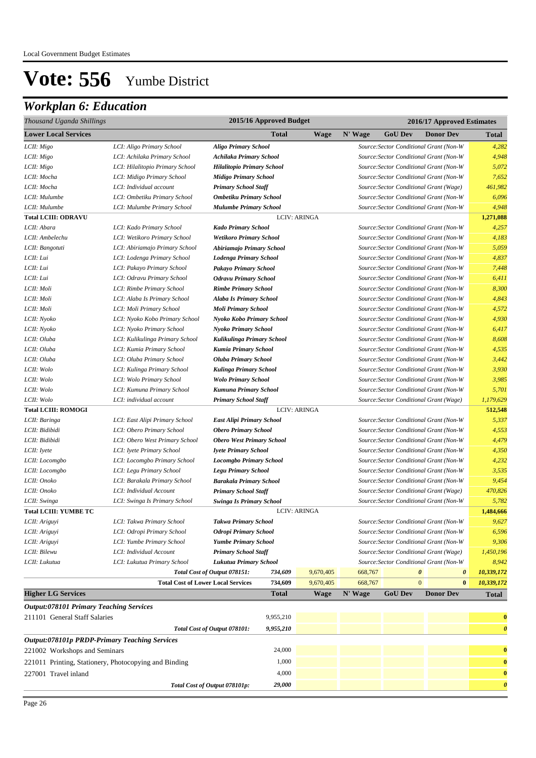## *Workplan 6: Education*

| Thousand Uganda Shillings                             | 2015/16 Approved Budget<br>2016/17 Approved Estimates   |                                                                |              |                     |         |                                         |                                                                                    |                       |
|-------------------------------------------------------|---------------------------------------------------------|----------------------------------------------------------------|--------------|---------------------|---------|-----------------------------------------|------------------------------------------------------------------------------------|-----------------------|
| <b>Lower Local Services</b>                           |                                                         |                                                                | <b>Total</b> | <b>Wage</b>         | N' Wage | <b>GoU Dev</b>                          | <b>Donor Dev</b>                                                                   | <b>Total</b>          |
| LCII: Migo                                            | LCI: Aligo Primary School                               | <b>Aligo Primary School</b>                                    |              |                     |         |                                         | Source: Sector Conditional Grant (Non-W                                            | 4,282                 |
| LCII: Migo                                            | LCI: Achilaka Primary School                            | <b>Achilaka Primary School</b>                                 |              |                     |         |                                         | Source: Sector Conditional Grant (Non-W                                            | 4,948                 |
| LCII: Migo                                            | LCI: Hilalitopio Primary School                         | <b>Hilalitopio Primary School</b>                              |              |                     |         |                                         | Source: Sector Conditional Grant (Non-W                                            | 5,072                 |
| LCII: Mocha                                           | LCI: Midigo Primary School                              | <b>Midigo Primary School</b>                                   |              |                     |         |                                         | Source: Sector Conditional Grant (Non-W                                            | 7,652                 |
| LCII: Mocha                                           | LCI: Individual account                                 | <b>Primary School Staff</b>                                    |              |                     |         | Source: Sector Conditional Grant (Wage) |                                                                                    | 461,982               |
| LCII: Mulumbe                                         | LCI: Ombetiku Primary School                            | <b>Ombetiku Primary School</b>                                 |              |                     |         |                                         | Source: Sector Conditional Grant (Non-W                                            | 6,096                 |
| LCII: Mulumbe                                         | LCI: Mulumbe Primary School                             | <b>Mulumbe Primary School</b>                                  |              |                     |         |                                         | Source: Sector Conditional Grant (Non-W                                            | 4,948                 |
| <b>Total LCIII: ODRAVU</b>                            |                                                         |                                                                |              | <b>LCIV: ARINGA</b> |         |                                         |                                                                                    | 1,271,088             |
| LCII: Abara                                           | LCI: Kado Primary School                                | <b>Kado Primary School</b>                                     |              |                     |         |                                         | Source: Sector Conditional Grant (Non-W                                            | 4,257                 |
| LCII: Ambelechu                                       | LCI: Wetikoro Primary School                            | <b>Wetikoro Primary School</b>                                 |              |                     |         |                                         | Source: Sector Conditional Grant (Non-W                                            | 4,183                 |
| LCII: Bangotuti                                       | LCI: Abiriamajo Primary School                          | Abiriamajo Primary School                                      |              |                     |         |                                         | Source: Sector Conditional Grant (Non-W                                            | 5,059                 |
| LCII: Lui                                             | LCI: Lodenga Primary School                             | <b>Lodenga Primary School</b>                                  |              |                     |         |                                         | Source:Sector Conditional Grant (Non-W                                             | 4,837                 |
| LCII: Lui                                             | LCI: Pakayo Primary School                              | Pakayo Primary School                                          |              |                     |         |                                         | Source: Sector Conditional Grant (Non-W                                            | 7,448                 |
| LCII: Lui                                             | LCI: Odravu Primary School                              | <b>Odravu Primary School</b>                                   |              |                     |         |                                         | Source:Sector Conditional Grant (Non-W                                             | 6,411                 |
| LCII: Moli                                            | LCI: Rimbe Primary School                               | <b>Rimbe Primary School</b>                                    |              |                     |         |                                         | Source: Sector Conditional Grant (Non-W                                            | 8,300                 |
| LCII: Moli                                            | LCI: Alaba Is Primary School                            | <b>Alaba Is Primary School</b>                                 |              |                     |         |                                         | Source: Sector Conditional Grant (Non-W                                            | 4,843                 |
| LCII: Moli                                            | LCI: Moli Primary School                                | <b>Moli Primary School</b>                                     |              |                     |         |                                         | Source: Sector Conditional Grant (Non-W                                            | 4,572                 |
| LCII: Nyoko                                           | LCI: Nyoko Kobo Primary School                          | Nyoko Kobo Primary School                                      |              |                     |         |                                         | Source: Sector Conditional Grant (Non-W                                            | 4,930                 |
| LCII: Nyoko                                           | LCI: Nyoko Primary School                               | Nyoko Primary School                                           |              |                     |         |                                         | Source: Sector Conditional Grant (Non-W                                            | 6,417                 |
| LCII: Oluba                                           | LCI: Kulikulinga Primary School                         | Kulikulinga Primary School                                     |              |                     |         |                                         | Source: Sector Conditional Grant (Non-W                                            | 8,608                 |
| LCII: Oluba                                           | LCI: Kumia Primary School                               | <b>Kumia Primary School</b>                                    |              |                     |         |                                         | Source: Sector Conditional Grant (Non-W                                            | 4,535                 |
| LCII: Oluba                                           | LCI: Oluba Primary School                               | <b>Oluba Primary School</b>                                    |              |                     |         |                                         | Source: Sector Conditional Grant (Non-W                                            | 3,442                 |
| LCII: Wolo                                            | LCI: Kulinga Primary School                             | Kulinga Primary School                                         |              |                     |         |                                         | Source: Sector Conditional Grant (Non-W                                            | 3,930                 |
| LCII: Wolo                                            | LCI: Wolo Primary School                                | <b>Wolo Primary School</b>                                     |              |                     |         |                                         | Source:Sector Conditional Grant (Non-W                                             | 3,985                 |
| LCII: Wolo                                            | LCI: Kumuna Primary School                              | <b>Kumuna Primary School</b>                                   |              |                     |         |                                         | Source: Sector Conditional Grant (Non-W                                            | 5,701                 |
| LCII: Wolo                                            | LCI: individual account                                 | <b>Primary School Staff</b>                                    |              |                     |         | Source: Sector Conditional Grant (Wage) |                                                                                    | 1,179,629             |
| <b>Total LCIII: ROMOGI</b>                            |                                                         |                                                                |              | <b>LCIV: ARINGA</b> |         |                                         |                                                                                    | 512,548               |
| LCII: Baringa                                         | LCI: East Alipi Primary School                          | <b>East Alipi Primary School</b>                               |              |                     |         |                                         | Source: Sector Conditional Grant (Non-W                                            | 5,337                 |
| LCII: Bidibidi                                        | LCI: Obero Primary School                               | <b>Obero Primary School</b>                                    |              |                     |         |                                         | Source: Sector Conditional Grant (Non-W                                            | 4,553                 |
| LCII: Bidibidi                                        | LCI: Obero West Primary School                          | <b>Obero West Primary School</b>                               |              |                     |         |                                         | Source: Sector Conditional Grant (Non-W                                            | 4,479                 |
| LCII: Iyete                                           | LCI: Iyete Primary School                               | <b>Iyete Primary School</b>                                    |              |                     |         |                                         | Source: Sector Conditional Grant (Non-W                                            | 4,350                 |
| LCII: Locomgbo                                        | LCI: Locomgbo Primary School                            | <b>Locomgbo Primary School</b>                                 |              |                     |         |                                         | Source: Sector Conditional Grant (Non-W                                            | 4,232                 |
| LCII: Locomgbo<br>LCII: Onoko                         | LCI: Legu Primary School                                | <b>Legu Primary School</b>                                     |              |                     |         |                                         | Source: Sector Conditional Grant (Non-W<br>Source: Sector Conditional Grant (Non-W | 3,535<br>9,454        |
| LCII: Onoko                                           | LCI: Barakala Primary School<br>LCI: Individual Account | <b>Barakala Primary School</b>                                 |              |                     |         | Source: Sector Conditional Grant (Wage) |                                                                                    | 470,826               |
| LCII: Swinga                                          | LCI: Swinga Is Primary School                           | <b>Primary School Staff</b><br><b>Swinga Is Primary School</b> |              |                     |         |                                         | Source: Sector Conditional Grant (Non-W                                            | 5,782                 |
| <b>Total LCIII: YUMBE TC</b>                          |                                                         |                                                                |              | <b>LCIV: ARINGA</b> |         |                                         |                                                                                    | 1,484,666             |
| LCII: Ariguyi                                         | LCI: Takwa Primary School                               | <b>Takwa Primary School</b>                                    |              |                     |         |                                         | Source: Sector Conditional Grant (Non-W                                            | 9,627                 |
| LCII: Ariguyi                                         | LCI: Odropi Primary School                              | <b>Odropi Primary School</b>                                   |              |                     |         |                                         | Source: Sector Conditional Grant (Non-W                                            | 6,596                 |
| LCII: Ariguyi                                         | LCI: Yumbe Primary School                               | <b>Yumbe Primary School</b>                                    |              |                     |         |                                         | Source: Sector Conditional Grant (Non-W                                            | 9,306                 |
| LCII: Bilewu                                          | LCI: Individual Account                                 | <b>Primary School Staff</b>                                    |              |                     |         | Source: Sector Conditional Grant (Wage) |                                                                                    | 1,450,196             |
| LCII: Lukutua                                         | LCI: Lukutua Primary School                             | Lukutua Primary School                                         |              |                     |         |                                         | Source: Sector Conditional Grant (Non-W                                            | 8,942                 |
|                                                       |                                                         | Total Cost of Output 078151:                                   | 734,609      | 9,670,405           | 668,767 | 0                                       | $\boldsymbol{\theta}$                                                              | 10,339,172            |
|                                                       | <b>Total Cost of Lower Local Services</b>               |                                                                | 734,609      | 9,670,405           | 668,767 | $\overline{0}$                          | $\bf{0}$                                                                           | 10,339,172            |
| <b>Higher LG Services</b>                             |                                                         |                                                                | Total        | <b>Wage</b>         | N' Wage | <b>GoU Dev</b>                          | <b>Donor Dev</b>                                                                   | <b>Total</b>          |
| <b>Output:078101 Primary Teaching Services</b>        |                                                         |                                                                |              |                     |         |                                         |                                                                                    |                       |
| 211101 General Staff Salaries                         |                                                         |                                                                | 9,955,210    |                     |         |                                         |                                                                                    | $\bf{0}$              |
|                                                       |                                                         | Total Cost of Output 078101:                                   | 9,955,210    |                     |         |                                         |                                                                                    | $\boldsymbol{\theta}$ |
| <b>Output:078101p PRDP-Primary Teaching Services</b>  |                                                         |                                                                |              |                     |         |                                         |                                                                                    |                       |
| 221002 Workshops and Seminars                         |                                                         |                                                                | 24,000       |                     |         |                                         |                                                                                    | $\bf{0}$              |
| 221011 Printing, Stationery, Photocopying and Binding |                                                         |                                                                | 1,000        |                     |         |                                         |                                                                                    | $\bf{0}$              |
|                                                       |                                                         |                                                                | 4,000        |                     |         |                                         |                                                                                    |                       |
| 227001 Travel inland                                  |                                                         |                                                                |              |                     |         |                                         |                                                                                    | $\bf{0}$              |
|                                                       |                                                         | Total Cost of Output 078101p:                                  | 29,000       |                     |         |                                         |                                                                                    | $\boldsymbol{\theta}$ |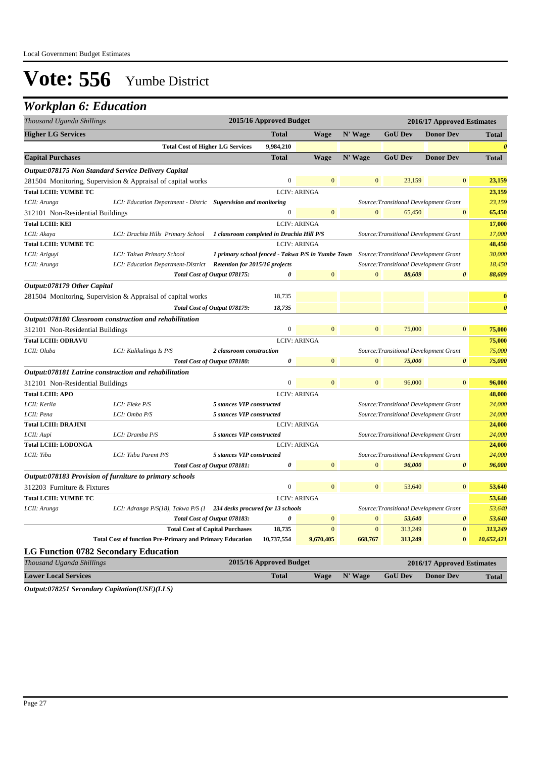### *Workplan 6: Education*

| Thousand Uganda Shillings                   |                                                                      |                                                   | 2015/16 Approved Budget |                     |                |                                        | 2016/17 Approved Estimates |                       |
|---------------------------------------------|----------------------------------------------------------------------|---------------------------------------------------|-------------------------|---------------------|----------------|----------------------------------------|----------------------------|-----------------------|
| <b>Higher LG Services</b>                   |                                                                      |                                                   | <b>Total</b>            | <b>Wage</b>         | N' Wage        | <b>GoU Dev</b>                         | <b>Donor Dev</b>           | <b>Total</b>          |
|                                             | <b>Total Cost of Higher LG Services</b>                              |                                                   | 9,984,210               |                     |                |                                        |                            | $\theta$              |
| <b>Capital Purchases</b>                    |                                                                      |                                                   | <b>Total</b>            | <b>Wage</b>         | N' Wage        | <b>GoU Dev</b>                         | <b>Donor Dev</b>           | <b>Total</b>          |
|                                             | Output:078175 Non Standard Service Delivery Capital                  |                                                   |                         |                     |                |                                        |                            |                       |
|                                             | 281504 Monitoring, Supervision & Appraisal of capital works          |                                                   | $\theta$                | $\Omega$            | $\overline{0}$ | 23,159                                 | $\mathbf{0}$               | 23,159                |
| <b>Total LCIII: YUMBE TC</b>                |                                                                      |                                                   |                         | <b>LCIV: ARINGA</b> |                |                                        |                            | 23,159                |
| LCII: Arunga                                | LCI: Education Department - Distric Supervision and monitoring       |                                                   |                         |                     |                | Source: Transitional Development Grant |                            | 23,159                |
| 312101 Non-Residential Buildings            |                                                                      |                                                   | $\overline{0}$          | $\mathbf{0}$        | $\overline{0}$ | 65,450                                 | $\mathbf{0}$               | 65,450                |
| <b>Total LCIII: KEI</b>                     |                                                                      |                                                   |                         | <b>LCIV: ARINGA</b> |                |                                        |                            | 17,000                |
| LCII: Akaya                                 | LCI: Drachia Hills Primary School                                    | 1 classroom completed in Drachia Hill P/S         |                         |                     |                | Source: Transitional Development Grant |                            | 17,000                |
| <b>Total LCIII: YUMBE TC</b>                |                                                                      |                                                   |                         | <b>LCIV: ARINGA</b> |                |                                        |                            | 48,450                |
| LCII: Ariguyi                               | LCI: Takwa Primary School                                            | 1 primary school fenced - Takwa P/S in Yumbe Town |                         |                     |                | Source: Transitional Development Grant |                            | 30,000                |
| LCII: Arunga                                | LCI: Education Department-District                                   | <b>Retention for 2015/16 projects</b>             |                         |                     |                | Source: Transitional Development Grant |                            | 18,450                |
|                                             |                                                                      | Total Cost of Output 078175:                      | ß                       | $\overline{0}$      | $\Omega$       | 88,609                                 | $\boldsymbol{\theta}$      | 88,609                |
| Output:078179 Other Capital                 |                                                                      |                                                   |                         |                     |                |                                        |                            |                       |
|                                             | 281504 Monitoring, Supervision & Appraisal of capital works          |                                                   | 18,735                  |                     |                |                                        |                            | $\bf{0}$              |
|                                             |                                                                      | Total Cost of Output 078179:                      | 18,735                  |                     |                |                                        |                            | $\boldsymbol{\theta}$ |
|                                             | Output:078180 Classroom construction and rehabilitation              |                                                   |                         |                     |                |                                        |                            |                       |
| 312101 Non-Residential Buildings            |                                                                      |                                                   | $\boldsymbol{0}$        | $\mathbf{0}$        | $\mathbf{0}$   | 75,000                                 | $\mathbf{0}$               | 75,000                |
| <b>Total LCIII: ODRAVU</b>                  |                                                                      |                                                   |                         | <b>LCIV: ARINGA</b> |                |                                        |                            | 75,000                |
| LCII: Oluba                                 | LCI: Kulikulinga Is P/S                                              | 2 classroom construction                          |                         |                     |                | Source: Transitional Development Grant |                            | 75,000                |
|                                             |                                                                      | Total Cost of Output 078180:                      | 0                       | $\overline{0}$      | $\overline{0}$ | 75,000                                 | 0                          | 75,000                |
|                                             | Output:078181 Latrine construction and rehabilitation                |                                                   |                         |                     |                |                                        |                            |                       |
| 312101 Non-Residential Buildings            |                                                                      |                                                   | $\boldsymbol{0}$        | $\overline{0}$      | $\overline{0}$ | 96,000                                 | $\mathbf{0}$               | 96,000                |
| <b>Total LCIII: APO</b>                     |                                                                      |                                                   |                         | <b>LCIV: ARINGA</b> |                |                                        |                            | 48,000                |
| LCII: Kerila                                | LCI: Eleke P/S                                                       | 5 stances VIP constructed                         |                         |                     |                | Source: Transitional Development Grant |                            | 24,000                |
| LCII: Pena                                  | LCI: Omba P/S                                                        | 5 stances VIP constructed                         |                         |                     |                | Source: Transitional Development Grant |                            | 24,000                |
| <b>Total LCIII: DRAJINI</b>                 |                                                                      |                                                   |                         | <b>LCIV: ARINGA</b> |                |                                        |                            | 24,000                |
| LCII: Aupi                                  | LCI: Dramba P/S                                                      | 5 stances VIP constructed                         |                         |                     |                | Source: Transitional Development Grant |                            | 24,000                |
| <b>Total LCIII: LODONGA</b>                 |                                                                      |                                                   |                         | <b>LCIV: ARINGA</b> |                |                                        |                            | 24,000                |
| LCII: Yiba                                  | LCI: Yiiba Parent P/S                                                | 5 stances VIP constructed                         |                         |                     |                | Source: Transitional Development Grant |                            | 24,000                |
|                                             |                                                                      | Total Cost of Output 078181:                      | 0                       | $\mathbf{0}$        | $\overline{0}$ | 96.000                                 | $\boldsymbol{\theta}$      | 96,000                |
|                                             | Output:078183 Provision of furniture to primary schools              |                                                   |                         |                     |                |                                        |                            |                       |
| 312203 Furniture & Fixtures                 |                                                                      |                                                   | $\overline{0}$          | $\Omega$            | $\overline{0}$ | 53,640                                 | $\overline{0}$             | 53,640                |
| <b>Total LCIII: YUMBE TC</b>                |                                                                      |                                                   |                         | <b>LCIV: ARINGA</b> |                |                                        |                            | 53,640                |
| LCII: Arunga                                | LCI: Adranga P/S(18), Takwa P/S (1 234 desks procured for 13 schools |                                                   |                         |                     |                | Source: Transitional Development Grant |                            | 53,640                |
|                                             |                                                                      | Total Cost of Output 078183:                      | $\pmb{\theta}$          | $\mathbf{0}$        | $\mathbf{0}$   | 53,640                                 | $\boldsymbol{\theta}$      | 53,640                |
|                                             |                                                                      | <b>Total Cost of Capital Purchases</b>            | 18,735                  | $\mathbf{0}$        | $\mathbf{0}$   | 313,249                                | $\bf{0}$                   | 313,249               |
|                                             | <b>Total Cost of function Pre-Primary and Primary Education</b>      |                                                   | 10,737,554              | 9,670,405           | 668,767        | 313,249                                | $\bf{0}$                   | 10,652,421            |
| <b>LG Function 0782 Secondary Education</b> |                                                                      |                                                   |                         |                     |                |                                        |                            |                       |
|                                             |                                                                      |                                                   |                         |                     |                |                                        |                            |                       |

| Thousand Uganda Shillings   | 2015/16 Approved Budget |  | 2016/17 Approved Estimates     |  |              |  |
|-----------------------------|-------------------------|--|--------------------------------|--|--------------|--|
| <b>Lower Local Services</b> | <b>Total</b>            |  | Wage N' Wage GoU Dev Donor Dev |  | <b>Total</b> |  |
| .                           |                         |  |                                |  |              |  |

*Output:078251 Secondary Capitation(USE)(LLS)*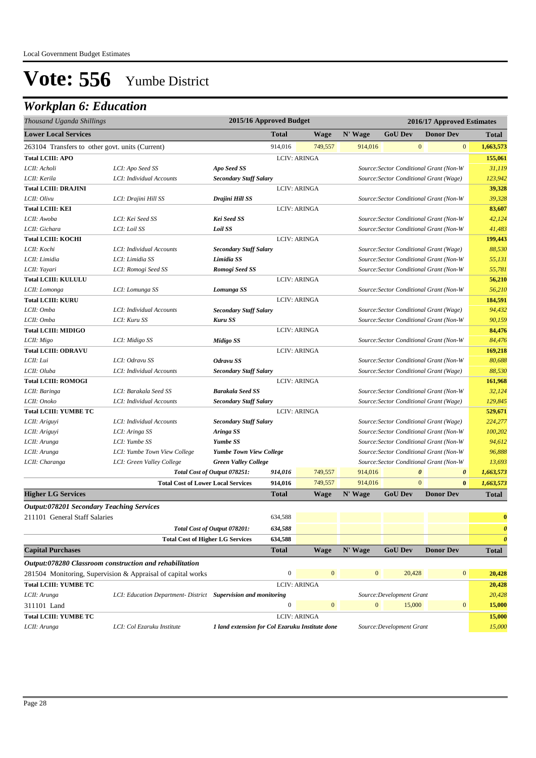## *Workplan 6: Education*

| Thousand Uganda Shillings                       |                              |                                           | 2015/16 Approved Budget                                                  |                     |         | 2016/17 Approved Estimates |                                                |              |
|-------------------------------------------------|------------------------------|-------------------------------------------|--------------------------------------------------------------------------|---------------------|---------|----------------------------|------------------------------------------------|--------------|
| <b>Lower Local Services</b>                     |                              |                                           | <b>Total</b>                                                             | Wage                | N' Wage | <b>GoU Dev</b>             | <b>Donor Dev</b>                               | <b>Total</b> |
| 263104 Transfers to other govt. units (Current) |                              |                                           | 914,016                                                                  | 749,557             | 914,016 |                            | $\mathbf{0}$<br>$\mathbf{0}$                   | 1,663,573    |
| <b>Total LCIII: APO</b>                         |                              |                                           |                                                                          | <b>LCIV: ARINGA</b> |         |                            |                                                | 155,061      |
| LCII: Acholi                                    | LCI: Apo Seed SS             | Apo Seed SS                               |                                                                          |                     |         |                            | Source: Sector Conditional Grant (Non-W        | 31,119       |
| LCII: Kerila                                    | LCI: Individual Accounts     | <b>Secondary Staff Salary</b>             |                                                                          |                     |         |                            | Source: Sector Conditional Grant (Wage)        | 123,942      |
| <b>Total LCIII: DRAJINI</b>                     |                              |                                           |                                                                          | <b>LCIV: ARINGA</b> |         |                            |                                                | 39,328       |
| LCII: Olivu                                     | LCI: Drajini Hill SS         | Drajini Hill SS                           |                                                                          |                     |         |                            | Source: Sector Conditional Grant (Non-W        | 39.328       |
| <b>Total LCIII: KEI</b>                         |                              |                                           |                                                                          | <b>LCIV: ARINGA</b> |         |                            |                                                | 83,607       |
| LCII: Awoba                                     | LCI: Kei Seed SS             | <b>Kei Seed SS</b>                        |                                                                          |                     |         |                            | Source: Sector Conditional Grant (Non-W        | 42,124       |
| LCII: Gichara                                   | LCI: Loil SS                 | Loil SS                                   |                                                                          |                     |         |                            | Source: Sector Conditional Grant (Non-W        | 41,483       |
| <b>Total LCIII: KOCHI</b>                       |                              |                                           |                                                                          | <b>LCIV: ARINGA</b> |         |                            |                                                | 199,443      |
| LCII: Kochi                                     | LCI: Individual Accounts     | <b>Secondary Staff Salary</b>             |                                                                          |                     |         |                            | Source: Sector Conditional Grant (Wage)        | 88,530       |
| LCII: Limidia                                   | LCI: Limidia SS              | Limidia SS                                | Source: Sector Conditional Grant (Non-W                                  |                     |         |                            | 55,131                                         |              |
| LCII: Yayari                                    | LCI: Romogi Seed SS          | Romogi Seed SS                            | Source: Sector Conditional Grant (Non-W                                  |                     |         |                            |                                                | 55,781       |
| <b>Total LCIII: KULULU</b>                      |                              |                                           |                                                                          | <b>LCIV: ARINGA</b> |         |                            |                                                | 56,210       |
| LCII: Lomonga                                   | LCI: Lomunga SS              | Lomunga SS                                |                                                                          |                     |         |                            | Source: Sector Conditional Grant (Non-W        | 56,210       |
| <b>Total LCIII: KURU</b>                        |                              | <b>LCIV: ARINGA</b>                       |                                                                          |                     |         | 184,591                    |                                                |              |
| LCII: Omba                                      | LCI: Individual Accounts     |                                           | <b>Secondary Staff Salary</b><br>Source: Sector Conditional Grant (Wage) |                     |         |                            |                                                | 94,432       |
| LCII: Omba                                      | LCI: Kuru SS                 | Kuru SS                                   | Source: Sector Conditional Grant (Non-W                                  |                     |         |                            | 90,159                                         |              |
| <b>Total LCIII: MIDIGO</b>                      |                              |                                           |                                                                          | <b>LCIV: ARINGA</b> |         |                            |                                                | 84,476       |
| LCII: Migo                                      | LCI: Midigo SS               | Midigo SS                                 |                                                                          |                     |         |                            | Source: Sector Conditional Grant (Non-W        | 84,476       |
| <b>Total LCIII: ODRAVU</b>                      |                              |                                           |                                                                          | <b>LCIV: ARINGA</b> |         |                            |                                                | 169,218      |
| LCII: Lui                                       | LCI: Odravu SS               | <b>Odravu SS</b>                          |                                                                          |                     |         |                            | Source: Sector Conditional Grant (Non-W        | 80,688       |
| LCII: Oluba                                     | LCI: Individual Accounts     | <b>Secondary Staff Salary</b>             |                                                                          |                     |         |                            | Source: Sector Conditional Grant (Wage)        | 88.530       |
| <b>Total LCIII: ROMOGI</b>                      |                              |                                           |                                                                          | <b>LCIV: ARINGA</b> |         |                            |                                                | 161,968      |
| LCII: Baringa                                   | LCI: Barakala Seed SS        | <b>Barakala Seed SS</b>                   |                                                                          |                     |         |                            | Source: Sector Conditional Grant (Non-W        | 32,124       |
| LCII: Onoko                                     | LCI: Individual Accounts     | <b>Secondary Staff Salary</b>             |                                                                          |                     |         |                            | Source: Sector Conditional Grant (Wage)        | 129,845      |
| <b>Total LCIII: YUMBE TC</b>                    |                              |                                           |                                                                          | <b>LCIV: ARINGA</b> |         |                            |                                                | 529,671      |
| LCII: Ariguyi                                   | LCI: Individual Accounts     | <b>Secondary Staff Salary</b>             |                                                                          |                     |         |                            | Source: Sector Conditional Grant (Wage)        | 224,277      |
| LCII: Ariguyi                                   | LCI: Aringa SS               | Aringa SS                                 |                                                                          |                     |         |                            | Source: Sector Conditional Grant (Non-W        | 100,202      |
| LCII: Arunga                                    | LCI: Yumbe SS                | <b>Yumbe SS</b>                           | Source: Sector Conditional Grant (Non-W                                  |                     |         |                            |                                                | 94,612       |
| LCII: Arunga                                    | LCI: Yumbe Town View College | Yumbe Town View College                   |                                                                          |                     |         |                            | Source: Sector Conditional Grant (Non-W        | 96,888       |
| LCII: Charanga                                  | LCI: Green Valley College    | <b>Green Valley College</b>               |                                                                          |                     |         |                            | Source: Sector Conditional Grant (Non-W        | 13,693       |
|                                                 |                              | Total Cost of Output 078251:              | 914,016                                                                  | 749,557             | 914,016 |                            | $\boldsymbol{\theta}$<br>$\boldsymbol{\theta}$ | 1,663,573    |
|                                                 |                              | <b>Total Cost of Lower Local Services</b> | 914,016                                                                  | 749,557             | 914,016 |                            | $\overline{0}$<br>$\bf{0}$                     | 1,663,573    |
| <b>Higher LG Services</b>                       |                              |                                           | <b>Total</b>                                                             | Wage                | N' Wage | <b>GoU Dev</b>             | <b>Donor Dev</b>                               | <b>Total</b> |

#### *Output:078201 Secondary Teaching Services*

| 211101 General Staff Salaries |                                                                |                                                 | 634,588                                                                  |                     |                |                           |                  | $\bf{0}$              |
|-------------------------------|----------------------------------------------------------------|-------------------------------------------------|--------------------------------------------------------------------------|---------------------|----------------|---------------------------|------------------|-----------------------|
|                               |                                                                | Total Cost of Output 078201:                    | 634,588                                                                  |                     |                |                           |                  | $\boldsymbol{\theta}$ |
|                               | <b>Total Cost of Higher LG Services</b>                        |                                                 | 634,588                                                                  |                     |                |                           |                  | $\theta$              |
| <b>Capital Purchases</b>      |                                                                |                                                 | <b>Total</b>                                                             | <b>Wage</b>         | N' Wage        | <b>GoU Dev</b>            | <b>Donor Dev</b> | <b>Total</b>          |
|                               | Output:078280 Classroom construction and rehabilitation        |                                                 |                                                                          |                     |                |                           |                  |                       |
|                               | 281504 Monitoring, Supervision & Appraisal of capital works    |                                                 | $\overline{0}$<br>$\overline{0}$<br>$\overline{0}$<br>20,428<br>$\Omega$ |                     |                |                           | 20,428           |                       |
| <b>Total LCIII: YUMBE TC</b>  |                                                                |                                                 |                                                                          | <b>LCIV: ARINGA</b> |                |                           |                  | 20,428                |
| LCII: Arunga                  | LCI: Education Department- District Supervision and monitoring |                                                 |                                                                          |                     |                | Source: Development Grant |                  | 20,428                |
| 311101 Land                   |                                                                |                                                 | $\Omega$                                                                 | $\overline{0}$      | $\overline{0}$ | 15,000                    | $\mathbf{0}$     | 15,000                |
| <b>Total LCIII: YUMBE TC</b>  |                                                                |                                                 |                                                                          | <b>LCIV: ARINGA</b> |                |                           |                  | 15,000                |
| LCII: Arunga                  | LCI: Col Ezaruku Institute                                     | 1 land extension for Col Ezaruku Institute done |                                                                          |                     |                | Source: Development Grant |                  | 15,000                |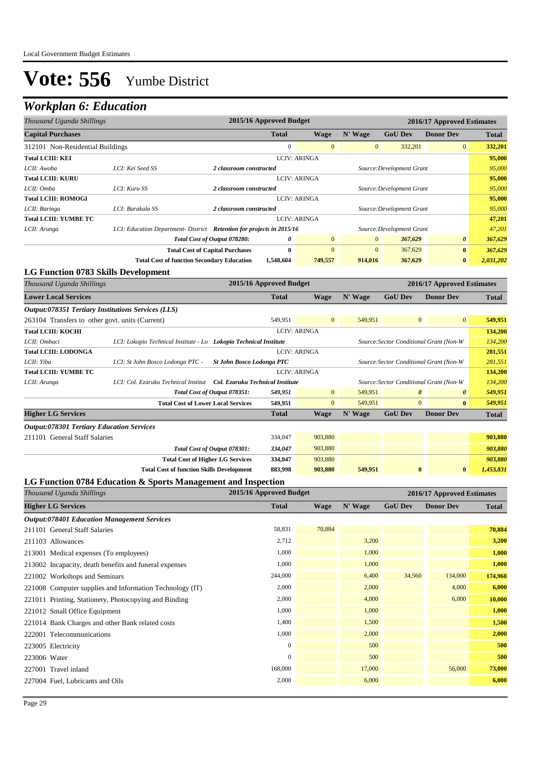## *Workplan 6: Education*

| Thousand Uganda Shillings                                          |                                                                       | 2015/16 Approved Budget                              |                     |              |                           | 2016/17 Approved Estimates |              |
|--------------------------------------------------------------------|-----------------------------------------------------------------------|------------------------------------------------------|---------------------|--------------|---------------------------|----------------------------|--------------|
| <b>Capital Purchases</b>                                           |                                                                       | <b>Total</b>                                         | Wage                | N' Wage      | <b>GoU Dev</b>            | <b>Donor Dev</b>           | <b>Total</b> |
| 312101 Non-Residential Buildings                                   |                                                                       | $\Omega$                                             | $\overline{0}$      | $\mathbf{0}$ | 332,201                   | $\overline{0}$             | 332,201      |
| <b>Total LCIII: KEI</b>                                            |                                                                       |                                                      | <b>LCIV: ARINGA</b> |              |                           |                            | 95,000       |
| LCII: Awoba                                                        | LCI: Kei Seed SS                                                      | 2 classroom constructed                              |                     |              | Source: Development Grant |                            | 95,000       |
| <b>Total LCIII: KURU</b>                                           |                                                                       | <b>LCIV: ARINGA</b>                                  |                     |              |                           |                            |              |
| LCII: Omba                                                         | LCI: Kuru SS                                                          | Source: Development Grant<br>2 classroom constructed |                     |              |                           |                            | 95,000       |
| <b>Total LCIII: ROMOGI</b>                                         |                                                                       | <b>LCIV: ARINGA</b>                                  |                     |              |                           |                            | 95,000       |
| LCII: Baringa                                                      | LCI: Barakala SS                                                      | 2 classroom constructed                              |                     |              | Source: Development Grant |                            | 95,000       |
| Total LCIII: YUMBE TC                                              |                                                                       |                                                      | <b>LCIV: ARINGA</b> |              |                           |                            | 47,201       |
| LCII: Arunga                                                       | LCI: Education Department- District Retention for projects in 2015/16 |                                                      |                     |              | Source: Development Grant |                            | 47,201       |
|                                                                    |                                                                       | 0<br>Total Cost of Output 078280:                    | $\overline{0}$      | $\mathbf{0}$ | 367,629                   | $\boldsymbol{\theta}$      | 367,629      |
| $\mathbf{0}$<br><b>Total Cost of Capital Purchases</b><br>$\bf{0}$ |                                                                       |                                                      | $\mathbf{0}$        | 367,629      | $\bf{0}$                  | 367,629                    |              |
|                                                                    | <b>Total Cost of function Secondary Education</b>                     | 1,548,604                                            | 749,557             | 914,016      | 367,629                   | $\bf{0}$                   | 2,031,202    |
| LG Function 0783 Skills Development                                |                                                                       |                                                      |                     |              |                           |                            |              |

| Thousand Uganda Shillings                          |                                                                          | 2015/16 Approved Budget                                 |                                         |                                         |                | 2016/17 Approved Estimates                     |           |
|----------------------------------------------------|--------------------------------------------------------------------------|---------------------------------------------------------|-----------------------------------------|-----------------------------------------|----------------|------------------------------------------------|-----------|
| <b>Lower Local Services</b>                        |                                                                          | <b>Total</b>                                            | Wage                                    | N' Wage                                 | <b>GoU Dev</b> | <b>Donor Dev</b>                               | Total     |
| Output:078351 Tertiary Institutions Services (LLS) |                                                                          |                                                         |                                         |                                         |                |                                                |           |
| 263104 Transfers to other govt. units (Current)    |                                                                          | 549,951                                                 | $\mathbf{0}$                            | 549,951                                 |                | $\overline{0}$<br>$\mathbf{0}$                 | 549,951   |
| <b>Total LCIII: KOCHI</b>                          |                                                                          |                                                         | <b>LCIV: ARINGA</b>                     |                                         |                |                                                | 134,200   |
| LCII: Ombaci                                       | LCI: Lokopio Technical Institute - Lo Lokopio Technical Institute        |                                                         |                                         |                                         |                | Source: Sector Conditional Grant (Non-W        | 134,200   |
| <b>Total LCIII: LODONGA</b>                        |                                                                          | <b>LCIV: ARINGA</b><br><b>St John Bosco Lodonga PTC</b> |                                         |                                         |                | 281,551                                        |           |
| LCII: Yiba                                         | LCI: St John Bosco Lodonga PTC -                                         |                                                         |                                         | Source: Sector Conditional Grant (Non-W |                |                                                |           |
| <b>Total LCIII: YUMBE TC</b>                       |                                                                          |                                                         | <b>LCIV: ARINGA</b>                     |                                         |                |                                                | 134,200   |
| LCII: Arunga                                       | LCI: Col. Ezaruku Technical Institut<br>Col. Ezaruku Technical Institute |                                                         | Source: Sector Conditional Grant (Non-W |                                         |                |                                                |           |
|                                                    | Total Cost of Output 078351:                                             | 549,951                                                 | $\mathbf{0}$                            | 549,951                                 |                | $\boldsymbol{\theta}$<br>$\boldsymbol{\theta}$ | 549,951   |
|                                                    | <b>Total Cost of Lower Local Services</b>                                | 549,951                                                 | $\mathbf{0}$                            | 549,951                                 | $\overline{0}$ | 549,951                                        |           |
| <b>Higher LG Services</b>                          |                                                                          | <b>Total</b>                                            | <b>Wage</b>                             | N' Wage                                 | <b>GoU Dev</b> | <b>Donor Dev</b>                               | Total     |
| <b>Output:078301 Tertiary Education Services</b>   |                                                                          |                                                         |                                         |                                         |                |                                                |           |
| 211101 General Staff Salaries                      |                                                                          | 334,047                                                 | 903,880                                 |                                         |                |                                                | 903,880   |
|                                                    | Total Cost of Output 078301:                                             | 334,047                                                 | 903,880                                 |                                         |                |                                                | 903,880   |
|                                                    | <b>Total Cost of Higher LG Services</b>                                  | 334,047                                                 | 903,880                                 |                                         |                |                                                | 903,880   |
|                                                    | <b>Total Cost of function Skills Development</b>                         | 883,998                                                 | 903,880                                 | 549,951                                 | $\bf{0}$       | $\bf{0}$                                       | 1,453,831 |

#### **LG Function 0784 Education & Sports Management and Inspection**

| Thousand Uganda Shillings                                | 2015/16 Approved Budget |             |         |                | 2016/17 Approved Estimates |              |
|----------------------------------------------------------|-------------------------|-------------|---------|----------------|----------------------------|--------------|
| <b>Higher LG Services</b>                                | <b>Total</b>            | <b>Wage</b> | N' Wage | <b>GoU Dev</b> | <b>Donor Dev</b>           | <b>Total</b> |
| <b>Output:078401 Education Management Services</b>       |                         |             |         |                |                            |              |
| 211101 General Staff Salaries                            | 58,831                  | 70,884      |         |                |                            | 70,884       |
| 211103 Allowances                                        | 2,712                   |             | 3,200   |                |                            | 3,200        |
| 213001 Medical expenses (To employees)                   | 1,000                   |             | 1,000   |                |                            | 1,000        |
| 213002 Incapacity, death benefits and funeral expenses   | 1,000                   |             | 1,000   |                |                            | 1,000        |
| 221002 Workshops and Seminars                            | 244,000                 |             | 6,400   | 34,560         | 134,000                    | 174,960      |
| 221008 Computer supplies and Information Technology (IT) | 2,000                   |             | 2,000   |                | 4,000                      | 6,000        |
| 221011 Printing, Stationery, Photocopying and Binding    | 2,000                   |             | 4,000   |                | 6,000                      | 10,000       |
| 221012 Small Office Equipment                            | 1,000                   |             | 1,000   |                |                            | 1,000        |
| 221014 Bank Charges and other Bank related costs         | 1,400                   |             | 1,500   |                |                            | 1,500        |
| 222001 Telecommunications                                | 1,000                   |             | 2,000   |                |                            | 2,000        |
| 223005 Electricity                                       | $\mathbf{0}$            |             | 500     |                |                            | 500          |
| 223006 Water                                             | $\mathbf{0}$            |             | 500     |                |                            | 500          |
| 227001 Travel inland                                     | 168,000                 |             | 17,000  |                | 56,000                     | 73,000       |
| 227004 Fuel, Lubricants and Oils                         | 2,000                   |             | 6,000   |                |                            | 6,000        |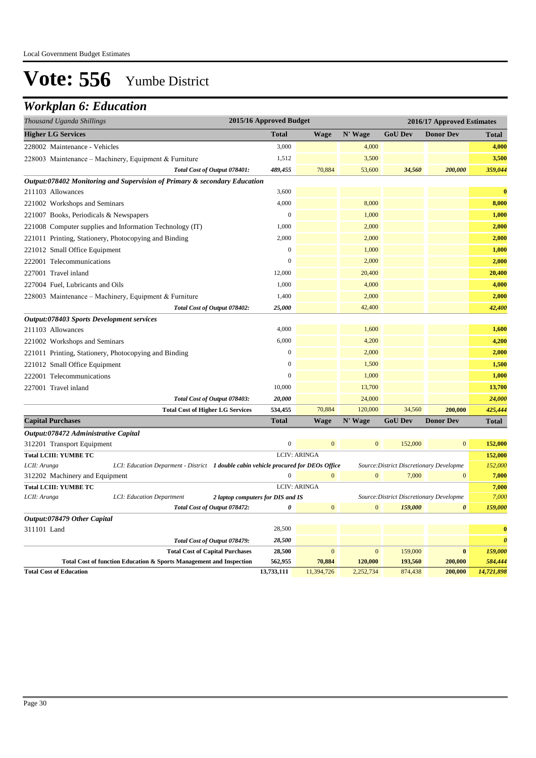### *Workplan 6: Education*

| <b>Higher LG Services</b><br><b>Total</b><br>N' Wage<br><b>GoU Dev</b><br><b>Donor Dev</b><br><b>Wage</b><br><b>Total</b><br>3,000<br>4,000<br>228002 Maintenance - Vehicles<br>1,512<br>3,500<br>228003 Maintenance – Machinery, Equipment & Furniture<br>Total Cost of Output 078401:<br>34,560<br>200,000<br>489,455<br>70,884<br>53,600<br>Output:078402 Monitoring and Supervision of Primary & secondary Education<br>211103 Allowances<br>3,600<br>4,000<br>8,000<br>221002 Workshops and Seminars<br>$\boldsymbol{0}$<br>1,000<br>221007 Books, Periodicals & Newspapers<br>1,000<br>2,000<br>221008 Computer supplies and Information Technology (IT)<br>2,000<br>2,000<br>221011 Printing, Stationery, Photocopying and Binding<br>$\mathbf{0}$<br>1,000<br>221012 Small Office Equipment<br>$\theta$<br>2,000<br>222001 Telecommunications<br>12,000<br>20,400<br>227001 Travel inland<br>1,000<br>227004 Fuel, Lubricants and Oils<br>4,000<br>1,400<br>2,000<br>228003 Maintenance – Machinery, Equipment & Furniture<br>Total Cost of Output 078402:<br>25,000<br>42,400<br>Output:078403 Sports Development services<br>4,000<br>1,600<br>211103 Allowances<br>6,000<br>4,200<br>221002 Workshops and Seminars<br>$\boldsymbol{0}$<br>2,000<br>221011 Printing, Stationery, Photocopying and Binding<br>$\mathbf{0}$<br>1,500<br>221012 Small Office Equipment<br>$\mathbf{0}$<br>1,000<br>222001 Telecommunications<br>10,000<br>13,700<br>227001 Travel inland<br>24,000<br>Total Cost of Output 078403:<br>20,000<br>70,884<br>120,000<br>34,560<br>534,455<br>200,000<br><b>Total Cost of Higher LG Services</b><br>N' Wage<br><b>GoU Dev</b><br><b>Donor Dev</b><br><b>Total</b><br><b>Wage</b><br><b>Capital Purchases</b><br>Total<br>Output:078472 Administrative Capital<br>$\boldsymbol{0}$<br>$\overline{0}$<br>$\overline{0}$<br>$\mathbf{0}$<br>152,000<br>312201 Transport Equipment<br><b>Total LCIII: YUMBE TC</b><br><b>LCIV: ARINGA</b><br>LCII: Arunga<br>LCI: Education Deparment - District 1 double cabin vehicle procured for DEOs Office<br>Source: District Discretionary Developme |
|-----------------------------------------------------------------------------------------------------------------------------------------------------------------------------------------------------------------------------------------------------------------------------------------------------------------------------------------------------------------------------------------------------------------------------------------------------------------------------------------------------------------------------------------------------------------------------------------------------------------------------------------------------------------------------------------------------------------------------------------------------------------------------------------------------------------------------------------------------------------------------------------------------------------------------------------------------------------------------------------------------------------------------------------------------------------------------------------------------------------------------------------------------------------------------------------------------------------------------------------------------------------------------------------------------------------------------------------------------------------------------------------------------------------------------------------------------------------------------------------------------------------------------------------------------------------------------------------------------------------------------------------------------------------------------------------------------------------------------------------------------------------------------------------------------------------------------------------------------------------------------------------------------------------------------------------------------------------------------------------------------------------------------------------------------------------------------------------------------------------------------|
| 4,000<br>3,500<br>359,044<br>$\bf{0}$                                                                                                                                                                                                                                                                                                                                                                                                                                                                                                                                                                                                                                                                                                                                                                                                                                                                                                                                                                                                                                                                                                                                                                                                                                                                                                                                                                                                                                                                                                                                                                                                                                                                                                                                                                                                                                                                                                                                                                                                                                                                                       |
|                                                                                                                                                                                                                                                                                                                                                                                                                                                                                                                                                                                                                                                                                                                                                                                                                                                                                                                                                                                                                                                                                                                                                                                                                                                                                                                                                                                                                                                                                                                                                                                                                                                                                                                                                                                                                                                                                                                                                                                                                                                                                                                             |
|                                                                                                                                                                                                                                                                                                                                                                                                                                                                                                                                                                                                                                                                                                                                                                                                                                                                                                                                                                                                                                                                                                                                                                                                                                                                                                                                                                                                                                                                                                                                                                                                                                                                                                                                                                                                                                                                                                                                                                                                                                                                                                                             |
|                                                                                                                                                                                                                                                                                                                                                                                                                                                                                                                                                                                                                                                                                                                                                                                                                                                                                                                                                                                                                                                                                                                                                                                                                                                                                                                                                                                                                                                                                                                                                                                                                                                                                                                                                                                                                                                                                                                                                                                                                                                                                                                             |
|                                                                                                                                                                                                                                                                                                                                                                                                                                                                                                                                                                                                                                                                                                                                                                                                                                                                                                                                                                                                                                                                                                                                                                                                                                                                                                                                                                                                                                                                                                                                                                                                                                                                                                                                                                                                                                                                                                                                                                                                                                                                                                                             |
| 8,000<br>1,000<br>2,000<br>2,000<br>1,000<br>2,000<br>20,400<br>4,000<br>2,000<br>42,400<br>1,600<br>4,200<br>2,000<br>1,500                                                                                                                                                                                                                                                                                                                                                                                                                                                                                                                                                                                                                                                                                                                                                                                                                                                                                                                                                                                                                                                                                                                                                                                                                                                                                                                                                                                                                                                                                                                                                                                                                                                                                                                                                                                                                                                                                                                                                                                                |
|                                                                                                                                                                                                                                                                                                                                                                                                                                                                                                                                                                                                                                                                                                                                                                                                                                                                                                                                                                                                                                                                                                                                                                                                                                                                                                                                                                                                                                                                                                                                                                                                                                                                                                                                                                                                                                                                                                                                                                                                                                                                                                                             |
|                                                                                                                                                                                                                                                                                                                                                                                                                                                                                                                                                                                                                                                                                                                                                                                                                                                                                                                                                                                                                                                                                                                                                                                                                                                                                                                                                                                                                                                                                                                                                                                                                                                                                                                                                                                                                                                                                                                                                                                                                                                                                                                             |
|                                                                                                                                                                                                                                                                                                                                                                                                                                                                                                                                                                                                                                                                                                                                                                                                                                                                                                                                                                                                                                                                                                                                                                                                                                                                                                                                                                                                                                                                                                                                                                                                                                                                                                                                                                                                                                                                                                                                                                                                                                                                                                                             |
|                                                                                                                                                                                                                                                                                                                                                                                                                                                                                                                                                                                                                                                                                                                                                                                                                                                                                                                                                                                                                                                                                                                                                                                                                                                                                                                                                                                                                                                                                                                                                                                                                                                                                                                                                                                                                                                                                                                                                                                                                                                                                                                             |
|                                                                                                                                                                                                                                                                                                                                                                                                                                                                                                                                                                                                                                                                                                                                                                                                                                                                                                                                                                                                                                                                                                                                                                                                                                                                                                                                                                                                                                                                                                                                                                                                                                                                                                                                                                                                                                                                                                                                                                                                                                                                                                                             |
|                                                                                                                                                                                                                                                                                                                                                                                                                                                                                                                                                                                                                                                                                                                                                                                                                                                                                                                                                                                                                                                                                                                                                                                                                                                                                                                                                                                                                                                                                                                                                                                                                                                                                                                                                                                                                                                                                                                                                                                                                                                                                                                             |
|                                                                                                                                                                                                                                                                                                                                                                                                                                                                                                                                                                                                                                                                                                                                                                                                                                                                                                                                                                                                                                                                                                                                                                                                                                                                                                                                                                                                                                                                                                                                                                                                                                                                                                                                                                                                                                                                                                                                                                                                                                                                                                                             |
|                                                                                                                                                                                                                                                                                                                                                                                                                                                                                                                                                                                                                                                                                                                                                                                                                                                                                                                                                                                                                                                                                                                                                                                                                                                                                                                                                                                                                                                                                                                                                                                                                                                                                                                                                                                                                                                                                                                                                                                                                                                                                                                             |
|                                                                                                                                                                                                                                                                                                                                                                                                                                                                                                                                                                                                                                                                                                                                                                                                                                                                                                                                                                                                                                                                                                                                                                                                                                                                                                                                                                                                                                                                                                                                                                                                                                                                                                                                                                                                                                                                                                                                                                                                                                                                                                                             |
|                                                                                                                                                                                                                                                                                                                                                                                                                                                                                                                                                                                                                                                                                                                                                                                                                                                                                                                                                                                                                                                                                                                                                                                                                                                                                                                                                                                                                                                                                                                                                                                                                                                                                                                                                                                                                                                                                                                                                                                                                                                                                                                             |
|                                                                                                                                                                                                                                                                                                                                                                                                                                                                                                                                                                                                                                                                                                                                                                                                                                                                                                                                                                                                                                                                                                                                                                                                                                                                                                                                                                                                                                                                                                                                                                                                                                                                                                                                                                                                                                                                                                                                                                                                                                                                                                                             |
|                                                                                                                                                                                                                                                                                                                                                                                                                                                                                                                                                                                                                                                                                                                                                                                                                                                                                                                                                                                                                                                                                                                                                                                                                                                                                                                                                                                                                                                                                                                                                                                                                                                                                                                                                                                                                                                                                                                                                                                                                                                                                                                             |
|                                                                                                                                                                                                                                                                                                                                                                                                                                                                                                                                                                                                                                                                                                                                                                                                                                                                                                                                                                                                                                                                                                                                                                                                                                                                                                                                                                                                                                                                                                                                                                                                                                                                                                                                                                                                                                                                                                                                                                                                                                                                                                                             |
|                                                                                                                                                                                                                                                                                                                                                                                                                                                                                                                                                                                                                                                                                                                                                                                                                                                                                                                                                                                                                                                                                                                                                                                                                                                                                                                                                                                                                                                                                                                                                                                                                                                                                                                                                                                                                                                                                                                                                                                                                                                                                                                             |
| 1,000<br>13,700<br>24,000<br>425,444<br>152,000<br>152,000<br>152,000                                                                                                                                                                                                                                                                                                                                                                                                                                                                                                                                                                                                                                                                                                                                                                                                                                                                                                                                                                                                                                                                                                                                                                                                                                                                                                                                                                                                                                                                                                                                                                                                                                                                                                                                                                                                                                                                                                                                                                                                                                                       |
|                                                                                                                                                                                                                                                                                                                                                                                                                                                                                                                                                                                                                                                                                                                                                                                                                                                                                                                                                                                                                                                                                                                                                                                                                                                                                                                                                                                                                                                                                                                                                                                                                                                                                                                                                                                                                                                                                                                                                                                                                                                                                                                             |
|                                                                                                                                                                                                                                                                                                                                                                                                                                                                                                                                                                                                                                                                                                                                                                                                                                                                                                                                                                                                                                                                                                                                                                                                                                                                                                                                                                                                                                                                                                                                                                                                                                                                                                                                                                                                                                                                                                                                                                                                                                                                                                                             |
|                                                                                                                                                                                                                                                                                                                                                                                                                                                                                                                                                                                                                                                                                                                                                                                                                                                                                                                                                                                                                                                                                                                                                                                                                                                                                                                                                                                                                                                                                                                                                                                                                                                                                                                                                                                                                                                                                                                                                                                                                                                                                                                             |
|                                                                                                                                                                                                                                                                                                                                                                                                                                                                                                                                                                                                                                                                                                                                                                                                                                                                                                                                                                                                                                                                                                                                                                                                                                                                                                                                                                                                                                                                                                                                                                                                                                                                                                                                                                                                                                                                                                                                                                                                                                                                                                                             |
|                                                                                                                                                                                                                                                                                                                                                                                                                                                                                                                                                                                                                                                                                                                                                                                                                                                                                                                                                                                                                                                                                                                                                                                                                                                                                                                                                                                                                                                                                                                                                                                                                                                                                                                                                                                                                                                                                                                                                                                                                                                                                                                             |
|                                                                                                                                                                                                                                                                                                                                                                                                                                                                                                                                                                                                                                                                                                                                                                                                                                                                                                                                                                                                                                                                                                                                                                                                                                                                                                                                                                                                                                                                                                                                                                                                                                                                                                                                                                                                                                                                                                                                                                                                                                                                                                                             |
|                                                                                                                                                                                                                                                                                                                                                                                                                                                                                                                                                                                                                                                                                                                                                                                                                                                                                                                                                                                                                                                                                                                                                                                                                                                                                                                                                                                                                                                                                                                                                                                                                                                                                                                                                                                                                                                                                                                                                                                                                                                                                                                             |
|                                                                                                                                                                                                                                                                                                                                                                                                                                                                                                                                                                                                                                                                                                                                                                                                                                                                                                                                                                                                                                                                                                                                                                                                                                                                                                                                                                                                                                                                                                                                                                                                                                                                                                                                                                                                                                                                                                                                                                                                                                                                                                                             |
|                                                                                                                                                                                                                                                                                                                                                                                                                                                                                                                                                                                                                                                                                                                                                                                                                                                                                                                                                                                                                                                                                                                                                                                                                                                                                                                                                                                                                                                                                                                                                                                                                                                                                                                                                                                                                                                                                                                                                                                                                                                                                                                             |
| $\boldsymbol{0}$<br>$\mathbf{0}$<br>$\mathbf{0}$<br>$\mathbf{0}$<br>7,000<br>7,000<br>312202 Machinery and Equipment                                                                                                                                                                                                                                                                                                                                                                                                                                                                                                                                                                                                                                                                                                                                                                                                                                                                                                                                                                                                                                                                                                                                                                                                                                                                                                                                                                                                                                                                                                                                                                                                                                                                                                                                                                                                                                                                                                                                                                                                        |
| <b>LCIV: ARINGA</b><br><b>Total LCIII: YUMBE TC</b><br>7,000                                                                                                                                                                                                                                                                                                                                                                                                                                                                                                                                                                                                                                                                                                                                                                                                                                                                                                                                                                                                                                                                                                                                                                                                                                                                                                                                                                                                                                                                                                                                                                                                                                                                                                                                                                                                                                                                                                                                                                                                                                                                |
| 7,000<br>LCII: Arunga<br>Source: District Discretionary Developme<br>LCI: Education Department<br>2 laptop computers for DIS and IS                                                                                                                                                                                                                                                                                                                                                                                                                                                                                                                                                                                                                                                                                                                                                                                                                                                                                                                                                                                                                                                                                                                                                                                                                                                                                                                                                                                                                                                                                                                                                                                                                                                                                                                                                                                                                                                                                                                                                                                         |
| $\overline{0}$<br>$\mathbf{0}$<br>159,000<br>Total Cost of Output 078472:<br>$\boldsymbol{\theta}$<br>159,000<br>$\boldsymbol{\theta}$                                                                                                                                                                                                                                                                                                                                                                                                                                                                                                                                                                                                                                                                                                                                                                                                                                                                                                                                                                                                                                                                                                                                                                                                                                                                                                                                                                                                                                                                                                                                                                                                                                                                                                                                                                                                                                                                                                                                                                                      |
| Output:078479 Other Capital<br>28,500                                                                                                                                                                                                                                                                                                                                                                                                                                                                                                                                                                                                                                                                                                                                                                                                                                                                                                                                                                                                                                                                                                                                                                                                                                                                                                                                                                                                                                                                                                                                                                                                                                                                                                                                                                                                                                                                                                                                                                                                                                                                                       |
| $\bf{0}$<br>311101 Land<br>$\boldsymbol{\theta}$                                                                                                                                                                                                                                                                                                                                                                                                                                                                                                                                                                                                                                                                                                                                                                                                                                                                                                                                                                                                                                                                                                                                                                                                                                                                                                                                                                                                                                                                                                                                                                                                                                                                                                                                                                                                                                                                                                                                                                                                                                                                            |
| 28,500<br>Total Cost of Output 078479:<br>159,000<br><b>Total Cost of Capital Purchases</b><br>28,500<br>$\mathbf{0}$<br>$\mathbf{0}$<br>159,000<br>$\bf{0}$                                                                                                                                                                                                                                                                                                                                                                                                                                                                                                                                                                                                                                                                                                                                                                                                                                                                                                                                                                                                                                                                                                                                                                                                                                                                                                                                                                                                                                                                                                                                                                                                                                                                                                                                                                                                                                                                                                                                                                |
| 584,444<br>562,955<br>70.884<br>193.560<br>Total Cost of function Education & Sports Management and Inspection<br>120,000<br>200,000                                                                                                                                                                                                                                                                                                                                                                                                                                                                                                                                                                                                                                                                                                                                                                                                                                                                                                                                                                                                                                                                                                                                                                                                                                                                                                                                                                                                                                                                                                                                                                                                                                                                                                                                                                                                                                                                                                                                                                                        |

**Total Cost of Education 13,733,111** 11,394,726 2,252,734 874,438 **200,000** *14,721,898*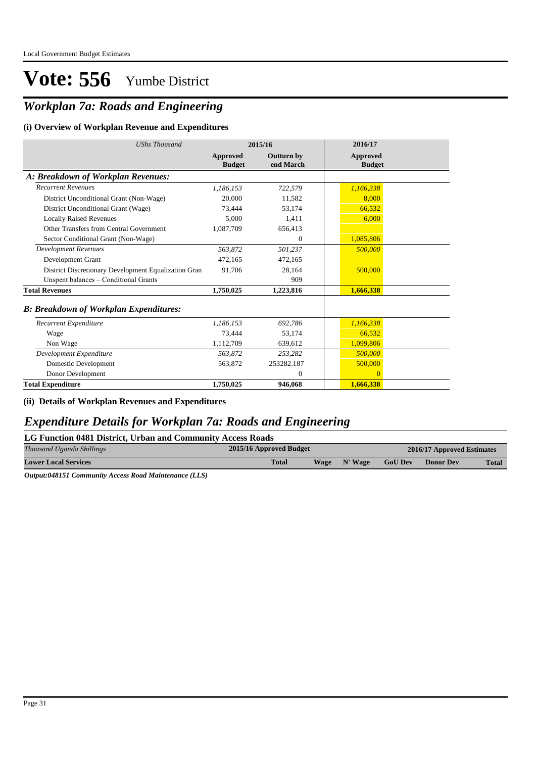## *Workplan 7a: Roads and Engineering*

#### **(i) Overview of Workplan Revenue and Expenditures**

| <b>UShs Thousand</b>                                 |                           | 2015/16                        | 2016/17                   |
|------------------------------------------------------|---------------------------|--------------------------------|---------------------------|
|                                                      | Approved<br><b>Budget</b> | <b>Outturn by</b><br>end March | Approved<br><b>Budget</b> |
| A: Breakdown of Workplan Revenues:                   |                           |                                |                           |
| <b>Recurrent Revenues</b>                            | 1,186,153                 | 722,579                        | 1,166,338                 |
| District Unconditional Grant (Non-Wage)              | 20,000                    | 11,582                         | 8,000                     |
| District Unconditional Grant (Wage)                  | 73,444                    | 53,174                         | 66,532                    |
| <b>Locally Raised Revenues</b>                       | 5,000                     | 1,411                          | 6,000                     |
| Other Transfers from Central Government              | 1,087,709                 | 656,413                        |                           |
| Sector Conditional Grant (Non-Wage)                  |                           | $\theta$                       | 1,085,806                 |
| <b>Development Revenues</b>                          | 563.872                   | 501,237                        | 500,000                   |
| Development Grant                                    | 472.165                   | 472,165                        |                           |
| District Discretionary Development Equalization Gran | 91.706                    | 28,164                         | 500,000                   |
| Unspent balances - Conditional Grants                |                           | 909                            |                           |
| <b>Total Revenues</b>                                | 1,750,025                 | 1,223,816                      | 1,666,338                 |
| <b>B: Breakdown of Workplan Expenditures:</b>        |                           |                                |                           |
| Recurrent Expenditure                                | 1,186,153                 | 692,786                        | 1,166,338                 |
| Wage                                                 | 73,444                    | 53,174                         | 66,532                    |
| Non Wage                                             | 1.112.709                 | 639,612                        | 1,099,806                 |
| Development Expenditure                              | 563.872                   | 253,282                        | 500,000                   |
| Domestic Development                                 | 563,872                   | 253282.187                     | 500,000                   |
| Donor Development                                    |                           | $\mathbf{0}$                   | $\overline{0}$            |
| <b>Total Expenditure</b>                             | 1,750,025                 | 946,068                        | 1,666,338                 |

**(ii) Details of Workplan Revenues and Expenditures**

### *Expenditure Details for Workplan 7a: Roads and Engineering*

| LG Function 0481 District, Urban and Community Access Roads |                                                       |             |         |                |                  |              |  |  |  |  |
|-------------------------------------------------------------|-------------------------------------------------------|-------------|---------|----------------|------------------|--------------|--|--|--|--|
| Thousand Uganda Shillings                                   | 2015/16 Approved Budget<br>2016/17 Approved Estimates |             |         |                |                  |              |  |  |  |  |
| <b>Lower Local Services</b>                                 | <b>Total</b>                                          | <b>Wage</b> | N' Wage | <b>GoU Dev</b> | <b>Donor Dev</b> | <b>Total</b> |  |  |  |  |

*Output:048151 Community Access Road Maintenance (LLS)*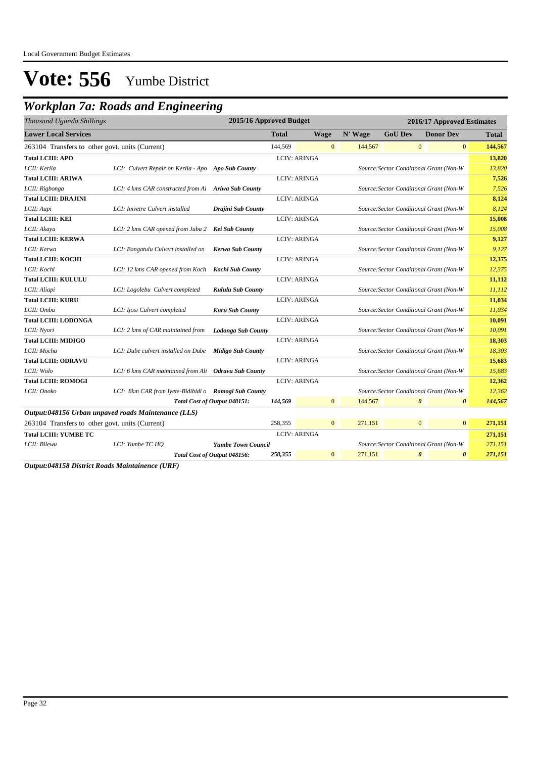## *Workplan 7a: Roads and Engineering*

| Thousand Uganda Shillings                       |                                                      | 2015/16 Approved Budget      |              |                     |              | 2016/17 Approved Estimates |                                         |                       |                       |         |
|-------------------------------------------------|------------------------------------------------------|------------------------------|--------------|---------------------|--------------|----------------------------|-----------------------------------------|-----------------------|-----------------------|---------|
| <b>Lower Local Services</b>                     |                                                      |                              | <b>Total</b> | <b>Wage</b>         |              | N' Wage                    | <b>GoU Dev</b>                          |                       | <b>Donor Dev</b>      | Total   |
| 263104 Transfers to other govt. units (Current) |                                                      |                              | 144,569      |                     | $\mathbf{0}$ | 144,567                    |                                         | $\mathbf{0}$          | $\overline{0}$        | 144,567 |
| <b>Total LCIII: APO</b>                         |                                                      |                              |              | <b>LCIV: ARINGA</b> |              |                            |                                         |                       |                       | 13,820  |
| LCII: Kerila                                    | LCI: Culvert Repair on Kerila - Apo Apo Sub County   |                              |              |                     |              |                            | Source: Sector Conditional Grant (Non-W |                       |                       | 13,820  |
| <b>Total LCIII: ARIWA</b>                       |                                                      |                              |              | <b>LCIV: ARINGA</b> |              |                            |                                         |                       |                       | 7,526   |
| LCII: Rigbonga                                  | LCI: 4 kms CAR constructed from Ai Ariwa Sub County  |                              |              |                     |              |                            | Source: Sector Conditional Grant (Non-W |                       |                       | 7,526   |
| <b>Total LCIII: DRAJINI</b>                     |                                                      |                              |              | <b>LCIV: ARINGA</b> |              |                            |                                         |                       |                       | 8,124   |
| LCII: Aupi                                      | LCI: Imvetre Culvert installed                       | Drajini Sub County           |              |                     |              |                            | Source: Sector Conditional Grant (Non-W |                       |                       | 8,124   |
| <b>Total LCIII: KEI</b>                         |                                                      |                              |              | <b>LCIV: ARINGA</b> |              |                            |                                         |                       |                       | 15,008  |
| LCII: Akaya                                     | LCI: 2 kms CAR opened from Juba 2 Kei Sub County     |                              |              |                     |              |                            | Source: Sector Conditional Grant (Non-W |                       |                       | 15,008  |
| <b>Total LCIII: KERWA</b>                       |                                                      |                              |              | <b>LCIV: ARINGA</b> |              |                            |                                         |                       |                       | 9,127   |
| LCII: Kerwa                                     | LCI: Bangatulu Culvert installed on                  | Kerwa Sub County             |              |                     |              |                            | Source: Sector Conditional Grant (Non-W |                       |                       | 9,127   |
| <b>Total LCIII: KOCHI</b>                       |                                                      |                              |              | LCIV: ARINGA        |              |                            |                                         |                       |                       | 12,375  |
| LCII: Kochi                                     | LCI: 12 kms CAR opened from Koch                     | Kochi Sub County             |              |                     |              |                            | Source: Sector Conditional Grant (Non-W |                       |                       | 12,375  |
| <b>Total LCIII: KULULU</b>                      |                                                      |                              |              | <b>LCIV: ARINGA</b> |              |                            |                                         |                       |                       | 11,112  |
| LCII: Aliapi                                    | LCI: Logolebu Culvert completed                      | Kululu Sub County            |              |                     |              |                            | Source: Sector Conditional Grant (Non-W |                       |                       | 11,112  |
| <b>Total LCIII: KURU</b>                        |                                                      |                              |              | <b>LCIV: ARINGA</b> |              |                            |                                         |                       |                       | 11,034  |
| LCII: Omba                                      | LCI: Ijosi Culvert completed                         | Kuru Sub County              |              |                     |              |                            | Source: Sector Conditional Grant (Non-W |                       |                       | 11,034  |
| <b>Total LCIII: LODONGA</b>                     |                                                      |                              |              | <b>LCIV: ARINGA</b> |              |                            |                                         |                       |                       | 10,091  |
| LCII: Nyori                                     | LCI: 2 kms of CAR maintained from                    | <b>Lodonga Sub County</b>    |              |                     |              |                            | Source: Sector Conditional Grant (Non-W |                       |                       | 10,091  |
| <b>Total LCIII: MIDIGO</b>                      |                                                      |                              |              | <b>LCIV: ARINGA</b> |              |                            |                                         |                       |                       | 18,303  |
| LCII: Mocha                                     | LCI: Dube culvert installed on Dube                  | <b>Midigo Sub County</b>     |              |                     |              |                            | Source: Sector Conditional Grant (Non-W |                       |                       | 18,303  |
| <b>Total LCIII: ODRAVU</b>                      |                                                      |                              |              | <b>LCIV: ARINGA</b> |              |                            |                                         |                       |                       | 15,683  |
| LCII: Wolo                                      | LCI: 6 kms CAR maintained from Ali Odravu Sub County |                              |              |                     |              |                            | Source: Sector Conditional Grant (Non-W |                       |                       | 15,683  |
| <b>Total LCIII: ROMOGI</b>                      |                                                      |                              |              | <b>LCIV: ARINGA</b> |              |                            |                                         |                       |                       | 12,362  |
| LCII: Onoko                                     | LCI: 8km CAR from Iyete-Bidibidi o Romogi Sub County |                              |              |                     |              |                            | Source: Sector Conditional Grant (Non-W |                       |                       | 12,362  |
|                                                 |                                                      | Total Cost of Output 048151: | 144,569      |                     | $\Omega$     | 144,567                    |                                         | $\boldsymbol{\theta}$ | $\boldsymbol{\theta}$ | 144,567 |
|                                                 | Output:048156 Urban unpaved roads Maintenance (LLS)  |                              |              |                     |              |                            |                                         |                       |                       |         |
| 263104 Transfers to other govt. units (Current) |                                                      |                              | 258,355      |                     | $\mathbf{0}$ | 271,151                    |                                         | $\mathbf{0}$          | $\boldsymbol{0}$      | 271,151 |
| <b>Total LCIII: YUMBE TC</b>                    |                                                      |                              |              | <b>LCIV: ARINGA</b> |              |                            |                                         |                       |                       | 271,151 |
| LCII: Bilewu                                    | LCI: Yumbe TC HO                                     | <b>Yumbe Town Council</b>    |              |                     |              |                            | Source: Sector Conditional Grant (Non-W |                       |                       | 271,151 |
|                                                 |                                                      | Total Cost of Output 048156: | 258,355      |                     | $\mathbf{0}$ | 271,151                    |                                         | $\boldsymbol{\theta}$ | $\boldsymbol{\theta}$ | 271,151 |
|                                                 |                                                      |                              |              |                     |              |                            |                                         |                       |                       |         |

*Output:048158 District Roads Maintainence (URF)*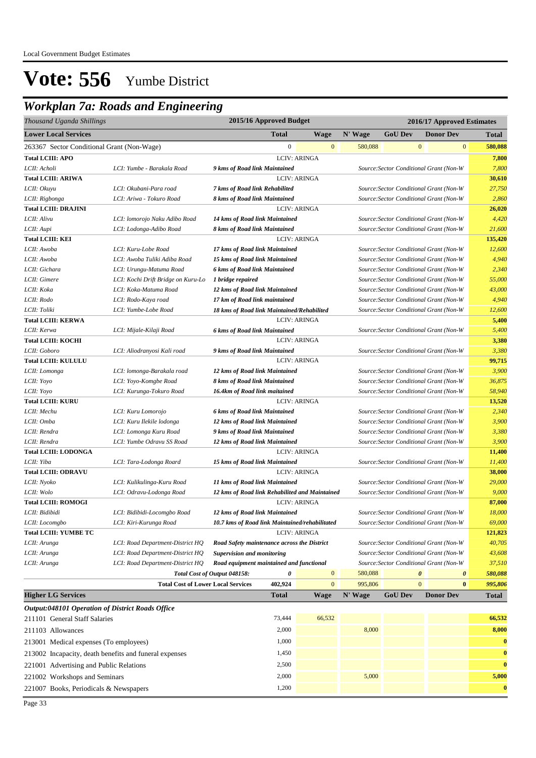## *Workplan 7a: Roads and Engineering*

| Thousand Uganda Shillings                              |                                           |                                                                                                 | 2015/16 Approved Budget                                                  |                     |         | 2016/17 Approved Estimates              |                       |                                         |              |  |
|--------------------------------------------------------|-------------------------------------------|-------------------------------------------------------------------------------------------------|--------------------------------------------------------------------------|---------------------|---------|-----------------------------------------|-----------------------|-----------------------------------------|--------------|--|
| <b>Lower Local Services</b>                            |                                           |                                                                                                 | <b>Total</b>                                                             | <b>Wage</b>         | N' Wage | <b>GoU Dev</b>                          |                       | <b>Donor Dev</b>                        | <b>Total</b> |  |
| 263367 Sector Conditional Grant (Non-Wage)             |                                           |                                                                                                 | $\boldsymbol{0}$                                                         | $\bf{0}$            | 580,088 |                                         | $\mathbf{0}$          | $\mathbf{0}$                            | 580,088      |  |
| <b>Total LCIII: APO</b>                                |                                           |                                                                                                 |                                                                          | <b>LCIV: ARINGA</b> |         |                                         |                       |                                         | 7,800        |  |
| LCII: Acholi                                           | LCI: Yumbe - Barakala Road                | 9 kms of Road link Maintained                                                                   |                                                                          |                     |         | Source: Sector Conditional Grant (Non-W |                       |                                         | 7,800        |  |
| <b>Total LCIII: ARIWA</b>                              |                                           |                                                                                                 |                                                                          | <b>LCIV: ARINGA</b> |         |                                         |                       |                                         | 30,610       |  |
| LCII: Okuyu                                            | LCI: Okubani-Para road                    | 7 kms of Road link Rehabilited                                                                  |                                                                          |                     |         |                                         |                       | Source: Sector Conditional Grant (Non-W | 27,750       |  |
| LCII: Rigbonga                                         | LCI: Ariwa - Tokuro Road                  | 8 kms of Road link Maintained                                                                   |                                                                          |                     |         | Source: Sector Conditional Grant (Non-W |                       |                                         | 2,860        |  |
| <b>Total LCIII: DRAJINI</b>                            |                                           |                                                                                                 |                                                                          | <b>LCIV: ARINGA</b> |         |                                         |                       |                                         | 26,020       |  |
| LCII: Alivu                                            | LCI: lomorojo Naku Adibo Road             | 14 kms of Road link Maintained                                                                  |                                                                          |                     |         | Source: Sector Conditional Grant (Non-W |                       |                                         | 4,420        |  |
| LCII: Aupi                                             | LCI: Lodonga-Adibo Road                   | 8 kms of Road link Maintained                                                                   |                                                                          |                     |         | Source: Sector Conditional Grant (Non-W |                       |                                         | 21,600       |  |
| <b>Total LCIII: KEI</b>                                |                                           |                                                                                                 |                                                                          | <b>LCIV: ARINGA</b> |         |                                         |                       |                                         | 135,420      |  |
| LCII: Awoba                                            | LCI: Kuru-Lobe Road                       | 17 kms of Road link Maintained                                                                  |                                                                          |                     |         |                                         |                       | Source: Sector Conditional Grant (Non-W | 12,600       |  |
| LCII: Awoba                                            | LCI: Awoba Tuliki Adiba Road              | 15 kms of Road link Maintained                                                                  |                                                                          |                     |         |                                         |                       | Source: Sector Conditional Grant (Non-W | 4,940        |  |
| LCII: Gichara                                          | LCI: Urungu-Matuma Road                   | 6 kms of Road link Maintained                                                                   |                                                                          |                     |         |                                         |                       | Source: Sector Conditional Grant (Non-W | 2,340        |  |
| LCII: Gimere                                           | LCI: Kochi Drift Bridge on Kuru-Lo        | 1 bridge repaired                                                                               |                                                                          |                     |         |                                         |                       | Source: Sector Conditional Grant (Non-W | 55,000       |  |
| LCII: Koka                                             | LCI: Koka-Matuma Road                     | 12 kms of Road link Maintained                                                                  |                                                                          |                     |         |                                         |                       | Source: Sector Conditional Grant (Non-W | 43,000       |  |
| LCII: Rodo                                             | LCI: Rodo-Kaya road                       | 17 km of Road link maintained                                                                   |                                                                          |                     |         |                                         |                       | Source: Sector Conditional Grant (Non-W | 4,940        |  |
| LCII: Toliki                                           | LCI: Yumbe-Lobe Road                      | 18 kms of Road link Maintained/Rehabilited                                                      |                                                                          |                     |         | Source: Sector Conditional Grant (Non-W |                       |                                         | 12,600       |  |
| <b>Total LCIII: KERWA</b>                              |                                           |                                                                                                 |                                                                          | <b>LCIV: ARINGA</b> |         |                                         |                       |                                         | 5,400        |  |
| LCII: Kerwa                                            | LCI: Mijale-Kilaji Road                   | Source: Sector Conditional Grant (Non-W<br>6 kms of Road link Maintained<br><b>LCIV: ARINGA</b> |                                                                          |                     |         |                                         | 5,400                 |                                         |              |  |
| <b>Total LCIII: KOCHI</b>                              |                                           |                                                                                                 |                                                                          |                     |         |                                         |                       |                                         | 3,380        |  |
| LCII: Goboro                                           | LCI: Aliodranyosi Kali road               | 9 kms of Road link Maintained<br>Source: Sector Conditional Grant (Non-W                        |                                                                          |                     |         |                                         | 3,380                 |                                         |              |  |
| <b>Total LCIII: KULULU</b>                             |                                           | <b>LCIV: ARINGA</b>                                                                             |                                                                          |                     |         |                                         | 99,715                |                                         |              |  |
| LCII: Lomonga                                          | LCI: lomonga-Barakala road                | 12 kms of Road link Maintained<br>Source: Sector Conditional Grant (Non-W                       |                                                                          |                     |         |                                         |                       | 3,900                                   |              |  |
| LCII: Yoyo                                             | LCI: Yoyo-Komgbe Road                     |                                                                                                 | 8 kms of Road link Maintained<br>Source: Sector Conditional Grant (Non-W |                     |         |                                         |                       | 36,875                                  |              |  |
| LCII: Yoyo                                             | LCI: Kurunga-Tokuro Road                  | 16.4km of Road link maitained                                                                   |                                                                          |                     |         |                                         |                       | Source: Sector Conditional Grant (Non-W | 58,940       |  |
| <b>Total LCIII: KURU</b>                               |                                           | <b>LCIV: ARINGA</b>                                                                             |                                                                          |                     |         |                                         |                       | 13,520                                  |              |  |
| LCII: Mechu                                            | LCI: Kuru Lomorojo                        | 6 kms of Road link Maintained                                                                   |                                                                          |                     |         |                                         |                       | Source: Sector Conditional Grant (Non-W | 2,340        |  |
| LCII: Omba                                             | LCI: Kuru Ilekile lodonga                 | 12 kms of Road link Maintained                                                                  |                                                                          |                     |         | Source: Sector Conditional Grant (Non-W |                       |                                         |              |  |
| LCII: Rendra                                           | LCI: Lomonga Kuru Road                    | 9 kms of Road link Maintained                                                                   |                                                                          |                     |         | Source: Sector Conditional Grant (Non-W |                       |                                         |              |  |
| LCII: Rendra                                           | LCI: Yumbe Odravu SS Road                 | 12 kms of Road link Maintained                                                                  |                                                                          |                     |         | Source: Sector Conditional Grant (Non-W |                       |                                         | 3,900        |  |
| <b>Total LCIII: LODONGA</b>                            |                                           |                                                                                                 |                                                                          | <b>LCIV: ARINGA</b> |         |                                         |                       |                                         | 11,400       |  |
| LCII: Yiba                                             | LCI: Tara-Lodonga Roard                   | 15 kms of Road link Maintained                                                                  |                                                                          |                     |         |                                         |                       | Source: Sector Conditional Grant (Non-W | 11,400       |  |
| <b>Total LCIII: ODRAVU</b>                             |                                           |                                                                                                 |                                                                          | <b>LCIV: ARINGA</b> |         |                                         |                       |                                         | 38,000       |  |
| LCII: Nyoko                                            | LCI: Kulikulinga-Kuru Road                | 11 kms of Road link Maintained                                                                  |                                                                          |                     |         | Source: Sector Conditional Grant (Non-W |                       |                                         | 29,000       |  |
| LCII: Wolo                                             | LCI: Odravu-Lodonga Road                  | 12 kms of Road link Rehabilited and Maintained                                                  |                                                                          |                     |         |                                         |                       | Source: Sector Conditional Grant (Non-W | 9,000        |  |
| <b>Total LCIII: ROMOGI</b>                             |                                           |                                                                                                 |                                                                          | <b>LCIV: ARINGA</b> |         |                                         |                       |                                         | 87,000       |  |
| LCII: Bidibidi                                         | LCI: Bidibidi-Locomgbo Road               | 12 kms of Road link Maintained                                                                  |                                                                          |                     |         | Source: Sector Conditional Grant (Non-W |                       |                                         | 18,000       |  |
| LCII: Locomgbo                                         | LCI: Kiri-Kurunga Road                    | 10.7 kms of Road link Maintained/rehabilitated                                                  |                                                                          |                     |         |                                         |                       | Source: Sector Conditional Grant (Non-W | 69,000       |  |
| <b>Total LCIII: YUMBE TC</b>                           |                                           |                                                                                                 |                                                                          | <b>LCIV: ARINGA</b> |         |                                         |                       |                                         | 121,823      |  |
| LCII: Arunga                                           | LCI: Road Department-District HQ          | Road Safety maintenance across the District                                                     |                                                                          |                     |         | Source: Sector Conditional Grant (Non-W |                       |                                         | 40,705       |  |
| LCII: Arunga                                           | LCI: Road Department-District HQ          | <b>Supervision and monitoring</b>                                                               |                                                                          |                     |         |                                         |                       | Source: Sector Conditional Grant (Non-W | 43,608       |  |
| LCII: Arunga                                           | LCI: Road Department-District HQ          | Road equipment maintained and functional                                                        |                                                                          |                     |         |                                         |                       | Source: Sector Conditional Grant (Non-W | 37,510       |  |
|                                                        |                                           | Total Cost of Output 048158:                                                                    | 0                                                                        | $\bf{0}$            | 580,088 |                                         | $\boldsymbol{\theta}$ | $\boldsymbol{\theta}$                   | 580,088      |  |
|                                                        | <b>Total Cost of Lower Local Services</b> |                                                                                                 | 402,924                                                                  | $\mathbf{0}$        | 995,806 |                                         | $\mathbf{0}$          | $\bf{0}$                                | 995,806      |  |
| <b>Higher LG Services</b>                              |                                           |                                                                                                 | <b>Total</b>                                                             | <b>Wage</b>         | N' Wage | <b>GoU Dev</b>                          |                       | <b>Donor Dev</b>                        | <b>Total</b> |  |
| Output:048101 Operation of District Roads Office       |                                           |                                                                                                 |                                                                          |                     |         |                                         |                       |                                         |              |  |
| 211101 General Staff Salaries                          |                                           |                                                                                                 | 73,444                                                                   | 66,532              |         |                                         |                       |                                         | 66,532       |  |
| 211103 Allowances                                      |                                           |                                                                                                 | 2,000                                                                    |                     | 8,000   |                                         |                       |                                         | 8,000        |  |
| 213001 Medical expenses (To employees)                 |                                           |                                                                                                 | 1,000                                                                    |                     |         |                                         |                       |                                         | $\bf{0}$     |  |
|                                                        |                                           |                                                                                                 |                                                                          |                     |         |                                         |                       |                                         |              |  |
| 213002 Incapacity, death benefits and funeral expenses |                                           |                                                                                                 | 1,450                                                                    |                     |         |                                         |                       |                                         | $\bf{0}$     |  |
| 221001 Advertising and Public Relations                |                                           |                                                                                                 | 2,500                                                                    |                     |         |                                         |                       |                                         | $\bf{0}$     |  |
| 221002 Workshops and Seminars                          |                                           |                                                                                                 | 2,000                                                                    |                     | 5,000   |                                         |                       |                                         | 5,000        |  |
| 221007 Books, Periodicals & Newspapers                 |                                           |                                                                                                 | 1,200                                                                    |                     |         |                                         |                       |                                         | $\bf{0}$     |  |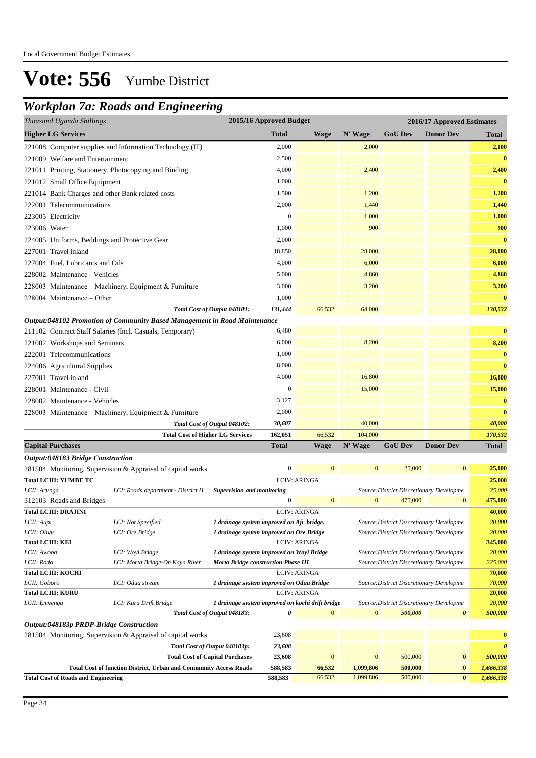### *Workplan 7a: Roads and Engineering*

| o<br>2015/16 Approved Budget<br>Thousand Uganda Shillings<br>2016/17 Approved Estimates |                                                                           |                                                                                         |                  |                     |                  |                                                                                      |                       |                   |
|-----------------------------------------------------------------------------------------|---------------------------------------------------------------------------|-----------------------------------------------------------------------------------------|------------------|---------------------|------------------|--------------------------------------------------------------------------------------|-----------------------|-------------------|
| <b>Higher LG Services</b>                                                               |                                                                           |                                                                                         | <b>Total</b>     | <b>Wage</b>         | N' Wage          | <b>GoU Dev</b>                                                                       | <b>Donor Dev</b>      | <b>Total</b>      |
|                                                                                         | 221008 Computer supplies and Information Technology (IT)                  |                                                                                         | 2,000            |                     | 2,000            |                                                                                      |                       | 2,000             |
| 221009 Welfare and Entertainment                                                        |                                                                           |                                                                                         | 2,500            |                     |                  |                                                                                      |                       | $\bf{0}$          |
| 221011 Printing, Stationery, Photocopying and Binding                                   |                                                                           |                                                                                         | 4,000            |                     | 2,400            |                                                                                      |                       | 2,400             |
| 221012 Small Office Equipment                                                           |                                                                           |                                                                                         | 1,000            |                     |                  |                                                                                      |                       | $\bf{0}$          |
| 221014 Bank Charges and other Bank related costs                                        |                                                                           |                                                                                         | 1,500            |                     | 1,200            |                                                                                      |                       | 1,200             |
| 222001 Telecommunications                                                               |                                                                           |                                                                                         | 2,000            |                     | 1,440            |                                                                                      |                       | 1,440             |
| 223005 Electricity                                                                      |                                                                           |                                                                                         | $\mathbf{0}$     |                     | 1,000            |                                                                                      |                       | 1,000             |
| 223006 Water                                                                            |                                                                           |                                                                                         | 1,000            |                     | 900              |                                                                                      |                       | 900               |
| 224005 Uniforms, Beddings and Protective Gear                                           |                                                                           |                                                                                         | 2,000            |                     |                  |                                                                                      |                       | $\bf{0}$          |
| 227001 Travel inland                                                                    |                                                                           |                                                                                         | 18,850           |                     | 28,000           |                                                                                      |                       | 28,000            |
| 227004 Fuel, Lubricants and Oils                                                        |                                                                           |                                                                                         | 4,000            |                     | 6,000            |                                                                                      |                       | 6,000             |
|                                                                                         |                                                                           |                                                                                         | 5,000            |                     | 4,860            |                                                                                      |                       | 4,860             |
| 228002 Maintenance - Vehicles                                                           |                                                                           |                                                                                         |                  |                     |                  |                                                                                      |                       |                   |
|                                                                                         | 228003 Maintenance – Machinery, Equipment & Furniture                     |                                                                                         | 3,000            |                     | 3,200            |                                                                                      |                       | 3,200             |
| 228004 Maintenance - Other                                                              |                                                                           |                                                                                         | 1,000            |                     |                  |                                                                                      |                       | $\bf{0}$          |
|                                                                                         |                                                                           | Total Cost of Output 048101:                                                            | 131,444          | 66,532              | 64,000           |                                                                                      |                       | 130,532           |
|                                                                                         | Output:048102 Promotion of Community Based Management in Road Maintenance |                                                                                         |                  |                     |                  |                                                                                      |                       |                   |
| 211102 Contract Staff Salaries (Incl. Casuals, Temporary)                               |                                                                           |                                                                                         | 6,480            |                     |                  |                                                                                      |                       | $\bf{0}$          |
| 221002 Workshops and Seminars                                                           |                                                                           |                                                                                         | 6,000            |                     | 8,200            |                                                                                      |                       | 8,200             |
| 222001 Telecommunications                                                               |                                                                           |                                                                                         | 1,000            |                     |                  |                                                                                      |                       | $\bf{0}$          |
| 224006 Agricultural Supplies                                                            |                                                                           |                                                                                         | 8,000            |                     |                  |                                                                                      |                       | $\bf{0}$          |
| 227001 Travel inland                                                                    |                                                                           |                                                                                         | 4,000            |                     | 16,800           |                                                                                      |                       | 16,800            |
| 228001 Maintenance - Civil                                                              |                                                                           |                                                                                         | $\boldsymbol{0}$ |                     | 15,000           |                                                                                      |                       | 15,000            |
| 228002 Maintenance - Vehicles                                                           |                                                                           |                                                                                         | 3,127            |                     |                  |                                                                                      |                       | $\bf{0}$          |
|                                                                                         | 228003 Maintenance – Machinery, Equipment & Furniture                     |                                                                                         | 2,000            |                     |                  |                                                                                      |                       | $\bf{0}$          |
|                                                                                         |                                                                           | Total Cost of Output 048102:                                                            | 30,607           |                     | 40,000           |                                                                                      |                       | 40,000            |
|                                                                                         | <b>Total Cost of Higher LG Services</b>                                   |                                                                                         | 162,051          | 66,532              | 104,000          |                                                                                      |                       | 170,532           |
| <b>Capital Purchases</b>                                                                |                                                                           |                                                                                         | <b>Total</b>     | Wage                | N' Wage          | <b>GoU</b> Dev                                                                       | <b>Donor Dev</b>      | <b>Total</b>      |
| <b>Output:048183 Bridge Construction</b>                                                |                                                                           |                                                                                         |                  |                     |                  |                                                                                      |                       |                   |
|                                                                                         | 281504 Monitoring, Supervision & Appraisal of capital works               |                                                                                         | $\boldsymbol{0}$ | $\mathbf{0}$        | $\mathbf{0}$     | 25,000                                                                               | $\mathbf{0}$          | 25,000            |
| <b>Total LCIII: YUMBE TC</b>                                                            |                                                                           |                                                                                         |                  | <b>LCIV: ARINGA</b> |                  |                                                                                      |                       | 25,000            |
| LCII: Arunga                                                                            | LCI: Roads department - District H                                        | <b>Supervision and monitoring</b>                                                       |                  |                     |                  | Source: District Discretionary Developme                                             |                       | 25,000            |
| 312103 Roads and Bridges                                                                |                                                                           |                                                                                         | $\mathbf{0}$     | $\mathbf{0}$        | $\mathbf{0}$     | 475,000                                                                              | $\mathbf{0}$          | 475,000           |
| <b>Total LCIII: DRAJINI</b>                                                             |                                                                           |                                                                                         |                  | <b>LCIV: ARINGA</b> |                  |                                                                                      |                       | 40,000            |
| LCII: Aupi                                                                              | LCI: Not Specified                                                        | 1 drainage system improved on Aji bridge.                                               |                  |                     |                  | Source: District Discretionary Developme                                             |                       | 20,000            |
| LCII: Olivu                                                                             | LCI: Ore Bridge                                                           | 1 drainage system improved on Ore Bridge                                                |                  |                     |                  | Source: District Discretionary Developme                                             |                       | 20,000            |
| <b>Total LCIII: KEI</b>                                                                 |                                                                           |                                                                                         |                  | <b>LCIV: ARINGA</b> |                  |                                                                                      |                       | 345,000           |
| LCII: Awoba<br>LCII: Rodo                                                               | LCI: Woyi Bridge<br>LCI: Morta Bridge-On Kaya River                       | 1 drainage system improved on Woyi Bridge<br><b>Morta Bridge construction Phase III</b> |                  |                     |                  | Source: District Discretionary Developme<br>Source: District Discretionary Developme |                       | 20,000<br>325,000 |
| <b>Total LCIII: KOCHI</b>                                                               |                                                                           |                                                                                         |                  | <b>LCIV: ARINGA</b> |                  |                                                                                      |                       | 70,000            |
| LCII: Goboro                                                                            | LCI: Odua stream                                                          | 1 drainage system improved on Odua Bridge                                               |                  |                     |                  | Source: District Discretionary Developme                                             |                       | 70,000            |
| <b>Total LCIII: KURU</b>                                                                |                                                                           |                                                                                         |                  | <b>LCIV: ARINGA</b> |                  |                                                                                      |                       | 20,000            |
| LCII: Emvenga                                                                           | LCI: Kuru Drift Bridge                                                    | 1 drainage system improved on kochi drift bridge                                        |                  |                     |                  | Source: District Discretionary Developme                                             |                       | 20,000            |
|                                                                                         |                                                                           | Total Cost of Output 048183:                                                            | 0                | $\mathbf{0}$        | $\boldsymbol{0}$ | 500,000                                                                              | $\boldsymbol{\theta}$ | 500,000           |
| Output:048183p PRDP-Bridge Construction                                                 |                                                                           |                                                                                         |                  |                     |                  |                                                                                      |                       |                   |

| <b>Total Cost of Roads and Engineering</b>                               | 588,583 | 66,532   | 1.099.806 | 500,000 | $\bf{0}$ | 1,666,338 |
|--------------------------------------------------------------------------|---------|----------|-----------|---------|----------|-----------|
| <b>Total Cost of function District, Urban and Community Access Roads</b> | 588,583 | 66.532   | 1.099.806 | 500,000 | $\bf{0}$ | 1.666.338 |
| <b>Total Cost of Capital Purchases</b>                                   | 23,608  | $\Omega$ |           | 500,000 | $\bf{0}$ | 500,000   |
| Total Cost of Output 048183p:                                            | 23,608  |          |           |         |          |           |
| 281504 Monitoring, Supervision & Appraisal of capital works              | 23,608  |          |           |         |          |           |

Page 34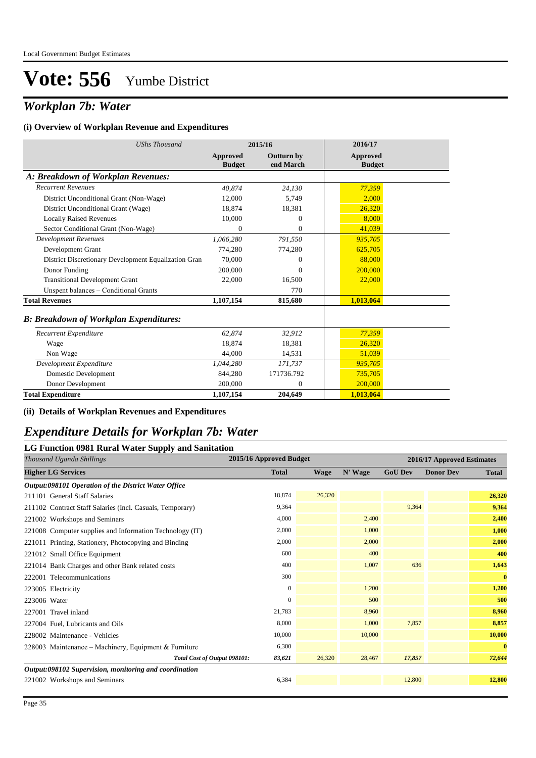## *Workplan 7b: Water*

#### **(i) Overview of Workplan Revenue and Expenditures**

| <b>UShs Thousand</b>                                 |                                  | 2015/16                        | 2016/17                          |
|------------------------------------------------------|----------------------------------|--------------------------------|----------------------------------|
|                                                      | <b>Approved</b><br><b>Budget</b> | <b>Outturn by</b><br>end March | <b>Approved</b><br><b>Budget</b> |
| A: Breakdown of Workplan Revenues:                   |                                  |                                |                                  |
| <b>Recurrent Revenues</b>                            | 40.874                           | 24.130                         | 77,359                           |
| District Unconditional Grant (Non-Wage)              | 12,000                           | 5,749                          | 2,000                            |
| District Unconditional Grant (Wage)                  | 18.874                           | 18,381                         | 26,320                           |
| <b>Locally Raised Revenues</b>                       | 10,000                           | $\Omega$                       | 8.000                            |
| Sector Conditional Grant (Non-Wage)                  | $\Omega$                         | $\overline{0}$                 | 41,039                           |
| <b>Development Revenues</b>                          | 1,066,280                        | 791,550                        | 935,705                          |
| Development Grant                                    | 774,280                          | 774,280                        | 625,705                          |
| District Discretionary Development Equalization Gran | 70,000                           | $\Omega$                       | 88,000                           |
| Donor Funding                                        | 200,000                          | $\Omega$                       | 200,000                          |
| <b>Transitional Development Grant</b>                | 22,000                           | 16,500                         | 22,000                           |
| Unspent balances - Conditional Grants                |                                  | 770                            |                                  |
| <b>Total Revenues</b>                                | 1,107,154                        | 815,680                        | 1,013,064                        |
| <b>B: Breakdown of Workplan Expenditures:</b>        |                                  |                                |                                  |
| Recurrent Expenditure                                | 62,874                           | 32,912                         | 77,359                           |
| Wage                                                 | 18,874                           | 18,381                         | 26,320                           |
| Non Wage                                             | 44,000                           | 14,531                         | 51,039                           |
| Development Expenditure                              | 1,044,280                        | 171,737                        | 935,705                          |
| Domestic Development                                 | 844,280                          | 171736.792                     | 735,705                          |
| Donor Development                                    | 200,000                          | $\overline{0}$                 | 200,000                          |
| <b>Total Expenditure</b>                             | 1,107,154                        | 204,649                        | 1,013,064                        |

#### **(ii) Details of Workplan Revenues and Expenditures**

#### *Expenditure Details for Workplan 7b: Water*

#### **LG Function 0981 Rural Water Supply and Sanitation**

| rr v<br>Thousand Uganda Shillings                         | 2015/16 Approved Budget |             |         | 2016/17 Approved Estimates |                  |              |
|-----------------------------------------------------------|-------------------------|-------------|---------|----------------------------|------------------|--------------|
| <b>Higher LG Services</b>                                 | <b>Total</b>            | <b>Wage</b> | N' Wage | <b>GoU Dev</b>             | <b>Donor Dev</b> | <b>Total</b> |
| Output:098101 Operation of the District Water Office      |                         |             |         |                            |                  |              |
| 211101 General Staff Salaries                             | 18,874                  | 26,320      |         |                            |                  | 26,320       |
| 211102 Contract Staff Salaries (Incl. Casuals, Temporary) | 9,364                   |             |         | 9.364                      |                  | 9,364        |
| 221002 Workshops and Seminars                             | 4,000                   |             | 2,400   |                            |                  | 2,400        |
| 221008 Computer supplies and Information Technology (IT)  | 2,000                   |             | 1,000   |                            |                  | 1,000        |
| 221011 Printing, Stationery, Photocopying and Binding     | 2,000                   |             | 2,000   |                            |                  | 2,000        |
| 221012 Small Office Equipment                             | 600                     |             | 400     |                            |                  | 400          |
| 221014 Bank Charges and other Bank related costs          | 400                     |             | 1,007   | 636                        |                  | 1,643        |
| 222001 Telecommunications                                 | 300                     |             |         |                            |                  | $\bf{0}$     |
| 223005 Electricity                                        | $\mathbf{0}$            |             | 1,200   |                            |                  | 1,200        |
| 223006 Water                                              | $\mathbf{0}$            |             | 500     |                            |                  | 500          |
| 227001 Travel inland                                      | 21,783                  |             | 8,960   |                            |                  | 8,960        |
| 227004 Fuel, Lubricants and Oils                          | 8,000                   |             | 1,000   | 7,857                      |                  | 8,857        |
| 228002 Maintenance - Vehicles                             | 10,000                  |             | 10,000  |                            |                  | 10,000       |
| 228003 Maintenance – Machinery, Equipment & Furniture     | 6,300                   |             |         |                            |                  | $\bf{0}$     |
| Total Cost of Output 098101:                              | 83,621                  | 26,320      | 28,467  | 17,857                     |                  | 72,644       |
| Output:098102 Supervision, monitoring and coordination    |                         |             |         |                            |                  |              |
| 221002 Workshops and Seminars                             | 6,384                   |             |         | 12,800                     |                  | 12,800       |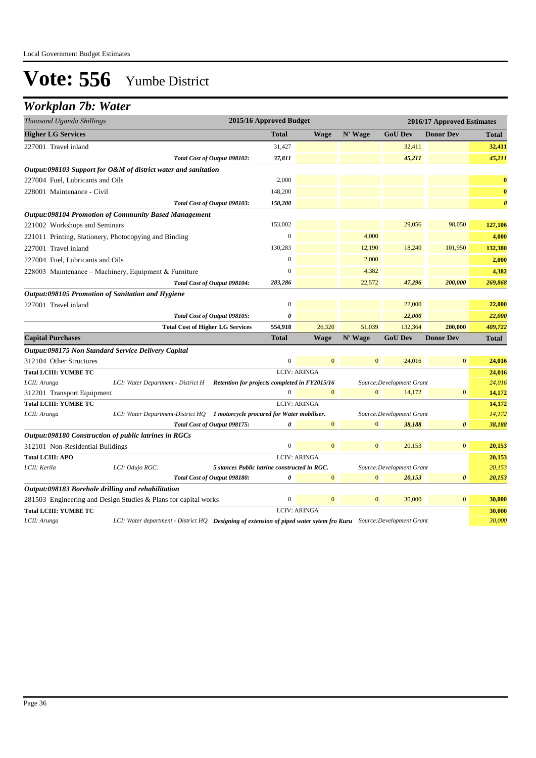### *Workplan 7b: Water*

| N' Wage<br><b>Total</b><br><b>Wage</b><br><b>GoU Dev</b><br><b>Donor Dev</b><br><b>Total</b><br>32,411<br>227001 Travel inland<br>31,427<br>37,811<br>45,211<br>Total Cost of Output 098102:<br>Output:098103 Support for O&M of district water and sanitation<br>2,000<br>227004 Fuel, Lubricants and Oils<br>228001 Maintenance - Civil<br>148,200<br>150,200<br>Total Cost of Output 098103:<br><b>Output:098104 Promotion of Community Based Management</b><br>153,002<br>29,056<br>98,050<br>221002 Workshops and Seminars<br>$\boldsymbol{0}$<br>4,000<br>221011 Printing, Stationery, Photocopying and Binding<br>227001 Travel inland<br>130,283<br>12,190<br>18,240<br>101,950<br>$\overline{0}$<br>2,000<br>227004 Fuel. Lubricants and Oils<br>4,382<br>$\Omega$<br>4,382<br>228003 Maintenance – Machinery, Equipment & Furniture<br>22,572<br>47,296<br>200,000<br>269,868<br>283,286<br>Total Cost of Output 098104:<br>Output:098105 Promotion of Sanitation and Hygiene<br>$\overline{0}$<br>22,000<br>227001 Travel inland<br>0<br>22,000<br>Total Cost of Output 098105:<br>22,000<br>51,039<br>200,000<br><b>Total Cost of Higher LG Services</b><br>554,918<br>26,320<br>132,364<br>409,722<br><b>Capital Purchases</b><br>N' Wage<br><b>Total</b><br><b>Wage</b><br><b>GoU Dev</b><br><b>Donor Dev</b><br><b>Total</b><br><b>Output:098175 Non Standard Service Delivery Capital</b><br>$\overline{0}$<br>$\overline{0}$<br>$\mathbf{0}$<br>312104 Other Structures<br>$\boldsymbol{0}$<br>24,016<br>24,016<br><b>Total LCIII: YUMBE TC</b><br><b>LCIV: ARINGA</b><br>LCII: Arunga<br>24,016<br>LCI: Water Department - District H Retention for projects completed in FY2015/16<br>Source: Development Grant<br>$\overline{0}$<br>$\mathbf{0}$<br>$\overline{0}$<br>14,172<br>$\mathbf{0}$<br>14,172<br>312201 Transport Equipment<br><b>LCIV: ARINGA</b><br><b>Total LCIII: YUMBE TC</b><br>14,172<br>14,172<br>LCI: Water Department-District HQ 1 motorcycle procured for Water mobiliser.<br>Source: Development Grant<br>LCII: Arunga<br>$\mathbf{0}$<br>$\mathbf{0}$<br>Total Cost of Output 098175:<br>0<br>38,188<br>0<br>38,188<br>Output:098180 Construction of public latrines in RGCs<br>$\boldsymbol{0}$<br>$\mathbf{0}$<br>$\mathbf{0}$<br>20,153<br>$\mathbf{0}$<br>312101 Non-Residential Buildings<br><b>LCIV: ARINGA</b><br><b>Total LCIII: APO</b><br>LCII: Kerila<br>LCI: Odujo RGC.<br>5 stances Public latrine constructed in RGC.<br>Source: Development Grant<br>20,153<br>Total Cost of Output 098180:<br>0<br>$\mathbf{0}$<br>$\mathbf{0}$<br>20,153<br>20,153<br>$\boldsymbol{\theta}$<br>Output:098183 Borehole drilling and rehabilitation<br>$\boldsymbol{0}$<br>$\mathbf{0}$<br>$\mathbf{0}$<br>30,000<br>$\overline{0}$<br>281503 Engineering and Design Studies & Plans for capital works<br><b>Total LCIII: YUMBE TC</b><br><b>LCIV: ARINGA</b><br>LCI: Water department - District HQ Designing of extension of piped water sytem fro Kuru Source:Development Grant<br>LCII: Arunga | Thousand Uganda Shillings | 2015/16 Approved Budget<br>2016/17 Approved Estimates |  |  |  |  |  |  |
|----------------------------------------------------------------------------------------------------------------------------------------------------------------------------------------------------------------------------------------------------------------------------------------------------------------------------------------------------------------------------------------------------------------------------------------------------------------------------------------------------------------------------------------------------------------------------------------------------------------------------------------------------------------------------------------------------------------------------------------------------------------------------------------------------------------------------------------------------------------------------------------------------------------------------------------------------------------------------------------------------------------------------------------------------------------------------------------------------------------------------------------------------------------------------------------------------------------------------------------------------------------------------------------------------------------------------------------------------------------------------------------------------------------------------------------------------------------------------------------------------------------------------------------------------------------------------------------------------------------------------------------------------------------------------------------------------------------------------------------------------------------------------------------------------------------------------------------------------------------------------------------------------------------------------------------------------------------------------------------------------------------------------------------------------------------------------------------------------------------------------------------------------------------------------------------------------------------------------------------------------------------------------------------------------------------------------------------------------------------------------------------------------------------------------------------------------------------------------------------------------------------------------------------------------------------------------------------------------------------------------------------------------------------------------------------------------------------------------------------------------------------------------------------------------------------------------------------------------------------------------------------------------------------------------------------------------------------------------------------------------------------------------------------------|---------------------------|-------------------------------------------------------|--|--|--|--|--|--|
| 32,411<br>45,211<br>$\bf{0}$<br>$\bf{0}$<br>$\boldsymbol{\theta}$<br>127,106<br>4,000<br>132,380<br>2,000<br>22,000<br>24,016<br>20,153<br>20,153<br>30,000<br>30,000<br>30,000                                                                                                                                                                                                                                                                                                                                                                                                                                                                                                                                                                                                                                                                                                                                                                                                                                                                                                                                                                                                                                                                                                                                                                                                                                                                                                                                                                                                                                                                                                                                                                                                                                                                                                                                                                                                                                                                                                                                                                                                                                                                                                                                                                                                                                                                                                                                                                                                                                                                                                                                                                                                                                                                                                                                                                                                                                                              | <b>Higher LG Services</b> |                                                       |  |  |  |  |  |  |
|                                                                                                                                                                                                                                                                                                                                                                                                                                                                                                                                                                                                                                                                                                                                                                                                                                                                                                                                                                                                                                                                                                                                                                                                                                                                                                                                                                                                                                                                                                                                                                                                                                                                                                                                                                                                                                                                                                                                                                                                                                                                                                                                                                                                                                                                                                                                                                                                                                                                                                                                                                                                                                                                                                                                                                                                                                                                                                                                                                                                                                              |                           |                                                       |  |  |  |  |  |  |
|                                                                                                                                                                                                                                                                                                                                                                                                                                                                                                                                                                                                                                                                                                                                                                                                                                                                                                                                                                                                                                                                                                                                                                                                                                                                                                                                                                                                                                                                                                                                                                                                                                                                                                                                                                                                                                                                                                                                                                                                                                                                                                                                                                                                                                                                                                                                                                                                                                                                                                                                                                                                                                                                                                                                                                                                                                                                                                                                                                                                                                              |                           |                                                       |  |  |  |  |  |  |
|                                                                                                                                                                                                                                                                                                                                                                                                                                                                                                                                                                                                                                                                                                                                                                                                                                                                                                                                                                                                                                                                                                                                                                                                                                                                                                                                                                                                                                                                                                                                                                                                                                                                                                                                                                                                                                                                                                                                                                                                                                                                                                                                                                                                                                                                                                                                                                                                                                                                                                                                                                                                                                                                                                                                                                                                                                                                                                                                                                                                                                              |                           |                                                       |  |  |  |  |  |  |
|                                                                                                                                                                                                                                                                                                                                                                                                                                                                                                                                                                                                                                                                                                                                                                                                                                                                                                                                                                                                                                                                                                                                                                                                                                                                                                                                                                                                                                                                                                                                                                                                                                                                                                                                                                                                                                                                                                                                                                                                                                                                                                                                                                                                                                                                                                                                                                                                                                                                                                                                                                                                                                                                                                                                                                                                                                                                                                                                                                                                                                              |                           |                                                       |  |  |  |  |  |  |
|                                                                                                                                                                                                                                                                                                                                                                                                                                                                                                                                                                                                                                                                                                                                                                                                                                                                                                                                                                                                                                                                                                                                                                                                                                                                                                                                                                                                                                                                                                                                                                                                                                                                                                                                                                                                                                                                                                                                                                                                                                                                                                                                                                                                                                                                                                                                                                                                                                                                                                                                                                                                                                                                                                                                                                                                                                                                                                                                                                                                                                              |                           |                                                       |  |  |  |  |  |  |
|                                                                                                                                                                                                                                                                                                                                                                                                                                                                                                                                                                                                                                                                                                                                                                                                                                                                                                                                                                                                                                                                                                                                                                                                                                                                                                                                                                                                                                                                                                                                                                                                                                                                                                                                                                                                                                                                                                                                                                                                                                                                                                                                                                                                                                                                                                                                                                                                                                                                                                                                                                                                                                                                                                                                                                                                                                                                                                                                                                                                                                              |                           |                                                       |  |  |  |  |  |  |
|                                                                                                                                                                                                                                                                                                                                                                                                                                                                                                                                                                                                                                                                                                                                                                                                                                                                                                                                                                                                                                                                                                                                                                                                                                                                                                                                                                                                                                                                                                                                                                                                                                                                                                                                                                                                                                                                                                                                                                                                                                                                                                                                                                                                                                                                                                                                                                                                                                                                                                                                                                                                                                                                                                                                                                                                                                                                                                                                                                                                                                              |                           |                                                       |  |  |  |  |  |  |
|                                                                                                                                                                                                                                                                                                                                                                                                                                                                                                                                                                                                                                                                                                                                                                                                                                                                                                                                                                                                                                                                                                                                                                                                                                                                                                                                                                                                                                                                                                                                                                                                                                                                                                                                                                                                                                                                                                                                                                                                                                                                                                                                                                                                                                                                                                                                                                                                                                                                                                                                                                                                                                                                                                                                                                                                                                                                                                                                                                                                                                              |                           |                                                       |  |  |  |  |  |  |
|                                                                                                                                                                                                                                                                                                                                                                                                                                                                                                                                                                                                                                                                                                                                                                                                                                                                                                                                                                                                                                                                                                                                                                                                                                                                                                                                                                                                                                                                                                                                                                                                                                                                                                                                                                                                                                                                                                                                                                                                                                                                                                                                                                                                                                                                                                                                                                                                                                                                                                                                                                                                                                                                                                                                                                                                                                                                                                                                                                                                                                              |                           |                                                       |  |  |  |  |  |  |
|                                                                                                                                                                                                                                                                                                                                                                                                                                                                                                                                                                                                                                                                                                                                                                                                                                                                                                                                                                                                                                                                                                                                                                                                                                                                                                                                                                                                                                                                                                                                                                                                                                                                                                                                                                                                                                                                                                                                                                                                                                                                                                                                                                                                                                                                                                                                                                                                                                                                                                                                                                                                                                                                                                                                                                                                                                                                                                                                                                                                                                              |                           |                                                       |  |  |  |  |  |  |
|                                                                                                                                                                                                                                                                                                                                                                                                                                                                                                                                                                                                                                                                                                                                                                                                                                                                                                                                                                                                                                                                                                                                                                                                                                                                                                                                                                                                                                                                                                                                                                                                                                                                                                                                                                                                                                                                                                                                                                                                                                                                                                                                                                                                                                                                                                                                                                                                                                                                                                                                                                                                                                                                                                                                                                                                                                                                                                                                                                                                                                              |                           |                                                       |  |  |  |  |  |  |
|                                                                                                                                                                                                                                                                                                                                                                                                                                                                                                                                                                                                                                                                                                                                                                                                                                                                                                                                                                                                                                                                                                                                                                                                                                                                                                                                                                                                                                                                                                                                                                                                                                                                                                                                                                                                                                                                                                                                                                                                                                                                                                                                                                                                                                                                                                                                                                                                                                                                                                                                                                                                                                                                                                                                                                                                                                                                                                                                                                                                                                              |                           |                                                       |  |  |  |  |  |  |
|                                                                                                                                                                                                                                                                                                                                                                                                                                                                                                                                                                                                                                                                                                                                                                                                                                                                                                                                                                                                                                                                                                                                                                                                                                                                                                                                                                                                                                                                                                                                                                                                                                                                                                                                                                                                                                                                                                                                                                                                                                                                                                                                                                                                                                                                                                                                                                                                                                                                                                                                                                                                                                                                                                                                                                                                                                                                                                                                                                                                                                              |                           |                                                       |  |  |  |  |  |  |
|                                                                                                                                                                                                                                                                                                                                                                                                                                                                                                                                                                                                                                                                                                                                                                                                                                                                                                                                                                                                                                                                                                                                                                                                                                                                                                                                                                                                                                                                                                                                                                                                                                                                                                                                                                                                                                                                                                                                                                                                                                                                                                                                                                                                                                                                                                                                                                                                                                                                                                                                                                                                                                                                                                                                                                                                                                                                                                                                                                                                                                              |                           |                                                       |  |  |  |  |  |  |
|                                                                                                                                                                                                                                                                                                                                                                                                                                                                                                                                                                                                                                                                                                                                                                                                                                                                                                                                                                                                                                                                                                                                                                                                                                                                                                                                                                                                                                                                                                                                                                                                                                                                                                                                                                                                                                                                                                                                                                                                                                                                                                                                                                                                                                                                                                                                                                                                                                                                                                                                                                                                                                                                                                                                                                                                                                                                                                                                                                                                                                              |                           |                                                       |  |  |  |  |  |  |
|                                                                                                                                                                                                                                                                                                                                                                                                                                                                                                                                                                                                                                                                                                                                                                                                                                                                                                                                                                                                                                                                                                                                                                                                                                                                                                                                                                                                                                                                                                                                                                                                                                                                                                                                                                                                                                                                                                                                                                                                                                                                                                                                                                                                                                                                                                                                                                                                                                                                                                                                                                                                                                                                                                                                                                                                                                                                                                                                                                                                                                              |                           |                                                       |  |  |  |  |  |  |
|                                                                                                                                                                                                                                                                                                                                                                                                                                                                                                                                                                                                                                                                                                                                                                                                                                                                                                                                                                                                                                                                                                                                                                                                                                                                                                                                                                                                                                                                                                                                                                                                                                                                                                                                                                                                                                                                                                                                                                                                                                                                                                                                                                                                                                                                                                                                                                                                                                                                                                                                                                                                                                                                                                                                                                                                                                                                                                                                                                                                                                              |                           |                                                       |  |  |  |  |  |  |
|                                                                                                                                                                                                                                                                                                                                                                                                                                                                                                                                                                                                                                                                                                                                                                                                                                                                                                                                                                                                                                                                                                                                                                                                                                                                                                                                                                                                                                                                                                                                                                                                                                                                                                                                                                                                                                                                                                                                                                                                                                                                                                                                                                                                                                                                                                                                                                                                                                                                                                                                                                                                                                                                                                                                                                                                                                                                                                                                                                                                                                              |                           |                                                       |  |  |  |  |  |  |
|                                                                                                                                                                                                                                                                                                                                                                                                                                                                                                                                                                                                                                                                                                                                                                                                                                                                                                                                                                                                                                                                                                                                                                                                                                                                                                                                                                                                                                                                                                                                                                                                                                                                                                                                                                                                                                                                                                                                                                                                                                                                                                                                                                                                                                                                                                                                                                                                                                                                                                                                                                                                                                                                                                                                                                                                                                                                                                                                                                                                                                              |                           |                                                       |  |  |  |  |  |  |
|                                                                                                                                                                                                                                                                                                                                                                                                                                                                                                                                                                                                                                                                                                                                                                                                                                                                                                                                                                                                                                                                                                                                                                                                                                                                                                                                                                                                                                                                                                                                                                                                                                                                                                                                                                                                                                                                                                                                                                                                                                                                                                                                                                                                                                                                                                                                                                                                                                                                                                                                                                                                                                                                                                                                                                                                                                                                                                                                                                                                                                              |                           |                                                       |  |  |  |  |  |  |
|                                                                                                                                                                                                                                                                                                                                                                                                                                                                                                                                                                                                                                                                                                                                                                                                                                                                                                                                                                                                                                                                                                                                                                                                                                                                                                                                                                                                                                                                                                                                                                                                                                                                                                                                                                                                                                                                                                                                                                                                                                                                                                                                                                                                                                                                                                                                                                                                                                                                                                                                                                                                                                                                                                                                                                                                                                                                                                                                                                                                                                              |                           |                                                       |  |  |  |  |  |  |
|                                                                                                                                                                                                                                                                                                                                                                                                                                                                                                                                                                                                                                                                                                                                                                                                                                                                                                                                                                                                                                                                                                                                                                                                                                                                                                                                                                                                                                                                                                                                                                                                                                                                                                                                                                                                                                                                                                                                                                                                                                                                                                                                                                                                                                                                                                                                                                                                                                                                                                                                                                                                                                                                                                                                                                                                                                                                                                                                                                                                                                              |                           |                                                       |  |  |  |  |  |  |
|                                                                                                                                                                                                                                                                                                                                                                                                                                                                                                                                                                                                                                                                                                                                                                                                                                                                                                                                                                                                                                                                                                                                                                                                                                                                                                                                                                                                                                                                                                                                                                                                                                                                                                                                                                                                                                                                                                                                                                                                                                                                                                                                                                                                                                                                                                                                                                                                                                                                                                                                                                                                                                                                                                                                                                                                                                                                                                                                                                                                                                              |                           |                                                       |  |  |  |  |  |  |
|                                                                                                                                                                                                                                                                                                                                                                                                                                                                                                                                                                                                                                                                                                                                                                                                                                                                                                                                                                                                                                                                                                                                                                                                                                                                                                                                                                                                                                                                                                                                                                                                                                                                                                                                                                                                                                                                                                                                                                                                                                                                                                                                                                                                                                                                                                                                                                                                                                                                                                                                                                                                                                                                                                                                                                                                                                                                                                                                                                                                                                              |                           |                                                       |  |  |  |  |  |  |
|                                                                                                                                                                                                                                                                                                                                                                                                                                                                                                                                                                                                                                                                                                                                                                                                                                                                                                                                                                                                                                                                                                                                                                                                                                                                                                                                                                                                                                                                                                                                                                                                                                                                                                                                                                                                                                                                                                                                                                                                                                                                                                                                                                                                                                                                                                                                                                                                                                                                                                                                                                                                                                                                                                                                                                                                                                                                                                                                                                                                                                              |                           |                                                       |  |  |  |  |  |  |
|                                                                                                                                                                                                                                                                                                                                                                                                                                                                                                                                                                                                                                                                                                                                                                                                                                                                                                                                                                                                                                                                                                                                                                                                                                                                                                                                                                                                                                                                                                                                                                                                                                                                                                                                                                                                                                                                                                                                                                                                                                                                                                                                                                                                                                                                                                                                                                                                                                                                                                                                                                                                                                                                                                                                                                                                                                                                                                                                                                                                                                              |                           |                                                       |  |  |  |  |  |  |
|                                                                                                                                                                                                                                                                                                                                                                                                                                                                                                                                                                                                                                                                                                                                                                                                                                                                                                                                                                                                                                                                                                                                                                                                                                                                                                                                                                                                                                                                                                                                                                                                                                                                                                                                                                                                                                                                                                                                                                                                                                                                                                                                                                                                                                                                                                                                                                                                                                                                                                                                                                                                                                                                                                                                                                                                                                                                                                                                                                                                                                              |                           |                                                       |  |  |  |  |  |  |
|                                                                                                                                                                                                                                                                                                                                                                                                                                                                                                                                                                                                                                                                                                                                                                                                                                                                                                                                                                                                                                                                                                                                                                                                                                                                                                                                                                                                                                                                                                                                                                                                                                                                                                                                                                                                                                                                                                                                                                                                                                                                                                                                                                                                                                                                                                                                                                                                                                                                                                                                                                                                                                                                                                                                                                                                                                                                                                                                                                                                                                              |                           |                                                       |  |  |  |  |  |  |
|                                                                                                                                                                                                                                                                                                                                                                                                                                                                                                                                                                                                                                                                                                                                                                                                                                                                                                                                                                                                                                                                                                                                                                                                                                                                                                                                                                                                                                                                                                                                                                                                                                                                                                                                                                                                                                                                                                                                                                                                                                                                                                                                                                                                                                                                                                                                                                                                                                                                                                                                                                                                                                                                                                                                                                                                                                                                                                                                                                                                                                              |                           |                                                       |  |  |  |  |  |  |
|                                                                                                                                                                                                                                                                                                                                                                                                                                                                                                                                                                                                                                                                                                                                                                                                                                                                                                                                                                                                                                                                                                                                                                                                                                                                                                                                                                                                                                                                                                                                                                                                                                                                                                                                                                                                                                                                                                                                                                                                                                                                                                                                                                                                                                                                                                                                                                                                                                                                                                                                                                                                                                                                                                                                                                                                                                                                                                                                                                                                                                              |                           |                                                       |  |  |  |  |  |  |
|                                                                                                                                                                                                                                                                                                                                                                                                                                                                                                                                                                                                                                                                                                                                                                                                                                                                                                                                                                                                                                                                                                                                                                                                                                                                                                                                                                                                                                                                                                                                                                                                                                                                                                                                                                                                                                                                                                                                                                                                                                                                                                                                                                                                                                                                                                                                                                                                                                                                                                                                                                                                                                                                                                                                                                                                                                                                                                                                                                                                                                              |                           |                                                       |  |  |  |  |  |  |
|                                                                                                                                                                                                                                                                                                                                                                                                                                                                                                                                                                                                                                                                                                                                                                                                                                                                                                                                                                                                                                                                                                                                                                                                                                                                                                                                                                                                                                                                                                                                                                                                                                                                                                                                                                                                                                                                                                                                                                                                                                                                                                                                                                                                                                                                                                                                                                                                                                                                                                                                                                                                                                                                                                                                                                                                                                                                                                                                                                                                                                              |                           |                                                       |  |  |  |  |  |  |
|                                                                                                                                                                                                                                                                                                                                                                                                                                                                                                                                                                                                                                                                                                                                                                                                                                                                                                                                                                                                                                                                                                                                                                                                                                                                                                                                                                                                                                                                                                                                                                                                                                                                                                                                                                                                                                                                                                                                                                                                                                                                                                                                                                                                                                                                                                                                                                                                                                                                                                                                                                                                                                                                                                                                                                                                                                                                                                                                                                                                                                              |                           |                                                       |  |  |  |  |  |  |
|                                                                                                                                                                                                                                                                                                                                                                                                                                                                                                                                                                                                                                                                                                                                                                                                                                                                                                                                                                                                                                                                                                                                                                                                                                                                                                                                                                                                                                                                                                                                                                                                                                                                                                                                                                                                                                                                                                                                                                                                                                                                                                                                                                                                                                                                                                                                                                                                                                                                                                                                                                                                                                                                                                                                                                                                                                                                                                                                                                                                                                              |                           |                                                       |  |  |  |  |  |  |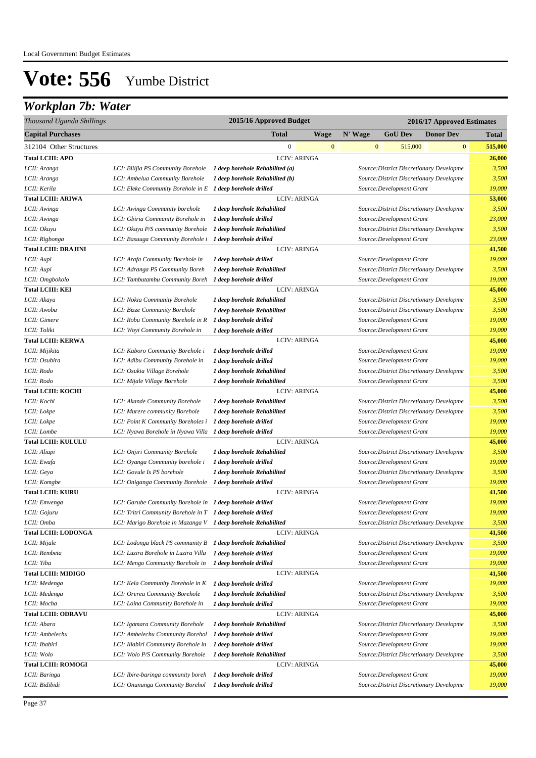## *Workplan 7b: Water*

| Thousand Uganda Shillings     |                                                                                                       | 2015/16 Approved Budget                            |              |              |                           | 2016/17 Approved Estimates               |                 |
|-------------------------------|-------------------------------------------------------------------------------------------------------|----------------------------------------------------|--------------|--------------|---------------------------|------------------------------------------|-----------------|
| <b>Capital Purchases</b>      |                                                                                                       | <b>Total</b>                                       | Wage         | N' Wage      | <b>GoU Dev</b>            | <b>Donor Dev</b>                         | <b>Total</b>    |
| 312104 Other Structures       |                                                                                                       | $\boldsymbol{0}$                                   | $\mathbf{0}$ | $\mathbf{0}$ | 515,000                   | $\bf{0}$                                 | 515,000         |
| <b>Total LCIII: APO</b>       |                                                                                                       | <b>LCIV: ARINGA</b>                                |              |              |                           |                                          | 26,000          |
| LCII: Aranga                  | LCI: Bilijia PS Community Borehole                                                                    | 1 deep borehole Rehabilited (a)                    |              |              |                           | Source: District Discretionary Developme | 3,500           |
| LCII: Aranga                  | LCI: Ambelua Community Borehole                                                                       | 1 deep borehole Rehabilited (b)                    |              |              |                           | Source: District Discretionary Developme | 3,500           |
| LCII: Kerila                  | LCI: Eleke Community Borehole in $E$ 1 deep borehole drilled                                          |                                                    |              |              | Source: Development Grant |                                          | 19,000          |
| <b>Total LCIII: ARIWA</b>     |                                                                                                       | <b>LCIV: ARINGA</b>                                |              |              |                           |                                          | 53,000          |
| LCII: Awinga                  | LCI: Awinga Community borehole                                                                        | 1 deep borehole Rehabilited                        |              |              |                           | Source: District Discretionary Developme | 3,500           |
| LCII: Awinga                  | LCI: Gbiria Community Borehole in                                                                     | 1 deep borehole drilled                            |              |              | Source: Development Grant |                                          | 23,000          |
| LCII: Okuyu                   | LCI: Okuyu P/S community Borehole                                                                     | 1 deep borehole Rehabilited                        |              |              |                           | Source: District Discretionary Developme | 3,500           |
| LCII: Rigbonga                | LCI: Basuuga Community Borehole i 1 deep borehole drilled                                             |                                                    |              |              | Source: Development Grant |                                          | 23,000          |
| <b>Total LCIII: DRAJINI</b>   |                                                                                                       | <b>LCIV: ARINGA</b>                                |              |              |                           |                                          | 41,500          |
| LCII: Aupi                    | LCI: Arafa Community Borehole in                                                                      | 1 deep borehole drilled                            |              |              | Source: Development Grant |                                          | 19,000          |
| LCII: Aupi                    | LCI: Adranga PS Community Boreh                                                                       | 1 deep borehole Rehabilited                        |              |              |                           | Source: District Discretionary Developme | 3,500           |
| LCII: Omgbokolo               | LCI: Tambutambu Community Boreh                                                                       | 1 deep borehole drilled                            |              |              | Source: Development Grant |                                          | 19,000          |
| <b>Total LCIII: KEI</b>       |                                                                                                       | <b>LCIV: ARINGA</b>                                |              |              |                           |                                          | 45,000          |
| LCII: Akaya                   | LCI: Nokia Community Borehole                                                                         | 1 deep borehole Rehabilited                        |              |              |                           | Source: District Discretionary Developme | 3,500           |
| LCII: Awoba                   | LCI: Bizze Community Borehole                                                                         | 1 deep borehole Rehabilited                        |              |              |                           | Source: District Discretionary Developme | 3,500           |
| LCII: Gimere                  | LCI: Robu Community Borehole in R                                                                     | 1 deep borehole drilled                            |              |              | Source: Development Grant |                                          | 19,000          |
| LCII: Toliki                  | LCI: Woyi Community Borehole in                                                                       | 1 deep borehole drilled                            |              |              | Source: Development Grant |                                          | 19,000          |
| <b>Total LCIII: KERWA</b>     |                                                                                                       | <b>LCIV: ARINGA</b>                                |              |              |                           |                                          | 45,000          |
| LCII: Mijikita                | LCI: Kaboro Community Borehole i                                                                      | 1 deep borehole drilled                            |              |              | Source: Development Grant |                                          | 19,000          |
| LCII: Osubira                 | LCI: Adibu Community Borehole in                                                                      | 1 deep borehole drilled                            |              |              | Source: Development Grant |                                          | 19,000          |
| LCII: Rodo                    | LCI: Osukia Village Borehole                                                                          | 1 deep borehole Rehabilited                        |              |              |                           | Source: District Discretionary Developme | 3,500           |
| LCII: Rodo                    | LCI: Mijale Village Borehole                                                                          | 1 deep borehole Rehabilited                        |              |              | Source: Development Grant |                                          | 3,500           |
| <b>Total LCIII: KOCHI</b>     |                                                                                                       | <b>LCIV: ARINGA</b>                                |              |              |                           |                                          | 45,000          |
| LCII: Kochi                   | LCI: Akande Community Borehole                                                                        | 1 deep borehole Rehabilited                        |              |              |                           | Source: District Discretionary Developme | 3,500           |
| LCII: Lokpe                   | LCI: Murere community Borehole                                                                        | 1 deep borehole Rehabilited                        |              |              |                           | Source: District Discretionary Developme | 3,500           |
| LCII: Lokpe                   | LCI: Point K Community Boreholes i                                                                    | 1 deep borehole drilled                            |              |              | Source: Development Grant |                                          | 19,000          |
| LCII: Lombe                   | LCI: Nyawa Borehole in Nyawa Villa                                                                    | 1 deep borehole drilled                            |              |              | Source: Development Grant |                                          | 19,000          |
| <b>Total LCIII: KULULU</b>    |                                                                                                       | <b>LCIV: ARINGA</b>                                |              |              |                           |                                          | 45,000          |
| LCII: Aliapi                  | LCI: Onjiri Community Borehole                                                                        | 1 deep borehole Rehabilited                        |              |              |                           | Source: District Discretionary Developme | 3,500           |
| LCII: Ewafa                   | LCI: Oyanga Community borehole i                                                                      | 1 deep borehole drilled                            |              |              | Source: Development Grant |                                          | 19,000          |
| LCII: Geya                    | LCI: Govule Is PS borehole                                                                            | 1 deep borehole Rehabilited                        |              |              |                           | Source: District Discretionary Developme | 3,500           |
| LCII: Komgbe                  | LCI: Oniganga Community Borehole                                                                      | 1 deep borehole drilled                            |              |              | Source: Development Grant |                                          | 19,000          |
| <b>Total LCIII: KURU</b>      |                                                                                                       | <b>LCIV: ARINGA</b>                                |              |              |                           |                                          | 41,500          |
| LCII: Emvenga                 | LCI: Garube Community Borehole in 1 deep borehole drilled                                             |                                                    |              |              | Source: Development Grant |                                          | 19,000          |
| LCII: Gojuru                  | LCI: Tritri Community Borehole in T 1 deep borehole drilled                                           |                                                    |              |              | Source: Development Grant |                                          | 19,000          |
| LCII: Omba                    | LCI: Marigo Borehole in Mazanga V 1 deep borehole Rehabilited                                         |                                                    |              |              |                           | Source: District Discretionary Developme | 3,500           |
| <b>Total LCIII: LODONGA</b>   |                                                                                                       | <b>LCIV: ARINGA</b>                                |              |              |                           |                                          | 41,500<br>3,500 |
| LCII: Mijale<br>LCII: Rembeta | LCI: Lodonga black PS community B 1 deep borehole Rehabilited<br>LCI: Luzira Borehole in Luzira Villa |                                                    |              |              | Source: Development Grant | Source: District Discretionary Developme | 19,000          |
| LCII: Yiba                    | LCI: Mengo Community Borehole in                                                                      | 1 deep borehole drilled<br>1 deep borehole drilled |              |              | Source: Development Grant |                                          | 19,000          |
| <b>Total LCIII: MIDIGO</b>    |                                                                                                       | <b>LCIV: ARINGA</b>                                |              |              |                           |                                          | 41,500          |
| LCII: Medenga                 | LCI: Kela Community Borehole in K                                                                     | 1 deep borehole drilled                            |              |              | Source: Development Grant |                                          | 19,000          |
| LCII: Medenga                 | LCI: Orerea Community Borehole                                                                        | 1 deep borehole Rehabilited                        |              |              |                           | Source: District Discretionary Developme | 3,500           |
| LCII: Mocha                   | LCI: Loina Community Borehole in                                                                      | 1 deep borehole drilled                            |              |              | Source: Development Grant |                                          | 19,000          |
| <b>Total LCIII: ODRAVU</b>    |                                                                                                       | <b>LCIV: ARINGA</b>                                |              |              |                           |                                          | 45,000          |
| LCII: Abara                   | LCI: Igamara Community Borehole                                                                       | 1 deep borehole Rehabilited                        |              |              |                           | Source: District Discretionary Developme | 3,500           |
| LCII: Ambelechu               | LCI: Ambelechu Community Borehol                                                                      | 1 deep borehole drilled                            |              |              | Source: Development Grant |                                          | 19,000          |
| LCII: Ibabiri                 | LCI: Illabiri Community Borehole in                                                                   | 1 deep borehole drilled                            |              |              | Source: Development Grant |                                          | 19,000          |
| LCII: Wolo                    | LCI: Wolo P/S Community Borehole                                                                      | 1 deep borehole Rehabilited                        |              |              |                           | Source: District Discretionary Developme | 3,500           |
| <b>Total LCIII: ROMOGI</b>    |                                                                                                       | <b>LCIV: ARINGA</b>                                |              |              |                           |                                          | 45,000          |
| LCII: Baringa                 | LCI: Ibire-baringa community boreh                                                                    | 1 deep borehole drilled                            |              |              | Source: Development Grant |                                          | 19,000          |
| LCII: Bidibidi                | LCI: Onununga Community Borehol                                                                       | 1 deep borehole drilled                            |              |              |                           | Source: District Discretionary Developme | 19,000          |
|                               |                                                                                                       |                                                    |              |              |                           |                                          |                 |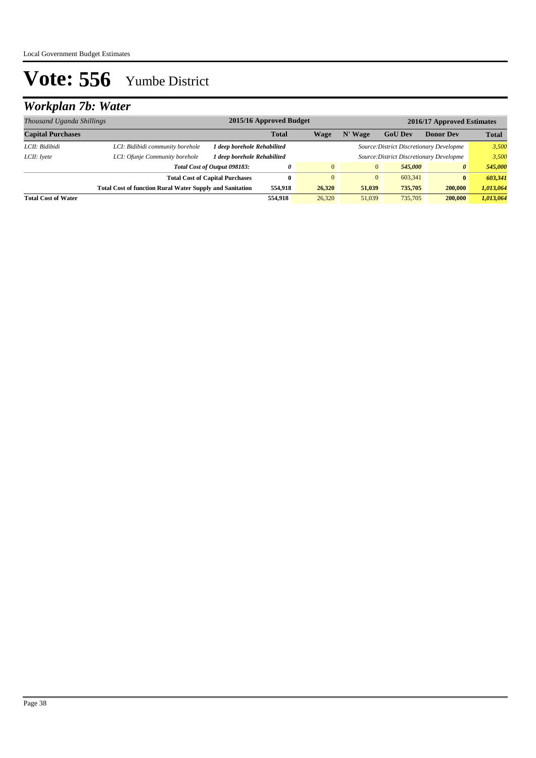## *Workplan 7b: Water*

| Thousand Uganda Shillings  |                                  | 2015/16 Approved Budget<br>2016/17 Approved Estimates                      |              |                                          |              |                |                  |              |
|----------------------------|----------------------------------|----------------------------------------------------------------------------|--------------|------------------------------------------|--------------|----------------|------------------|--------------|
| <b>Capital Purchases</b>   |                                  |                                                                            | <b>Total</b> | Wage                                     | N' Wage      | <b>GoU Dev</b> | <b>Donor Dev</b> | <b>Total</b> |
| LCII: Bidibidi             | LCI: Bidibidi community borehole | 1 deep borehole Rehabilited<br>Source: District Discretionary Developme    |              |                                          |              | 3,500          |                  |              |
| LCII: Ivete                | LCI: Ofunje Community borehole   | 1 deep borehole Rehabilited                                                |              | Source: District Discretionary Developme |              |                |                  | 3.500        |
|                            |                                  | Total Cost of Output 098183:                                               | 0            | $\overline{0}$                           | $\mathbf{0}$ | 545,000        | 0                | 545,000      |
|                            |                                  | <b>Total Cost of Capital Purchases</b>                                     | 0            | $\Omega$                                 | $\mathbf{0}$ | 603.341        | $\bf{0}$         | 603,341      |
|                            |                                  | <b>Total Cost of function Rural Water Supply and Sanitation</b><br>554,918 |              | 26,320                                   | 51,039       | 735,705        | 200,000          | 1,013,064    |
| <b>Total Cost of Water</b> |                                  |                                                                            | 554.918      | 26,320                                   | 51,039       | 735,705        | 200,000          | 1,013,064    |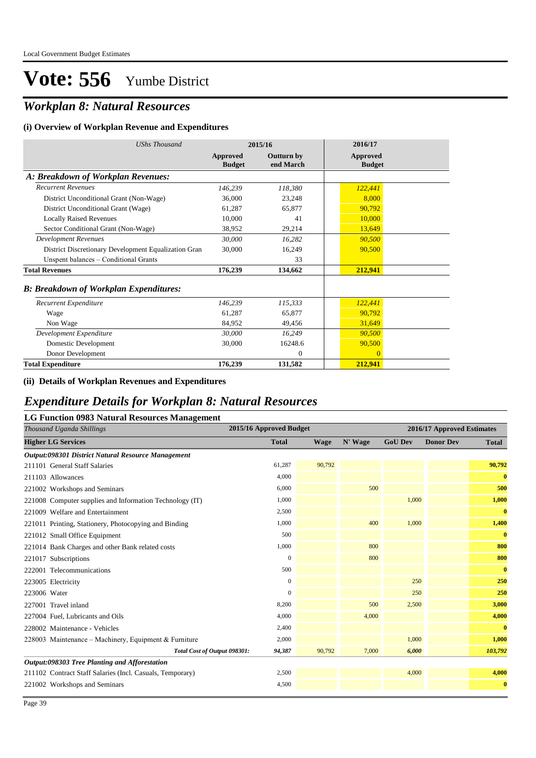## *Workplan 8: Natural Resources*

#### **(i) Overview of Workplan Revenue and Expenditures**

| <b>UShs Thousand</b>                                 |                           | 2015/16                        | 2016/17                          |
|------------------------------------------------------|---------------------------|--------------------------------|----------------------------------|
|                                                      | Approved<br><b>Budget</b> | <b>Outturn by</b><br>end March | <b>Approved</b><br><b>Budget</b> |
| A: Breakdown of Workplan Revenues:                   |                           |                                |                                  |
| <b>Recurrent Revenues</b>                            | 146,239                   | 118,380                        | 122,441                          |
| District Unconditional Grant (Non-Wage)              | 36,000                    | 23,248                         | 8,000                            |
| District Unconditional Grant (Wage)                  | 61,287                    | 65,877                         | 90,792                           |
| <b>Locally Raised Revenues</b>                       | 10,000                    | 41                             | 10,000                           |
| Sector Conditional Grant (Non-Wage)                  | 38,952                    | 29,214                         | 13,649                           |
| <b>Development Revenues</b>                          | 30,000                    | 16,282                         | 90,500                           |
| District Discretionary Development Equalization Gran | 30,000                    | 16,249                         | 90,500                           |
| Unspent balances - Conditional Grants                |                           | 33                             |                                  |
| <b>Total Revenues</b>                                | 176,239                   | 134,662                        | 212,941                          |
| <b>B: Breakdown of Workplan Expenditures:</b>        |                           |                                |                                  |
| Recurrent Expenditure                                | 146,239                   | 115,333                        | 122,441                          |
| Wage                                                 | 61,287                    | 65,877                         | 90,792                           |
| Non Wage                                             | 84,952                    | 49,456                         | 31,649                           |
| Development Expenditure                              | 30,000                    | 16,249                         | 90,500                           |
| Domestic Development                                 | 30,000                    | 16248.6                        | 90,500                           |
| Donor Development                                    |                           | $\overline{0}$                 | $\overline{0}$                   |
| <b>Total Expenditure</b>                             | 176,239                   | 131,582                        | 212,941                          |

#### **(ii) Details of Workplan Revenues and Expenditures**

### *Expenditure Details for Workplan 8: Natural Resources*

#### **LG Function 0983 Natural Resources Management**

| o<br>Thousand Uganda Shillings                            | 2015/16 Approved Budget |        |         |                | 2016/17 Approved Estimates |              |
|-----------------------------------------------------------|-------------------------|--------|---------|----------------|----------------------------|--------------|
| <b>Higher LG Services</b>                                 | <b>Total</b>            | Wage   | N' Wage | <b>GoU Dev</b> | <b>Donor Dev</b>           | <b>Total</b> |
| Output:098301 District Natural Resource Management        |                         |        |         |                |                            |              |
| 211101 General Staff Salaries                             | 61,287                  | 90,792 |         |                |                            | 90,792       |
| 211103 Allowances                                         | 4,000                   |        |         |                |                            | $\bf{0}$     |
| 221002 Workshops and Seminars                             | 6,000                   |        | 500     |                |                            | 500          |
| 221008 Computer supplies and Information Technology (IT)  | 1,000                   |        |         | 1,000          |                            | 1,000        |
| 221009 Welfare and Entertainment                          | 2,500                   |        |         |                |                            | $\bf{0}$     |
| 221011 Printing, Stationery, Photocopying and Binding     | 1,000                   |        | 400     | 1,000          |                            | 1,400        |
| 221012 Small Office Equipment                             | 500                     |        |         |                |                            | $\bf{0}$     |
| 221014 Bank Charges and other Bank related costs          | 1,000                   |        | 800     |                |                            | 800          |
| 221017 Subscriptions                                      | $\overline{0}$          |        | 800     |                |                            | 800          |
| 222001 Telecommunications                                 | 500                     |        |         |                |                            | $\bf{0}$     |
| 223005 Electricity                                        | $\mathbf{0}$            |        |         | 250            |                            | 250          |
| 223006 Water                                              | $\Omega$                |        |         | 250            |                            | 250          |
| 227001 Travel inland                                      | 8,200                   |        | 500     | 2,500          |                            | 3,000        |
| 227004 Fuel, Lubricants and Oils                          | 4,000                   |        | 4,000   |                |                            | 4,000        |
| 228002 Maintenance - Vehicles                             | 2,400                   |        |         |                |                            | $\bf{0}$     |
| 228003 Maintenance – Machinery, Equipment & Furniture     | 2,000                   |        |         | 1,000          |                            | 1,000        |
| Total Cost of Output 098301:                              | 94,387                  | 90,792 | 7,000   | 6,000          |                            | 103,792      |
| Output:098303 Tree Planting and Afforestation             |                         |        |         |                |                            |              |
| 211102 Contract Staff Salaries (Incl. Casuals, Temporary) | 2,500                   |        |         | 4,000          |                            | 4,000        |
| 221002 Workshops and Seminars                             | 4,500                   |        |         |                |                            | $\bf{0}$     |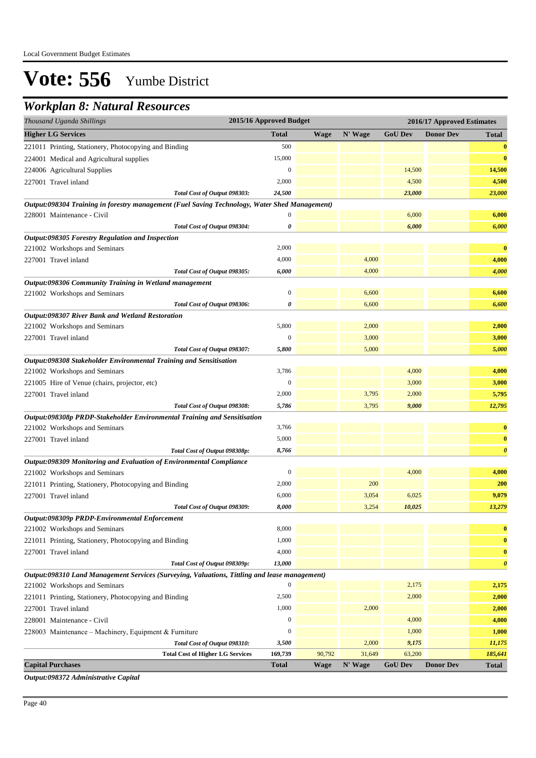## *Workplan 8: Natural Resources*

| Thousand Uganda Shillings                                                                     | 2015/16 Approved Budget |             |                 | 2016/17 Approved Estimates |                  |                       |  |
|-----------------------------------------------------------------------------------------------|-------------------------|-------------|-----------------|----------------------------|------------------|-----------------------|--|
| <b>Higher LG Services</b>                                                                     | <b>Total</b>            | <b>Wage</b> | N' Wage         | <b>GoU Dev</b>             | <b>Donor Dev</b> | <b>Total</b>          |  |
| 221011 Printing, Stationery, Photocopying and Binding                                         | 500                     |             |                 |                            |                  | $\bf{0}$              |  |
| 224001 Medical and Agricultural supplies                                                      | 15,000                  |             |                 |                            |                  | $\bf{0}$              |  |
| 224006 Agricultural Supplies                                                                  | $\boldsymbol{0}$        |             |                 | 14,500                     |                  | 14,500                |  |
| 227001 Travel inland                                                                          | 2,000                   |             |                 | 4,500                      |                  | 4,500                 |  |
| Total Cost of Output 098303:                                                                  | 24,500                  |             |                 | 23,000                     |                  | 23,000                |  |
| Output:098304 Training in forestry management (Fuel Saving Technology, Water Shed Management) |                         |             |                 |                            |                  |                       |  |
| 228001 Maintenance - Civil                                                                    | $\Omega$                |             |                 | 6,000                      |                  | 6,000                 |  |
| Total Cost of Output 098304:                                                                  | 0                       |             |                 | 6,000                      |                  | 6,000                 |  |
| Output:098305 Forestry Regulation and Inspection                                              |                         |             |                 |                            |                  |                       |  |
| 221002 Workshops and Seminars                                                                 | 2,000                   |             |                 |                            |                  | $\bf{0}$              |  |
| 227001 Travel inland                                                                          | 4,000                   |             | 4,000           |                            |                  | 4,000                 |  |
| Total Cost of Output 098305:                                                                  | 6,000                   |             | 4,000           |                            |                  | 4,000                 |  |
| Output:098306 Community Training in Wetland management                                        |                         |             |                 |                            |                  |                       |  |
| 221002 Workshops and Seminars                                                                 | $\mathbf{0}$            |             | 6,600           |                            |                  | 6,600                 |  |
| Total Cost of Output 098306:                                                                  | 0                       |             | 6,600           |                            |                  | 6,600                 |  |
| Output:098307 River Bank and Wetland Restoration                                              |                         |             |                 |                            |                  |                       |  |
| 221002 Workshops and Seminars                                                                 | 5,800                   |             | 2,000           |                            |                  | 2,000                 |  |
| 227001 Travel inland                                                                          | $\mathbf{0}$            |             | 3,000           |                            |                  | 3,000                 |  |
| Total Cost of Output 098307:                                                                  | 5,800                   |             | 5,000           |                            |                  | 5,000                 |  |
| Output:098308 Stakeholder Environmental Training and Sensitisation                            |                         |             |                 |                            |                  |                       |  |
| 221002 Workshops and Seminars                                                                 | 3,786                   |             |                 | 4,000                      |                  | 4,000                 |  |
| 221005 Hire of Venue (chairs, projector, etc)                                                 | $\boldsymbol{0}$        |             |                 | 3,000                      |                  | 3,000                 |  |
| 227001 Travel inland                                                                          | 2,000                   |             | 3,795           | 2,000                      |                  | 5,795                 |  |
| Total Cost of Output 098308:                                                                  | 5,786                   |             | 3,795           | 9,000                      |                  | 12,795                |  |
| Output:098308p PRDP-Stakeholder Environmental Training and Sensitisation                      |                         |             |                 |                            |                  |                       |  |
| 221002 Workshops and Seminars                                                                 | 3,766                   |             |                 |                            |                  | $\bf{0}$              |  |
| 227001 Travel inland                                                                          | 5,000                   |             |                 |                            |                  | $\bf{0}$              |  |
| Total Cost of Output 098308p:                                                                 | 8,766                   |             |                 |                            |                  | $\boldsymbol{\theta}$ |  |
| Output:098309 Monitoring and Evaluation of Environmental Compliance                           |                         |             |                 |                            |                  |                       |  |
| 221002 Workshops and Seminars                                                                 | $\boldsymbol{0}$        |             |                 | 4,000                      |                  | 4,000                 |  |
| 221011 Printing, Stationery, Photocopying and Binding                                         | 2,000                   |             | 200             |                            |                  | 200                   |  |
| 227001 Travel inland                                                                          | 6,000                   |             | 3,054           | 6,025                      |                  | 9,079                 |  |
| Total Cost of Output 098309:                                                                  | 8,000                   |             | 3,254           | 10,025                     |                  | 13,279                |  |
| Output:098309p PRDP-Environmental Enforcement                                                 | 8,000                   |             |                 |                            |                  |                       |  |
| 221002 Workshops and Seminars                                                                 |                         |             |                 |                            |                  | $\bf{0}$              |  |
| 221011 Printing, Stationery, Photocopying and Binding                                         | 1,000                   |             |                 |                            |                  | $\bf{0}$              |  |
| 227001 Travel inland                                                                          | 4,000                   |             |                 |                            |                  | $\bf{0}$              |  |
| Total Cost of Output 098309p:                                                                 | 13,000                  |             |                 |                            |                  | $\boldsymbol{\theta}$ |  |
| Output:098310 Land Management Services (Surveying, Valuations, Tittling and lease management) | $\boldsymbol{0}$        |             |                 | 2,175                      |                  | 2,175                 |  |
| 221002 Workshops and Seminars                                                                 | 2,500                   |             |                 | 2,000                      |                  | 2,000                 |  |
| 221011 Printing, Stationery, Photocopying and Binding<br>227001 Travel inland                 | 1,000                   |             | 2,000           |                            |                  | 2,000                 |  |
|                                                                                               | $\boldsymbol{0}$        |             |                 |                            |                  | 4,000                 |  |
| 228001 Maintenance - Civil                                                                    |                         |             |                 | 4,000                      |                  |                       |  |
| 228003 Maintenance - Machinery, Equipment & Furniture                                         | $\boldsymbol{0}$        |             |                 | 1,000                      |                  | 1,000                 |  |
| Total Cost of Output 098310:                                                                  | 3,500                   | 90,792      | 2,000<br>31,649 | 9,175<br>63,200            |                  | 11,175<br>185,641     |  |
| <b>Total Cost of Higher LG Services</b><br><b>Capital Purchases</b>                           | 169,739<br><b>Total</b> | <b>Wage</b> | N' Wage         | <b>GoU</b> Dev             | <b>Donor Dev</b> | <b>Total</b>          |  |
|                                                                                               |                         |             |                 |                            |                  |                       |  |

*Output:098372 Administrative Capital*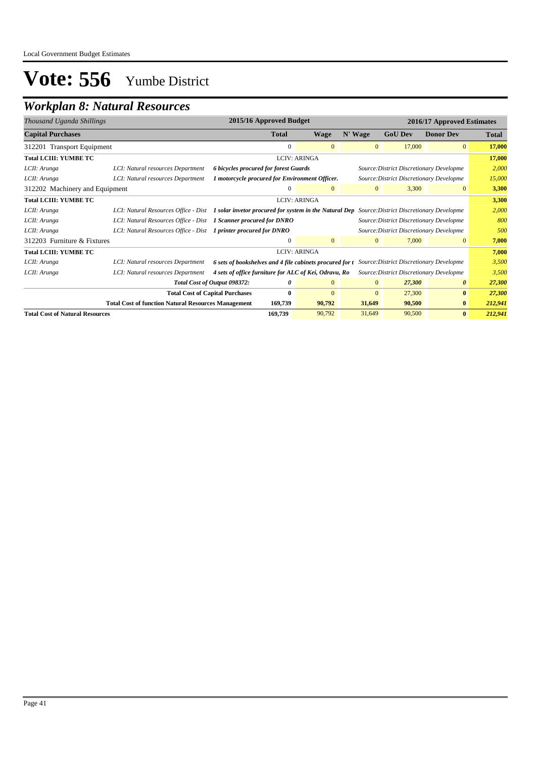## *Workplan 8: Natural Resources*

| Thousand Uganda Shillings                    |                                                                   | 2015/16 Approved Budget                                                                                                              |                     |              |                                          | 2016/17 Approved Estimates |              |
|----------------------------------------------|-------------------------------------------------------------------|--------------------------------------------------------------------------------------------------------------------------------------|---------------------|--------------|------------------------------------------|----------------------------|--------------|
| <b>Capital Purchases</b>                     |                                                                   | Total                                                                                                                                | Wage                | N' Wage      | <b>GoU Dev</b>                           | <b>Donor Dev</b>           | <b>Total</b> |
| 312201 Transport Equipment                   |                                                                   | $\mathbf{0}$                                                                                                                         | $\overline{0}$      | $\mathbf{0}$ | 17,000                                   | $\overline{0}$             | 17,000       |
| <b>Total LCIII: YUMBE TC</b>                 |                                                                   |                                                                                                                                      | <b>LCIV: ARINGA</b> |              |                                          |                            | 17,000       |
| LCII: Arunga                                 | LCI: Natural resources Department                                 | 6 bicycles procured for forest Guards<br>Source: District Discretionary Developme                                                    |                     |              |                                          | 2,000                      |              |
| LCII: Arunga                                 | LCI: Natural resources Department                                 | 1 motorcycle procured for Environment Officer.                                                                                       |                     |              | Source: District Discretionary Developme |                            | 15,000       |
| 312202 Machinery and Equipment               |                                                                   | $\theta$                                                                                                                             | $\overline{0}$      | $\mathbf{0}$ | 3,300                                    | $\theta$                   | 3,300        |
| Total LCIII: YUMBE TC<br><b>LCIV: ARINGA</b> |                                                                   |                                                                                                                                      |                     |              |                                          |                            | 3,300        |
| LCII: Arunga                                 |                                                                   | LCI: Natural Resources Office - Dist 1 solar invetor procured for system in the Natural Dep Source: District Discretionary Developme |                     |              |                                          |                            |              |
| LCII: Arunga                                 | LCI: Natural Resources Office - Dist 1 Scanner procured for DNRO  |                                                                                                                                      |                     |              | Source: District Discretionary Developme |                            | 800          |
| LCII: Arunga                                 | LCI: Natural Resources Office - Dist  1 printer procured for DNRO |                                                                                                                                      |                     |              | Source: District Discretionary Developme |                            | 500          |
| 312203 Furniture & Fixtures                  |                                                                   | $\mathbf{0}$                                                                                                                         | $\overline{0}$      | $\mathbf{0}$ | 7,000                                    | $\mathbf{0}$               | 7,000        |
| <b>Total LCIII: YUMBE TC</b>                 |                                                                   |                                                                                                                                      | <b>LCIV: ARINGA</b> |              |                                          |                            | 7,000        |
| LCII: Arunga                                 | LCI: Natural resources Department                                 | 6 sets of bookshelves and 4 file cabinets procured for t Source: District Discretionary Developme                                    |                     |              |                                          |                            | 3,500        |
| LCII: Arunga                                 | LCI: Natural resources Department                                 | 4 sets of office furniture for ALC of Kei, Odravu, Ro                                                                                |                     |              | Source: District Discretionary Developme |                            | 3,500        |
|                                              |                                                                   | Total Cost of Output 098372:<br>0                                                                                                    | $\overline{0}$      | $\mathbf{0}$ | 27,300                                   | $\theta$                   | 27,300       |
|                                              |                                                                   | <b>Total Cost of Capital Purchases</b><br>$\bf{0}$                                                                                   | $\overline{0}$      | $\mathbf{0}$ | 27,300                                   | $\bf{0}$                   | 27,300       |
|                                              | <b>Total Cost of function Natural Resources Management</b>        | 169,739                                                                                                                              | 90,792              | 31,649       | 90,500                                   | $\bf{0}$                   | 212,941      |
| <b>Total Cost of Natural Resources</b>       |                                                                   | 169,739                                                                                                                              | 90,792              | 31,649       | 90,500                                   | $\bf{0}$                   | 212,941      |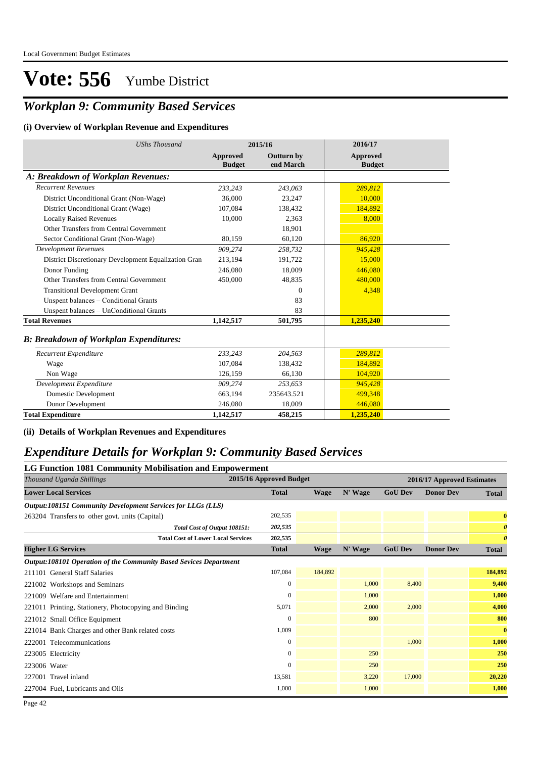## *Workplan 9: Community Based Services*

#### **(i) Overview of Workplan Revenue and Expenditures**

| <b>UShs Thousand</b>                                 | 2015/16                   |                         | 2016/17                          |
|------------------------------------------------------|---------------------------|-------------------------|----------------------------------|
|                                                      | Approved<br><b>Budget</b> | Outturn by<br>end March | <b>Approved</b><br><b>Budget</b> |
| A: Breakdown of Workplan Revenues:                   |                           |                         |                                  |
| <b>Recurrent Revenues</b>                            | 233,243                   | 243,063                 | 289,812                          |
| District Unconditional Grant (Non-Wage)              | 36,000                    | 23,247                  | 10,000                           |
| District Unconditional Grant (Wage)                  | 107,084                   | 138,432                 | 184,892                          |
| <b>Locally Raised Revenues</b>                       | 10,000                    | 2,363                   | 8,000                            |
| Other Transfers from Central Government              |                           | 18,901                  |                                  |
| Sector Conditional Grant (Non-Wage)                  | 80,159                    | 60,120                  | 86,920                           |
| <b>Development Revenues</b>                          | 909,274                   | 258,732                 | 945,428                          |
| District Discretionary Development Equalization Gran | 213,194                   | 191,722                 | 15,000                           |
| Donor Funding                                        | 246,080                   | 18,009                  | 446,080                          |
| Other Transfers from Central Government              | 450,000                   | 48,835                  | 480,000                          |
| <b>Transitional Development Grant</b>                |                           | $\Omega$                | 4,348                            |
| Unspent balances - Conditional Grants                |                           | 83                      |                                  |
| Unspent balances - UnConditional Grants              |                           | 83                      |                                  |
| <b>Total Revenues</b>                                | 1,142,517                 | 501,795                 | 1,235,240                        |
| <b>B: Breakdown of Workplan Expenditures:</b>        |                           |                         |                                  |
| Recurrent Expenditure                                | 233,243                   | 204,563                 | 289,812                          |
| Wage                                                 | 107.084                   | 138,432                 | 184,892                          |
| Non Wage                                             | 126,159                   | 66,130                  | 104,920                          |
| Development Expenditure                              | 909,274                   | 253,653                 | 945,428                          |
| Domestic Development                                 | 663,194                   | 235643.521              | 499,348                          |
| Donor Development                                    | 246,080                   | 18,009                  | 446,080                          |
| <b>Total Expenditure</b>                             | 1,142,517                 | 458,215                 | 1,235,240                        |

**(ii) Details of Workplan Revenues and Expenditures**

### *Expenditure Details for Workplan 9: Community Based Services*

| <b>LG Function 1081 Community Mobilisation and Empowerment</b>    |                         |             |         |                |                            |                       |  |  |  |
|-------------------------------------------------------------------|-------------------------|-------------|---------|----------------|----------------------------|-----------------------|--|--|--|
| Thousand Uganda Shillings                                         | 2015/16 Approved Budget |             |         |                | 2016/17 Approved Estimates |                       |  |  |  |
| <b>Lower Local Services</b>                                       | <b>Total</b>            | <b>Wage</b> | N' Wage | <b>GoU Dev</b> | <b>Donor Dev</b>           | <b>Total</b>          |  |  |  |
| Output:108151 Community Development Services for LLGs (LLS)       |                         |             |         |                |                            |                       |  |  |  |
| 263204 Transfers to other govt. units (Capital)                   | 202,535                 |             |         |                |                            | $\bf{0}$              |  |  |  |
| Total Cost of Output 108151:                                      | 202,535                 |             |         |                |                            | $\boldsymbol{\theta}$ |  |  |  |
| <b>Total Cost of Lower Local Services</b>                         | 202,535                 |             |         |                |                            | $\boldsymbol{\theta}$ |  |  |  |
| <b>Higher LG Services</b>                                         | <b>Total</b>            | <b>Wage</b> | N' Wage | <b>GoU Dev</b> | <b>Donor Dev</b>           | <b>Total</b>          |  |  |  |
| Output:108101 Operation of the Community Based Sevices Department |                         |             |         |                |                            |                       |  |  |  |
| 211101 General Staff Salaries                                     | 107,084                 | 184,892     |         |                |                            | 184,892               |  |  |  |
| 221002 Workshops and Seminars                                     | $\mathbf{0}$            |             | 1,000   | 8,400          |                            | 9,400                 |  |  |  |
| 221009 Welfare and Entertainment                                  | $\mathbf{0}$            |             | 1,000   |                |                            | 1,000                 |  |  |  |
| 221011 Printing, Stationery, Photocopying and Binding             | 5,071                   |             | 2,000   | 2,000          |                            | 4,000                 |  |  |  |
| 221012 Small Office Equipment                                     | $\mathbf{0}$            |             | 800     |                |                            | 800                   |  |  |  |
| 221014 Bank Charges and other Bank related costs                  | 1,009                   |             |         |                |                            | $\bf{0}$              |  |  |  |
| 222001 Telecommunications                                         | $\mathbf{0}$            |             |         | 1,000          |                            | 1,000                 |  |  |  |
| 223005 Electricity                                                | $\mathbf{0}$            |             | 250     |                |                            | 250                   |  |  |  |
| 223006 Water                                                      | $\mathbf{0}$            |             | 250     |                |                            | 250                   |  |  |  |
| 227001 Travel inland                                              | 13,581                  |             | 3,220   | 17,000         |                            | 20,220                |  |  |  |
| 227004 Fuel, Lubricants and Oils                                  | 1,000                   |             | 1,000   |                |                            | 1,000                 |  |  |  |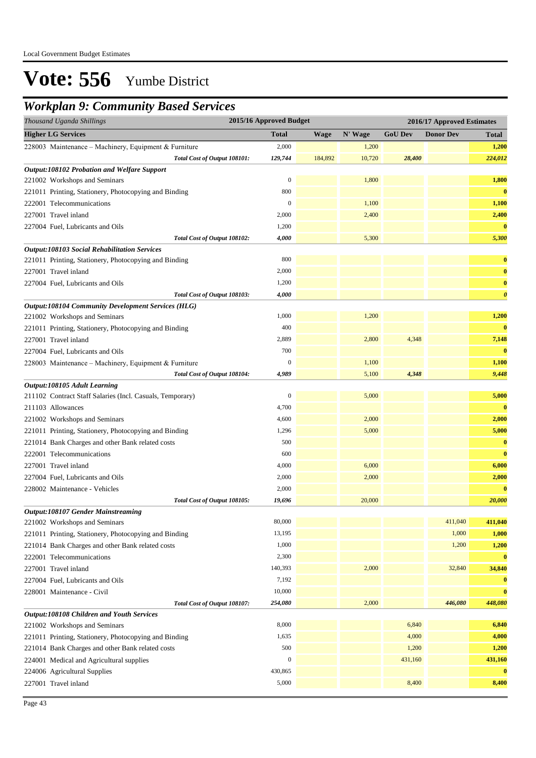## *Workplan 9: Community Based Services*

| Thousand Uganda Shillings                                 | 2015/16 Approved Budget |             |         |                | 2016/17 Approved Estimates |                       |
|-----------------------------------------------------------|-------------------------|-------------|---------|----------------|----------------------------|-----------------------|
| <b>Higher LG Services</b>                                 | <b>Total</b>            | <b>Wage</b> | N' Wage | <b>GoU Dev</b> | <b>Donor Dev</b>           | <b>Total</b>          |
| 228003 Maintenance - Machinery, Equipment & Furniture     | 2,000                   |             | 1,200   |                |                            | 1,200                 |
| Total Cost of Output 108101:                              | 129,744                 | 184,892     | 10,720  | 28,400         |                            | 224,012               |
| Output:108102 Probation and Welfare Support               |                         |             |         |                |                            |                       |
| 221002 Workshops and Seminars                             | $\boldsymbol{0}$        |             | 1,800   |                |                            | 1,800                 |
| 221011 Printing, Stationery, Photocopying and Binding     | 800                     |             |         |                |                            | $\bf{0}$              |
| 222001 Telecommunications                                 | $\boldsymbol{0}$        |             | 1,100   |                |                            | 1,100                 |
| 227001 Travel inland                                      | 2,000                   |             | 2,400   |                |                            | 2,400                 |
| 227004 Fuel, Lubricants and Oils                          | 1,200                   |             |         |                |                            | $\bf{0}$              |
| Total Cost of Output 108102:                              | 4,000                   |             | 5,300   |                |                            | 5,300                 |
| <b>Output:108103 Social Rehabilitation Services</b>       |                         |             |         |                |                            |                       |
| 221011 Printing, Stationery, Photocopying and Binding     | 800                     |             |         |                |                            | $\bf{0}$              |
| 227001 Travel inland                                      | 2,000                   |             |         |                |                            | $\bf{0}$              |
| 227004 Fuel, Lubricants and Oils                          | 1,200                   |             |         |                |                            | $\bf{0}$              |
| Total Cost of Output 108103:                              | 4,000                   |             |         |                |                            | $\boldsymbol{\theta}$ |
| <b>Output:108104 Community Development Services (HLG)</b> |                         |             |         |                |                            |                       |
| 221002 Workshops and Seminars                             | 1,000                   |             | 1,200   |                |                            | 1,200                 |
| 221011 Printing, Stationery, Photocopying and Binding     | 400                     |             |         |                |                            | $\bf{0}$              |
| 227001 Travel inland                                      | 2,889                   |             | 2,800   | 4,348          |                            | 7,148                 |
| 227004 Fuel, Lubricants and Oils                          | 700                     |             |         |                |                            | $\bf{0}$              |
| 228003 Maintenance - Machinery, Equipment & Furniture     | $\mathbf{0}$            |             | 1,100   |                |                            | 1,100                 |
| Total Cost of Output 108104:                              | 4,989                   |             | 5,100   | 4,348          |                            | 9,448                 |
| Output:108105 Adult Learning                              |                         |             |         |                |                            |                       |
| 211102 Contract Staff Salaries (Incl. Casuals, Temporary) | $\boldsymbol{0}$        |             | 5,000   |                |                            | 5,000                 |
| 211103 Allowances                                         | 4,700                   |             |         |                |                            | $\bf{0}$              |
| 221002 Workshops and Seminars                             | 4,600                   |             | 2,000   |                |                            | 2,000                 |
| 221011 Printing, Stationery, Photocopying and Binding     | 1,296                   |             | 5,000   |                |                            | 5,000                 |
| 221014 Bank Charges and other Bank related costs          | 500                     |             |         |                |                            | $\bf{0}$              |
| 222001 Telecommunications                                 | 600                     |             |         |                |                            | $\bf{0}$              |
| 227001 Travel inland                                      | 4,000                   |             | 6,000   |                |                            | 6,000                 |
| 227004 Fuel, Lubricants and Oils                          | 2,000                   |             | 2,000   |                |                            | 2,000                 |
| 228002 Maintenance - Vehicles                             | 2,000                   |             |         |                |                            | $\bf{0}$              |
| Total Cost of Output 108105:                              | 19,696                  |             | 20,000  |                |                            | 20,000                |
| Output:108107 Gender Mainstreaming                        |                         |             |         |                |                            |                       |
| 221002 Workshops and Seminars                             | 80,000                  |             |         |                | 411,040                    | 411,040               |
| 221011 Printing, Stationery, Photocopying and Binding     | 13,195                  |             |         |                | 1,000                      | 1,000                 |
| 221014 Bank Charges and other Bank related costs          | 1,000                   |             |         |                | 1,200                      | 1,200                 |
| 222001 Telecommunications                                 | 2,300                   |             |         |                |                            | $\bf{0}$              |
| 227001 Travel inland                                      | 140,393                 |             | 2,000   |                | 32,840                     | 34,840                |
| 227004 Fuel, Lubricants and Oils                          | 7,192                   |             |         |                |                            | $\bf{0}$              |
| 228001 Maintenance - Civil                                | 10,000                  |             |         |                |                            | $\bf{0}$              |
| Total Cost of Output 108107:                              | 254,080                 |             | 2,000   |                | 446,080                    | 448,080               |
| Output:108108 Children and Youth Services                 |                         |             |         |                |                            |                       |
| 221002 Workshops and Seminars                             | 8,000                   |             |         | 6,840          |                            | 6,840                 |
| 221011 Printing, Stationery, Photocopying and Binding     | 1,635                   |             |         | 4,000          |                            | 4,000                 |
| 221014 Bank Charges and other Bank related costs          | 500                     |             |         | 1,200          |                            | 1,200                 |
| 224001 Medical and Agricultural supplies                  | $\boldsymbol{0}$        |             |         | 431,160        |                            | 431,160               |
| 224006 Agricultural Supplies                              | 430,865                 |             |         |                |                            | $\bf{0}$              |
| 227001 Travel inland                                      | 5,000                   |             |         | 8,400          |                            | 8,400                 |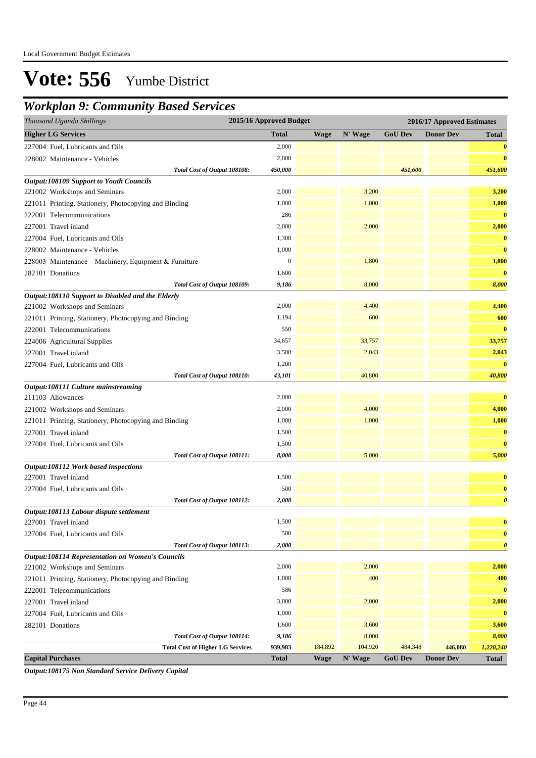### *Workplan 9: Community Based Services*

| Thousand Uganda Shillings                               | 2015/16 Approved Budget |             |         |                | 2016/17 Approved Estimates |                       |
|---------------------------------------------------------|-------------------------|-------------|---------|----------------|----------------------------|-----------------------|
| <b>Higher LG Services</b>                               | <b>Total</b>            | <b>Wage</b> | N' Wage | <b>GoU Dev</b> | <b>Donor Dev</b>           | <b>Total</b>          |
| 227004 Fuel, Lubricants and Oils                        | 2,000                   |             |         |                |                            | $\bf{0}$              |
| 228002 Maintenance - Vehicles                           | 2,000                   |             |         |                |                            | $\bf{0}$              |
| Total Cost of Output 108108:                            | 450,000                 |             |         | 451,600        |                            | 451,600               |
| <b>Output:108109 Support to Youth Councils</b>          |                         |             |         |                |                            |                       |
| 221002 Workshops and Seminars                           | 2,000                   |             | 3,200   |                |                            | 3,200                 |
| 221011 Printing, Stationery, Photocopying and Binding   | 1,000                   |             | 1,000   |                |                            | 1,000                 |
| 222001 Telecommunications                               | 286                     |             |         |                |                            | $\bf{0}$              |
| 227001 Travel inland                                    | 2,000                   |             | 2,000   |                |                            | 2,000                 |
| 227004 Fuel, Lubricants and Oils                        | 1,300                   |             |         |                |                            | $\bf{0}$              |
| 228002 Maintenance - Vehicles                           | 1,000                   |             |         |                |                            | $\bf{0}$              |
| 228003 Maintenance - Machinery, Equipment & Furniture   | $\boldsymbol{0}$        |             | 1,800   |                |                            | 1,800                 |
| 282101 Donations                                        | 1,600                   |             |         |                |                            | $\bf{0}$              |
| Total Cost of Output 108109:                            | 9,186                   |             | 8,000   |                |                            | 8,000                 |
| Output:108110 Support to Disabled and the Elderly       |                         |             |         |                |                            |                       |
| 221002 Workshops and Seminars                           | 2,000                   |             | 4,400   |                |                            | 4,400                 |
| 221011 Printing, Stationery, Photocopying and Binding   | 1,194                   |             | 600     |                |                            | 600                   |
| 222001 Telecommunications                               | 550                     |             |         |                |                            | $\bf{0}$              |
| 224006 Agricultural Supplies                            | 34,657                  |             | 33,757  |                |                            | 33,757                |
| 227001 Travel inland                                    | 3,500                   |             | 2,043   |                |                            | 2,043                 |
| 227004 Fuel, Lubricants and Oils                        | 1,200                   |             |         |                |                            | $\bf{0}$              |
| Total Cost of Output 108110:                            | 43,101                  |             | 40,800  |                |                            | 40,800                |
| Output:108111 Culture mainstreaming                     |                         |             |         |                |                            |                       |
| 211103 Allowances                                       | 2,000                   |             |         |                |                            | $\bf{0}$              |
| 221002 Workshops and Seminars                           | 2,000                   |             | 4,000   |                |                            | 4,000                 |
| 221011 Printing, Stationery, Photocopying and Binding   | 1,000                   |             | 1,000   |                |                            | 1,000                 |
| 227001 Travel inland                                    | 1,500                   |             |         |                |                            | $\bf{0}$              |
| 227004 Fuel, Lubricants and Oils                        | 1,500                   |             |         |                |                            | $\bf{0}$              |
| Total Cost of Output 108111:                            | 8,000                   |             | 5,000   |                |                            | 5,000                 |
| Output:108112 Work based inspections                    |                         |             |         |                |                            |                       |
| 227001 Travel inland                                    | 1,500                   |             |         |                |                            | $\bf{0}$              |
| 227004 Fuel, Lubricants and Oils                        | 500                     |             |         |                |                            | $\bf{0}$              |
| Total Cost of Output 108112:                            | 2,000                   |             |         |                |                            | $\boldsymbol{\theta}$ |
| Output:108113 Labour dispute settlement                 |                         |             |         |                |                            |                       |
| 227001 Travel inland                                    | 1,500                   |             |         |                |                            | $\bf{0}$              |
| 227004 Fuel, Lubricants and Oils                        | 500                     |             |         |                |                            | $\bf{0}$              |
| Total Cost of Output 108113:                            | 2,000                   |             |         |                |                            | $\boldsymbol{\theta}$ |
| <b>Output:108114 Representation on Women's Councils</b> |                         |             |         |                |                            |                       |
| 221002 Workshops and Seminars                           | 2,000                   |             | 2,000   |                |                            | 2,000                 |
| 221011 Printing, Stationery, Photocopying and Binding   | 1,000                   |             | 400     |                |                            | 400                   |
| 222001 Telecommunications                               | 586                     |             |         |                |                            | $\bf{0}$              |
| 227001 Travel inland                                    | 3,000                   |             | 2,000   |                |                            | 2,000                 |
| 227004 Fuel, Lubricants and Oils                        | 1,000                   |             |         |                |                            | $\bf{0}$              |
| 282101 Donations                                        | 1,600                   |             | 3,600   |                |                            | 3,600                 |
| Total Cost of Output 108114:                            | 9,186                   |             | 8,000   |                |                            | 8,000                 |
| <b>Total Cost of Higher LG Services</b>                 | 939,983                 | 184,892     | 104,920 | 484,348        | 446,080                    | 1,220,240             |
| <b>Capital Purchases</b>                                | <b>Total</b>            | <b>Wage</b> | N' Wage | <b>GoU Dev</b> | <b>Donor Dev</b>           | Total                 |

*Output:108175 Non Standard Service Delivery Capital*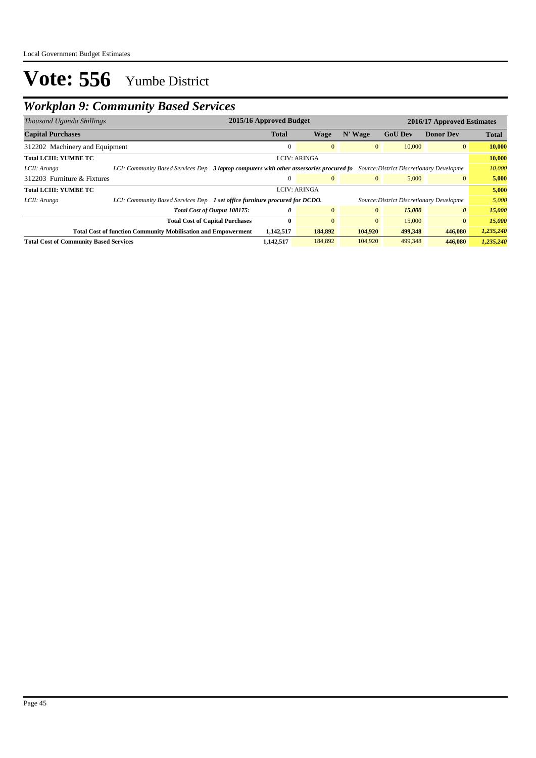## *Workplan 9: Community Based Services*

| Thousand Uganda Shillings                     |                                                                             | 2015/16 Approved Budget                                                                                                          |                     |              |                                          | 2016/17 Approved Estimates |              |  |
|-----------------------------------------------|-----------------------------------------------------------------------------|----------------------------------------------------------------------------------------------------------------------------------|---------------------|--------------|------------------------------------------|----------------------------|--------------|--|
| <b>Capital Purchases</b>                      |                                                                             | <b>Total</b>                                                                                                                     | Wage                | N' Wage      | <b>GoU Dev</b>                           | <b>Donor Dev</b>           | <b>Total</b> |  |
| 312202 Machinery and Equipment                |                                                                             | 0                                                                                                                                | $\overline{0}$      | $\mathbf{0}$ | 10,000                                   | $\overline{0}$             | 10,000       |  |
| <b>Total LCIII: YUMBE TC</b>                  |                                                                             |                                                                                                                                  | <b>LCIV: ARINGA</b> |              |                                          |                            | 10,000       |  |
| LCII: Arunga                                  |                                                                             | LCI: Community Based Services Dep 3 laptop computers with other assessories procured fo Source: District Discretionary Developme |                     |              |                                          |                            |              |  |
| 312203 Furniture & Fixtures                   |                                                                             |                                                                                                                                  | $\Omega$            | $\mathbf{0}$ | 5,000                                    | $\mathbf{0}$               | 5,000        |  |
| <b>Total LCIII: YUMBE TC</b>                  |                                                                             |                                                                                                                                  | <b>LCIV: ARINGA</b> |              |                                          |                            | 5,000        |  |
| LCII: Arunga                                  | LCI: Community Based Services Dep 1 set office furniture procured for DCDO. |                                                                                                                                  |                     |              | Source: District Discretionary Developme |                            | 5,000        |  |
|                                               | Total Cost of Output 108175:                                                | 0                                                                                                                                | $\overline{0}$      | $\mathbf{0}$ | 15,000                                   | 0                          | 15,000       |  |
|                                               | <b>Total Cost of Capital Purchases</b>                                      | $\mathbf{0}$                                                                                                                     | $\overline{0}$      | $\mathbf{0}$ | 15,000                                   | $\bf{0}$                   | 15,000       |  |
|                                               | <b>Total Cost of function Community Mobilisation and Empowerment</b>        | 1,142,517                                                                                                                        | 184,892             | 104,920      | 499,348                                  | 446,080                    | 1,235,240    |  |
| <b>Total Cost of Community Based Services</b> |                                                                             | 1,142,517                                                                                                                        | 184,892             | 104,920      | 499,348                                  | 446,080                    | 1,235,240    |  |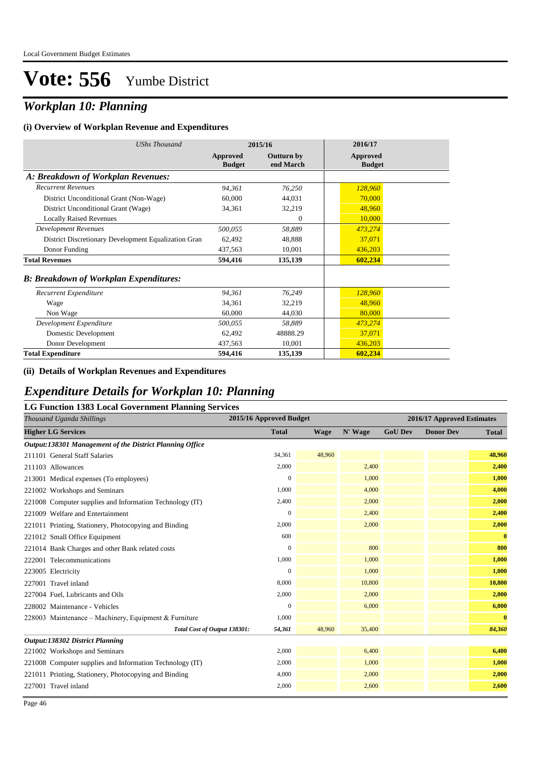## *Workplan 10: Planning*

#### **(i) Overview of Workplan Revenue and Expenditures**

| <b>UShs Thousand</b>                                 |                           | 2015/16                        | 2016/17                   |
|------------------------------------------------------|---------------------------|--------------------------------|---------------------------|
|                                                      | Approved<br><b>Budget</b> | <b>Outturn by</b><br>end March | Approved<br><b>Budget</b> |
| A: Breakdown of Workplan Revenues:                   |                           |                                |                           |
| <b>Recurrent Revenues</b>                            | 94,361                    | 76,250                         | 128,960                   |
| District Unconditional Grant (Non-Wage)              | 60,000                    | 44,031                         | 70,000                    |
| District Unconditional Grant (Wage)                  | 34,361                    | 32,219                         | 48,960                    |
| <b>Locally Raised Revenues</b>                       |                           | $\Omega$                       | 10,000                    |
| <b>Development Revenues</b>                          | 500,055                   | 58,889                         | 473,274                   |
| District Discretionary Development Equalization Gran | 62,492                    | 48,888                         | 37,071                    |
| Donor Funding                                        | 437,563                   | 10,001                         | 436,203                   |
| <b>Total Revenues</b>                                | 594,416                   | 135,139                        | 602,234                   |
| <b>B: Breakdown of Workplan Expenditures:</b>        |                           |                                |                           |
| Recurrent Expenditure                                | 94,361                    | 76,249                         | 128,960                   |
| Wage                                                 | 34,361                    | 32,219                         | 48,960                    |
| Non Wage                                             | 60,000                    | 44,030                         | 80,000                    |
| Development Expenditure                              | 500,055                   | 58,889                         | 473,274                   |
| Domestic Development                                 | 62,492                    | 48888.29                       | 37,071                    |
| Donor Development                                    | 437,563                   | 10,001                         | 436,203                   |
| <b>Total Expenditure</b>                             | 594,416                   | 135,139                        | 602,234                   |

#### **(ii) Details of Workplan Revenues and Expenditures**

### *Expenditure Details for Workplan 10: Planning*

| <b>LG Function 1383 Local Government Planning Services</b> |                         |             |         |                |                            |              |  |  |  |
|------------------------------------------------------------|-------------------------|-------------|---------|----------------|----------------------------|--------------|--|--|--|
| Thousand Uganda Shillings                                  | 2015/16 Approved Budget |             |         |                | 2016/17 Approved Estimates |              |  |  |  |
| <b>Higher LG Services</b>                                  | <b>Total</b>            | <b>Wage</b> | N' Wage | <b>GoU Dev</b> | <b>Donor Dev</b>           | <b>Total</b> |  |  |  |
| Output:138301 Management of the District Planning Office   |                         |             |         |                |                            |              |  |  |  |
| 211101 General Staff Salaries                              | 34,361                  | 48,960      |         |                |                            | 48,960       |  |  |  |
| 211103 Allowances                                          | 2,000                   |             | 2,400   |                |                            | 2,400        |  |  |  |
| 213001 Medical expenses (To employees)                     | $\overline{0}$          |             | 1,000   |                |                            | 1,000        |  |  |  |
| 221002 Workshops and Seminars                              | 1,000                   |             | 4,000   |                |                            | 4,000        |  |  |  |
| 221008 Computer supplies and Information Technology (IT)   | 2,400                   |             | 2,000   |                |                            | 2,000        |  |  |  |
| 221009 Welfare and Entertainment                           | $\mathbf{0}$            |             | 2,400   |                |                            | 2,400        |  |  |  |
| 221011 Printing, Stationery, Photocopying and Binding      | 2,000                   |             | 2,000   |                |                            | 2,000        |  |  |  |
| 221012 Small Office Equipment                              | 600                     |             |         |                |                            | $\bf{0}$     |  |  |  |
| 221014 Bank Charges and other Bank related costs           | $\mathbf{0}$            |             | 800     |                |                            | 800          |  |  |  |
| 222001 Telecommunications                                  | 1,000                   |             | 1,000   |                |                            | 1,000        |  |  |  |
| 223005 Electricity                                         | $\Omega$                |             | 1,000   |                |                            | 1,000        |  |  |  |
| 227001 Travel inland                                       | 8,000                   |             | 10,800  |                |                            | 10,800       |  |  |  |
| 227004 Fuel, Lubricants and Oils                           | 2,000                   |             | 2,000   |                |                            | 2,000        |  |  |  |
| 228002 Maintenance - Vehicles                              | $\mathbf{0}$            |             | 6,000   |                |                            | 6,000        |  |  |  |
| 228003 Maintenance – Machinery, Equipment & Furniture      | 1,000                   |             |         |                |                            | $\bf{0}$     |  |  |  |
| Total Cost of Output 138301:                               | 54,361                  | 48,960      | 35,400  |                |                            | 84,360       |  |  |  |
| <b>Output:138302 District Planning</b>                     |                         |             |         |                |                            |              |  |  |  |
| 221002 Workshops and Seminars                              | 2,000                   |             | 6,400   |                |                            | 6,400        |  |  |  |
| 221008 Computer supplies and Information Technology (IT)   | 2,000                   |             | 1,000   |                |                            | 1,000        |  |  |  |
| 221011 Printing, Stationery, Photocopying and Binding      | 4,000                   |             | 2,000   |                |                            | 2,000        |  |  |  |
| 227001 Travel inland                                       | 2,000                   |             | 2,600   |                |                            | 2,600        |  |  |  |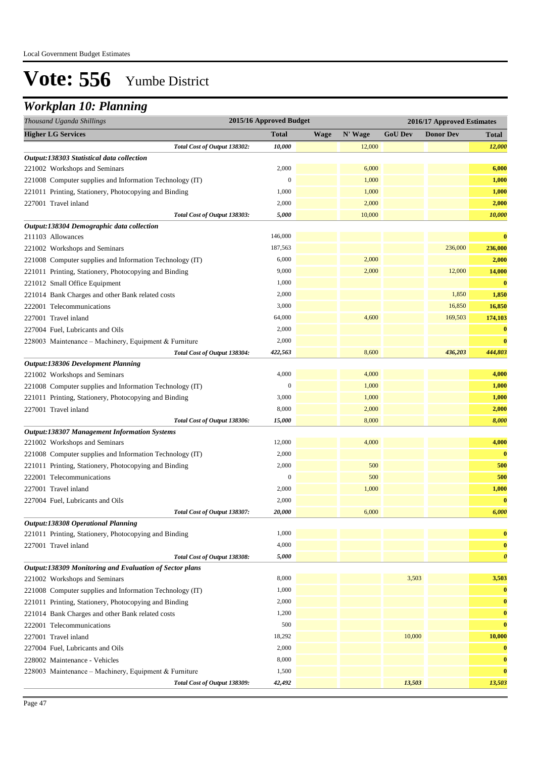## *Workplan 10: Planning*

| <b>Higher LG Services</b><br><b>Total</b><br>N' Wage<br><b>GoU Dev</b><br><b>Donor Dev</b><br><b>Wage</b><br><b>Total</b><br>Total Cost of Output 138302:<br>10,000<br>12,000<br>12,000<br>Output:138303 Statistical data collection<br>2,000<br>6,000<br>221002 Workshops and Seminars<br>6,000<br>$\boldsymbol{0}$<br>1,000<br>1,000<br>221008 Computer supplies and Information Technology (IT)<br>1,000<br>1,000<br>221011 Printing, Stationery, Photocopying and Binding<br>1,000<br>2,000<br>2,000<br>2,000<br>227001 Travel inland<br>10,000<br>5,000<br>10,000<br>Total Cost of Output 138303:<br>Output:138304 Demographic data collection<br>146,000<br>$\bf{0}$<br>211103 Allowances<br>187,563<br>236,000<br>236,000<br>221002 Workshops and Seminars<br>6,000<br>2,000<br>2,000<br>221008 Computer supplies and Information Technology (IT)<br>9,000<br>2,000<br>14,000<br>221011 Printing, Stationery, Photocopying and Binding<br>12,000<br>1,000<br>$\bf{0}$<br>221012 Small Office Equipment<br>2,000<br>1,850<br>1,850<br>221014 Bank Charges and other Bank related costs<br>3,000<br>16,850<br>16,850<br>222001 Telecommunications<br>4,600<br>174,103<br>227001 Travel inland<br>64,000<br>169,503<br>$\bf{0}$<br>227004 Fuel, Lubricants and Oils<br>2,000<br>2,000<br>$\bf{0}$<br>228003 Maintenance - Machinery, Equipment & Furniture<br>422,563<br>8,600<br>436,203<br>444,803<br>Total Cost of Output 138304:<br>Output:138306 Development Planning<br>4,000<br>4,000<br>4,000<br>221002 Workshops and Seminars<br>$\mathbf{0}$<br>1,000<br>1,000<br>221008 Computer supplies and Information Technology (IT)<br>1,000<br>3,000<br>1,000<br>221011 Printing, Stationery, Photocopying and Binding<br>227001 Travel inland<br>8,000<br>2,000<br>2,000<br>8,000<br>8,000<br>Total Cost of Output 138306:<br>15,000<br><b>Output:138307 Management Information Systems</b><br>12,000<br>4,000<br>4,000<br>221002 Workshops and Seminars<br>2,000<br>$\bf{0}$<br>221008 Computer supplies and Information Technology (IT)<br>2,000<br>500<br>500<br>221011 Printing, Stationery, Photocopying and Binding<br>500<br>$\boldsymbol{0}$<br>500<br>222001 Telecommunications<br>2,000<br>1,000<br>1,000<br>227001 Travel inland<br>$\bf{0}$<br>2,000<br>227004 Fuel, Lubricants and Oils<br>20,000<br>6,000<br>6,000<br>Total Cost of Output 138307:<br>Output:138308 Operational Planning<br>1,000<br>221011 Printing, Stationery, Photocopying and Binding<br>$\bf{0}$<br>4,000<br>227001 Travel inland<br>$\bf{0}$<br>5,000<br>$\boldsymbol{\theta}$<br>Total Cost of Output 138308:<br>Output:138309 Monitoring and Evaluation of Sector plans<br>8,000<br>3,503<br>3,503<br>221002 Workshops and Seminars<br>1,000<br>221008 Computer supplies and Information Technology (IT)<br>$\bf{0}$<br>2,000<br>$\bf{0}$<br>221011 Printing, Stationery, Photocopying and Binding<br>1,200<br>221014 Bank Charges and other Bank related costs<br>$\bf{0}$<br>500<br>222001 Telecommunications<br>$\bf{0}$<br>227001 Travel inland<br>18,292<br>10,000<br>10,000 | Thousand Uganda Shillings | 2015/16 Approved Budget |  | 2016/17 Approved Estimates |  |  |
|---------------------------------------------------------------------------------------------------------------------------------------------------------------------------------------------------------------------------------------------------------------------------------------------------------------------------------------------------------------------------------------------------------------------------------------------------------------------------------------------------------------------------------------------------------------------------------------------------------------------------------------------------------------------------------------------------------------------------------------------------------------------------------------------------------------------------------------------------------------------------------------------------------------------------------------------------------------------------------------------------------------------------------------------------------------------------------------------------------------------------------------------------------------------------------------------------------------------------------------------------------------------------------------------------------------------------------------------------------------------------------------------------------------------------------------------------------------------------------------------------------------------------------------------------------------------------------------------------------------------------------------------------------------------------------------------------------------------------------------------------------------------------------------------------------------------------------------------------------------------------------------------------------------------------------------------------------------------------------------------------------------------------------------------------------------------------------------------------------------------------------------------------------------------------------------------------------------------------------------------------------------------------------------------------------------------------------------------------------------------------------------------------------------------------------------------------------------------------------------------------------------------------------------------------------------------------------------------------------------------------------------------------------------------------------------------------------------------------------------------------------------------------------------------------------------------------------------------------------------------------------------------------------------------------------------------------------------------------------------------------------------------------------------------------------------------------------|---------------------------|-------------------------|--|----------------------------|--|--|
|                                                                                                                                                                                                                                                                                                                                                                                                                                                                                                                                                                                                                                                                                                                                                                                                                                                                                                                                                                                                                                                                                                                                                                                                                                                                                                                                                                                                                                                                                                                                                                                                                                                                                                                                                                                                                                                                                                                                                                                                                                                                                                                                                                                                                                                                                                                                                                                                                                                                                                                                                                                                                                                                                                                                                                                                                                                                                                                                                                                                                                                                                 |                           |                         |  |                            |  |  |
|                                                                                                                                                                                                                                                                                                                                                                                                                                                                                                                                                                                                                                                                                                                                                                                                                                                                                                                                                                                                                                                                                                                                                                                                                                                                                                                                                                                                                                                                                                                                                                                                                                                                                                                                                                                                                                                                                                                                                                                                                                                                                                                                                                                                                                                                                                                                                                                                                                                                                                                                                                                                                                                                                                                                                                                                                                                                                                                                                                                                                                                                                 |                           |                         |  |                            |  |  |
|                                                                                                                                                                                                                                                                                                                                                                                                                                                                                                                                                                                                                                                                                                                                                                                                                                                                                                                                                                                                                                                                                                                                                                                                                                                                                                                                                                                                                                                                                                                                                                                                                                                                                                                                                                                                                                                                                                                                                                                                                                                                                                                                                                                                                                                                                                                                                                                                                                                                                                                                                                                                                                                                                                                                                                                                                                                                                                                                                                                                                                                                                 |                           |                         |  |                            |  |  |
|                                                                                                                                                                                                                                                                                                                                                                                                                                                                                                                                                                                                                                                                                                                                                                                                                                                                                                                                                                                                                                                                                                                                                                                                                                                                                                                                                                                                                                                                                                                                                                                                                                                                                                                                                                                                                                                                                                                                                                                                                                                                                                                                                                                                                                                                                                                                                                                                                                                                                                                                                                                                                                                                                                                                                                                                                                                                                                                                                                                                                                                                                 |                           |                         |  |                            |  |  |
|                                                                                                                                                                                                                                                                                                                                                                                                                                                                                                                                                                                                                                                                                                                                                                                                                                                                                                                                                                                                                                                                                                                                                                                                                                                                                                                                                                                                                                                                                                                                                                                                                                                                                                                                                                                                                                                                                                                                                                                                                                                                                                                                                                                                                                                                                                                                                                                                                                                                                                                                                                                                                                                                                                                                                                                                                                                                                                                                                                                                                                                                                 |                           |                         |  |                            |  |  |
|                                                                                                                                                                                                                                                                                                                                                                                                                                                                                                                                                                                                                                                                                                                                                                                                                                                                                                                                                                                                                                                                                                                                                                                                                                                                                                                                                                                                                                                                                                                                                                                                                                                                                                                                                                                                                                                                                                                                                                                                                                                                                                                                                                                                                                                                                                                                                                                                                                                                                                                                                                                                                                                                                                                                                                                                                                                                                                                                                                                                                                                                                 |                           |                         |  |                            |  |  |
|                                                                                                                                                                                                                                                                                                                                                                                                                                                                                                                                                                                                                                                                                                                                                                                                                                                                                                                                                                                                                                                                                                                                                                                                                                                                                                                                                                                                                                                                                                                                                                                                                                                                                                                                                                                                                                                                                                                                                                                                                                                                                                                                                                                                                                                                                                                                                                                                                                                                                                                                                                                                                                                                                                                                                                                                                                                                                                                                                                                                                                                                                 |                           |                         |  |                            |  |  |
|                                                                                                                                                                                                                                                                                                                                                                                                                                                                                                                                                                                                                                                                                                                                                                                                                                                                                                                                                                                                                                                                                                                                                                                                                                                                                                                                                                                                                                                                                                                                                                                                                                                                                                                                                                                                                                                                                                                                                                                                                                                                                                                                                                                                                                                                                                                                                                                                                                                                                                                                                                                                                                                                                                                                                                                                                                                                                                                                                                                                                                                                                 |                           |                         |  |                            |  |  |
|                                                                                                                                                                                                                                                                                                                                                                                                                                                                                                                                                                                                                                                                                                                                                                                                                                                                                                                                                                                                                                                                                                                                                                                                                                                                                                                                                                                                                                                                                                                                                                                                                                                                                                                                                                                                                                                                                                                                                                                                                                                                                                                                                                                                                                                                                                                                                                                                                                                                                                                                                                                                                                                                                                                                                                                                                                                                                                                                                                                                                                                                                 |                           |                         |  |                            |  |  |
|                                                                                                                                                                                                                                                                                                                                                                                                                                                                                                                                                                                                                                                                                                                                                                                                                                                                                                                                                                                                                                                                                                                                                                                                                                                                                                                                                                                                                                                                                                                                                                                                                                                                                                                                                                                                                                                                                                                                                                                                                                                                                                                                                                                                                                                                                                                                                                                                                                                                                                                                                                                                                                                                                                                                                                                                                                                                                                                                                                                                                                                                                 |                           |                         |  |                            |  |  |
|                                                                                                                                                                                                                                                                                                                                                                                                                                                                                                                                                                                                                                                                                                                                                                                                                                                                                                                                                                                                                                                                                                                                                                                                                                                                                                                                                                                                                                                                                                                                                                                                                                                                                                                                                                                                                                                                                                                                                                                                                                                                                                                                                                                                                                                                                                                                                                                                                                                                                                                                                                                                                                                                                                                                                                                                                                                                                                                                                                                                                                                                                 |                           |                         |  |                            |  |  |
|                                                                                                                                                                                                                                                                                                                                                                                                                                                                                                                                                                                                                                                                                                                                                                                                                                                                                                                                                                                                                                                                                                                                                                                                                                                                                                                                                                                                                                                                                                                                                                                                                                                                                                                                                                                                                                                                                                                                                                                                                                                                                                                                                                                                                                                                                                                                                                                                                                                                                                                                                                                                                                                                                                                                                                                                                                                                                                                                                                                                                                                                                 |                           |                         |  |                            |  |  |
|                                                                                                                                                                                                                                                                                                                                                                                                                                                                                                                                                                                                                                                                                                                                                                                                                                                                                                                                                                                                                                                                                                                                                                                                                                                                                                                                                                                                                                                                                                                                                                                                                                                                                                                                                                                                                                                                                                                                                                                                                                                                                                                                                                                                                                                                                                                                                                                                                                                                                                                                                                                                                                                                                                                                                                                                                                                                                                                                                                                                                                                                                 |                           |                         |  |                            |  |  |
|                                                                                                                                                                                                                                                                                                                                                                                                                                                                                                                                                                                                                                                                                                                                                                                                                                                                                                                                                                                                                                                                                                                                                                                                                                                                                                                                                                                                                                                                                                                                                                                                                                                                                                                                                                                                                                                                                                                                                                                                                                                                                                                                                                                                                                                                                                                                                                                                                                                                                                                                                                                                                                                                                                                                                                                                                                                                                                                                                                                                                                                                                 |                           |                         |  |                            |  |  |
|                                                                                                                                                                                                                                                                                                                                                                                                                                                                                                                                                                                                                                                                                                                                                                                                                                                                                                                                                                                                                                                                                                                                                                                                                                                                                                                                                                                                                                                                                                                                                                                                                                                                                                                                                                                                                                                                                                                                                                                                                                                                                                                                                                                                                                                                                                                                                                                                                                                                                                                                                                                                                                                                                                                                                                                                                                                                                                                                                                                                                                                                                 |                           |                         |  |                            |  |  |
|                                                                                                                                                                                                                                                                                                                                                                                                                                                                                                                                                                                                                                                                                                                                                                                                                                                                                                                                                                                                                                                                                                                                                                                                                                                                                                                                                                                                                                                                                                                                                                                                                                                                                                                                                                                                                                                                                                                                                                                                                                                                                                                                                                                                                                                                                                                                                                                                                                                                                                                                                                                                                                                                                                                                                                                                                                                                                                                                                                                                                                                                                 |                           |                         |  |                            |  |  |
|                                                                                                                                                                                                                                                                                                                                                                                                                                                                                                                                                                                                                                                                                                                                                                                                                                                                                                                                                                                                                                                                                                                                                                                                                                                                                                                                                                                                                                                                                                                                                                                                                                                                                                                                                                                                                                                                                                                                                                                                                                                                                                                                                                                                                                                                                                                                                                                                                                                                                                                                                                                                                                                                                                                                                                                                                                                                                                                                                                                                                                                                                 |                           |                         |  |                            |  |  |
|                                                                                                                                                                                                                                                                                                                                                                                                                                                                                                                                                                                                                                                                                                                                                                                                                                                                                                                                                                                                                                                                                                                                                                                                                                                                                                                                                                                                                                                                                                                                                                                                                                                                                                                                                                                                                                                                                                                                                                                                                                                                                                                                                                                                                                                                                                                                                                                                                                                                                                                                                                                                                                                                                                                                                                                                                                                                                                                                                                                                                                                                                 |                           |                         |  |                            |  |  |
|                                                                                                                                                                                                                                                                                                                                                                                                                                                                                                                                                                                                                                                                                                                                                                                                                                                                                                                                                                                                                                                                                                                                                                                                                                                                                                                                                                                                                                                                                                                                                                                                                                                                                                                                                                                                                                                                                                                                                                                                                                                                                                                                                                                                                                                                                                                                                                                                                                                                                                                                                                                                                                                                                                                                                                                                                                                                                                                                                                                                                                                                                 |                           |                         |  |                            |  |  |
|                                                                                                                                                                                                                                                                                                                                                                                                                                                                                                                                                                                                                                                                                                                                                                                                                                                                                                                                                                                                                                                                                                                                                                                                                                                                                                                                                                                                                                                                                                                                                                                                                                                                                                                                                                                                                                                                                                                                                                                                                                                                                                                                                                                                                                                                                                                                                                                                                                                                                                                                                                                                                                                                                                                                                                                                                                                                                                                                                                                                                                                                                 |                           |                         |  |                            |  |  |
|                                                                                                                                                                                                                                                                                                                                                                                                                                                                                                                                                                                                                                                                                                                                                                                                                                                                                                                                                                                                                                                                                                                                                                                                                                                                                                                                                                                                                                                                                                                                                                                                                                                                                                                                                                                                                                                                                                                                                                                                                                                                                                                                                                                                                                                                                                                                                                                                                                                                                                                                                                                                                                                                                                                                                                                                                                                                                                                                                                                                                                                                                 |                           |                         |  |                            |  |  |
|                                                                                                                                                                                                                                                                                                                                                                                                                                                                                                                                                                                                                                                                                                                                                                                                                                                                                                                                                                                                                                                                                                                                                                                                                                                                                                                                                                                                                                                                                                                                                                                                                                                                                                                                                                                                                                                                                                                                                                                                                                                                                                                                                                                                                                                                                                                                                                                                                                                                                                                                                                                                                                                                                                                                                                                                                                                                                                                                                                                                                                                                                 |                           |                         |  |                            |  |  |
|                                                                                                                                                                                                                                                                                                                                                                                                                                                                                                                                                                                                                                                                                                                                                                                                                                                                                                                                                                                                                                                                                                                                                                                                                                                                                                                                                                                                                                                                                                                                                                                                                                                                                                                                                                                                                                                                                                                                                                                                                                                                                                                                                                                                                                                                                                                                                                                                                                                                                                                                                                                                                                                                                                                                                                                                                                                                                                                                                                                                                                                                                 |                           |                         |  |                            |  |  |
|                                                                                                                                                                                                                                                                                                                                                                                                                                                                                                                                                                                                                                                                                                                                                                                                                                                                                                                                                                                                                                                                                                                                                                                                                                                                                                                                                                                                                                                                                                                                                                                                                                                                                                                                                                                                                                                                                                                                                                                                                                                                                                                                                                                                                                                                                                                                                                                                                                                                                                                                                                                                                                                                                                                                                                                                                                                                                                                                                                                                                                                                                 |                           |                         |  |                            |  |  |
|                                                                                                                                                                                                                                                                                                                                                                                                                                                                                                                                                                                                                                                                                                                                                                                                                                                                                                                                                                                                                                                                                                                                                                                                                                                                                                                                                                                                                                                                                                                                                                                                                                                                                                                                                                                                                                                                                                                                                                                                                                                                                                                                                                                                                                                                                                                                                                                                                                                                                                                                                                                                                                                                                                                                                                                                                                                                                                                                                                                                                                                                                 |                           |                         |  |                            |  |  |
|                                                                                                                                                                                                                                                                                                                                                                                                                                                                                                                                                                                                                                                                                                                                                                                                                                                                                                                                                                                                                                                                                                                                                                                                                                                                                                                                                                                                                                                                                                                                                                                                                                                                                                                                                                                                                                                                                                                                                                                                                                                                                                                                                                                                                                                                                                                                                                                                                                                                                                                                                                                                                                                                                                                                                                                                                                                                                                                                                                                                                                                                                 |                           |                         |  |                            |  |  |
|                                                                                                                                                                                                                                                                                                                                                                                                                                                                                                                                                                                                                                                                                                                                                                                                                                                                                                                                                                                                                                                                                                                                                                                                                                                                                                                                                                                                                                                                                                                                                                                                                                                                                                                                                                                                                                                                                                                                                                                                                                                                                                                                                                                                                                                                                                                                                                                                                                                                                                                                                                                                                                                                                                                                                                                                                                                                                                                                                                                                                                                                                 |                           |                         |  |                            |  |  |
|                                                                                                                                                                                                                                                                                                                                                                                                                                                                                                                                                                                                                                                                                                                                                                                                                                                                                                                                                                                                                                                                                                                                                                                                                                                                                                                                                                                                                                                                                                                                                                                                                                                                                                                                                                                                                                                                                                                                                                                                                                                                                                                                                                                                                                                                                                                                                                                                                                                                                                                                                                                                                                                                                                                                                                                                                                                                                                                                                                                                                                                                                 |                           |                         |  |                            |  |  |
|                                                                                                                                                                                                                                                                                                                                                                                                                                                                                                                                                                                                                                                                                                                                                                                                                                                                                                                                                                                                                                                                                                                                                                                                                                                                                                                                                                                                                                                                                                                                                                                                                                                                                                                                                                                                                                                                                                                                                                                                                                                                                                                                                                                                                                                                                                                                                                                                                                                                                                                                                                                                                                                                                                                                                                                                                                                                                                                                                                                                                                                                                 |                           |                         |  |                            |  |  |
|                                                                                                                                                                                                                                                                                                                                                                                                                                                                                                                                                                                                                                                                                                                                                                                                                                                                                                                                                                                                                                                                                                                                                                                                                                                                                                                                                                                                                                                                                                                                                                                                                                                                                                                                                                                                                                                                                                                                                                                                                                                                                                                                                                                                                                                                                                                                                                                                                                                                                                                                                                                                                                                                                                                                                                                                                                                                                                                                                                                                                                                                                 |                           |                         |  |                            |  |  |
|                                                                                                                                                                                                                                                                                                                                                                                                                                                                                                                                                                                                                                                                                                                                                                                                                                                                                                                                                                                                                                                                                                                                                                                                                                                                                                                                                                                                                                                                                                                                                                                                                                                                                                                                                                                                                                                                                                                                                                                                                                                                                                                                                                                                                                                                                                                                                                                                                                                                                                                                                                                                                                                                                                                                                                                                                                                                                                                                                                                                                                                                                 |                           |                         |  |                            |  |  |
|                                                                                                                                                                                                                                                                                                                                                                                                                                                                                                                                                                                                                                                                                                                                                                                                                                                                                                                                                                                                                                                                                                                                                                                                                                                                                                                                                                                                                                                                                                                                                                                                                                                                                                                                                                                                                                                                                                                                                                                                                                                                                                                                                                                                                                                                                                                                                                                                                                                                                                                                                                                                                                                                                                                                                                                                                                                                                                                                                                                                                                                                                 |                           |                         |  |                            |  |  |
|                                                                                                                                                                                                                                                                                                                                                                                                                                                                                                                                                                                                                                                                                                                                                                                                                                                                                                                                                                                                                                                                                                                                                                                                                                                                                                                                                                                                                                                                                                                                                                                                                                                                                                                                                                                                                                                                                                                                                                                                                                                                                                                                                                                                                                                                                                                                                                                                                                                                                                                                                                                                                                                                                                                                                                                                                                                                                                                                                                                                                                                                                 |                           |                         |  |                            |  |  |
|                                                                                                                                                                                                                                                                                                                                                                                                                                                                                                                                                                                                                                                                                                                                                                                                                                                                                                                                                                                                                                                                                                                                                                                                                                                                                                                                                                                                                                                                                                                                                                                                                                                                                                                                                                                                                                                                                                                                                                                                                                                                                                                                                                                                                                                                                                                                                                                                                                                                                                                                                                                                                                                                                                                                                                                                                                                                                                                                                                                                                                                                                 |                           |                         |  |                            |  |  |
|                                                                                                                                                                                                                                                                                                                                                                                                                                                                                                                                                                                                                                                                                                                                                                                                                                                                                                                                                                                                                                                                                                                                                                                                                                                                                                                                                                                                                                                                                                                                                                                                                                                                                                                                                                                                                                                                                                                                                                                                                                                                                                                                                                                                                                                                                                                                                                                                                                                                                                                                                                                                                                                                                                                                                                                                                                                                                                                                                                                                                                                                                 |                           |                         |  |                            |  |  |
|                                                                                                                                                                                                                                                                                                                                                                                                                                                                                                                                                                                                                                                                                                                                                                                                                                                                                                                                                                                                                                                                                                                                                                                                                                                                                                                                                                                                                                                                                                                                                                                                                                                                                                                                                                                                                                                                                                                                                                                                                                                                                                                                                                                                                                                                                                                                                                                                                                                                                                                                                                                                                                                                                                                                                                                                                                                                                                                                                                                                                                                                                 |                           |                         |  |                            |  |  |
|                                                                                                                                                                                                                                                                                                                                                                                                                                                                                                                                                                                                                                                                                                                                                                                                                                                                                                                                                                                                                                                                                                                                                                                                                                                                                                                                                                                                                                                                                                                                                                                                                                                                                                                                                                                                                                                                                                                                                                                                                                                                                                                                                                                                                                                                                                                                                                                                                                                                                                                                                                                                                                                                                                                                                                                                                                                                                                                                                                                                                                                                                 |                           |                         |  |                            |  |  |
|                                                                                                                                                                                                                                                                                                                                                                                                                                                                                                                                                                                                                                                                                                                                                                                                                                                                                                                                                                                                                                                                                                                                                                                                                                                                                                                                                                                                                                                                                                                                                                                                                                                                                                                                                                                                                                                                                                                                                                                                                                                                                                                                                                                                                                                                                                                                                                                                                                                                                                                                                                                                                                                                                                                                                                                                                                                                                                                                                                                                                                                                                 |                           |                         |  |                            |  |  |
|                                                                                                                                                                                                                                                                                                                                                                                                                                                                                                                                                                                                                                                                                                                                                                                                                                                                                                                                                                                                                                                                                                                                                                                                                                                                                                                                                                                                                                                                                                                                                                                                                                                                                                                                                                                                                                                                                                                                                                                                                                                                                                                                                                                                                                                                                                                                                                                                                                                                                                                                                                                                                                                                                                                                                                                                                                                                                                                                                                                                                                                                                 |                           |                         |  |                            |  |  |
|                                                                                                                                                                                                                                                                                                                                                                                                                                                                                                                                                                                                                                                                                                                                                                                                                                                                                                                                                                                                                                                                                                                                                                                                                                                                                                                                                                                                                                                                                                                                                                                                                                                                                                                                                                                                                                                                                                                                                                                                                                                                                                                                                                                                                                                                                                                                                                                                                                                                                                                                                                                                                                                                                                                                                                                                                                                                                                                                                                                                                                                                                 |                           |                         |  |                            |  |  |
|                                                                                                                                                                                                                                                                                                                                                                                                                                                                                                                                                                                                                                                                                                                                                                                                                                                                                                                                                                                                                                                                                                                                                                                                                                                                                                                                                                                                                                                                                                                                                                                                                                                                                                                                                                                                                                                                                                                                                                                                                                                                                                                                                                                                                                                                                                                                                                                                                                                                                                                                                                                                                                                                                                                                                                                                                                                                                                                                                                                                                                                                                 |                           |                         |  |                            |  |  |
|                                                                                                                                                                                                                                                                                                                                                                                                                                                                                                                                                                                                                                                                                                                                                                                                                                                                                                                                                                                                                                                                                                                                                                                                                                                                                                                                                                                                                                                                                                                                                                                                                                                                                                                                                                                                                                                                                                                                                                                                                                                                                                                                                                                                                                                                                                                                                                                                                                                                                                                                                                                                                                                                                                                                                                                                                                                                                                                                                                                                                                                                                 |                           |                         |  |                            |  |  |
|                                                                                                                                                                                                                                                                                                                                                                                                                                                                                                                                                                                                                                                                                                                                                                                                                                                                                                                                                                                                                                                                                                                                                                                                                                                                                                                                                                                                                                                                                                                                                                                                                                                                                                                                                                                                                                                                                                                                                                                                                                                                                                                                                                                                                                                                                                                                                                                                                                                                                                                                                                                                                                                                                                                                                                                                                                                                                                                                                                                                                                                                                 |                           |                         |  |                            |  |  |
|                                                                                                                                                                                                                                                                                                                                                                                                                                                                                                                                                                                                                                                                                                                                                                                                                                                                                                                                                                                                                                                                                                                                                                                                                                                                                                                                                                                                                                                                                                                                                                                                                                                                                                                                                                                                                                                                                                                                                                                                                                                                                                                                                                                                                                                                                                                                                                                                                                                                                                                                                                                                                                                                                                                                                                                                                                                                                                                                                                                                                                                                                 |                           |                         |  |                            |  |  |
|                                                                                                                                                                                                                                                                                                                                                                                                                                                                                                                                                                                                                                                                                                                                                                                                                                                                                                                                                                                                                                                                                                                                                                                                                                                                                                                                                                                                                                                                                                                                                                                                                                                                                                                                                                                                                                                                                                                                                                                                                                                                                                                                                                                                                                                                                                                                                                                                                                                                                                                                                                                                                                                                                                                                                                                                                                                                                                                                                                                                                                                                                 |                           |                         |  |                            |  |  |
| 2,000<br>227004 Fuel, Lubricants and Oils<br>$\bf{0}$                                                                                                                                                                                                                                                                                                                                                                                                                                                                                                                                                                                                                                                                                                                                                                                                                                                                                                                                                                                                                                                                                                                                                                                                                                                                                                                                                                                                                                                                                                                                                                                                                                                                                                                                                                                                                                                                                                                                                                                                                                                                                                                                                                                                                                                                                                                                                                                                                                                                                                                                                                                                                                                                                                                                                                                                                                                                                                                                                                                                                           |                           |                         |  |                            |  |  |
| 8,000<br>228002 Maintenance - Vehicles<br>$\bf{0}$                                                                                                                                                                                                                                                                                                                                                                                                                                                                                                                                                                                                                                                                                                                                                                                                                                                                                                                                                                                                                                                                                                                                                                                                                                                                                                                                                                                                                                                                                                                                                                                                                                                                                                                                                                                                                                                                                                                                                                                                                                                                                                                                                                                                                                                                                                                                                                                                                                                                                                                                                                                                                                                                                                                                                                                                                                                                                                                                                                                                                              |                           |                         |  |                            |  |  |
| 1,500<br>$\bf{0}$<br>228003 Maintenance - Machinery, Equipment & Furniture                                                                                                                                                                                                                                                                                                                                                                                                                                                                                                                                                                                                                                                                                                                                                                                                                                                                                                                                                                                                                                                                                                                                                                                                                                                                                                                                                                                                                                                                                                                                                                                                                                                                                                                                                                                                                                                                                                                                                                                                                                                                                                                                                                                                                                                                                                                                                                                                                                                                                                                                                                                                                                                                                                                                                                                                                                                                                                                                                                                                      |                           |                         |  |                            |  |  |
| Total Cost of Output 138309:<br>42,492<br>13,503<br>13,503                                                                                                                                                                                                                                                                                                                                                                                                                                                                                                                                                                                                                                                                                                                                                                                                                                                                                                                                                                                                                                                                                                                                                                                                                                                                                                                                                                                                                                                                                                                                                                                                                                                                                                                                                                                                                                                                                                                                                                                                                                                                                                                                                                                                                                                                                                                                                                                                                                                                                                                                                                                                                                                                                                                                                                                                                                                                                                                                                                                                                      |                           |                         |  |                            |  |  |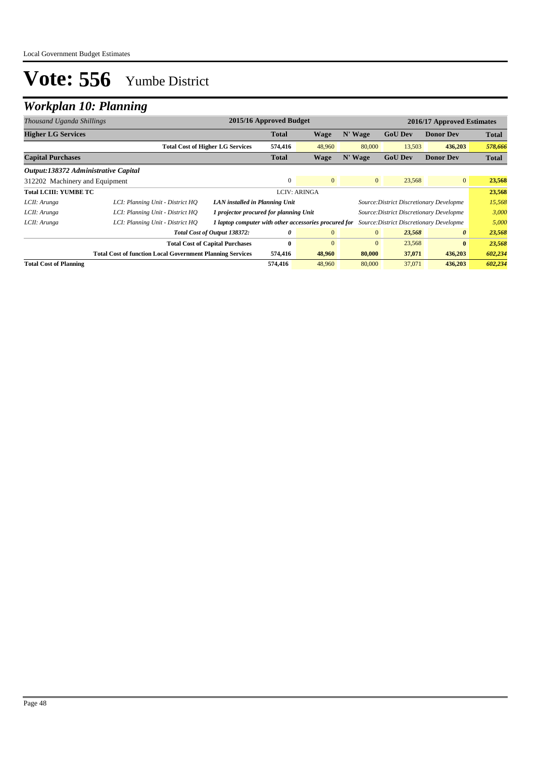## *Workplan 10: Planning*

| Thousand Uganda Shillings            |                                                                  | 2015/16 Approved Budget<br>2016/17 Approved Estimates |              |                |                |                |                                          |              |
|--------------------------------------|------------------------------------------------------------------|-------------------------------------------------------|--------------|----------------|----------------|----------------|------------------------------------------|--------------|
| <b>Higher LG Services</b>            |                                                                  |                                                       | <b>Total</b> | <b>Wage</b>    | N' Wage        | <b>GoU Dev</b> | <b>Donor Dev</b>                         | <b>Total</b> |
|                                      |                                                                  | <b>Total Cost of Higher LG Services</b>               | 574,416      | 48,960         | 80,000         | 13,503         | 436,203                                  | 578,666      |
| <b>Capital Purchases</b>             |                                                                  |                                                       | <b>Total</b> | <b>Wage</b>    | N' Wage        | <b>GoU Dev</b> | <b>Donor Dev</b>                         | <b>Total</b> |
| Output:138372 Administrative Capital |                                                                  |                                                       |              |                |                |                |                                          |              |
| 312202 Machinery and Equipment       |                                                                  |                                                       | $\Omega$     | $\mathbf{0}$   | $\mathbf{0}$   | 23,568         | $\overline{0}$                           | 23,568       |
| <b>Total LCIII: YUMBE TC</b>         |                                                                  | <b>LCIV: ARINGA</b>                                   |              |                |                | 23,568         |                                          |              |
| LCII: Arunga                         | LCI: Planning Unit - District HO                                 | LAN installed in Planning Unit                        |              |                |                |                | Source: District Discretionary Developme | 15,568       |
| LCII: Arunga                         | LCI: Planning Unit - District HO                                 | 1 projector procured for planning Unit                |              |                |                |                | Source: District Discretionary Developme | 3,000        |
| LCII: Arunga                         | LCI: Planning Unit - District HO                                 | 1 laptop computer with other accessories procured for |              |                |                |                | Source: District Discretionary Developme | 5,000        |
|                                      |                                                                  | Total Cost of Output 138372:                          | 0            | $\overline{0}$ | $\overline{0}$ | 23,568         | $\boldsymbol{\theta}$                    | 23,568       |
|                                      |                                                                  | <b>Total Cost of Capital Purchases</b>                | $\bf{0}$     | $\mathbf{0}$   | $\mathbf{0}$   | 23,568         | $\bf{0}$                                 | 23,568       |
|                                      | <b>Total Cost of function Local Government Planning Services</b> |                                                       | 574,416      | 48,960         | 80,000         | 37,071         | 436,203                                  | 602,234      |
| <b>Total Cost of Planning</b>        |                                                                  |                                                       | 574,416      | 48,960         | 80,000         | 37,071         | 436,203                                  | 602,234      |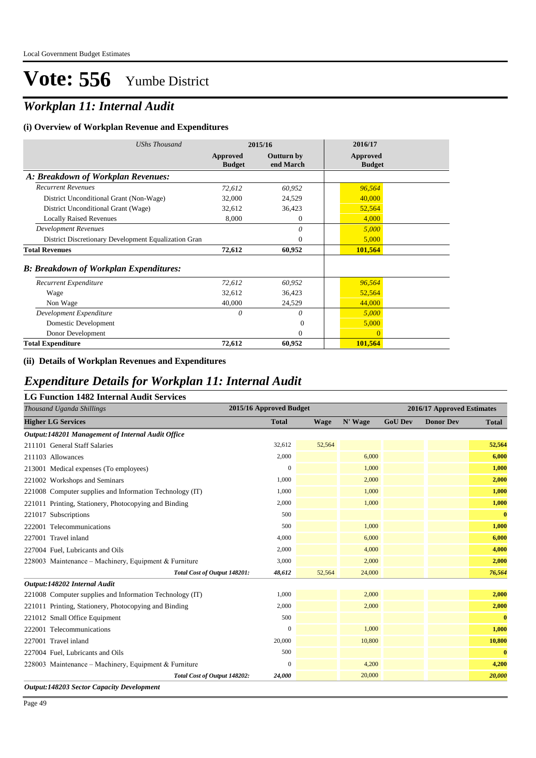## *Workplan 11: Internal Audit*

#### **(i) Overview of Workplan Revenue and Expenditures**

| <b>UShs Thousand</b>                                 | 2015/16                   |                                | 2016/17                   |
|------------------------------------------------------|---------------------------|--------------------------------|---------------------------|
|                                                      | Approved<br><b>Budget</b> | <b>Outturn by</b><br>end March | Approved<br><b>Budget</b> |
| A: Breakdown of Workplan Revenues:                   |                           |                                |                           |
| <b>Recurrent Revenues</b>                            | 72,612                    | 60,952                         | 96,564                    |
| District Unconditional Grant (Non-Wage)              | 32,000                    | 24,529                         | 40,000                    |
| District Unconditional Grant (Wage)                  | 32,612                    | 36,423                         | 52,564                    |
| <b>Locally Raised Revenues</b>                       | 8,000                     | $\overline{0}$                 | 4,000                     |
| <b>Development Revenues</b>                          |                           | $\theta$                       | 5,000                     |
| District Discretionary Development Equalization Gran |                           | $\theta$                       | 5,000                     |
| <b>Total Revenues</b>                                | 72,612                    | 60,952                         | 101,564                   |
| <b>B: Breakdown of Workplan Expenditures:</b>        |                           |                                |                           |
| Recurrent Expenditure                                | 72,612                    | 60,952                         | 96,564                    |
| Wage                                                 | 32,612                    | 36,423                         | 52,564                    |
| Non Wage                                             | 40,000                    | 24,529                         | 44,000                    |
| Development Expenditure                              | 0                         | 0                              | 5,000                     |
| Domestic Development                                 |                           | 0                              | 5,000                     |
| Donor Development                                    |                           | $\theta$                       | $\Omega$                  |
| <b>Total Expenditure</b>                             | 72,612                    | 60,952                         | 101,564                   |

#### **(ii) Details of Workplan Revenues and Expenditures**

### *Expenditure Details for Workplan 11: Internal Audit*

| <b>LG Function 1482 Internal Audit Services</b> |  |  |  |
|-------------------------------------------------|--|--|--|
|-------------------------------------------------|--|--|--|

| Thousand Uganda Shillings                                | 2015/16 Approved Budget |        |         | 2016/17 Approved Estimates |                  |              |
|----------------------------------------------------------|-------------------------|--------|---------|----------------------------|------------------|--------------|
| <b>Higher LG Services</b>                                | <b>Total</b>            | Wage   | N' Wage | <b>GoU Dev</b>             | <b>Donor Dev</b> | <b>Total</b> |
| Output:148201 Management of Internal Audit Office        |                         |        |         |                            |                  |              |
| 211101 General Staff Salaries                            | 32,612                  | 52,564 |         |                            |                  | 52,564       |
| 211103 Allowances                                        | 2,000                   |        | 6,000   |                            |                  | 6,000        |
| 213001 Medical expenses (To employees)                   | $\overline{0}$          |        | 1,000   |                            |                  | 1,000        |
| 221002 Workshops and Seminars                            | 1,000                   |        | 2,000   |                            |                  | 2,000        |
| 221008 Computer supplies and Information Technology (IT) | 1,000                   |        | 1,000   |                            |                  | 1,000        |
| 221011 Printing, Stationery, Photocopying and Binding    | 2,000                   |        | 1,000   |                            |                  | 1,000        |
| 221017 Subscriptions                                     | 500                     |        |         |                            |                  | $\bf{0}$     |
| 222001 Telecommunications                                | 500                     |        | 1,000   |                            |                  | 1,000        |
| 227001 Travel inland                                     | 4,000                   |        | 6,000   |                            |                  | 6,000        |
| 227004 Fuel, Lubricants and Oils                         | 2,000                   |        | 4,000   |                            |                  | 4,000        |
| 228003 Maintenance – Machinery, Equipment & Furniture    | 3,000                   |        | 2,000   |                            |                  | 2,000        |
| Total Cost of Output 148201:                             | 48,612                  | 52,564 | 24,000  |                            |                  | 76,564       |
| Output:148202 Internal Audit                             |                         |        |         |                            |                  |              |
| 221008 Computer supplies and Information Technology (IT) | 1,000                   |        | 2,000   |                            |                  | 2,000        |
| 221011 Printing, Stationery, Photocopying and Binding    | 2,000                   |        | 2,000   |                            |                  | 2,000        |
| 221012 Small Office Equipment                            | 500                     |        |         |                            |                  | $\bf{0}$     |
| 222001 Telecommunications                                | $\overline{0}$          |        | 1,000   |                            |                  | 1,000        |
| 227001 Travel inland                                     | 20,000                  |        | 10,800  |                            |                  | 10,800       |
| 227004 Fuel, Lubricants and Oils                         | 500                     |        |         |                            |                  | $\bf{0}$     |
| 228003 Maintenance – Machinery, Equipment & Furniture    | $\Omega$                |        | 4,200   |                            |                  | 4,200        |
| Total Cost of Output 148202:                             | 24,000                  |        | 20,000  |                            |                  | 20,000       |

*Output:148203 Sector Capacity Development*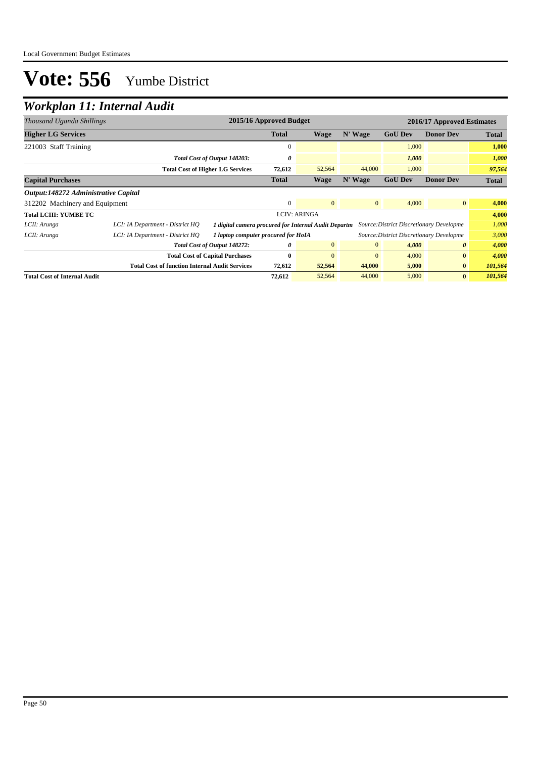## *Workplan 11: Internal Audit*

| Thousand Uganda Shillings            |                                                                     | 2015/16 Approved Budget<br>2016/17 Approved Estimates |              |                     |                |                                          |                       |              |
|--------------------------------------|---------------------------------------------------------------------|-------------------------------------------------------|--------------|---------------------|----------------|------------------------------------------|-----------------------|--------------|
| <b>Higher LG Services</b>            |                                                                     |                                                       | <b>Total</b> | Wage                | N' Wage        | <b>GoU Dev</b>                           | <b>Donor Dev</b>      | <b>Total</b> |
| 221003 Staff Training                |                                                                     |                                                       | $\mathbf{0}$ |                     |                | 1,000                                    |                       | 1,000        |
|                                      |                                                                     | Total Cost of Output 148203:                          | 0            |                     |                | 1,000                                    |                       | 1,000        |
|                                      |                                                                     | <b>Total Cost of Higher LG Services</b>               | 72,612       | 52,564              | 44,000         | 1,000                                    |                       | 97,564       |
| <b>Capital Purchases</b>             |                                                                     |                                                       | <b>Total</b> | <b>Wage</b>         | N' Wage        | <b>GoU Dev</b>                           | <b>Donor Dev</b>      | <b>Total</b> |
| Output:148272 Administrative Capital |                                                                     |                                                       |              |                     |                |                                          |                       |              |
| 312202 Machinery and Equipment       | $\Omega$<br>$\mathbf{0}$<br>$\mathbf{0}$<br>4,000<br>$\overline{0}$ |                                                       |              |                     | 4,000          |                                          |                       |              |
| <b>Total LCIII: YUMBE TC</b>         |                                                                     |                                                       |              | <b>LCIV: ARINGA</b> |                |                                          |                       | 4,000        |
| LCII: Arunga                         | LCI: IA Department - District HQ                                    | 1 digital camera procured for Internal Audit Departm  |              |                     |                | Source: District Discretionary Developme |                       | 1,000        |
| LCII: Arunga                         | LCI: IA Department - District HQ                                    | 1 laptop computer procured for HoIA                   |              |                     |                | Source: District Discretionary Developme |                       | 3,000        |
|                                      |                                                                     | Total Cost of Output 148272:                          | 0            | $\overline{0}$      | $\overline{0}$ | 4,000                                    | $\boldsymbol{\theta}$ | 4,000        |
|                                      |                                                                     | <b>Total Cost of Capital Purchases</b>                | $\bf{0}$     | $\mathbf{0}$        | $\overline{0}$ | 4,000                                    | $\bf{0}$              | 4,000        |
|                                      | <b>Total Cost of function Internal Audit Services</b>               |                                                       | 72,612       | 52,564              | 44,000         | 5,000                                    | $\bf{0}$              | 101,564      |
| <b>Total Cost of Internal Audit</b>  |                                                                     |                                                       | 72,612       | 52,564              | 44,000         | 5,000                                    | $\bf{0}$              | 101,564      |